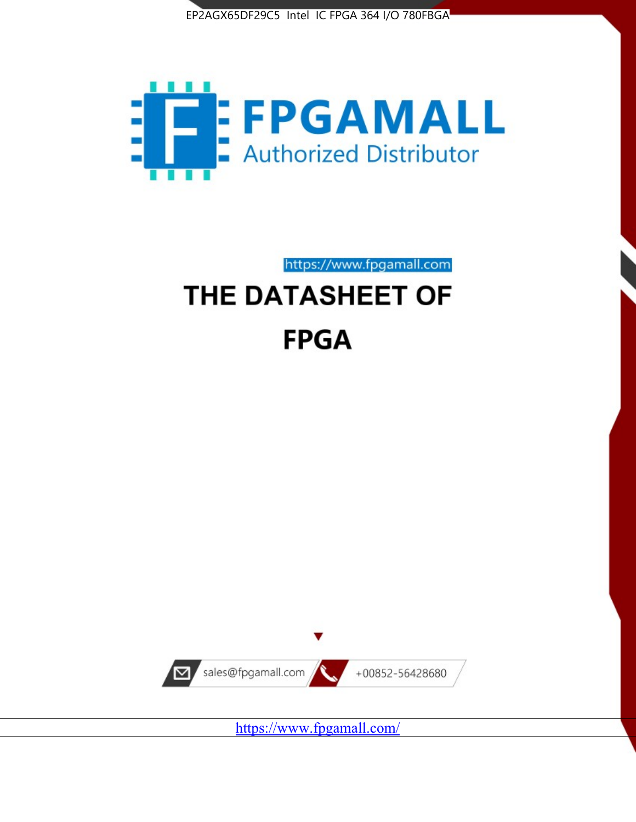



https://www.fpgamall.com

# THE DATASHEET OF **FPGA**



<https://www.fpgamall.com/>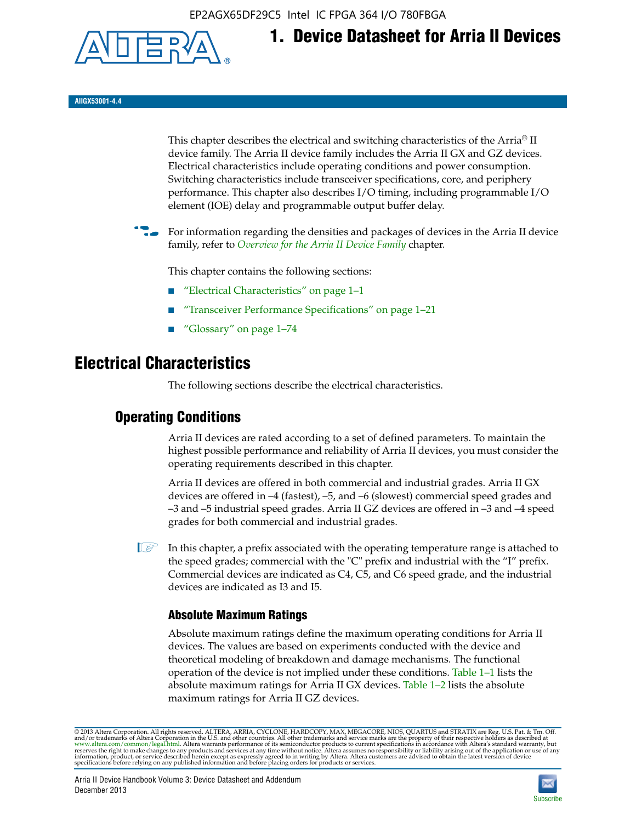EP2AGX65DF29C5 Intel IC FPGA 364 I/O 780FBGA



**1. Device Datasheet for Arria II Devices**

**AIIGX53001-4.4**

This chapter describes the electrical and switching characteristics of the Arria® II device family. The Arria II device family includes the Arria II GX and GZ devices. Electrical characteristics include operating conditions and power consumption. Switching characteristics include transceiver specifications, core, and periphery performance. This chapter also describes I/O timing, including programmable I/O element (IOE) delay and programmable output buffer delay.

For information regarding the densities and packages of devices in the Arria II device family, refer to *[Overview for the Arria II Device Family](http://www.altera.com/literature/hb/arria-ii-gx/aiigx_51001.pdf)* chapter.

This chapter contains the following sections:

- *"Electrical Characteristics"* on page 1–1
- "Transceiver Performance Specifications" on page 1–21
- "Glossary" on page 1–74

# **Electrical Characteristics**

The following sections describe the electrical characteristics.

# **Operating Conditions**

Arria II devices are rated according to a set of defined parameters. To maintain the highest possible performance and reliability of Arria II devices, you must consider the operating requirements described in this chapter.

Arria II devices are offered in both commercial and industrial grades. Arria II GX devices are offered in –4 (fastest), –5, and –6 (slowest) commercial speed grades and –3 and –5 industrial speed grades. Arria II GZ devices are offered in –3 and –4 speed grades for both commercial and industrial grades.

 $\Box$  In this chapter, a prefix associated with the operating temperature range is attached to the speed grades; commercial with the "C" prefix and industrial with the "I" prefix. Commercial devices are indicated as C4, C5, and C6 speed grade, and the industrial devices are indicated as I3 and I5.

# **Absolute Maximum Ratings**

Absolute maximum ratings define the maximum operating conditions for Arria II devices. The values are based on experiments conducted with the device and theoretical modeling of breakdown and damage mechanisms. The functional operation of the device is not implied under these conditions. Table 1–1 lists the absolute maximum ratings for Arria II GX devices. Table 1–2 lists the absolute maximum ratings for Arria II GZ devices.

© 2013 Altera Corporation. All rights reserved. ALTERA, ARRIA, CYCLONE, HARDCOPY, MAX, MEGACORE, NIOS, QUARTUS and STRATIX are Reg. U.S. Pat. & Tm. Off. [and/or trademarks of Altera Corporat](http://www.altera.com/common/legal.html)ion in the U.S. and other countri

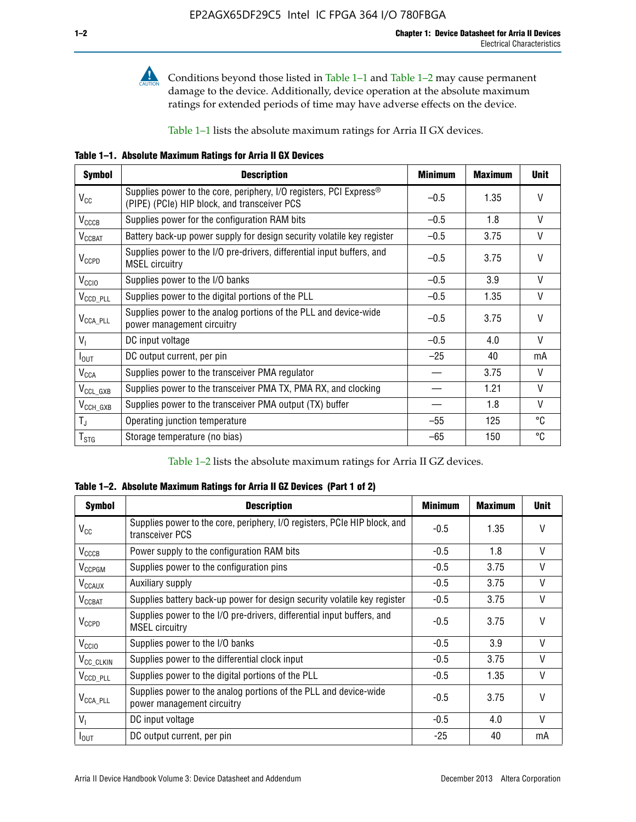

**Conditions beyond those listed in Table 1–1 and Table 1–2 may cause permanent** damage to the device. Additionally, device operation at the absolute maximum ratings for extended periods of time may have adverse effects on the device.

Table 1–1 lists the absolute maximum ratings for Arria II GX devices.

**Table 1–1. Absolute Maximum Ratings for Arria II GX Devices** 

| <b>Symbol</b>         | <b>Description</b>                                                                                                 | <b>Minimum</b> | <b>Maximum</b> | <b>Unit</b>  |
|-----------------------|--------------------------------------------------------------------------------------------------------------------|----------------|----------------|--------------|
| $V_{CC}$              | Supplies power to the core, periphery, I/O registers, PCI Express®<br>(PIPE) (PCIe) HIP block, and transceiver PCS | $-0.5$         | 1.35           | $\vee$       |
| $V_{CCCB}$            | Supplies power for the configuration RAM bits                                                                      | $-0.5$         | 1.8            | V            |
| $V_{\text{CCBAT}}$    | Battery back-up power supply for design security volatile key register                                             | $-0.5$         | 3.75           | V            |
| $V_{CCPD}$            | Supplies power to the I/O pre-drivers, differential input buffers, and<br><b>MSEL circuitry</b>                    | $-0.5$         | 3.75           | $\vee$       |
| V <sub>CCIO</sub>     | Supplies power to the I/O banks                                                                                    | $-0.5$         | 3.9            | $\mathsf{V}$ |
| $V_{\text{CCD\_PLL}}$ | Supplies power to the digital portions of the PLL                                                                  | $-0.5$         | 1.35           | V            |
| $V_{\text{CCA\_PLL}}$ | Supplies power to the analog portions of the PLL and device-wide<br>power management circuitry                     | $-0.5$         | 3.75           | $\mathsf{V}$ |
| $V_{1}$               | DC input voltage                                                                                                   | $-0.5$         | 4.0            | V            |
| $I_{\text{OUT}}$      | DC output current, per pin                                                                                         | $-25$          | 40             | mA           |
| $V_{\text{CCA}}$      | Supplies power to the transceiver PMA regulator                                                                    |                | 3.75           | V            |
| $V_{CCL_GXB}$         | Supplies power to the transceiver PMA TX, PMA RX, and clocking                                                     |                | 1.21           | $\vee$       |
| $V_{\text{CCH_GXB}}$  | Supplies power to the transceiver PMA output (TX) buffer                                                           |                | 1.8            | V            |
| $T_{\rm J}$           | Operating junction temperature                                                                                     | $-55$          | 125            | °C           |
| $T_{\tt STG}$         | Storage temperature (no bias)                                                                                      | -65            | 150            | ℃            |

Table 1–2 lists the absolute maximum ratings for Arria II GZ devices.

**Table 1–2. Absolute Maximum Ratings for Arria II GZ Devices (Part 1 of 2)**

| <b>Symbol</b>            | <b>Description</b>                                                                              | <b>Minimum</b> | <b>Maximum</b> | <b>Unit</b>  |
|--------------------------|-------------------------------------------------------------------------------------------------|----------------|----------------|--------------|
| $V_{CC}$                 | Supplies power to the core, periphery, I/O registers, PCIe HIP block, and<br>transceiver PCS    | -0.5           | 1.35           | $\mathsf{V}$ |
| $V_{CCCB}$               | Power supply to the configuration RAM bits                                                      | $-0.5$         | 1.8            | $\vee$       |
| V <sub>CCPGM</sub>       | Supplies power to the configuration pins                                                        | $-0.5$         | 3.75           | $\vee$       |
| <b>V<sub>CCAUX</sub></b> | Auxiliary supply                                                                                | $-0.5$         | 3.75           | $\vee$       |
| $V_{\text{CGBAT}}$       | Supplies battery back-up power for design security volatile key register                        | -0.5           | 3.75           | $\vee$       |
| $V_{CCPD}$               | Supplies power to the I/O pre-drivers, differential input buffers, and<br><b>MSEL circuitry</b> | -0.5           | 3.75           | $\mathsf{V}$ |
| V <sub>CCIO</sub>        | Supplies power to the I/O banks                                                                 | $-0.5$         | 3.9            | $\mathsf{V}$ |
| $V_{\rm CC\_CLKIN}$      | Supplies power to the differential clock input                                                  | $-0.5$         | 3.75           | $\vee$       |
| $V_{\text{CCD\_PLL}}$    | Supplies power to the digital portions of the PLL                                               | $-0.5$         | 1.35           | V            |
| $V_{\text{CCA\_PLL}}$    | Supplies power to the analog portions of the PLL and device-wide<br>power management circuitry  | $-0.5$         | 3.75           | $\mathsf{V}$ |
| V <sub>1</sub>           | DC input voltage                                                                                | $-0.5$         | 4.0            | $\vee$       |
| $I_{\text{OUT}}$         | DC output current, per pin                                                                      | $-25$          | 40             | mA           |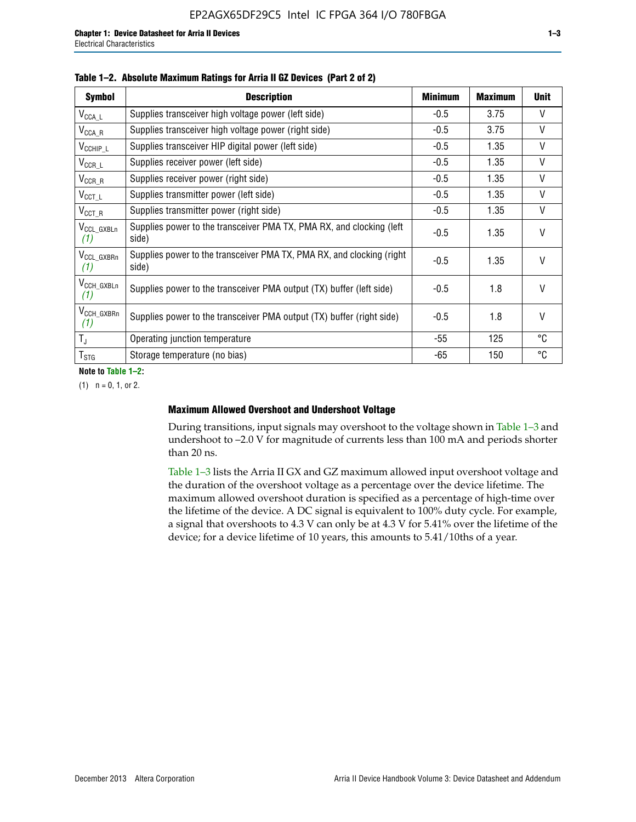| <b>Symbol</b>                  | <b>Description</b>                                                              | <b>Minimum</b> | <b>Maximum</b> | <b>Unit</b>  |
|--------------------------------|---------------------------------------------------------------------------------|----------------|----------------|--------------|
| $V_{\texttt{CCA}\_\textsf{L}}$ | Supplies transceiver high voltage power (left side)                             | $-0.5$         | 3.75           | $\mathsf{V}$ |
| $V_{\text{CCA\_R}}$            | Supplies transceiver high voltage power (right side)                            | $-0.5$         | 3.75           | $\vee$       |
| $V_{CCHIP\_L}$                 | Supplies transceiver HIP digital power (left side)                              | $-0.5$         | 1.35           | $\vee$       |
| $V_{CCR\_L}$                   | Supplies receiver power (left side)                                             | $-0.5$         | 1.35           | V            |
| $V_{CCR\_R}$                   | Supplies receiver power (right side)                                            | $-0.5$         | 1.35           | $\mathsf{V}$ |
| $V_{CCT\_L}$                   | Supplies transmitter power (left side)                                          | $-0.5$         | 1.35           | $\vee$       |
| $V_{CCT_R}$                    | Supplies transmitter power (right side)                                         | $-0.5$         | 1.35           | V            |
| V <sub>CCL_GXBLn</sub><br>(1)  | Supplies power to the transceiver PMA TX, PMA RX, and clocking (left<br>side)   | $-0.5$         | 1.35           | $\vee$       |
| V <sub>CCL_GXBRn</sub><br>(1)  | Supplies power to the transceiver PMA TX, PMA RX, and clocking (right)<br>side) | $-0.5$         | 1.35           | $\vee$       |
| V <sub>CCH_GXBLn</sub><br>(1)  | Supplies power to the transceiver PMA output (TX) buffer (left side)            | $-0.5$         | 1.8            | $\mathsf{V}$ |
| V <sub>CCH_GXBRn</sub><br>(1)  | Supplies power to the transceiver PMA output (TX) buffer (right side)           | $-0.5$         | 1.8            | $\vee$       |
| $T_{\rm J}$                    | Operating junction temperature                                                  | -55            | 125            | °C           |
| $T_{STG}$                      | Storage temperature (no bias)                                                   | -65            | 150            | °C           |

**Note to Table 1–2:**

 $(1)$   $n = 0, 1,$  or 2.

### **Maximum Allowed Overshoot and Undershoot Voltage**

During transitions, input signals may overshoot to the voltage shown in Table 1–3 and undershoot to –2.0 V for magnitude of currents less than 100 mA and periods shorter than 20 ns.

Table 1–3 lists the Arria II GX and GZ maximum allowed input overshoot voltage and the duration of the overshoot voltage as a percentage over the device lifetime. The maximum allowed overshoot duration is specified as a percentage of high-time over the lifetime of the device. A DC signal is equivalent to 100% duty cycle. For example, a signal that overshoots to 4.3 V can only be at 4.3 V for 5.41% over the lifetime of the device; for a device lifetime of 10 years, this amounts to 5.41/10ths of a year.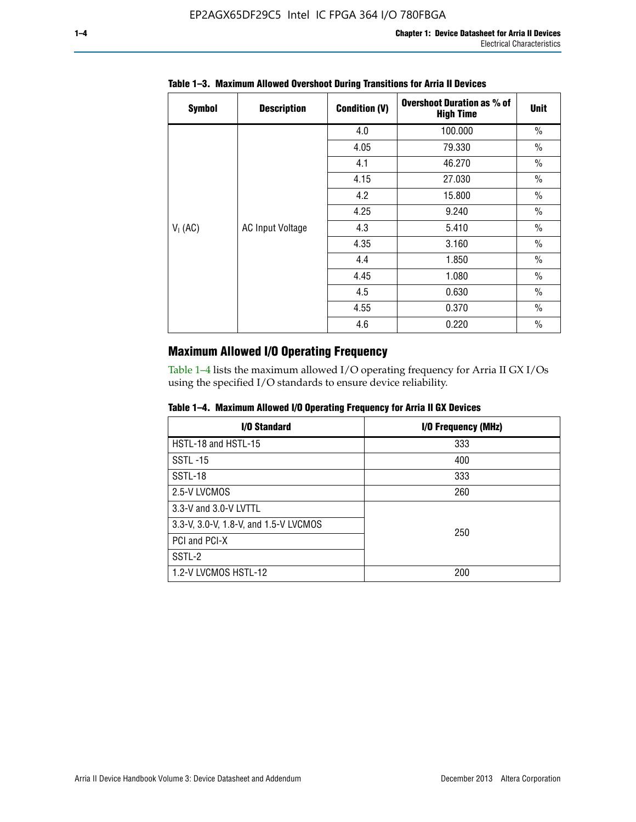| <b>Symbol</b> | <b>Description</b>      | <b>Condition (V)</b> | <b>Overshoot Duration as % of</b><br><b>High Time</b> | <b>Unit</b>   |
|---------------|-------------------------|----------------------|-------------------------------------------------------|---------------|
|               |                         | 4.0                  | 100.000                                               | $\frac{0}{0}$ |
|               |                         | 4.05                 | 79.330                                                | $\frac{0}{0}$ |
|               |                         | 4.1                  | 46.270                                                | $\frac{0}{0}$ |
|               |                         | 4.15                 | 27.030                                                | $\frac{0}{0}$ |
|               | <b>AC Input Voltage</b> | 4.2                  | 15.800                                                | $\frac{0}{0}$ |
|               |                         | 4.25                 | 9.240                                                 | $\frac{0}{0}$ |
| $V_1$ (AC)    |                         | 4.3                  | 5.410                                                 | $\frac{0}{0}$ |
|               |                         | 4.35                 | 3.160                                                 | $\frac{0}{0}$ |
|               |                         | 4.4                  | 1.850                                                 | $\frac{0}{0}$ |
|               |                         | 4.45                 | 1.080                                                 | $\frac{0}{0}$ |
|               |                         | 4.5                  | 0.630                                                 | $\frac{0}{0}$ |
|               |                         | 4.55                 | 0.370                                                 | $\frac{0}{0}$ |
|               |                         | 4.6                  | 0.220                                                 | $\%$          |

# **Table 1–3. Maximum Allowed Overshoot During Transitions for Arria II Devices**

# **Maximum Allowed I/O Operating Frequency**

Table 1–4 lists the maximum allowed I/O operating frequency for Arria II GX I/Os using the specified I/O standards to ensure device reliability.

|  |  |  |  |  |  | Table 1–4. Maximum Allowed I/O Operating Frequency for Arria II GX Devices |
|--|--|--|--|--|--|----------------------------------------------------------------------------|
|--|--|--|--|--|--|----------------------------------------------------------------------------|

| I/O Standard                          | I/O Frequency (MHz) |
|---------------------------------------|---------------------|
| HSTL-18 and HSTL-15                   | 333                 |
| <b>SSTL-15</b>                        | 400                 |
| SSTL-18                               | 333                 |
| 2.5-V LVCMOS                          | 260                 |
| 3.3-V and 3.0-V LVTTL                 |                     |
| 3.3-V, 3.0-V, 1.8-V, and 1.5-V LVCMOS | 250                 |
| PCI and PCI-X                         |                     |
| SSTL-2                                |                     |
| 1.2-V LVCMOS HSTL-12                  | 200                 |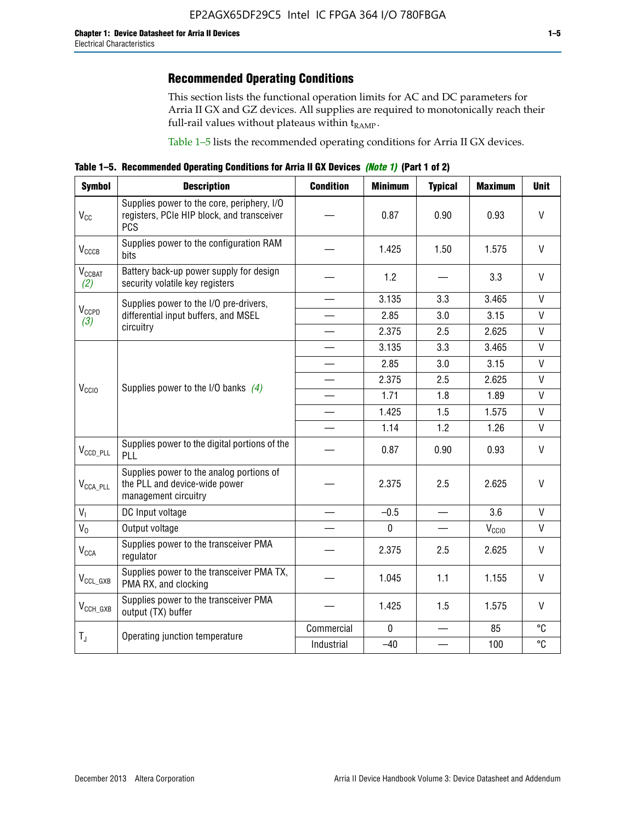This section lists the functional operation limits for AC and DC parameters for Arria II GX and GZ devices. All supplies are required to monotonically reach their full-rail values without plateaus within  $t_{RAMP}$ .

Table 1–5 lists the recommended operating conditions for Arria II GX devices.

**Table 1–5. Recommended Operating Conditions for Arria II GX Devices** *(Note 1)* **(Part 1 of 2)**

| <b>Symbol</b>             | <b>Description</b>                                                                                     | <b>Condition</b>         | <b>Minimum</b> | <b>Typical</b>           | <b>Maximum</b>    | <b>Unit</b>  |
|---------------------------|--------------------------------------------------------------------------------------------------------|--------------------------|----------------|--------------------------|-------------------|--------------|
| $V_{CC}$                  | Supplies power to the core, periphery, I/O<br>registers, PCIe HIP block, and transceiver<br><b>PCS</b> |                          | 0.87           | 0.90                     | 0.93              | $\vee$       |
| $V_{CCCB}$                | Supplies power to the configuration RAM<br>bits                                                        |                          | 1.425          | 1.50                     | 1.575             | $\mathsf{V}$ |
| $V_{\text{CGBAT}}$<br>(2) | Battery back-up power supply for design<br>security volatile key registers                             |                          | 1.2            |                          | 3.3               | $\vee$       |
|                           | Supplies power to the I/O pre-drivers,                                                                 | $\equiv$                 | 3.135          | 3.3                      | 3.465             | $\mathsf{V}$ |
| V <sub>CCPD</sub><br>(3)  | differential input buffers, and MSEL                                                                   |                          | 2.85           | 3.0                      | 3.15              | $\mathsf{V}$ |
|                           | circuitry                                                                                              | $\overline{\phantom{a}}$ | 2.375          | 2.5                      | 2.625             | $\mathsf{V}$ |
|                           |                                                                                                        |                          | 3.135          | 3.3                      | 3.465             | $\vee$       |
|                           | Supplies power to the I/O banks $(4)$                                                                  |                          | 2.85           | 3.0                      | 3.15              | $\mathsf{V}$ |
|                           |                                                                                                        |                          | 2.375          | 2.5                      | 2.625             | $\mathsf{V}$ |
| V <sub>CCIO</sub>         |                                                                                                        |                          | 1.71           | 1.8                      | 1.89              | $\mathsf{V}$ |
|                           |                                                                                                        |                          | 1.425          | 1.5                      | 1.575             | V            |
|                           |                                                                                                        |                          | 1.14           | 1.2                      | 1.26              | $\mathsf{V}$ |
| $V_{CCD\_PLL}$            | Supplies power to the digital portions of the<br>PLL                                                   |                          | 0.87           | 0.90                     | 0.93              | $\mathsf{V}$ |
| $V_{\text{CCA\_PLL}}$     | Supplies power to the analog portions of<br>the PLL and device-wide power<br>management circuitry      |                          | 2.375          | 2.5                      | 2.625             | $\mathsf{V}$ |
| V <sub>1</sub>            | DC Input voltage                                                                                       |                          | $-0.5$         | $\overline{\phantom{a}}$ | 3.6               | $\mathsf{V}$ |
| $V_0$                     | Output voltage                                                                                         |                          | $\pmb{0}$      | $\qquad \qquad -$        | V <sub>CCIO</sub> | V            |
| <b>V<sub>CCA</sub></b>    | Supplies power to the transceiver PMA<br>regulator                                                     |                          | 2.375          | 2.5                      | 2.625             | V            |
| $V_{CCL_GXB}$             | Supplies power to the transceiver PMA TX,<br>PMA RX, and clocking                                      |                          | 1.045          | 1.1                      | 1.155             | V            |
| $V_{CCH_GXB}$             | Supplies power to the transceiver PMA<br>output (TX) buffer                                            |                          | 1.425          | 1.5                      | 1.575             | V            |
|                           | Operating junction temperature                                                                         | Commercial               | $\mathbf 0$    |                          | 85                | °C           |
| $T_{J}$                   |                                                                                                        | Industrial               | $-40$          |                          | 100               | °C           |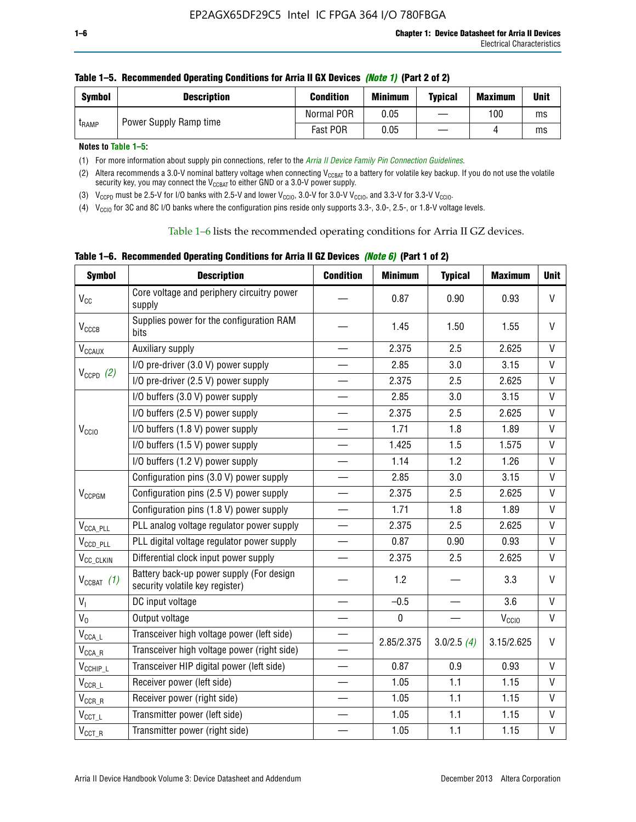| <b>Symbol</b> | <b>Description</b>     | <b>Condition</b> | <b>Minimum</b> | <b>Typical</b> | <b>Maximum</b> | <b>Unit</b> |
|---------------|------------------------|------------------|----------------|----------------|----------------|-------------|
| <b>LRAMP</b>  | Power Supply Ramp time | Normal POR       | 0.05           |                | 100            | ms          |
|               |                        | Fast POR         | 0.05           |                |                | ms          |

| Table 1–5. Recommended Operating Conditions for Arria II GX Devices (Note 1) (Part 2 of 2) |  |  |  |
|--------------------------------------------------------------------------------------------|--|--|--|
|                                                                                            |  |  |  |

**Notes to Table 1–5:** 

(1) For more information about supply pin connections, refer to the *[Arria II Device Family Pin Connection Guidelines](http://www.altera.com/literature/dp/arria-ii-gx/PCG-01007.pdf)*.

(2) Altera recommends a 3.0-V nominal battery voltage when connecting V<sub>CCBAT</sub> to a battery for volatile key backup. If you do not use the volatile security key, you may connect the V<sub>CCBAT</sub> to either GND or a 3.0-V power supply.

(3)  $V_{CCPD}$  must be 2.5-V for I/O banks with 2.5-V and lower  $V_{CCIO}$ , 3.0-V for 3.0-V  $V_{CCIO}$ , and 3.3-V for 3.3-V  $V_{CCIO}$ .

(4)  $V_{\text{CCIO}}$  for 3C and 8C I/O banks where the configuration pins reside only supports 3.3-, 3.0-, 2.5-, or 1.8-V voltage levels.

Table 1–6 lists the recommended operating conditions for Arria II GZ devices.

**Table 1–6. Recommended Operating Conditions for Arria II GZ Devices** *(Note 6)* **(Part 1 of 2)**

| <b>Symbol</b>                  | <b>Description</b>                                                          | <b>Condition</b>         | <b>Minimum</b> | <b>Typical</b> | <b>Maximum</b>    | <b>Unit</b>  |
|--------------------------------|-----------------------------------------------------------------------------|--------------------------|----------------|----------------|-------------------|--------------|
| $V_{CC}$                       | Core voltage and periphery circuitry power<br>supply                        |                          | 0.87           | 0.90           | 0.93              | $\mathsf{V}$ |
| $V_{CCCB}$                     | Supplies power for the configuration RAM<br>bits                            |                          | 1.45           | 1.50           | 1.55              | V            |
| $V_{\text{CCAUX}}$             | Auxiliary supply                                                            |                          | 2.375          | 2.5            | 2.625             | V            |
|                                | I/O pre-driver (3.0 V) power supply                                         |                          | 2.85           | 3.0            | 3.15              | V            |
| $V_{CCPD}$ (2)                 | I/O pre-driver (2.5 V) power supply                                         |                          | 2.375          | 2.5            | 2.625             | V            |
|                                | I/O buffers (3.0 V) power supply                                            |                          | 2.85           | 3.0            | 3.15              | $\mathsf{V}$ |
|                                | I/O buffers (2.5 V) power supply                                            |                          | 2.375          | 2.5            | 2.625             | $\vee$       |
| V <sub>CCIO</sub>              | I/O buffers (1.8 V) power supply                                            |                          | 1.71           | 1.8            | 1.89              | V            |
|                                | I/O buffers (1.5 V) power supply                                            |                          | 1.425          | 1.5            | 1.575             | $\mathsf{V}$ |
|                                | I/O buffers (1.2 V) power supply                                            |                          | 1.14           | 1.2            | 1.26              | V            |
|                                | Configuration pins (3.0 V) power supply                                     |                          | 2.85           | 3.0            | 3.15              | V            |
| V <sub>CCPGM</sub>             | Configuration pins (2.5 V) power supply                                     |                          | 2.375          | 2.5            | 2.625             | $\mathsf{V}$ |
|                                | Configuration pins (1.8 V) power supply                                     |                          | 1.71           | 1.8            | 1.89              | V            |
| $V_{\text{CCA\_PLL}}$          | PLL analog voltage regulator power supply                                   |                          | 2.375          | 2.5            | 2.625             | $\vee$       |
| $V_{CCD\_PLL}$                 | PLL digital voltage regulator power supply                                  |                          | 0.87           | 0.90           | 0.93              | $\mathsf{V}$ |
| V <sub>CC_CLKIN</sub>          | Differential clock input power supply                                       | $\overline{\phantom{0}}$ | 2.375          | 2.5            | 2.625             | V            |
| $V_{CCBAT}$ (1)                | Battery back-up power supply (For design<br>security volatile key register) |                          | 1.2            |                | 3.3               | $\vee$       |
| V <sub>I</sub>                 | DC input voltage                                                            |                          | $-0.5$         |                | 3.6               | $\vee$       |
| $V_0$                          | Output voltage                                                              |                          | $\pmb{0}$      |                | V <sub>CCIO</sub> | $\mathsf{V}$ |
| $V_{\text{CCA\_L}}$            | Transceiver high voltage power (left side)                                  |                          | 2.85/2.375     |                | 3.15/2.625        | $\vee$       |
| $V_{\text{CCA\_R}}$            | Transceiver high voltage power (right side)                                 |                          |                | 3.0/2.5(4)     |                   |              |
| $V_{CCHIP\_L}$                 | Transceiver HIP digital power (left side)                                   | $\overline{\phantom{0}}$ | 0.87           | 0.9            | 0.93              | V            |
| $\mathsf{V}_{\mathsf{CCR\_L}}$ | Receiver power (left side)                                                  |                          | 1.05           | 1.1            | 1.15              | $\mathsf{V}$ |
| $\mathsf{V}_{\mathsf{CCR\_R}}$ | Receiver power (right side)                                                 |                          | 1.05           | 1.1            | 1.15              | $\mathsf{V}$ |
| $V_{CCT_l}$                    | Transmitter power (left side)                                               |                          | 1.05           | 1.1            | 1.15              | V            |
| $V_{CCT\_R}$                   | Transmitter power (right side)                                              |                          | 1.05           | 1.1            | 1.15              | V            |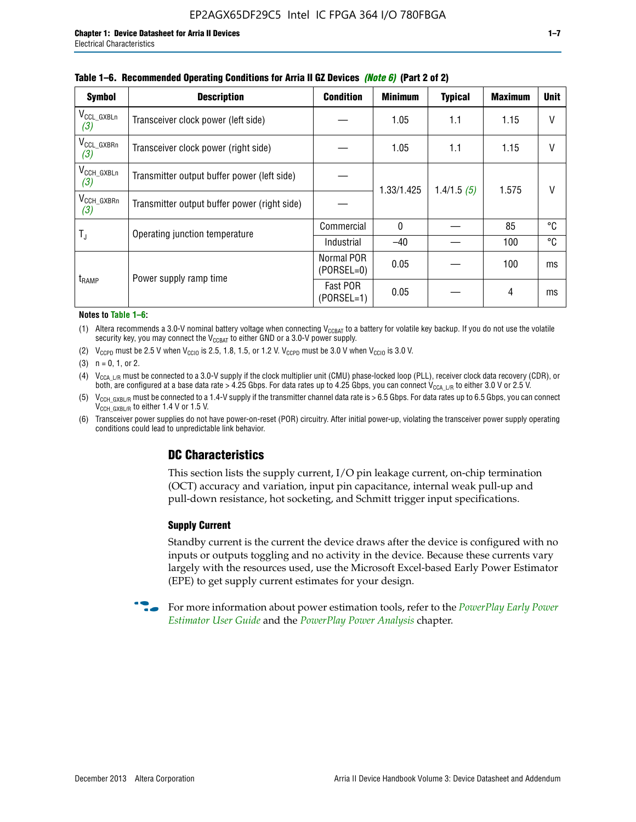| <b>Symbol</b>                 | <b>Description</b>                           | <b>Condition</b>           | <b>Minimum</b> | <b>Typical</b> | <b>Maximum</b> | <b>Unit</b> |
|-------------------------------|----------------------------------------------|----------------------------|----------------|----------------|----------------|-------------|
| $V_{\rm CCL_GXBLn}$<br>(3)    | Transceiver clock power (left side)          |                            | 1.05           | 1.1            | 1.15           | V           |
| V <sub>CCL_GXBRn</sub><br>(3) | Transceiver clock power (right side)         |                            | 1.05           | 1.1            | 1.15           |             |
| $V_{\text{CCH_GXBLn}}$<br>(3) | Transmitter output buffer power (left side)  |                            | 1.33/1.425     | 1.4/1.5(5)     | 1.575          | V           |
| $V_{\text{CCH_GXBRn}}$<br>(3) | Transmitter output buffer power (right side) |                            |                |                |                |             |
| $T_{\rm J}$                   | Operating junction temperature               | Commercial                 | $\mathbf{0}$   |                | 85             | ℃           |
|                               |                                              | Industrial                 | $-40$          |                | 100            | °C          |
| t <sub>RAMP</sub>             | Power supply ramp time                       | Normal POR<br>$(PORSEL=0)$ | 0.05           |                | 100            | ms          |
|                               |                                              | Fast POR<br>$(PORSEL=1)$   | 0.05           |                | 4              | ms          |

#### **Table 1–6. Recommended Operating Conditions for Arria II GZ Devices** *(Note 6)* **(Part 2 of 2)**

#### **Notes to Table 1–6:**

(1) Altera recommends a 3.0-V nominal battery voltage when connecting  $V_{CCBAT}$  to a battery for volatile key backup. If you do not use the volatile security key, you may connect the  $V_{\text{CCBAT}}$  to either GND or a 3.0-V power supply.

(2)  $V_{CCPD}$  must be 2.5 V when  $V_{CCIO}$  is 2.5, 1.8, 1.5, or 1.2 V.  $V_{CCPD}$  must be 3.0 V when  $V_{CCIO}$  is 3.0 V.

(3)  $n = 0, 1, or 2$ .

(4)  $V_{CCA~LR}$  must be connected to a 3.0-V supply if the clock multiplier unit (CMU) phase-locked loop (PLL), receiver clock data recovery (CDR), or both, are configured at a base data rate > 4.25 Gbps. For data rates up to 4.25 Gbps, you can connect V<sub>CCA L/R</sub> to either 3.0 V or 2.5 V.

- (5)  $V_{\text{CCH\_GXBL/R}}$  must be connected to a 1.4-V supply if the transmitter channel data rate is > 6.5 Gbps. For data rates up to 6.5 Gbps, you can connect V<sub>CCH\_GXBL/R</sub> to either 1.4 V or 1.5 V.
- (6) Transceiver power supplies do not have power-on-reset (POR) circuitry. After initial power-up, violating the transceiver power supply operating conditions could lead to unpredictable link behavior.

# **DC Characteristics**

This section lists the supply current, I/O pin leakage current, on-chip termination (OCT) accuracy and variation, input pin capacitance, internal weak pull-up and pull-down resistance, hot socketing, and Schmitt trigger input specifications.

## **Supply Current**

Standby current is the current the device draws after the device is configured with no inputs or outputs toggling and no activity in the device. Because these currents vary largely with the resources used, use the Microsoft Excel-based Early Power Estimator (EPE) to get supply current estimates for your design.

**For more information about power estimation tools, refer to the** *PowerPlay Early Power* **<b>Formation** *[Estimator User Guide](http://www.altera.com/literature/ug/ug_epe.pdf
)* and the *[PowerPlay Power Analysis](http://www.altera.com/literature/hb/qts/qts_qii53013.pdf)* chapter.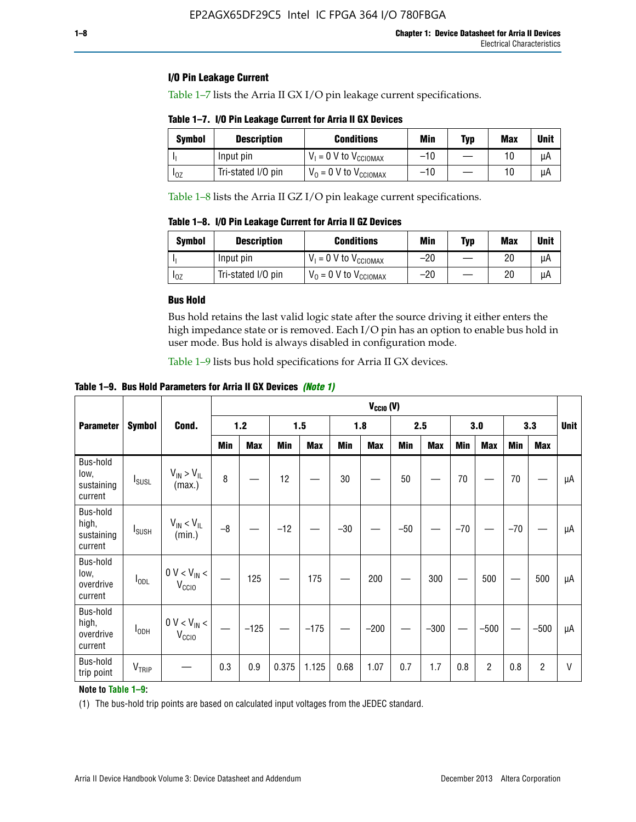## **I/O Pin Leakage Current**

Table 1–7 lists the Arria II GX I/O pin leakage current specifications.

# **Table 1–7. I/O Pin Leakage Current for Arria II GX Devices**

| Symbol   | <b>Description</b> | <b>Conditions</b>                   | <b>Min</b> | <b>Typ</b> | <b>Max</b> | <b>Unit</b> |
|----------|--------------------|-------------------------------------|------------|------------|------------|-------------|
|          | Input pin          | $V_1 = 0$ V to $V_{\text{CCIOMAX}}$ | $-10$      |            |            | uА          |
| $I_{0Z}$ | Tri-stated I/O pin | $V_0 = 0$ V to $V_{\text{CCIOMAX}}$ | $-10$      |            | 10         | uА          |

Table 1–8 lists the Arria II GZ I/O pin leakage current specifications.

**Table 1–8. I/O Pin Leakage Current for Arria II GZ Devices**

| Symbol | <b>Description</b> | <b>Conditions</b>                   | Min   | Typ | Max | Unit |
|--------|--------------------|-------------------------------------|-------|-----|-----|------|
|        | Input pin          | $V_1 = 0$ V to $V_{\text{CCIOMAX}}$ | $-20$ |     | 20  | uА   |
| 10Z    | Tri-stated I/O pin | $V_0 = 0$ V to $V_{\text{CCIOMAX}}$ | $-20$ |     | 20  | μA   |

## **Bus Hold**

Bus hold retains the last valid logic state after the source driving it either enters the high impedance state or is removed. Each I/O pin has an option to enable bus hold in user mode. Bus hold is always disabled in configuration mode.

Table 1–9 lists bus hold specifications for Arria II GX devices.

**Table 1–9. Bus Hold Parameters for Arria II GX Devices** *(Note 1)*

| $V_{CClO}$ (V)                             |                          |                                                  |      |            |       |            |       |            |       |            |       |                |       |            |             |
|--------------------------------------------|--------------------------|--------------------------------------------------|------|------------|-------|------------|-------|------------|-------|------------|-------|----------------|-------|------------|-------------|
| <b>Parameter</b>                           | <b>Symbol</b>            | Cond.                                            |      | $1.2$      |       | 1.5        |       | 1.8        |       | 2.5        |       | 3.0            |       | 3.3        | <b>Unit</b> |
|                                            |                          |                                                  | Min  | <b>Max</b> | Min   | <b>Max</b> | Min   | <b>Max</b> | Min   | <b>Max</b> | Min   | <b>Max</b>     | Min   | <b>Max</b> |             |
| Bus-hold<br>low,<br>sustaining<br>current  | <b>I</b> <sub>SUSL</sub> | $V_{IN}$ > $V_{IL}$<br>(max.)                    | 8    |            | 12    |            | 30    |            | 50    |            | 70    |                | 70    |            | μA          |
| Bus-hold<br>high,<br>sustaining<br>current | I <sub>SUSH</sub>        | $V_{IN}$ < $V_{IL}$<br>(min.)                    | $-8$ |            | $-12$ |            | $-30$ |            | $-50$ |            | $-70$ |                | $-70$ |            | μA          |
| Bus-hold<br>low,<br>overdrive<br>current   | $I_{ODL}$                | $0 V < V_{IN} <$<br>V <sub>CCIO</sub>            |      | 125        |       | 175        |       | 200        |       | 300        |       | 500            |       | 500        | μA          |
| Bus-hold<br>high,<br>overdrive<br>current  | $I_{ODH}$                | $0$ V $<$ V $_{\rm IN}$ $<$<br>V <sub>CCIO</sub> |      | $-125$     |       | $-175$     |       | $-200$     |       | $-300$     |       | $-500$         |       | $-500$     | μA          |
| Bus-hold<br>trip point                     | VTRIP                    |                                                  | 0.3  | 0.9        | 0.375 | 1.125      | 0.68  | 1.07       | 0.7   | 1.7        | 0.8   | $\overline{c}$ | 0.8   | 2          | V           |

## **Note to Table 1–9:**

(1) The bus-hold trip points are based on calculated input voltages from the JEDEC standard.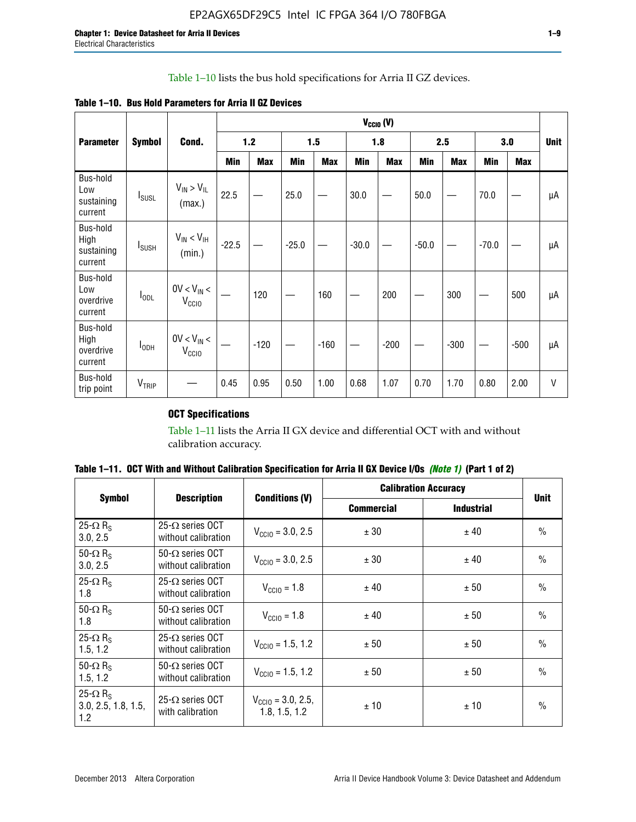# Table 1–10 lists the bus hold specifications for Arria II GZ devices.

| Table 1–10. Bus Hold Parameters for Arria II GZ Devices |
|---------------------------------------------------------|
|---------------------------------------------------------|

|                                           |                          |                                    | $V_{CClO}$ (V) |            |         |            |         |            |         |            |         |            |             |
|-------------------------------------------|--------------------------|------------------------------------|----------------|------------|---------|------------|---------|------------|---------|------------|---------|------------|-------------|
| <b>Parameter</b>                          | <b>Symbol</b>            | Cond.                              |                | $1.2$      |         | 1.5        |         | 1.8        |         | 2.5        |         | 3.0        | <b>Unit</b> |
|                                           |                          |                                    | Min            | <b>Max</b> | Min     | <b>Max</b> | Min     | <b>Max</b> | Min     | <b>Max</b> | Min     | <b>Max</b> |             |
| Bus-hold<br>Low<br>sustaining<br>current  | $I_{SUSL}$               | $V_{IN} > V_{IL}$<br>(max.)        | 22.5           |            | 25.0    |            | 30.0    |            | 50.0    |            | 70.0    |            | μA          |
| Bus-hold<br>High<br>sustaining<br>current | <b>I</b> <sub>SUSH</sub> | $V_{IN}$ < $V_{IH}$<br>(min.)      | $-22.5$        |            | $-25.0$ |            | $-30.0$ |            | $-50.0$ |            | $-70.0$ |            | μA          |
| Bus-hold<br>Low<br>overdrive<br>current   | $I_{ODL}$                | $0V < V_{IN}$<br>V <sub>CCIO</sub> |                | 120        |         | 160        |         | 200        |         | 300        |         | 500        | μA          |
| Bus-hold<br>High<br>overdrive<br>current  | $I_{ODH}$                | $0V < V_{IN}$<br>V <sub>CCIO</sub> |                | $-120$     |         | $-160$     |         | $-200$     |         | $-300$     |         | $-500$     | μA          |
| Bus-hold<br>trip point                    | V <sub>TRIP</sub>        |                                    | 0.45           | 0.95       | 0.50    | 1.00       | 0.68    | 1.07       | 0.70    | 1.70       | 0.80    | 2.00       | $\vee$      |

# **OCT Specifications**

Table 1–11 lists the Arria II GX device and differential OCT with and without calibration accuracy.

|                                                           |                                                |                                                | <b>Calibration Accuracy</b> |                   |               |
|-----------------------------------------------------------|------------------------------------------------|------------------------------------------------|-----------------------------|-------------------|---------------|
| <b>Symbol</b>                                             | <b>Description</b>                             | <b>Conditions (V)</b>                          | <b>Commercial</b>           | <b>Industrial</b> | <b>Unit</b>   |
| 25- $\Omega$ R <sub>s</sub><br>3.0, 2.5                   | $25-\Omega$ series OCT<br>without calibration  | $V_{\text{CC10}} = 3.0, 2.5$                   | ± 30                        | ± 40              | $\frac{0}{0}$ |
| 50- $\Omega$ R <sub>S</sub><br>3.0, 2.5                   | $50-\Omega$ series OCT<br>without calibration  | $V_{\text{CC10}} = 3.0, 2.5$                   | ± 30                        | ± 40              | $\frac{0}{0}$ |
| 25- $\Omega$ R <sub>S</sub><br>1.8                        | 25- $\Omega$ series OCT<br>without calibration | $V_{\text{CCI0}} = 1.8$                        | ± 40                        | ± 50              | $\frac{0}{0}$ |
| 50- $\Omega$ R <sub>s</sub><br>1.8                        | $50-\Omega$ series OCT<br>without calibration  | $V_{\text{CC10}} = 1.8$                        | ± 40                        | ± 50              | $\frac{0}{0}$ |
| 25- $\Omega$ R <sub>S</sub><br>1.5, 1.2                   | $25-\Omega$ series OCT<br>without calibration  | $V_{\text{CC10}} = 1.5, 1.2$                   | ± 50                        | ± 50              | $\frac{0}{0}$ |
| 50- $\Omega$ R <sub>s</sub><br>1.5, 1.2                   | $50-\Omega$ series OCT<br>without calibration  | $V_{\text{CC10}} = 1.5, 1.2$                   | ± 50                        | ± 50              | $\frac{0}{0}$ |
| 25- $\Omega$ R <sub>s</sub><br>3.0, 2.5, 1.8, 1.5,<br>1.2 | 25- $\Omega$ series OCT<br>with calibration    | $V_{\text{CC10}} = 3.0, 2.5,$<br>1.8, 1.5, 1.2 | ±10                         | ± 10              | $\frac{0}{0}$ |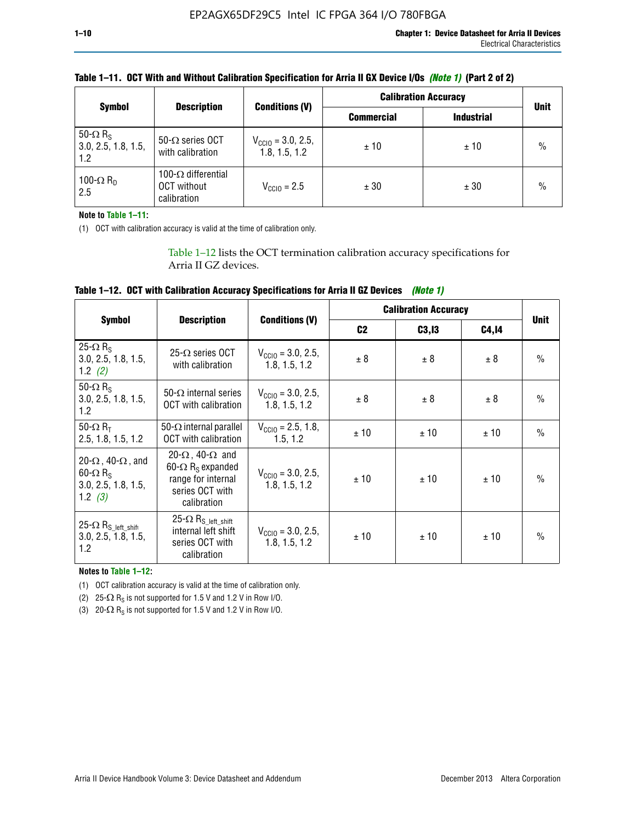|                                                           |                                                                 |                                                | <b>Calibration Accuracy</b> |                   |               |
|-----------------------------------------------------------|-----------------------------------------------------------------|------------------------------------------------|-----------------------------|-------------------|---------------|
| <b>Symbol</b>                                             | <b>Description</b>                                              | <b>Conditions (V)</b>                          | <b>Commercial</b>           | <b>Industrial</b> | <b>Unit</b>   |
| 50- $\Omega$ R <sub>S</sub><br>3.0, 2.5, 1.8, 1.5,<br>1.2 | 50- $\Omega$ series OCT<br>with calibration                     | $V_{\text{CC10}} = 3.0, 2.5,$<br>1.8, 1.5, 1.2 | ±10                         | ± 10              | $\frac{0}{0}$ |
| 100- $\Omega$ R <sub>D</sub><br>2.5                       | 100- $\Omega$ differential<br><b>OCT</b> without<br>calibration | $V_{\text{CCI0}} = 2.5$                        | ± 30                        | ± 30              | $\frac{0}{0}$ |

**Note to Table 1–11:**

(1) OCT with calibration accuracy is valid at the time of calibration only.

Table 1–12 lists the OCT termination calibration accuracy specifications for Arria II GZ devices.

| Table 1–12. OCT with Calibration Accuracy Specifications for Arria II GZ Devices (Note 1) |  |  |  |  |
|-------------------------------------------------------------------------------------------|--|--|--|--|
|-------------------------------------------------------------------------------------------|--|--|--|--|

|                                                                                                       |                                                                                                                                 |                                                | <b>Calibration Accuracy</b> |        |       |               |
|-------------------------------------------------------------------------------------------------------|---------------------------------------------------------------------------------------------------------------------------------|------------------------------------------------|-----------------------------|--------|-------|---------------|
| <b>Symbol</b>                                                                                         | <b>Description</b>                                                                                                              | <b>Conditions (V)</b>                          | C <sub>2</sub>              | C3, I3 | C4,14 | <b>Unit</b>   |
| 25- $\Omega$ R <sub>s</sub><br>3.0, 2.5, 1.8, 1.5,<br>1.2 $(2)$                                       | $25-\Omega$ series OCT<br>with calibration                                                                                      | $V_{CGI0} = 3.0, 2.5,$<br>1.8, 1.5, 1.2        | ± 8                         | ± 8    | ± 8   | $\frac{0}{0}$ |
| 50- $\Omega$ R <sub>s</sub><br>3.0, 2.5, 1.8, 1.5,<br>1.2                                             | 50- $\Omega$ internal series<br>OCT with calibration                                                                            | $V_{\text{CC10}} = 3.0, 2.5,$<br>1.8, 1.5, 1.2 | ± 8                         | ± 8    | ± 8   | $\frac{0}{0}$ |
| 50- $\Omega$ R <sub>T</sub><br>2.5, 1.8, 1.5, 1.2                                                     | 50- $\Omega$ internal parallel<br><b>OCT</b> with calibration                                                                   | $V_{\text{CC10}} = 2.5, 1.8,$<br>1.5.1.2       | ± 10                        | ± 10   | ± 10  | $\frac{0}{0}$ |
| 20- $\Omega$ , 40- $\Omega$ , and<br>$60 - \Omega$ R <sub>S</sub><br>3.0, 2.5, 1.8, 1.5,<br>1.2 $(3)$ | 20- $\Omega$ , 40- $\Omega$ and<br>60- $\Omega$ R <sub>s</sub> expanded<br>range for internal<br>series OCT with<br>calibration | $V_{\text{CC10}} = 3.0, 2.5,$<br>1.8, 1.5, 1.2 | ± 10                        | ± 10   | ± 10  | $\frac{0}{0}$ |
| 25- $\Omega$ R <sub>S</sub> left_shift<br>3.0, 2.5, 1.8, 1.5,<br>1.2                                  | $25-\Omega R_{S\_left\_shift}$<br>internal left shift<br>series OCT with<br>calibration                                         | $V_{\text{CC10}} = 3.0, 2.5,$<br>1.8, 1.5, 1.2 | ± 10                        | ± 10   | ± 10  | $\frac{0}{0}$ |

**Notes to Table 1–12:**

(1) OCT calibration accuracy is valid at the time of calibration only.

(2) 25- $\Omega$  R<sub>S</sub> is not supported for 1.5 V and 1.2 V in Row I/O.

(3)  $20-\Omega$  R<sub>S</sub> is not supported for 1.5 V and 1.2 V in Row I/O.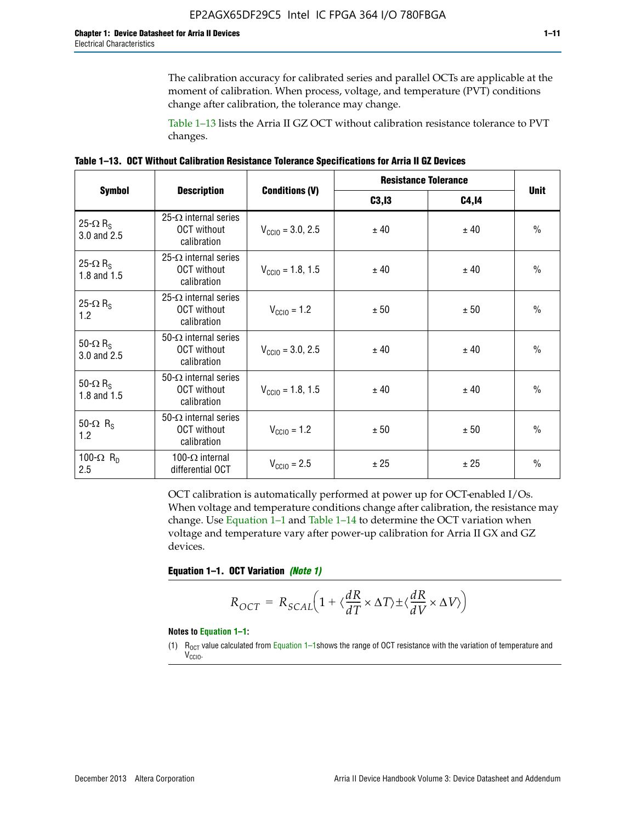The calibration accuracy for calibrated series and parallel OCTs are applicable at the moment of calibration. When process, voltage, and temperature (PVT) conditions change after calibration, the tolerance may change.

Table 1–13 lists the Arria II GZ OCT without calibration resistance tolerance to PVT changes.

|  | Table 1–13. OCT Without Calibration Resistance Tolerance Specifications for Arria II GZ Devices |  |  |  |
|--|-------------------------------------------------------------------------------------------------|--|--|--|
|--|-------------------------------------------------------------------------------------------------|--|--|--|

|                                            |                                                                   |                              | <b>Resistance Tolerance</b> |              |               |
|--------------------------------------------|-------------------------------------------------------------------|------------------------------|-----------------------------|--------------|---------------|
| <b>Symbol</b>                              | <b>Description</b>                                                | <b>Conditions (V)</b>        | C3, I3                      | <b>C4,14</b> | <b>Unit</b>   |
| 25- $\Omega$ R <sub>S</sub><br>3.0 and 2.5 | $25-\Omega$ internal series<br><b>OCT</b> without<br>calibration  | $V_{\text{CGI0}} = 3.0, 2.5$ | ± 40                        | ± 40         | $\frac{0}{0}$ |
| 25- $\Omega$ R <sub>S</sub><br>1.8 and 1.5 | 25- $\Omega$ internal series<br><b>OCT</b> without<br>calibration | $V_{\text{CC10}} = 1.8, 1.5$ | ± 40                        | ± 40         | $\frac{0}{0}$ |
| 25- $\Omega$ R <sub>S</sub><br>1.2         | 25- $\Omega$ internal series<br><b>OCT</b> without<br>calibration | $V_{\text{CC10}} = 1.2$      | ± 50                        | ± 50         | $\frac{0}{0}$ |
| 50- $\Omega$ R <sub>s</sub><br>3.0 and 2.5 | $50-\Omega$ internal series<br><b>OCT</b> without<br>calibration  | $V_{\text{CC10}} = 3.0, 2.5$ | ± 40                        | ± 40         | $\frac{0}{0}$ |
| 50- $\Omega$ R <sub>S</sub><br>1.8 and 1.5 | 50- $\Omega$ internal series<br><b>OCT</b> without<br>calibration | $V_{\text{CC10}} = 1.8, 1.5$ | ± 40                        | ± 40         | $\frac{0}{0}$ |
| 50- $\Omega$ R <sub>s</sub><br>1.2         | 50- $\Omega$ internal series<br><b>OCT</b> without<br>calibration | $V_{\text{CC10}} = 1.2$      | ± 50                        | ± 50         | $\frac{0}{0}$ |
| 100- $\Omega$ R <sub>n</sub><br>2.5        | 100- $\Omega$ internal<br>differential OCT                        | $V_{\text{CC10}} = 2.5$      | ± 25                        | ± 25         | $\frac{0}{0}$ |

OCT calibration is automatically performed at power up for OCT-enabled I/Os. When voltage and temperature conditions change after calibration, the resistance may change. Use Equation 1–1 and Table 1–14 to determine the OCT variation when voltage and temperature vary after power-up calibration for Arria II GX and GZ devices.

**Equation 1–1. OCT Variation** *(Note 1)*

$$
R_{OCT} = R_{SCAL} \Big( 1 + \langle \frac{dR}{dT} \times \Delta T \rangle \pm \langle \frac{dR}{dV} \times \Delta V \rangle \Big)
$$

#### **Notes to Equation 1–1:**

(1)  $R_{OCT}$  value calculated from Equation 1–1shows the range of OCT resistance with the variation of temperature and V<sub>CCIO</sub>.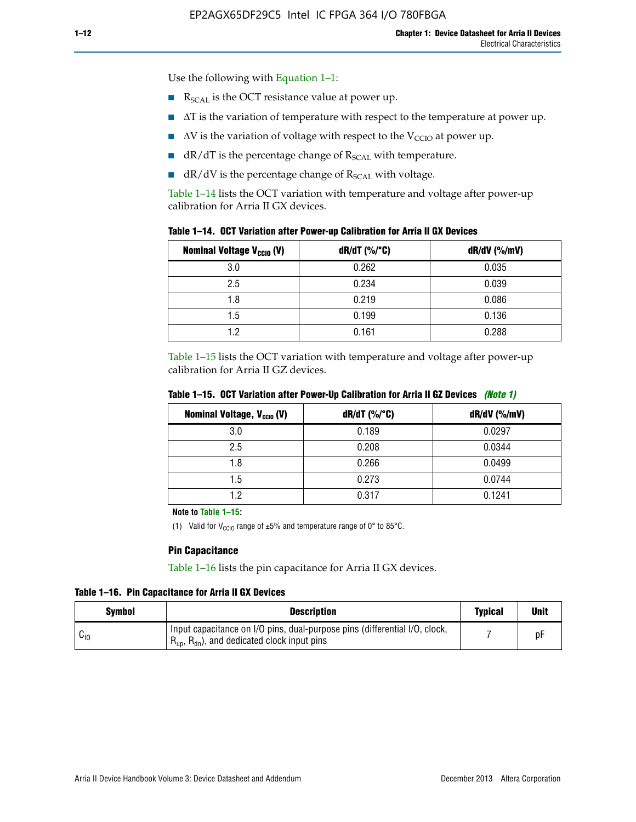Use the following with Equation 1–1:

- $\blacksquare$  R<sub>SCAL</sub> is the OCT resistance value at power up.
- $\blacksquare$   $\Delta T$  is the variation of temperature with respect to the temperature at power up.
- $\blacksquare$   $\Delta V$  is the variation of voltage with respect to the V<sub>CCIO</sub> at power up.
- $\blacksquare$  dR/dT is the percentage change of  $R_{\text{SCAL}}$  with temperature.
- $\blacksquare$  dR/dV is the percentage change of R<sub>SCAL</sub> with voltage.

Table 1–14 lists the OCT variation with temperature and voltage after power-up calibration for Arria II GX devices.

| Table 1-14. OCT Variation after Power-up Calibration for Arria II GX Devices |  |  |  |  |  |  |  |  |  |
|------------------------------------------------------------------------------|--|--|--|--|--|--|--|--|--|
|------------------------------------------------------------------------------|--|--|--|--|--|--|--|--|--|

| <b>Nominal Voltage V<sub>CCIO</sub> (V)</b> | $dR/dT$ (%/°C) | $dR/dV$ (%/mV) |
|---------------------------------------------|----------------|----------------|
| 3.0                                         | 0.262          | 0.035          |
| 2.5                                         | 0.234          | 0.039          |
| 1.8                                         | 0.219          | 0.086          |
| 1.5                                         | 0.199          | 0.136          |
| 1.2                                         | 0.161          | 0.288          |

Table 1–15 lists the OCT variation with temperature and voltage after power-up calibration for Arria II GZ devices.

| <b>Nominal Voltage, V<sub>ccio</sub> (V)</b> | $dR/dT$ (%/°C) | dR/dV (%/mV) |
|----------------------------------------------|----------------|--------------|
| 3.0                                          | 0.189          | 0.0297       |
| 2.5                                          | 0.208          | 0.0344       |
| 1.8                                          | 0.266          | 0.0499       |
| 1.5                                          | 0.273          | 0.0744       |
| 1.2                                          | 0.317          | 0.1241       |

**Table 1–15. OCT Variation after Power-Up Calibration for Arria II GZ Devices** *(Note 1)*

**Note to Table 1–15:**

(1) Valid for V<sub>CCIO</sub> range of  $\pm 5\%$  and temperature range of 0° to 85°C.

#### **Pin Capacitance**

Table 1–16 lists the pin capacitance for Arria II GX devices.

**Table 1–16. Pin Capacitance for Arria II GX Devices**

| Symbol   | <b>Description</b>                                                                                                                               | <b>Typical</b> | <b>Unit</b> |
|----------|--------------------------------------------------------------------------------------------------------------------------------------------------|----------------|-------------|
| $v_{10}$ | Input capacitance on I/O pins, dual-purpose pins (differential I/O, clock,<br>$R_{\text{up}}$ , $R_{\text{dn}}$ , and dedicated clock input pins |                | D۲          |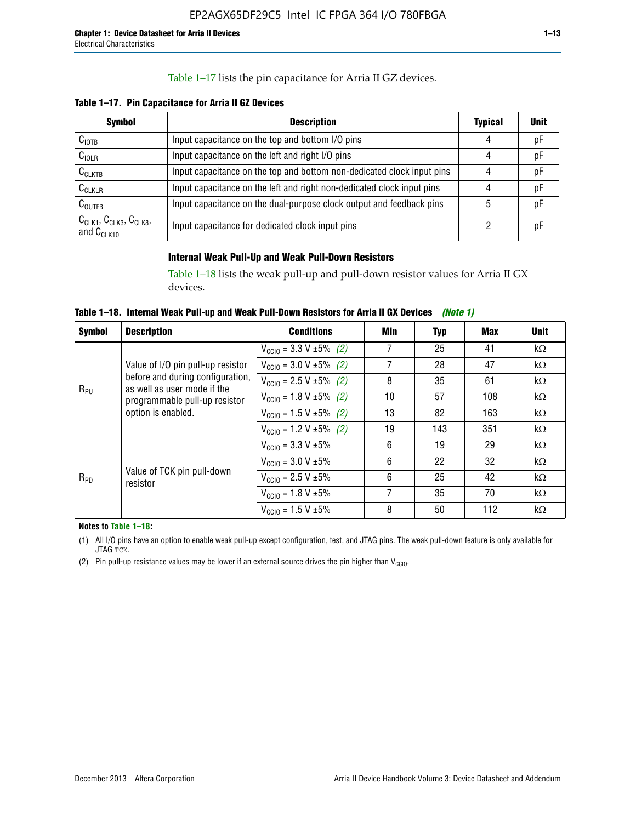## Table 1–17 lists the pin capacitance for Arria II GZ devices.

**Table 1–17. Pin Capacitance for Arria II GZ Devices** 

| <b>Symbol</b>                                    | <b>Description</b>                                                     | <b>Typical</b> | <b>Unit</b> |
|--------------------------------------------------|------------------------------------------------------------------------|----------------|-------------|
| C <sub>IOTB</sub>                                | Input capacitance on the top and bottom I/O pins                       | 4              | pF          |
| $C_{IOLR}$                                       | Input capacitance on the left and right I/O pins                       | 4              | pF          |
| $C_{CLKTB}$                                      | Input capacitance on the top and bottom non-dedicated clock input pins |                | pF          |
| $C_{CLKLR}$                                      | Input capacitance on the left and right non-dedicated clock input pins |                | рF          |
| $C_{\text{OUTFB}}$                               | Input capacitance on the dual-purpose clock output and feedback pins   | 5              | pF          |
| $CCLK1$ , $CCLK3$ , $CCLK8$ ,<br>and $C_{CLK10}$ | Input capacitance for dedicated clock input pins                       |                | рF          |

## **Internal Weak Pull-Up and Weak Pull-Down Resistors**

Table 1–18 lists the weak pull-up and pull-down resistor values for Arria II GX devices.

**Table 1–18. Internal Weak Pull-up and Weak Pull-Down Resistors for Arria II GX Devices** *(Note 1)* 

| <b>Symbol</b> | <b>Description</b>                                                                                                     | <b>Conditions</b>                             | Min | Typ | Max | <b>Unit</b> |
|---------------|------------------------------------------------------------------------------------------------------------------------|-----------------------------------------------|-----|-----|-----|-------------|
|               |                                                                                                                        | $V_{\text{CC10}} = 3.3 \text{ V} \pm 5\%$ (2) | 7   | 25  | 41  | $k\Omega$   |
|               | Value of I/O pin pull-up resistor                                                                                      | $V_{\text{CC10}} = 3.0 V \pm 5\%$ (2)         | 7   | 28  | 47  | $k\Omega$   |
|               | before and during configuration,<br>as well as user mode if the<br>programmable pull-up resistor<br>option is enabled. | $V_{\text{CC10}} = 2.5 V \pm 5\%$ (2)         | 8   | 35  | 61  | $k\Omega$   |
| $R_{PU}$      |                                                                                                                        | $V_{\text{CC10}} = 1.8 \text{ V} \pm 5\%$ (2) | 10  | 57  | 108 | $k\Omega$   |
|               |                                                                                                                        | $V_{\text{CC10}} = 1.5 \text{ V} \pm 5\%$ (2) | 13  | 82  | 163 | $k\Omega$   |
|               |                                                                                                                        | $V_{\text{CC10}} = 1.2 V \pm 5\%$ (2)         | 19  | 143 | 351 | $k\Omega$   |
| $R_{PD}$      | Value of TCK pin pull-down<br>resistor                                                                                 | $V_{\text{CC10}} = 3.3 \text{ V} \pm 5\%$     | 6   | 19  | 29  | $k\Omega$   |
|               |                                                                                                                        | $V_{\text{CC10}} = 3.0 V \pm 5\%$             | 6   | 22  | 32  | $k\Omega$   |
|               |                                                                                                                        | $V_{\text{CC10}} = 2.5 V \pm 5\%$             | 6   | 25  | 42  | $k\Omega$   |
|               |                                                                                                                        | $V_{\text{CC10}} = 1.8 V \pm 5\%$             | 7   | 35  | 70  | $k\Omega$   |
|               |                                                                                                                        | $V_{\text{CC10}} = 1.5 V \pm 5\%$             | 8   | 50  | 112 | $k\Omega$   |

**Notes to Table 1–18:**

(1) All I/O pins have an option to enable weak pull-up except configuration, test, and JTAG pins. The weak pull-down feature is only available for JTAG TCK.

(2) Pin pull-up resistance values may be lower if an external source drives the pin higher than  $V_{\text{CCIO}}$ .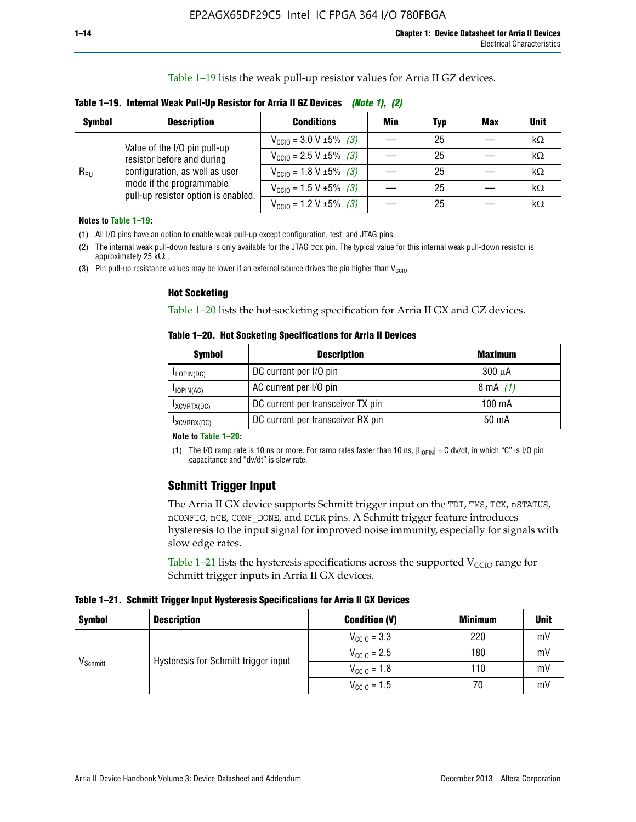Table 1–19 lists the weak pull-up resistor values for Arria II GZ devices.

**Table 1–19. Internal Weak Pull-Up Resistor for Arria II GZ Devices** *(Note 1)***,** *(2)*

| <b>Symbol</b> | <b>Description</b>                                                                                                              | <b>Conditions</b>                                    | Min | Typ | <b>Max</b> | <b>Unit</b> |
|---------------|---------------------------------------------------------------------------------------------------------------------------------|------------------------------------------------------|-----|-----|------------|-------------|
| $R_{PU}$      | Value of the I/O pin pull-up                                                                                                    | $V_{\text{CC10}} = 3.0 V \pm 5\%$ (3)                |     | 25  |            | kΩ          |
|               | resistor before and during<br>configuration, as well as user<br>mode if the programmable<br>pull-up resistor option is enabled. | $V_{\text{CC10}} = 2.5 V \pm 5\%$ (3)                |     | 25  |            | kΩ          |
|               |                                                                                                                                 | $V_{\text{CC10}} = 1.8 \text{ V } \pm 5\% \quad (3)$ |     | 25  |            | kΩ          |
|               |                                                                                                                                 | $V_{\text{CC10}} = 1.5 \text{ V} \pm 5\%$ (3)        |     | 25  |            | kΩ          |
|               |                                                                                                                                 | $V_{\text{CC10}} = 1.2 V \pm 5\%$ (3)                |     | 25  |            | kΩ          |

**Notes to Table 1–19:**

(1) All I/O pins have an option to enable weak pull-up except configuration, test, and JTAG pins.

(2) The internal weak pull-down feature is only available for the JTAG TCK pin. The typical value for this internal weak pull-down resistor is approximately 25 k $\Omega$ .

(3) Pin pull-up resistance values may be lower if an external source drives the pin higher than  $V_{\text{CCIO}}$ .

#### **Hot Socketing**

Table 1–20 lists the hot-socketing specification for Arria II GX and GZ devices.

**Table 1–20. Hot Socketing Specifications for Arria II Devices** 

| <b>Symbol</b> | <b>Description</b>                | <b>Maximum</b>     |
|---------------|-----------------------------------|--------------------|
| IIOPIN(DC)    | DC current per I/O pin            | $300 \mu A$        |
| $I$ IOPIN(AC) | AC current per I/O pin            | $8 \text{ mA}$ (1) |
| IXCVRTX(DC)   | DC current per transceiver TX pin | 100 mA             |
| IXCVRRX(DC)   | DC current per transceiver RX pin | 50 mA              |

#### **Note to Table 1–20:**

(1) The I/O ramp rate is 10 ns or more. For ramp rates faster than 10 ns,  $|I_{10\text{PIN}}| = C$  dv/dt, in which "C" is I/O pin capacitance and "dv/dt" is slew rate.

# **Schmitt Trigger Input**

The Arria II GX device supports Schmitt trigger input on the TDI, TMS, TCK, nSTATUS, nCONFIG, nCE, CONF\_DONE, and DCLK pins. A Schmitt trigger feature introduces hysteresis to the input signal for improved noise immunity, especially for signals with slow edge rates.

Table 1–21 lists the hysteresis specifications across the supported  $V<sub>CCIO</sub>$  range for Schmitt trigger inputs in Arria II GX devices.

**Table 1–21. Schmitt Trigger Input Hysteresis Specifications for Arria II GX Devices**

| <b>Symbol</b>        | <b>Description</b>                   | <b>Condition (V)</b>    | <b>Minimum</b> | <b>Unit</b> |
|----------------------|--------------------------------------|-------------------------|----------------|-------------|
| V <sub>Schmitt</sub> |                                      | $V_{\text{CGI0}} = 3.3$ | 220            | mV          |
|                      | Hysteresis for Schmitt trigger input | $V_{\text{CCIO}} = 2.5$ | 180            | mV          |
|                      |                                      | $V_{\text{CCIO}} = 1.8$ | 110            | mV          |
|                      |                                      | $V_{\text{CCIO}} = 1.5$ | 70             | mV          |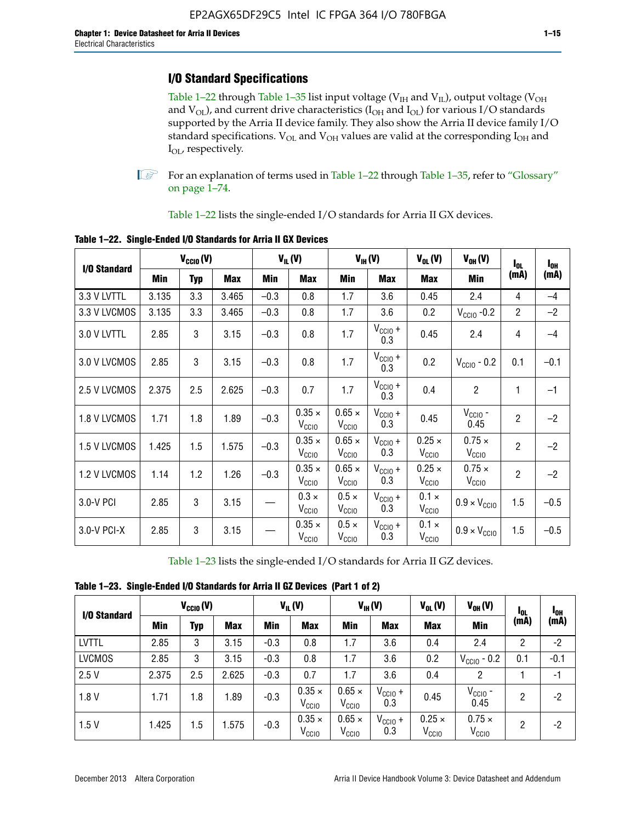# **I/O Standard Specifications**

Table 1–22 through Table 1–35 list input voltage ( $V_{IH}$  and  $V_{IL}$ ), output voltage ( $V_{OH}$ and  $V_{OL}$ ), and current drive characteristics ( $I_{OH}$  and  $I_{OL}$ ) for various I/O standards supported by the Arria II device family. They also show the Arria II device family I/O standard specifications.  $V_{OL}$  and  $V_{OH}$  values are valid at the corresponding  $I_{OH}$  and I<sub>OL</sub>, respectively.

**1.** For an explanation of terms used in Table 1–22 through Table 1–35, refer to "Glossary" on page 1–74.

Table 1–22 lists the single-ended I/O standards for Arria II GX devices.

|              |       | $V_{CClO}(V)$ |            |        | $V_{IL}(V)$                        |                                    | $V_{IH}(V)$         | $V_{OL}(V)$                        | $V_{OH} (V)$                       | $I_{0L}$       | $I_{0H}$ |
|--------------|-------|---------------|------------|--------|------------------------------------|------------------------------------|---------------------|------------------------------------|------------------------------------|----------------|----------|
| I/O Standard | Min   | <b>Typ</b>    | <b>Max</b> | Min    | <b>Max</b>                         | Min                                | <b>Max</b>          | <b>Max</b>                         | Min                                | (mA)           | (mA)     |
| 3.3 V LVTTL  | 3.135 | 3.3           | 3.465      | $-0.3$ | 0.8                                | 1.7                                | 3.6                 | 0.45                               | 2.4                                | 4              | $-4$     |
| 3.3 V LVCMOS | 3.135 | 3.3           | 3.465      | $-0.3$ | 0.8                                | 1.7                                | 3.6                 | 0.2                                | $V_{\text{CCIO}}$ -0.2             | $\overline{2}$ | $-2$     |
| 3.0 V LVTTL  | 2.85  | 3             | 3.15       | $-0.3$ | 0.8                                | 1.7                                | $V_{CC10} +$<br>0.3 | 0.45                               | 2.4                                | 4              | $-4$     |
| 3.0 V LVCMOS | 2.85  | 3             | 3.15       | $-0.3$ | 0.8                                | 1.7                                | $V_{CCIO} +$<br>0.3 | 0.2                                | $V_{\text{CGIO}}$ - 0.2            | 0.1            | $-0.1$   |
| 2.5 V LVCMOS | 2.375 | 2.5           | 2.625      | $-0.3$ | 0.7                                | 1.7                                | $V_{CCIO} +$<br>0.3 | 0.4                                | $\overline{2}$                     | 1              | $-1$     |
| 1.8 V LVCMOS | 1.71  | 1.8           | 1.89       | $-0.3$ | $0.35 \times$<br>V <sub>CCIO</sub> | $0.65 \times$<br>V <sub>CCIO</sub> | $V_{CC10} +$<br>0.3 | 0.45                               | $V_{CGIO}$ -<br>0.45               | $\overline{2}$ | $-2$     |
| 1.5 V LVCMOS | 1.425 | 1.5           | 1.575      | $-0.3$ | $0.35 \times$<br>V <sub>CCIO</sub> | $0.65 \times$<br>$V_{\rm CClO}$    | $V_{CCIO} +$<br>0.3 | $0.25 \times$<br>$V_{\rm CClO}$    | $0.75 \times$<br>V <sub>CCIO</sub> | $\overline{2}$ | $-2$     |
| 1.2 V LVCMOS | 1.14  | 1.2           | 1.26       | $-0.3$ | $0.35 \times$<br>V <sub>CCIO</sub> | $0.65 \times$<br>V <sub>CCIO</sub> | $V_{CC10} +$<br>0.3 | $0.25 \times$<br>V <sub>CCIO</sub> | $0.75 \times$<br>V <sub>CCIO</sub> | $\overline{2}$ | $-2$     |
| 3.0-V PCI    | 2.85  | 3             | 3.15       |        | $0.3 \times$<br>V <sub>CCIO</sub>  | $0.5 \times$<br>V <sub>CCIO</sub>  | $V_{CC10} +$<br>0.3 | $0.1 \times$<br>V <sub>CCIO</sub>  | $0.9 \times V_{\text{CC10}}$       | 1.5            | $-0.5$   |
| 3.0-V PCI-X  | 2.85  | 3             | 3.15       |        | $0.35 \times$<br>V <sub>CCIO</sub> | $0.5 \times$<br>V <sub>CCIO</sub>  | $V_{CCIO} +$<br>0.3 | $0.1 \times$<br>V <sub>CCIO</sub>  | $0.9 \times V_{\text{CC10}}$       | 1.5            | $-0.5$   |

**Table 1–22. Single-Ended I/O Standards for Arria II GX Devices**

Table 1–23 lists the single-ended I/O standards for Arria II GZ devices.

|  |  | Table 1-23. Single-Ended I/O Standards for Arria II GZ Devices (Part 1 of 2) |  |
|--|--|------------------------------------------------------------------------------|--|
|--|--|------------------------------------------------------------------------------|--|

| I/O Standard  |       | $V_{CCl0}(V)$ |            |        | $V_{IL}(V)$                        |                                    | $V_{IH} (V)$        | $V_{OL}(V)$                        | $V_{OH} (V)$                       | l <sub>OL</sub> | $I_{0H}$ |
|---------------|-------|---------------|------------|--------|------------------------------------|------------------------------------|---------------------|------------------------------------|------------------------------------|-----------------|----------|
|               | Min   | <b>Typ</b>    | <b>Max</b> | Min    | <b>Max</b>                         | Min                                | <b>Max</b>          | <b>Max</b>                         | Min                                | (mA)            | (mA)     |
| <b>LVTTL</b>  | 2.85  | 3             | 3.15       | $-0.3$ | 0.8                                | 1.7                                | 3.6                 | 0.4                                | 2.4                                | 2               | $-2$     |
| <b>LVCMOS</b> | 2.85  | 3             | 3.15       | $-0.3$ | 0.8                                | 1.7                                | 3.6                 | 0.2                                | $V_{CGIO}$ - 0.2                   | 0.1             | $-0.1$   |
| 2.5V          | 2.375 | 2.5           | 2.625      | $-0.3$ | 0.7                                | 1.7                                | 3.6                 | 0.4                                | 2                                  |                 | -1       |
| 1.8V          | 1.71  | 1.8           | 1.89       | $-0.3$ | $0.35 \times$<br>V <sub>CCIO</sub> | $0.65 \times$<br>V <sub>CCIO</sub> | $V_{CClO}$ +<br>0.3 | 0.45                               | $V_{CGIO}$ -<br>0.45               | 2               | $-2$     |
| 1.5V          | 1.425 | 1.5           | .575       | $-0.3$ | $0.35 \times$<br>V <sub>CCIO</sub> | $0.65 \times$<br>V <sub>CCIO</sub> | $V_{CC10}$ +<br>0.3 | $0.25 \times$<br>V <sub>CCIO</sub> | $0.75 \times$<br>V <sub>CCIO</sub> | 2               | $-2$     |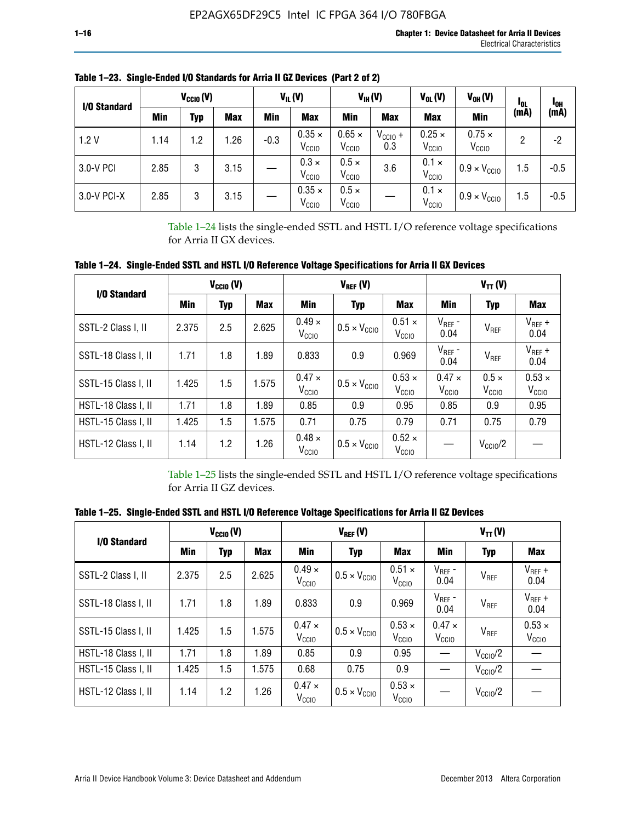| I/O Standard |      | $V_{\text{CCIO}}(V)$ |            |        | $V_{IL}(V)$                        |                                    | $V_{IH} (V)$        | $V_{OL}(V)$                        | $V_{OH} (V)$                       | <b>I</b> OL | 1 <sub>0H</sub> |
|--------------|------|----------------------|------------|--------|------------------------------------|------------------------------------|---------------------|------------------------------------|------------------------------------|-------------|-----------------|
|              | Min  | Typ                  | <b>Max</b> | Min    | <b>Max</b>                         | Min                                | <b>Max</b>          | <b>Max</b>                         | Min                                | (mA)        | (mA)            |
| 1.2V         | 1.14 | 1.2                  | 1.26       | $-0.3$ | $0.35 \times$<br>V <sub>CCIO</sub> | $0.65 \times$<br>V <sub>CCIO</sub> | $V_{CC10}$ +<br>0.3 | $0.25 \times$<br>V <sub>CCIO</sub> | $0.75 \times$<br>V <sub>CCIO</sub> | 2           | -2              |
| 3.0-V PCI    | 2.85 | 3                    | 3.15       |        | $0.3 \times$<br>V <sub>CCIO</sub>  | $0.5 \times$<br>V <sub>CCIO</sub>  | 3.6                 | $0.1 \times$<br>V <sub>CCIO</sub>  | $0.9 \times V_{\text{CC10}}$       | 1.5         | $-0.5$          |
| 3.0-V PCI-X  | 2.85 | 3                    | 3.15       |        | $0.35 \times$<br>V <sub>CCIO</sub> | $0.5 \times$<br>V <sub>CCIO</sub>  |                     | $0.1 \times$<br>V <sub>CCIO</sub>  | $0.9 \times V_{\text{CC10}}$       | 1.5         | $-0.5$          |

**Table 1–23. Single-Ended I/O Standards for Arria II GZ Devices (Part 2 of 2)**

Table 1–24 lists the single-ended SSTL and HSTL I/O reference voltage specifications for Arria II GX devices.

**Table 1–24. Single-Ended SSTL and HSTL I/O Reference Voltage Specifications for Arria II GX Devices**

| I/O Standard        |       | $V_{\text{CCIO}}(V)$ |            |                                    | $V_{REF}(V)$                 |                                    | $V_{TT} (V)$                       |                                   |                                    |  |
|---------------------|-------|----------------------|------------|------------------------------------|------------------------------|------------------------------------|------------------------------------|-----------------------------------|------------------------------------|--|
|                     | Min   | <b>Typ</b>           | <b>Max</b> | Min                                | <b>Typ</b>                   | Max                                | Min                                | <b>Typ</b>                        | <b>Max</b>                         |  |
| SSTL-2 Class I, II  | 2.375 | 2.5                  | 2.625      | $0.49 \times$<br>V <sub>CCD</sub>  | $0.5 \times V_{\text{CC10}}$ | $0.51 \times$<br>V <sub>CCIO</sub> | $V_{REF}$ -<br>0.04                | $V_{REF}$                         | $V_{REF}$ +<br>0.04                |  |
| SSTL-18 Class I, II | 1.71  | 1.8                  | 1.89       | 0.833                              | 0.9                          | 0.969                              | $V_{REF}$ -<br>0.04                | V <sub>REF</sub>                  | $V_{REF}$ +<br>0.04                |  |
| SSTL-15 Class I, II | 1.425 | 1.5                  | 1.575      | $0.47 \times$<br>V <sub>CCIO</sub> | $0.5 \times V_{\text{CCIO}}$ | $0.53 \times$<br>V <sub>CCIO</sub> | $0.47 \times$<br>V <sub>CCIO</sub> | $0.5 \times$<br>V <sub>CCIO</sub> | $0.53 \times$<br>V <sub>CCIO</sub> |  |
| HSTL-18 Class I, II | 1.71  | 1.8                  | 1.89       | 0.85                               | 0.9                          | 0.95                               | 0.85                               | 0.9                               | 0.95                               |  |
| HSTL-15 Class I, II | 1.425 | 1.5                  | 1.575      | 0.71                               | 0.75                         | 0.79                               | 0.71                               | 0.75                              | 0.79                               |  |
| HSTL-12 Class I, II | 1.14  | 1.2                  | 1.26       | $0.48 \times$<br>V <sub>CCIO</sub> | $0.5 \times V_{\text{CCIO}}$ | $0.52 \times$<br>V <sub>CCIO</sub> |                                    | $V_{\text{CCIO}}/2$               |                                    |  |

Table 1–25 lists the single-ended SSTL and HSTL I/O reference voltage specifications for Arria II GZ devices.

**Table 1–25. Single-Ended SSTL and HSTL I/O Reference Voltage Specifications for Arria II GZ Devices** 

| I/O Standard        |       | $V_{\text{CCIO}}(V)$ |            |                                    | $V_{REF}(V)$                 |                                    | $V_{TT}(V)$                       |                     |                                    |  |
|---------------------|-------|----------------------|------------|------------------------------------|------------------------------|------------------------------------|-----------------------------------|---------------------|------------------------------------|--|
|                     | Min   | <b>Typ</b>           | <b>Max</b> | Min                                | Typ                          | <b>Max</b>                         | Min                               | Typ                 | Max                                |  |
| SSTL-2 Class I, II  | 2.375 | 2.5                  | 2.625      | $0.49 \times$<br>V <sub>CCIO</sub> | $0.5 \times V_{\text{CC10}}$ | $0.51 \times$<br>V <sub>CCIO</sub> | $V_{REF}$ -<br>0.04               | V <sub>REF</sub>    | $V_{REF}$ +<br>0.04                |  |
| SSTL-18 Class I, II | 1.71  | 1.8                  | 1.89       | 0.833                              | 0.9                          | 0.969                              | $V_{REF}$ -<br>0.04               | V <sub>REF</sub>    | $V_{REF}$ +<br>0.04                |  |
| SSTL-15 Class I, II | 1.425 | 1.5                  | 1.575      | $0.47 \times$<br>V <sub>CCIO</sub> | $0.5 \times V_{\text{CC10}}$ | $0.53 \times$<br>V <sub>CCIO</sub> | $0.47 \times$<br>V <sub>CCD</sub> | V <sub>REF</sub>    | $0.53 \times$<br>V <sub>CCIO</sub> |  |
| HSTL-18 Class I, II | 1.71  | 1.8                  | 1.89       | 0.85                               | 0.9                          | 0.95                               |                                   | $V_{\text{CC10}}/2$ |                                    |  |
| HSTL-15 Class I, II | 1.425 | 1.5                  | 1.575      | 0.68                               | 0.75                         | 0.9                                |                                   | $V_{\rm CC10}$ /2   |                                    |  |
| HSTL-12 Class I, II | 1.14  | 1.2                  | 1.26       | $0.47 \times$<br>V <sub>CCIO</sub> | $0.5 \times V_{\text{CC10}}$ | $0.53 \times$<br>V <sub>CCIO</sub> |                                   | $V_{\text{CC10}}/2$ |                                    |  |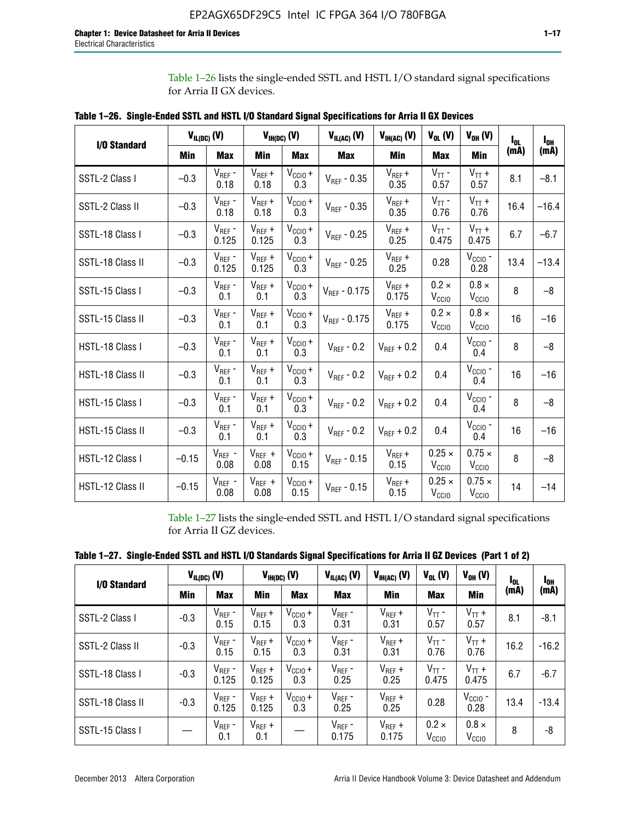Table 1–26 lists the single-ended SSTL and HSTL I/O standard signal specifications for Arria II GX devices.

| <b>I/O Standard</b> | $V_{IL(DC)}(V)$ |                                      |                      | $V_{IH(DC)}(V)$             | $V_{IL(AC)}(V)$   | $V_{IH(AC)}$ (V)     | $V_{OL}$ (V)                       | $V_{OH} (V)$                       | l <sub>ol.</sub> | $I_{0H}$ |
|---------------------|-----------------|--------------------------------------|----------------------|-----------------------------|-------------------|----------------------|------------------------------------|------------------------------------|------------------|----------|
|                     | Min             | <b>Max</b>                           | Min                  | <b>Max</b>                  | <b>Max</b>        | Min                  | <b>Max</b>                         | <b>Min</b>                         | (mA)             | (mA)     |
| SSTL-2 Class I      | $-0.3$          | $V_{REF}$ -<br>0.18                  | $V_{REF} +$<br>0.18  | $V_{\text{CCIO}} +$<br>0.3  | $V_{REF}$ - 0.35  | $V_{REF} +$<br>0.35  | $V_{TT}$ -<br>0.57                 | $V_{TT}$ +<br>0.57                 | 8.1              | $-8.1$   |
| SSTL-2 Class II     | $-0.3$          | $V_{REF}$ -<br>0.18                  | $V_{REF} +$<br>0.18  | $V_{CCIO} +$<br>0.3         | $V_{REF} - 0.35$  | $V_{REF} +$<br>0.35  | $V_{TT}$ -<br>0.76                 | $V_{TT}$ +<br>0.76                 | 16.4             | $-16.4$  |
| SSTL-18 Class I     | $-0.3$          | $V_{REF}$ -<br>0.125                 | $V_{REF}$ +<br>0.125 | $V_{\text{CC1O}} +$<br>0.3  | $V_{REF}$ - 0.25  | $V_{REF}$ +<br>0.25  | $V_{TT}$ -<br>0.475                | $V_{TT}$ +<br>0.475                | 6.7              | $-6.7$   |
| SSTL-18 Class II    | $-0.3$          | $V_{REF}$ -<br>0.125                 | $V_{REF}$ +<br>0.125 | $V_{\text{CCIO}} +$<br>0.3  | $V_{REF}$ - 0.25  | $V_{REF}$ +<br>0.25  | 0.28                               | $V_{CGIO}$ -<br>0.28               | 13.4             | $-13.4$  |
| SSTL-15 Class I     | $-0.3$          | $V_{REF}$ -<br>0.1                   | $V_{REF}$ +<br>0.1   | $V_{\text{CCIO}} +$<br>0.3  | $V_{REF}$ - 0.175 | $V_{REF}$ +<br>0.175 | $0.2 \times$<br>V <sub>CCIO</sub>  | $0.8 \times$<br>V <sub>CCIO</sub>  | 8                | $-8$     |
| SSTL-15 Class II    | $-0.3$          | $V_{REF}$ -<br>0.1                   | $V_{REF}$ +<br>0.1   | $V_{\text{CCIO}} +$<br>0.3  | $V_{REF} - 0.175$ | $V_{REF}$ +<br>0.175 | $0.2 \times$<br>V <sub>CCIO</sub>  | $0.8 \times$<br>V <sub>CCIO</sub>  | 16               | $-16$    |
| HSTL-18 Class I     | $-0.3$          | $V_{REF}$ -<br>0.1                   | $V_{REF}$ +<br>0.1   | $V_{\text{CCIO}} +$<br>0.3  | $V_{REF} - 0.2$   | $V_{REF}$ + 0.2      | 0.4                                | $V_{CGIO}$ -<br>0.4                | 8                | $-8$     |
| HSTL-18 Class II    | $-0.3$          | $V_{REF}$ -<br>0.1                   | $V_{REF}$ +<br>0.1   | $V_{\text{CC1O}} +$<br>0.3  | $V_{REF}$ - 0.2   | $V_{REF}$ + 0.2      | 0.4                                | $V_{\text{CCIO}}$ -<br>0.4         | 16               | $-16$    |
| HSTL-15 Class I     | $-0.3$          | $V_{REF}$ -<br>0.1                   | $V_{REF}$ +<br>0.1   | $V_{\text{CC1O}} +$<br>0.3  | $V_{REF} - 0.2$   | $V_{REF}$ + 0.2      | 0.4                                | $V_{\text{CCIO}}$ -<br>0.4         | 8                | $-8$     |
| HSTL-15 Class II    | $-0.3$          | $\mathsf{V}_{\mathsf{REF}}$ -<br>0.1 | $V_{REF}$ +<br>0.1   | $V_{\text{CCIO}} +$<br>0.3  | $V_{REF}$ - 0.2   | $V_{REF}$ + 0.2      | 0.4                                | $V_{CCIO}$ -<br>0.4                | 16               | $-16$    |
| HSTL-12 Class I     | $-0.15$         | $V_{REF}$ -<br>0.08                  | $V_{REF}$ +<br>0.08  | $V_{CClO} +$<br>0.15        | $V_{REF} - 0.15$  | $V_{REF} +$<br>0.15  | $0.25 \times$<br>V <sub>CCIO</sub> | $0.75 \times$<br>V <sub>CCIO</sub> | 8                | $-8$     |
| HSTL-12 Class II    | $-0.15$         | $V_{REF}$ -<br>0.08                  | $V_{REF}$ +<br>0.08  | $V_{\text{CCIO}} +$<br>0.15 | $V_{REF}$ - 0.15  | $V_{REF} +$<br>0.15  | $0.25 \times$<br>V <sub>CCIO</sub> | $0.75 \times$<br>V <sub>CCIO</sub> | 14               | $-14$    |

**Table 1–26. Single-Ended SSTL and HSTL I/O Standard Signal Specifications for Arria II GX Devices** 

Table 1–27 lists the single-ended SSTL and HSTL I/O standard signal specifications for Arria II GZ devices.

| Table 1–27. Single-Ended SSTL and HSTL I/O Standards Signal Specifications for Arria II GZ Devices (Part 1 of 2) |  |  |  |  |
|------------------------------------------------------------------------------------------------------------------|--|--|--|--|
|                                                                                                                  |  |  |  |  |

| I/O Standard     |        | $V_{IL(DC)}(V)$      | $V_{IH(DC)}(V)$      |                     | $V_{IL(AC)}(V)$<br>$V_{IH(AC)}(V)$ |                      | $V_{OL}$ (V)<br>$V_{OH} (V)$      |                                | $I_{0L}$ | l <sub>oh</sub> |
|------------------|--------|----------------------|----------------------|---------------------|------------------------------------|----------------------|-----------------------------------|--------------------------------|----------|-----------------|
|                  | Min    | <b>Max</b>           | <b>Min</b>           | <b>Max</b>          | <b>Max</b>                         | Min                  | <b>Max</b>                        | Min                            | (mA)     | (mA)            |
| SSTL-2 Class I   | $-0.3$ | $V_{REF}$ -<br>0.15  | $V_{REF} +$<br>0.15  | $V_{CClO} +$<br>0.3 | $V_{REF}$ -<br>0.31                | $V_{REF} +$<br>0.31  | $V_{TT}$ -<br>0.57                | $V_{TT}$ +<br>0.57             | 8.1      | $-8.1$          |
| SSTL-2 Class II  | $-0.3$ | $V_{REF}$ -<br>0.15  | $V_{REF} +$<br>0.15  | $V_{CClO} +$<br>0.3 | $V_{REF}$ -<br>0.31                | $V_{REF} +$<br>0.31  | $V_{TT}$ -<br>0.76                | $V_{TT}$ +<br>0.76             | 16.2     | $-16.2$         |
| SSTL-18 Class I  | $-0.3$ | $V_{REF}$ -<br>0.125 | $V_{REF}$ +<br>0.125 | $V_{CClO} +$<br>0.3 | $V_{REF}$ -<br>0.25                | $V_{REF}$ +<br>0.25  | $V_{TT}$ -<br>0.475               | $V_{TT}$ +<br>0.475            | 6.7      | $-6.7$          |
| SSTL-18 Class II | $-0.3$ | $V_{REF}$ -<br>0.125 | $V_{REF}$ +<br>0.125 | $V_{CC10} +$<br>0.3 | $V_{REF}$ -<br>0.25                | $V_{REF}$ +<br>0.25  | 0.28                              | $V_{\rm CCIO}$ -<br>0.28       | 13.4     | $-13.4$         |
| SSTL-15 Class I  |        | $V_{REF}$ -<br>0.1   | $V_{REF}$ +<br>0.1   |                     | $V_{REF}$ -<br>0.175               | $V_{REF}$ +<br>0.175 | $0.2 \times$<br>V <sub>CCIO</sub> | $0.8 \times$<br>$V_{\rm CClO}$ | 8        | -8              |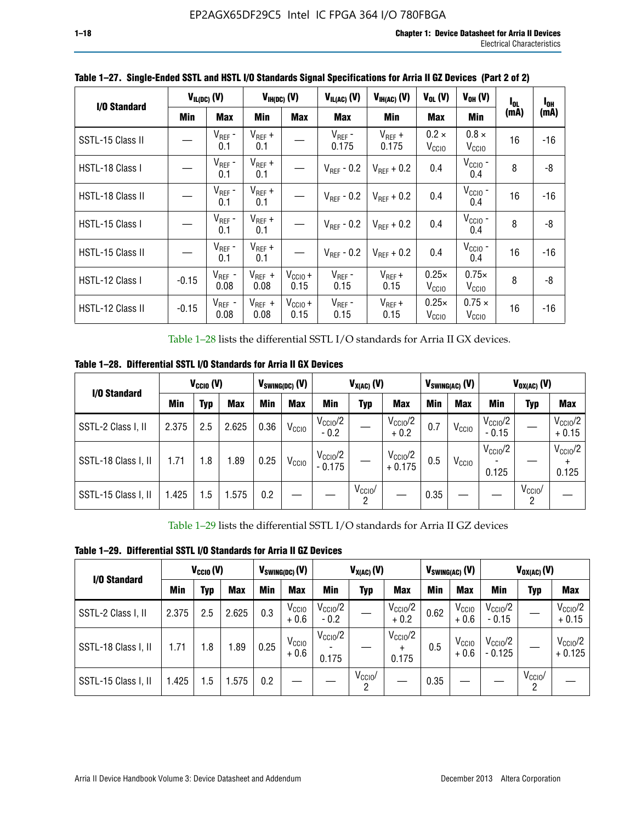| I/O Standard     |         | $V_{IL(DC)}$ (V)    |                     | $V_{IH(DC)}$ (V)     | $V_{IL(AC)}$ (V)       | $V_{IH(AC)}(V)$      | $V_{OL}$ (V)                      | $V_{OH} (V)$                       | $I_{0L}$ | $I_{0H}$ |
|------------------|---------|---------------------|---------------------|----------------------|------------------------|----------------------|-----------------------------------|------------------------------------|----------|----------|
|                  | Min     | <b>Max</b>          | Min                 | <b>Max</b>           | Max                    | Min                  | <b>Max</b>                        | Min                                | (mA)     | (mA)     |
| SSTL-15 Class II |         | $V_{REF}$ -<br>0.1  | $V_{REF}$ +<br>0.1  |                      | $V_{REF}$ -<br>0.175   | $V_{REF}$ +<br>0.175 | $0.2 \times$<br>V <sub>CCIO</sub> | $0.8 \times$<br>V <sub>CCIO</sub>  | 16       | $-16$    |
| HSTL-18 Class I  |         | $V_{REF}$ -<br>0.1  | $V_{REF}$ +<br>0.1  |                      | $V_{\text{RFF}}$ - 0.2 | $V_{RFF}$ + 0.2      | 0.4                               | $V_{\text{CCIO}}$ -<br>0.4         | 8        | -8       |
| HSTL-18 Class II |         | $V_{REF}$ -<br>0.1  | $V_{REF}$ +<br>0.1  |                      | $V_{\text{RFF}}$ - 0.2 | $V_{RFF}$ + 0.2      | 0.4                               | $V_{\text{CCIO}}$ -<br>0.4         | 16       | $-16$    |
| HSTL-15 Class I  |         | $V_{REF}$ -<br>0.1  | $V_{REF}$ +<br>0.1  |                      | $V_{\text{RFF}}$ - 0.2 | $V_{RFF}$ + 0.2      | 0.4                               | $V_{\text{CCIO}}$ -<br>0.4         | 8        | -8       |
| HSTL-15 Class II |         | $V_{REF}$ -<br>0.1  | $V_{REF}$ +<br>0.1  |                      | $V_{REF}$ - 0.2        | $V_{REF}$ + 0.2      | 0.4                               | $V_{\rm CCIO}$ -<br>0.4            | 16       | $-16$    |
| HSTL-12 Class I  | $-0.15$ | $V_{REF}$ -<br>0.08 | $V_{REF}$ +<br>0.08 | $V_{CClO} +$<br>0.15 | $V_{REF}$ -<br>0.15    | $V_{REF}$ +<br>0.15  | $0.25\times$<br>V <sub>CCIO</sub> | $0.75\times$<br>V <sub>CCIO</sub>  | 8        | -8       |
| HSTL-12 Class II | $-0.15$ | $V_{REF}$ -<br>0.08 | $V_{REF}$ +<br>0.08 | $V_{CCIO} +$<br>0.15 | $V_{REF}$ -<br>0.15    | $V_{REF} +$<br>0.15  | $0.25\times$<br>V <sub>CCIO</sub> | $0.75 \times$<br>V <sub>CCIO</sub> | 16       | $-16$    |

**Table 1–27. Single-Ended SSTL and HSTL I/O Standards Signal Specifications for Arria II GZ Devices (Part 2 of 2)**

Table 1–28 lists the differential SSTL I/O standards for Arria II GX devices.

**Table 1–28. Differential SSTL I/O Standards for Arria II GX Devices**

| I/O Standard        | $V_{CClO}$ (V) |     |            | $V_{SWING(DC)}$ (V) |                   | $V_{X(AC)}(V)$               |                 |                                 |      | $V_{SWING(AC)}$ (V) | $V_{OX(AC)}$ (V)             |                         |                                |
|---------------------|----------------|-----|------------|---------------------|-------------------|------------------------------|-----------------|---------------------------------|------|---------------------|------------------------------|-------------------------|--------------------------------|
|                     | Min            | Typ | <b>Max</b> | Min                 | <b>Max</b>        | Min                          | Typ             | <b>Max</b>                      | Min  | <b>Max</b>          | Min                          | Typ                     | <b>Max</b>                     |
| SSTL-2 Class I, II  | 2.375          | 2.5 | 2.625      | 0.36                | V <sub>CCIO</sub> | $V_{\rm CClO}/2$<br>$-0.2$   |                 | $V_{\rm CClO}/2$<br>$+0.2$      | 0.7  | V <sub>CCIO</sub>   | $V_{\rm CC10}$ /2<br>$-0.15$ |                         | $V_{\text{CCIO}}/2$<br>$+0.15$ |
| SSTL-18 Class I, II | 1.71           | 1.8 | 1.89       | 0.25                | V <sub>CCIO</sub> | $V_{\rm CClO}/2$<br>$-0.175$ |                 | $V_{\text{CC10}}/2$<br>$+0.175$ | 0.5  | V <sub>CCIO</sub>   | $V_{\rm CC10}$ /2<br>0.125   |                         | $V_{\text{CC10}}/2$<br>0.125   |
| SSTL-15 Class I, II | 1.425          | 1.5 | .575       | 0.2                 |                   |                              | $V_{CClO}$<br>2 |                                 | 0.35 |                     |                              | $V_{\text{CCIO}}/$<br>2 |                                |

Table 1–29 lists the differential SSTL I/O standards for Arria II GZ devices

**Table 1–29. Differential SSTL I/O Standards for Arria II GZ Devices**

| I/O Standard        | $V_{\text{CCIO}}(V)$ |     |            | $V_{SWING(DC)}(V)$ |                             | $V_{X(AC)}(V)$                |                     |                                   |      | $V_{SWING(AC)}$ (V)         | $V_{OX(AC)}(V)$                |                 |                                 |
|---------------------|----------------------|-----|------------|--------------------|-----------------------------|-------------------------------|---------------------|-----------------------------------|------|-----------------------------|--------------------------------|-----------------|---------------------------------|
|                     | Min                  | Typ | <b>Max</b> | Min                | <b>Max</b>                  | Min                           | Typ                 | <b>Max</b>                        | Min  | <b>Max</b>                  | Min                            | Typ             | <b>Max</b>                      |
| SSTL-2 Class I, II  | 2.375                | 2.5 | 2.625      | 0.3                | V <sub>CCIO</sub><br>$+0.6$ | $V_{\text{CC1O}}/2$<br>$-0.2$ |                     | $V_{\text{CCIO}}/2$<br>$+0.2$     | 0.62 | V <sub>CCIO</sub><br>$+0.6$ | $V_{\text{CC10}}/2$<br>$-0.15$ |                 | $V_{\text{CC10}}/2$<br>$+0.15$  |
| SSTL-18 Class I, II | 1.71                 | 1.8 | 1.89       | 0.25               | V <sub>CCIO</sub><br>$+0.6$ | $V_{\text{CCIO}}/2$<br>0.175  |                     | $V_{\text{CCIO}}/2$<br>÷<br>0.175 | 0.5  | V <sub>CCIO</sub><br>$+0.6$ | $V_{\text{CC10}}/2$<br>- 0.125 |                 | $V_{\text{CC10}}/2$<br>$+0.125$ |
| SSTL-15 Class I, II | 1.425                | 1.5 | .575       | 0.2                |                             |                               | $V_{\rm CCIO}$<br>2 |                                   | 0.35 |                             |                                | $V_{CClO}$<br>2 |                                 |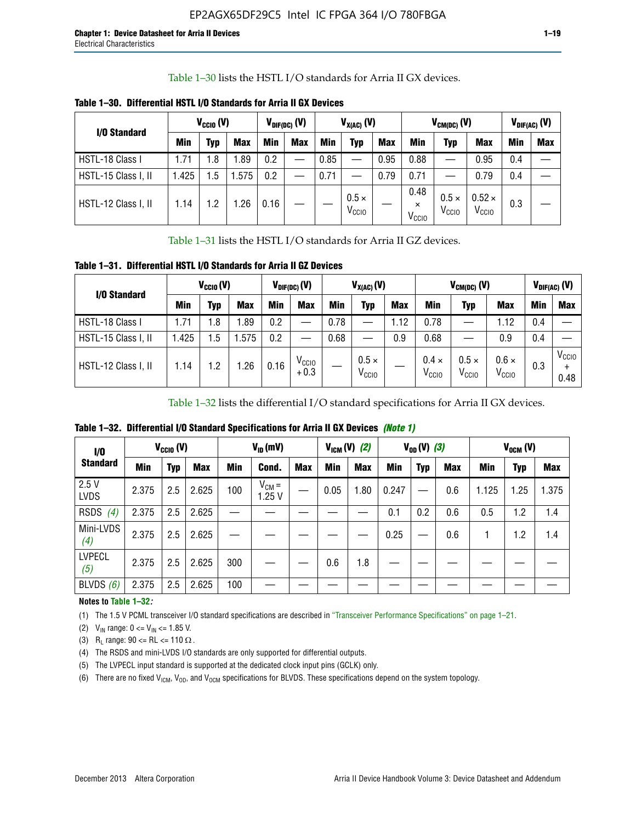Table 1–30 lists the HSTL I/O standards for Arria II GX devices.

| I/O Standard        | $V_{CClO} (V)$ |     |            | $V_{\text{DIF(DC)}}$ (V) |            | $V_{X(AC)}(V)$ |                                   |            |                                       | $V_{CM(DC)}(V)$                |                                    | $V_{DIF(AC)}(V)$ |     |
|---------------------|----------------|-----|------------|--------------------------|------------|----------------|-----------------------------------|------------|---------------------------------------|--------------------------------|------------------------------------|------------------|-----|
|                     | <b>Min</b>     | Typ | <b>Max</b> | <b>Min</b>               | <b>Max</b> | <b>Min</b>     | Typ                               | <b>Max</b> | Min                                   | Typ                            | <b>Max</b>                         | Min              | Max |
| HSTL-18 Class I     | 1.71           | 1.8 | l.89       | 0.2                      |            | 0.85           |                                   | 0.95       | 0.88                                  | --                             | 0.95                               | 0.4              |     |
| HSTL-15 Class I, II | 1.425          | 1.5 | .575       | 0.2                      | --         | 0.71           |                                   | 0.79       | 0.71                                  |                                | 0.79                               | 0.4              |     |
| HSTL-12 Class I, II | 1.14           | 1.2 | .26        | 0.16                     |            |                | $0.5 \times$<br>V <sub>CCIO</sub> |            | 0.48<br>$\times$<br>V <sub>CCIO</sub> | $0.5 \times$<br>$V_{\rm CCIO}$ | $0.52 \times$<br>V <sub>CCIO</sub> | 0.3              |     |

**Table 1–30. Differential HSTL I/O Standards for Arria II GX Devices**

Table 1–31 lists the HSTL I/O standards for Arria II GZ devices.

**Table 1–31. Differential HSTL I/O Standards for Arria II GZ Devices**

| I/O Standard        | $V_{\text{CCIO}}(V)$ |         |            | $V_{\text{DIF(DC)}}(V)$ |                             | $V_{X(AC)}(V)$ |                                   |            |                                   | $V_{CM(DC)}$ (V)                  |                                   | $V_{DIF(AC)}$ (V) |                           |
|---------------------|----------------------|---------|------------|-------------------------|-----------------------------|----------------|-----------------------------------|------------|-----------------------------------|-----------------------------------|-----------------------------------|-------------------|---------------------------|
|                     | Min                  | Typ     | <b>Max</b> | <b>Min</b>              | <b>Max</b>                  | Min            | Typ                               | <b>Max</b> | <b>Min</b>                        | Typ                               | <b>Max</b>                        | Min               | <b>Max</b>                |
| HSTL-18 Class I     | 71، ،                | 1.8     | .89        | 0.2                     | —                           | 0.78           |                                   | 1.12       | 0.78                              |                                   | 1.12                              | 0.4               |                           |
| HSTL-15 Class I, II | .425                 | $1.5\,$ | .575       | 0.2                     | —                           | 0.68           |                                   | 0.9        | 0.68                              |                                   | 0.9                               | 0.4               |                           |
| HSTL-12 Class I, II | l.14                 | 1.2     | .26        | 0.16                    | V <sub>CCIO</sub><br>$+0.3$ |                | $0.5 \times$<br>V <sub>CCIO</sub> |            | $0.4 \times$<br>V <sub>CCIO</sub> | $0.5 \times$<br>V <sub>CCIO</sub> | $0.6 \times$<br>V <sub>CCIO</sub> | 0.3               | V <sub>CCIO</sub><br>0.48 |

Table 1–32 lists the differential I/O standard specifications for Arria II GX devices.

**Table 1–32. Differential I/O Standard Specifications for Arria II GX Devices** *(Note 1)*

| 1/0                  |       | $V_{CGI0} (V)$ |            |     | $V_{ID}$ (mV)       |            |      | $V_{IGM} (V)$ (2) |       | $V_{OD} (V)$ (3) |     |       | $V_{OCM}$ (V) |            |
|----------------------|-------|----------------|------------|-----|---------------------|------------|------|-------------------|-------|------------------|-----|-------|---------------|------------|
| <b>Standard</b>      | Min   | <b>Typ</b>     | <b>Max</b> | Min | Cond.               | <b>Max</b> | Min  | <b>Max</b>        | Min   | <b>Typ</b>       | Max | Min   | <b>Typ</b>    | <b>Max</b> |
| 2.5V<br><b>LVDS</b>  | 2.375 | 2.5            | 2.625      | 100 | $V_{CM} =$<br>1.25V |            | 0.05 | 1.80              | 0.247 |                  | 0.6 | 1.125 | 1.25          | 1.375      |
| RSDS<br>(4)          | 2.375 | 2.5            | 2.625      |     |                     |            |      |                   | 0.1   | 0.2              | 0.6 | 0.5   | 1.2           | 1.4        |
| Mini-LVDS<br>(4)     | 2.375 | 2.5            | 2.625      |     |                     |            |      |                   | 0.25  | —                | 0.6 |       | 1.2           | 1.4        |
| <b>LVPECL</b><br>(5) | 2.375 | 2.5            | 2.625      | 300 |                     |            | 0.6  | 1.8               |       |                  |     |       |               |            |
| BLVDS $(6)$          | 2.375 | 2.5            | 2.625      | 100 |                     |            |      |                   |       |                  |     |       |               |            |

## **Notes to Table 1–32***:*

(1) The 1.5 V PCML transceiver I/O standard specifications are described in "Transceiver Performance Specifications" on page 1–21.

(2)  $V_{IN}$  range:  $0 \le V_{IN} \le 1.85$  V.

(3) R<sub>L</sub> range:  $90 \leq R$ L  $\leq 110 \Omega$ .

- (4) The RSDS and mini-LVDS I/O standards are only supported for differential outputs.
- (5) The LVPECL input standard is supported at the dedicated clock input pins (GCLK) only.
- (6) There are no fixed  $V_{ICM}$ ,  $V_{OD}$ , and  $V_{OCM}$  specifications for BLVDS. These specifications depend on the system topology.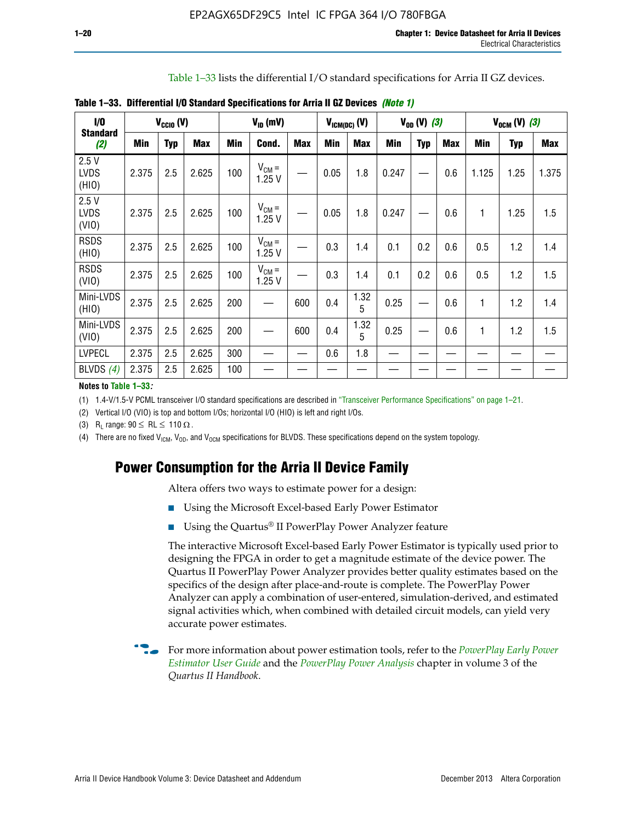Table 1–33 lists the differential I/O standard specifications for Arria II GZ devices.

| 1/0                          |       | $V_{CCl0} (V)$ |            |            | $V_{ID}$ (mV)       |            | $V_{IGM(DC)}$ (V) |            |       | $V_{OD} (V) (3)$ |            |       | $V_{OCM} (V) (3)$ |            |
|------------------------------|-------|----------------|------------|------------|---------------------|------------|-------------------|------------|-------|------------------|------------|-------|-------------------|------------|
| <b>Standard</b><br>(2)       | Min   | <b>Typ</b>     | <b>Max</b> | <b>Min</b> | Cond.               | <b>Max</b> | <b>Min</b>        | <b>Max</b> | Min   | <b>Typ</b>       | <b>Max</b> | Min   | <b>Typ</b>        | <b>Max</b> |
| 2.5V<br><b>LVDS</b><br>(HIO) | 2.375 | 2.5            | 2.625      | 100        | $V_{CM} =$<br>1.25V |            | 0.05              | 1.8        | 0.247 |                  | 0.6        | 1.125 | 1.25              | 1.375      |
| 2.5V<br><b>LVDS</b><br>(VIO) | 2.375 | 2.5            | 2.625      | 100        | $V_{CM} =$<br>1.25V |            | 0.05              | 1.8        | 0.247 |                  | 0.6        | 1     | 1.25              | 1.5        |
| <b>RSDS</b><br>(HIO)         | 2.375 | 2.5            | 2.625      | 100        | $V_{CM} =$<br>1.25V |            | 0.3               | 1.4        | 0.1   | 0.2              | 0.6        | 0.5   | 1.2               | 1.4        |
| <b>RSDS</b><br>(VIO)         | 2.375 | 2.5            | 2.625      | 100        | $V_{CM} =$<br>1.25V |            | 0.3               | 1.4        | 0.1   | 0.2              | 0.6        | 0.5   | 1.2               | 1.5        |
| Mini-LVDS<br>(HIO)           | 2.375 | 2.5            | 2.625      | 200        | —                   | 600        | 0.4               | 1.32<br>5  | 0.25  |                  | 0.6        | 1     | 1.2               | 1.4        |
| Mini-LVDS<br>(VIO)           | 2.375 | 2.5            | 2.625      | 200        |                     | 600        | 0.4               | 1.32<br>5  | 0.25  |                  | 0.6        | 1     | 1.2               | 1.5        |
| <b>LVPECL</b>                | 2.375 | 2.5            | 2.625      | 300        |                     |            | 0.6               | 1.8        |       |                  |            |       |                   |            |
| BLVDS $(4)$                  | 2.375 | 2.5            | 2.625      | 100        |                     |            |                   |            |       |                  |            |       |                   |            |

**Table 1–33. Differential I/O Standard Specifications for Arria II GZ Devices** *(Note 1)*

#### **Notes to Table 1–33***:*

(1) 1.4-V/1.5-V PCML transceiver I/O standard specifications are described in "Transceiver Performance Specifications" on page 1–21.

(2) Vertical I/O (VIO) is top and bottom I/Os; horizontal I/O (HIO) is left and right I/Os.

(3) R<sub>l</sub> range:  $90 \leq R L \leq 110 \Omega$ .

(4) There are no fixed  $V_{ICM}$ ,  $V_{OD}$ , and  $V_{OCM}$  specifications for BLVDS. These specifications depend on the system topology.

# **Power Consumption for the Arria II Device Family**

Altera offers two ways to estimate power for a design:

- Using the Microsoft Excel-based Early Power Estimator
- Using the Quartus<sup>®</sup> II PowerPlay Power Analyzer feature

The interactive Microsoft Excel-based Early Power Estimator is typically used prior to designing the FPGA in order to get a magnitude estimate of the device power. The Quartus II PowerPlay Power Analyzer provides better quality estimates based on the specifics of the design after place-and-route is complete. The PowerPlay Power Analyzer can apply a combination of user-entered, simulation-derived, and estimated signal activities which, when combined with detailed circuit models, can yield very accurate power estimates.

f For more information about power estimation tools, refer to the *[PowerPlay Early Power](http://www.altera.com/literature/ug/ug_epe.pdf?GSA_pos=5&WT.oss_r=1&WT.oss=powerplay early power estimator)  [Estimator User Guide](http://www.altera.com/literature/ug/ug_epe.pdf?GSA_pos=5&WT.oss_r=1&WT.oss=powerplay early power estimator)* and the *[PowerPlay Power Analysis](http://www.altera.com/literature/hb/qts/qts_qii53013.pdf)* chapter in volume 3 of the *Quartus II Handbook*.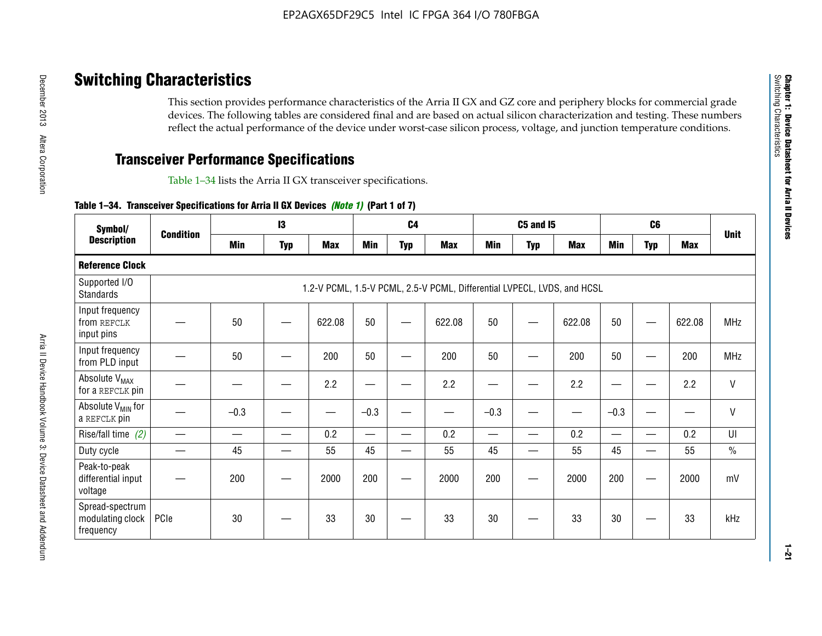# **Switching Characteristics**

This section provides performance characteristics of the Arria II GX and GZ core and periphery blocks for commercial grade devices. The following tables are considered final and are based on actual silicon characterization and testing. These numbers reflect the actual performance of the device under worst-case silicon process, voltage, and junction temperature conditions.

# **Transceiver Performance Specifications**

Table 1–34 lists the Arria II GX transceiver specifications.

## **Table 1–34. Transceiver Specifications for Arria II GX Devices** *(Note 1)* **(Part 1 of 7)**

| Symbol/                                          |                  |            | $\mathbf{13}$ |            |            | C <sub>4</sub> |                                                                         |            | <b>C5 and 15</b> |            |            | C <sub>6</sub>           |            |               |
|--------------------------------------------------|------------------|------------|---------------|------------|------------|----------------|-------------------------------------------------------------------------|------------|------------------|------------|------------|--------------------------|------------|---------------|
| <b>Description</b>                               | <b>Condition</b> | <b>Min</b> | <b>Typ</b>    | <b>Max</b> | <b>Min</b> | <b>Typ</b>     | <b>Max</b>                                                              | <b>Min</b> | <b>Typ</b>       | <b>Max</b> | <b>Min</b> | <b>Typ</b>               | <b>Max</b> | <b>Unit</b>   |
| <b>Reference Clock</b>                           |                  |            |               |            |            |                |                                                                         |            |                  |            |            |                          |            |               |
| Supported I/O<br><b>Standards</b>                |                  |            |               |            |            |                | 1.2-V PCML, 1.5-V PCML, 2.5-V PCML, Differential LVPECL, LVDS, and HCSL |            |                  |            |            |                          |            |               |
| Input frequency<br>from REFCLK<br>input pins     |                  | 50         |               | 622.08     | 50         |                | 622.08                                                                  | 50         | —                | 622.08     | 50         |                          | 622.08     | <b>MHz</b>    |
| Input frequency<br>from PLD input                |                  | 50         |               | 200        | 50         |                | 200                                                                     | 50         |                  | 200        | 50         |                          | 200        | MHz           |
| Absolute V <sub>MAX</sub><br>for a REFCLK pin    |                  |            |               | 2.2        |            |                | 2.2                                                                     | —          |                  | 2.2        |            |                          | 2.2        | $\mathsf{V}$  |
| Absolute V <sub>MIN</sub> for<br>a REFCLK pin    |                  | $-0.3$     |               |            | $-0.3$     |                |                                                                         | $-0.3$     | -                |            | $-0.3$     |                          | —          | $\mathsf{V}$  |
| Rise/fall time (2)                               |                  |            | —             | 0.2        | —          | —              | 0.2                                                                     |            | —                | 0.2        | —          | $\overline{\phantom{0}}$ | 0.2        | UI            |
| Duty cycle                                       |                  | 45         |               | 55         | 45         |                | 55                                                                      | 45         | —                | 55         | 45         |                          | 55         | $\frac{0}{0}$ |
| Peak-to-peak<br>differential input<br>voltage    |                  | 200        |               | 2000       | 200        |                | 2000                                                                    | 200        | —                | 2000       | 200        |                          | 2000       | mV            |
| Spread-spectrum<br>modulating clock<br>frequency | PCIe             | 30         |               | 33         | 30         |                | 33                                                                      | 30         |                  | 33         | 30         |                          | 33         | kHz           |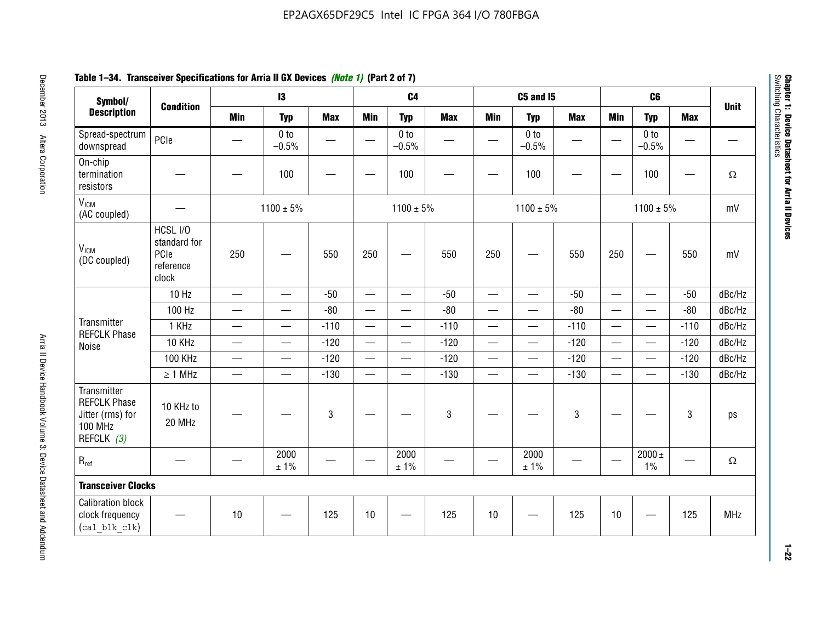# **Table 1–34. Transceiver Specifications for Arria II GX Devices** *(Note 1)* **(Part 2 of 7)**

| Symbol/                                                                                |                                                        |                               | $\mathbf{13}$              |                          |                          | C <sub>4</sub>             |            |                          | C5 and I5                         |            |                          | C <sub>6</sub>             |            |             |
|----------------------------------------------------------------------------------------|--------------------------------------------------------|-------------------------------|----------------------------|--------------------------|--------------------------|----------------------------|------------|--------------------------|-----------------------------------|------------|--------------------------|----------------------------|------------|-------------|
| <b>Description</b>                                                                     | <b>Condition</b>                                       | <b>Min</b>                    | <b>Typ</b>                 | <b>Max</b>               | <b>Min</b>               | <b>Typ</b>                 | <b>Max</b> | <b>Min</b>               | <b>Typ</b>                        | <b>Max</b> | <b>Min</b>               | <b>Typ</b>                 | <b>Max</b> | <b>Unit</b> |
| Spread-spectrum<br>downspread                                                          | PCIe                                                   |                               | 0 <sub>to</sub><br>$-0.5%$ | $\overline{\phantom{0}}$ |                          | 0 <sub>to</sub><br>$-0.5%$ |            |                          | 0 <sub>to</sub><br>$-0.5%$        |            |                          | 0 <sub>to</sub><br>$-0.5%$ |            |             |
| On-chip<br>termination<br>resistors                                                    |                                                        |                               | 100                        | —                        |                          | 100                        |            |                          | 100                               |            |                          | 100                        | —          | $\Omega$    |
| V <sub>ICM</sub><br>(AC coupled)                                                       |                                                        |                               | $1100 \pm 5\%$             |                          |                          | $1100 \pm 5\%$             |            |                          | $1100 \pm 5\%$                    |            |                          | $1100 \pm 5\%$             |            | mV          |
| V <sub>ICM</sub><br>(DC coupled)                                                       | HCSL I/O<br>standard for<br>PCIe<br>reference<br>clock | 250                           |                            | 550                      | 250                      | $\hspace{0.05cm}$          | 550        | 250                      | —                                 | 550        | 250                      | —                          | 550        | mV          |
|                                                                                        | 10 Hz                                                  | $\overline{\phantom{0}}$      | $\overline{\phantom{0}}$   | $-50$                    | $\equiv$                 |                            | $-50$      | $\qquad \qquad$          | $\equiv$                          | $-50$      | $\overline{\phantom{0}}$ |                            | $-50$      | dBc/Hz      |
|                                                                                        | 100 Hz                                                 | $\overline{\phantom{0}}$      | $\overline{\phantom{0}}$   | $-80$                    | $\overline{\phantom{0}}$ | $\overline{\phantom{0}}$   | $-80$      | $\overline{\phantom{0}}$ |                                   | $-80$      | $\overline{\phantom{0}}$ | $\overline{\phantom{0}}$   | $-80$      | dBc/Hz      |
| Transmitter<br><b>REFCLK Phase</b>                                                     | 1 KHz                                                  | —                             | $\overline{\phantom{0}}$   | $-110$                   |                          | $\hspace{0.05cm}$          | $-110$     | $\overline{\phantom{0}}$ | $\qquad \qquad \qquad$            | $-110$     |                          | $\overline{\phantom{0}}$   | $-110$     | dBc/Hz      |
| Noise                                                                                  | 10 KHz                                                 | $\overbrace{\phantom{aaaaa}}$ | $\overline{\phantom{0}}$   | $-120$                   | $\overline{\phantom{m}}$ | $\overline{\phantom{0}}$   | $-120$     | $\overline{\phantom{0}}$ | $\overbrace{\phantom{123221111}}$ | $-120$     |                          |                            | $-120$     | dBc/Hz      |
|                                                                                        | <b>100 KHz</b>                                         | $\overline{\phantom{0}}$      | $\equiv$                   | $-120$                   |                          | $\equiv$                   | $-120$     | $\overline{\phantom{0}}$ | $\overline{\phantom{0}}$          | $-120$     | $\equiv$                 | $\overline{\phantom{0}}$   | $-120$     | dBc/Hz      |
|                                                                                        | $\geq 1$ MHz                                           | $\overline{\phantom{0}}$      | $\overline{\phantom{0}}$   | $-130$                   |                          | $\overline{\phantom{m}}$   | $-130$     | $\overline{\phantom{0}}$ | $\qquad \qquad$                   | $-130$     | $\overline{\phantom{0}}$ | $\equiv$                   | $-130$     | dBc/Hz      |
| Transmitter<br><b>REFCLK Phase</b><br>Jitter (rms) for<br><b>100 MHz</b><br>REFCLK (3) | 10 KHz to<br>20 MHz                                    |                               |                            | $\mathbf 3$              |                          |                            | 3          |                          |                                   | 3          |                          |                            | 3          | ps          |
| $R_{ref}$                                                                              |                                                        |                               | 2000<br>± 1%               |                          | $\hspace{0.05cm}$        | 2000<br>± 1%               |            |                          | 2000<br>± 1%                      |            |                          | $2000 \pm$<br>$1\%$        |            | $\Omega$    |
| <b>Transceiver Clocks</b>                                                              |                                                        |                               |                            |                          |                          |                            |            |                          |                                   |            |                          |                            |            |             |
| <b>Calibration block</b><br>clock frequency<br>(cal blk clk)                           |                                                        | 10                            |                            | 125                      | 10                       |                            | 125        | 10                       |                                   | 125        | 10                       |                            | 125        | MHz         |

December 2013 Altera Corporation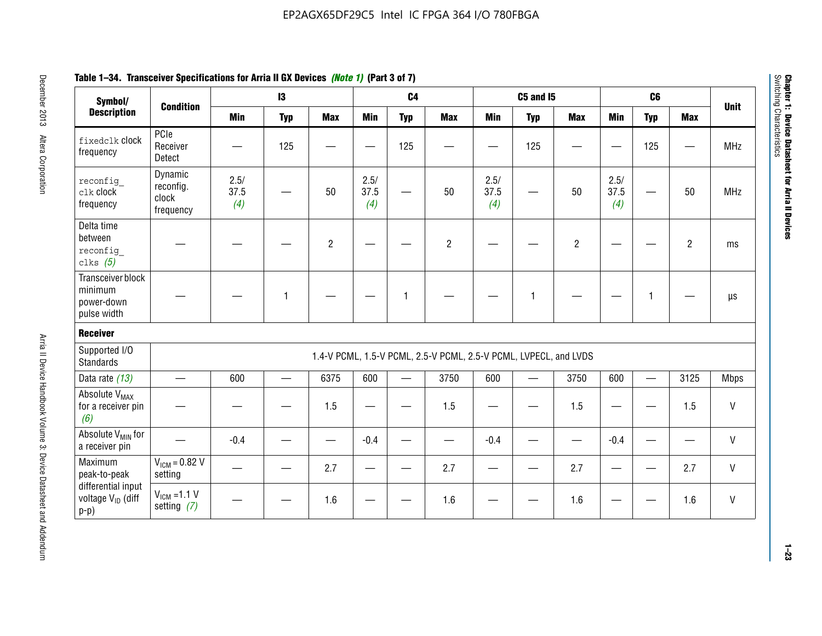| Symbol/                                                       |                                            | $\mathbf{13}$       |            |                | C <sub>4</sub>      |            |                                                                  | <b>C5 and 15</b>    |            |                | C <sub>6</sub>      |              |                |              |
|---------------------------------------------------------------|--------------------------------------------|---------------------|------------|----------------|---------------------|------------|------------------------------------------------------------------|---------------------|------------|----------------|---------------------|--------------|----------------|--------------|
| <b>Description</b>                                            | <b>Condition</b>                           | <b>Min</b>          | <b>Typ</b> | <b>Max</b>     | <b>Min</b>          | <b>Typ</b> | <b>Max</b>                                                       | <b>Min</b>          | <b>Typ</b> | <b>Max</b>     | <b>Min</b>          | <b>Typ</b>   | <b>Max</b>     | <b>Unit</b>  |
| fixedclk Clock<br>frequency                                   | PCIe<br>Receiver<br>Detect                 |                     | 125        |                |                     | 125        |                                                                  |                     | 125        |                |                     | 125          |                | <b>MHz</b>   |
| reconfig<br>clk clock<br>frequency                            | Dynamic<br>reconfig.<br>clock<br>frequency | 2.5/<br>37.5<br>(4) |            | 50             | 2.5/<br>37.5<br>(4) |            | 50                                                               | 2.5/<br>37.5<br>(4) |            | 50             | 2.5/<br>37.5<br>(4) |              | 50             | <b>MHz</b>   |
| Delta time<br>between<br>reconfig<br>clks $(5)$               |                                            |                     |            | $\overline{c}$ |                     |            | $\overline{2}$                                                   |                     |            | $\overline{2}$ |                     |              | $\overline{2}$ | ms           |
| Transceiver block<br>minimum<br>power-down<br>pulse width     |                                            |                     | 1          |                |                     | 1          |                                                                  |                     | 1          |                |                     | $\mathbf{1}$ |                | $\mu s$      |
| <b>Receiver</b>                                               |                                            |                     |            |                |                     |            |                                                                  |                     |            |                |                     |              |                |              |
| Supported I/O<br><b>Standards</b>                             |                                            |                     |            |                |                     |            | 1.4-V PCML, 1.5-V PCML, 2.5-V PCML, 2.5-V PCML, LVPECL, and LVDS |                     |            |                |                     |              |                |              |
| Data rate (13)                                                | $\equiv$                                   | 600                 | $\equiv$   | 6375           | 600                 |            | 3750                                                             | 600                 |            | 3750           | 600                 | $\equiv$     | 3125           | <b>Mbps</b>  |
| Absolute V <sub>MAX</sub><br>for a receiver pin<br>(6)        |                                            |                     |            | 1.5            |                     |            | 1.5                                                              | —                   |            | 1.5            |                     |              | 1.5            | V            |
| Absolute V <sub>MIN</sub> for<br>a receiver pin               |                                            | $-0.4$              |            |                | $-0.4$              |            |                                                                  | $-0.4$              |            |                | $-0.4$              |              |                | $\sf V$      |
| Maximum<br>peak-to-peak                                       | $V_{IGM} = 0.82 V$<br>setting              |                     |            | 2.7            |                     |            | 2.7                                                              |                     |            | 2.7            |                     |              | 2.7            | $\mathsf{V}$ |
| differential input<br>voltage V <sub>ID</sub> (diff<br>$p-p)$ | $V_{IGM} = 1.1 V$<br>setting $(7)$         |                     |            | 1.6            |                     |            | 1.6                                                              |                     |            | 1.6            |                     |              | 1.6            | V            |

**Chapter 1: Device Datasheet for Arria II Devices**

Chapter 1: Device Datasheet for Arria II Devices<br>Switching Characteristics

Switching Characteristics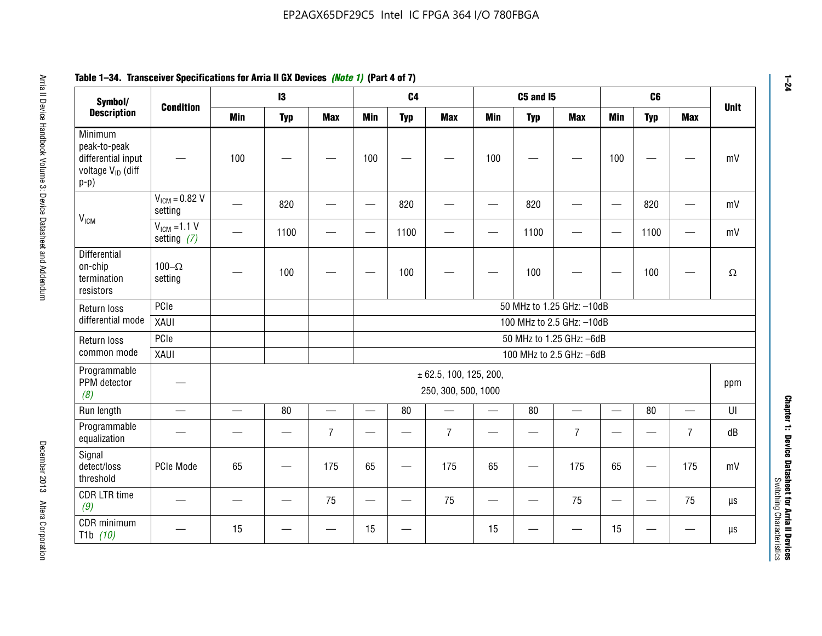#### **Arris 2: Device Handbook Volume 3: Device Datasheet Addents Device Datasheet Addents December 2013 Altera Corporation Minimum peaks-to-peak differential input voltage Video Minimum peaks-to-peak diff particular and the V<sub>ICM</sub>**  $V_{ICM} = 0.82 V$ setting | 一 | 820 | 一 | ― | 820 | 一 | ― | 820 | ― | ― | 820 | ― | mV  $V_{ICM}$  =1.1 V setting *(7)* | - | 1100 | - | - | 1100 | - | - | 1100 | - | - | 1100 | - | mV **Differential** on-chip termination resistors100– $\Omega$ setting | — | 100 | — | — | 100 | — | — | 100 | — | — | 100 | —  $\Omega$ Return loss differential mode PCIee | | | | 50 MHz to 1.25 GHz: –10dB XAUI 100 MHz to 2.5 GHz: –10dB Return loss common modePCIe 50 MHz to 1.25 GHz: –6dBXAUI 100 MHz to 2.5 GHz: –6dB Programmable PPM detector *(8)* ± 62.5, 100, 125, 200, 250, 300, 500, 1000 ppm Run length | ― | ― | 80 | ― | 80 | ― | 80 | ― | UI Programmable -rogrammasic | — | — | — | 7 |— | – | 7 |— | – | 7 |— | – | 7 | dB<br>equalization | — | — | — | 7 |— | 7 | — | 7 | — | 7 | — | 7 | dB Signal detect/loss thresholdPCIe Mode | 65 | — | 175 | 65 | — | 175 | 65 | — | 175 | 65 | — | 175 | mV CDR LTR time *(9)* – | – | – | <sup>75</sup> | – | <sup>75</sup> | – | <sup>75</sup> | – | <sup>75</sup> | – | <sup>75</sup> | – | <sup>75</sup> | <sup>18</sup> CDR minimum T1b *(10)* — <sup>15</sup> — — <sup>15</sup> — <sup>15</sup> — — <sup>15</sup> — — µs **Symbol/ Description Condition I3 C4 C5 and I5 C6UnitMin Typ Max Min Typ Max Min Typ Max Min Typ Max**

# **Table 1–34. Transceiver Specifications for Arria II GX Devices** *(Note 1)* **(Part 4 of 7)**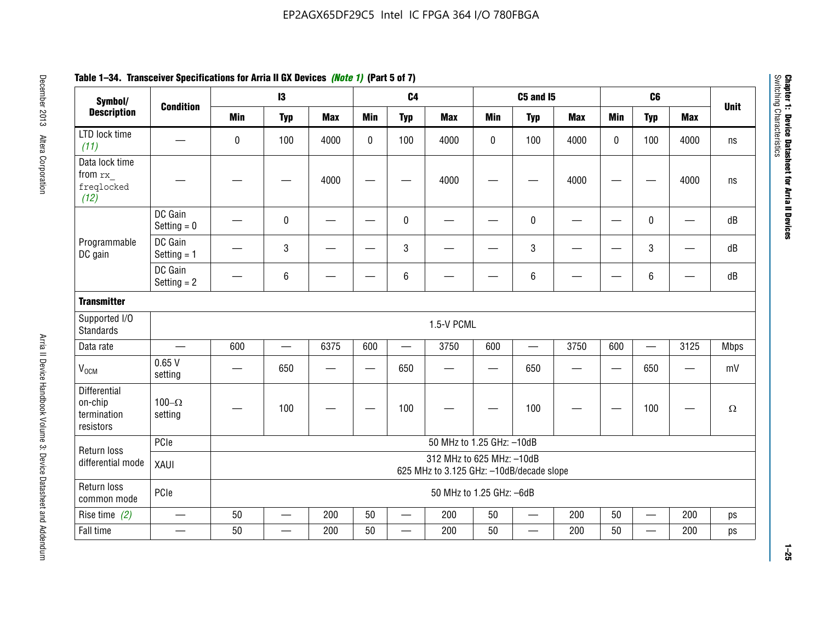| Symbol/                                                    |                          |                                                                       | $\mathbf{13}$            |                          |             | C <sub>4</sub>                   |                           |            | <b>C5 and I5</b>         |            |                          | C <sub>6</sub>           |                          | <b>Unit</b> |
|------------------------------------------------------------|--------------------------|-----------------------------------------------------------------------|--------------------------|--------------------------|-------------|----------------------------------|---------------------------|------------|--------------------------|------------|--------------------------|--------------------------|--------------------------|-------------|
| <b>Description</b>                                         | <b>Condition</b>         | <b>Min</b>                                                            | <b>Typ</b>               | <b>Max</b>               | <b>Min</b>  | <b>Typ</b>                       | <b>Max</b>                | <b>Min</b> | <b>Typ</b>               | <b>Max</b> | <b>Min</b>               | <b>Typ</b>               | <b>Max</b>               |             |
| LTD lock time<br>(11)                                      |                          | $\bf{0}$                                                              | 100                      | 4000                     | $\mathbf 0$ | 100                              | 4000                      | 0          | 100                      | 4000       | $\mathbf 0$              | 100                      | 4000                     | ns          |
| Data lock time<br>from rx<br>freqlocked<br>(12)            |                          |                                                                       |                          | 4000                     |             |                                  | 4000                      |            |                          | 4000       |                          |                          | 4000                     | ns          |
|                                                            | DC Gain<br>Setting $= 0$ |                                                                       | $\mathbf 0$              |                          |             | $\mathbf 0$                      |                           |            | $\pmb{0}$                |            | $\overline{\phantom{0}}$ | $\mathbf 0$              | $\overline{\phantom{0}}$ | dB          |
| Programmable<br>DC gain                                    | DC Gain<br>Setting $= 1$ |                                                                       | 3                        |                          |             | $\mathbf{3}$                     |                           |            | $\sqrt{3}$               |            |                          | 3                        | $\overline{\phantom{0}}$ | dB          |
|                                                            | DC Gain<br>Setting $= 2$ |                                                                       | 6                        |                          |             | $\,6\,$                          |                           |            | $\,6\,$                  |            |                          | 6                        |                          | dB          |
| <b>Transmitter</b>                                         |                          |                                                                       |                          |                          |             |                                  |                           |            |                          |            |                          |                          |                          |             |
| Supported I/O<br><b>Standards</b>                          |                          |                                                                       |                          |                          |             |                                  | 1.5-V PCML                |            |                          |            |                          |                          |                          |             |
| Data rate                                                  | $\equiv$                 | 600                                                                   | $\qquad \qquad$          | 6375                     | 600         | $\overbrace{\phantom{12322111}}$ | 3750                      | 600        |                          | 3750       | 600                      |                          | 3125                     | <b>Mbps</b> |
| V <sub>OCM</sub>                                           | 0.65V<br>setting         |                                                                       | 650                      | $\overline{\phantom{0}}$ | $\equiv$    | 650                              |                           | —          | 650                      |            |                          | 650                      | $\overline{\phantom{0}}$ | mV          |
| <b>Differential</b><br>on-chip<br>termination<br>resistors | 100 $-\Omega$<br>setting |                                                                       | 100                      |                          |             | 100                              |                           |            | 100                      |            |                          | 100                      |                          | $\Omega$    |
| Return loss                                                | PCle                     |                                                                       |                          |                          |             |                                  | 50 MHz to 1.25 GHz: -10dB |            |                          |            |                          |                          |                          |             |
| differential mode                                          | XAUI                     | 312 MHz to 625 MHz: -10dB<br>625 MHz to 3.125 GHz: -10dB/decade slope |                          |                          |             |                                  |                           |            |                          |            |                          |                          |                          |             |
| Return loss<br>common mode                                 | PCle                     |                                                                       |                          |                          |             |                                  | 50 MHz to 1.25 GHz: -6dB  |            |                          |            |                          |                          |                          |             |
| Rise time $(2)$                                            | —                        | 50                                                                    | $\overline{\phantom{0}}$ | 200                      | 50          |                                  | 200                       | 50         | $\qquad \qquad$          | 200        | 50                       | $\overline{\phantom{0}}$ | 200                      | ps          |
| Fall time                                                  |                          | 50                                                                    |                          | 200                      | 50          | $\overline{\phantom{0}}$         | 200                       | 50         | $\overline{\phantom{0}}$ | 200        | 50                       | $\overline{\phantom{0}}$ | 200                      | ps          |

# **Table 1–34. Transceiver Specifications for Arria II GX Devices** *(Note 1)* **(Part 5 of 7)**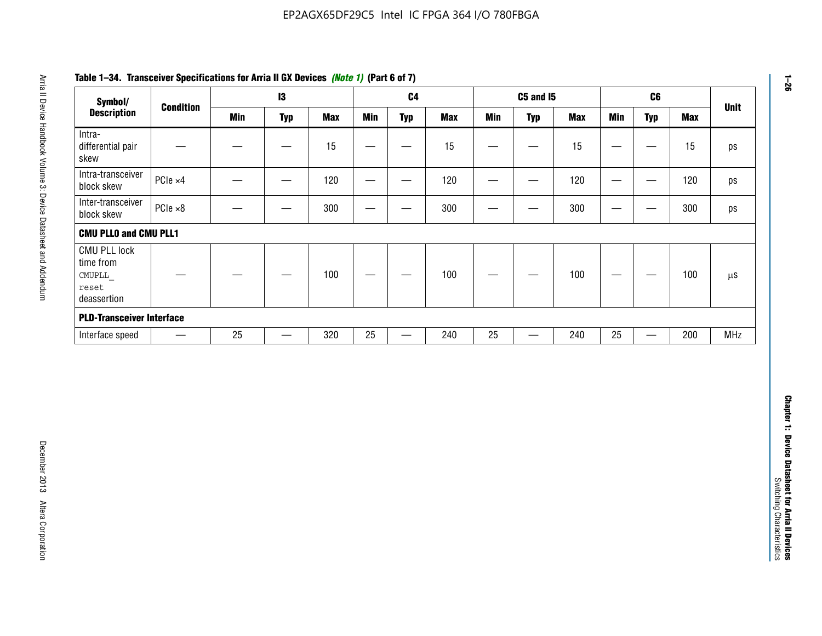| Symbol/                                                            |                          |            | $\mathbf{I}3$     |            |                 | C <sub>4</sub>                   |            |                                           | <b>C5 and 15</b>              |            |                                  | C6                               |            | <b>Unit</b>   |
|--------------------------------------------------------------------|--------------------------|------------|-------------------|------------|-----------------|----------------------------------|------------|-------------------------------------------|-------------------------------|------------|----------------------------------|----------------------------------|------------|---------------|
| <b>Description</b>                                                 | <b>Condition</b>         | <b>Min</b> | <b>Typ</b>        | <b>Max</b> | <b>Min</b>      | <b>Typ</b>                       | <b>Max</b> | <b>Min</b>                                | <b>Typ</b>                    | <b>Max</b> | <b>Min</b>                       | <b>Typ</b>                       | <b>Max</b> |               |
| Intra-<br>differential pair<br>skew                                |                          |            | $\qquad \qquad$   | 15         |                 | —                                | 15         | $\overline{\phantom{0}}$                  | $\qquad \qquad$               | 15         | —                                | $\qquad \qquad$                  | 15         | ps            |
| Intra-transceiver<br>block skew                                    | PCle ×4                  |            |                   | 120        | $\qquad \qquad$ | $\hspace{0.05cm}$                | 120        | $\qquad \qquad \overline{\qquad \qquad }$ | $\overbrace{\phantom{aaaaa}}$ | 120        | $\overline{\phantom{m}}$         | $\hspace{0.05cm}$                | 120        | ps            |
| Inter-transceiver<br>block skew                                    | PCle ×8                  |            | -                 | 300        | —               | -                                | 300        | -                                         | —                             | 300        | $\overline{\phantom{0}}$         | —                                | 300        | ps            |
| <b>CMU PLLO and CMU PLL1</b>                                       |                          |            |                   |            |                 |                                  |            |                                           |                               |            |                                  |                                  |            |               |
| <b>CMU PLL lock</b><br>time from<br>CMUPLL<br>reset<br>deassertion |                          |            |                   | 100        |                 |                                  | 100        |                                           |                               | 100        | $\overbrace{\phantom{12322111}}$ | —                                | 100        | $\mu\text{S}$ |
| <b>PLD-Transceiver Interface</b>                                   |                          |            |                   |            |                 |                                  |            |                                           |                               |            |                                  |                                  |            |               |
| Interface speed                                                    | $\overline{\phantom{m}}$ | 25         | $\qquad \qquad -$ | 320        | $25\,$          | $\overbrace{\phantom{12322111}}$ | 240        | 25                                        | $\overline{\phantom{0}}$      | 240        | 25                               | $\overbrace{\phantom{12322111}}$ | 200        | MHz           |
|                                                                    |                          |            |                   |            |                 |                                  |            |                                           |                               |            |                                  |                                  |            |               |
|                                                                    |                          |            |                   |            |                 |                                  |            |                                           |                               |            |                                  |                                  |            |               |
|                                                                    |                          |            |                   |            |                 |                                  |            |                                           |                               |            |                                  |                                  |            |               |

# **Table 1–34. Transceiver Specifications for Arria II GX Devices** *(Note 1)* **(Part 6 of 7)**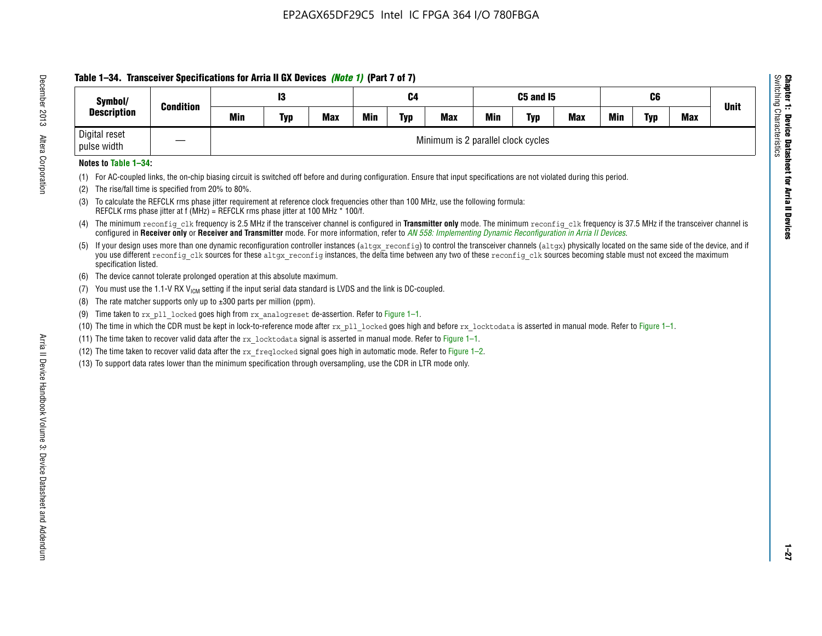# **Table 1–34. Transceiver Specifications for Arria II GX Devices** *(Note 1)* **(Part 7 of 7)**

| Symbol/                      |                  |     | 13         |            | C4         |            |                                    | C5 and I5  |            |            |            |            |            |             |
|------------------------------|------------------|-----|------------|------------|------------|------------|------------------------------------|------------|------------|------------|------------|------------|------------|-------------|
| <b>Description</b>           | <b>Condition</b> | Min | <b>Typ</b> | <b>Max</b> | <b>Min</b> | <b>Typ</b> | <b>Max</b>                         | <b>Min</b> | <b>Typ</b> | <b>Max</b> | <b>Min</b> | <b>Typ</b> | <b>Max</b> | <b>Unit</b> |
| Digital reset<br>pulse width |                  |     |            |            |            |            | Minimum is 2 parallel clock cycles |            |            |            |            |            |            |             |

## **Notes to Table 1–34:**

- (1) For AC-coupled links, the on-chip biasing circuit is switched off before and during configuration. Ensure that input specifications are not violated during this period.
- (2) The rise/fall time is specified from 20% to 80%.
- (3) To calculate the REFCLK rms phase jitter requirement at reference clock frequencies other than 100 MHz, use the following formula: REFCLK rms phase jitter at f (MHz) = REFCLK rms phase jitter at 100 MHz \* 100/f.
- (4) The minimum reconfig clk frequency is 2.5 MHz if the transceiver channel is configured in **Transmitter only** mode. The minimum reconfig clk frequency is 37.5 MHz if the transceiver channel is configured in **Receiver only** or **Receiver and Transmitter** mode. For more information, refer to *AN [558: Implementing Dynamic Reconfiguration in Arria II Devices](www.altera.com/literature/hb/arria-ii-gx/an558.pdf)*.
- (5) If your design uses more than one dynamic reconfiguration controller instances (altgx reconfig) to control the transceiver channels (altgx) physically located on the same side of the device, and if you use different reconfig clk sources for these altgx reconfig instances, the delta time between any two of these reconfig clk sources becoming stable must not exceed the maximum specification listed.
- (6) The device cannot tolerate prolonged operation at this absolute maximum.
- (7) You must use the 1.1-V RX  $V_{ICM}$  setting if the input serial data standard is LVDS and the link is DC-coupled.
- (8) The rate matcher supports only up to  $\pm 300$  parts per million (ppm).
- (9) Time taken to rx\_pll\_locked goes high from rx\_analogreset de-assertion. Refer to Figure 1–1.
- (10) The time in which the CDR must be kept in lock-to-reference mode after rx pll locked goes high and before rx locktodata is asserted in manual mode. Refer to Figure 1-1.
- (11) The time taken to recover valid data after the  $rx$  locktodata signal is asserted in manual mode. Refer to Figure 1–1.
- (12) The time taken to recover valid data after the  $rx$  freqlocked signal goes high in automatic mode. Refer to Figure 1–2.
- (13) To support data rates lower than the minimum specification through oversampling, use the CDR in LTR mode only.

**Chapter 1: Device Datasheet for Arria II Devices**

**Device Datasheet for Arria II Devices** 

Switching Characteristics

Chapter 1: Device Datas<br>Switching Characteristics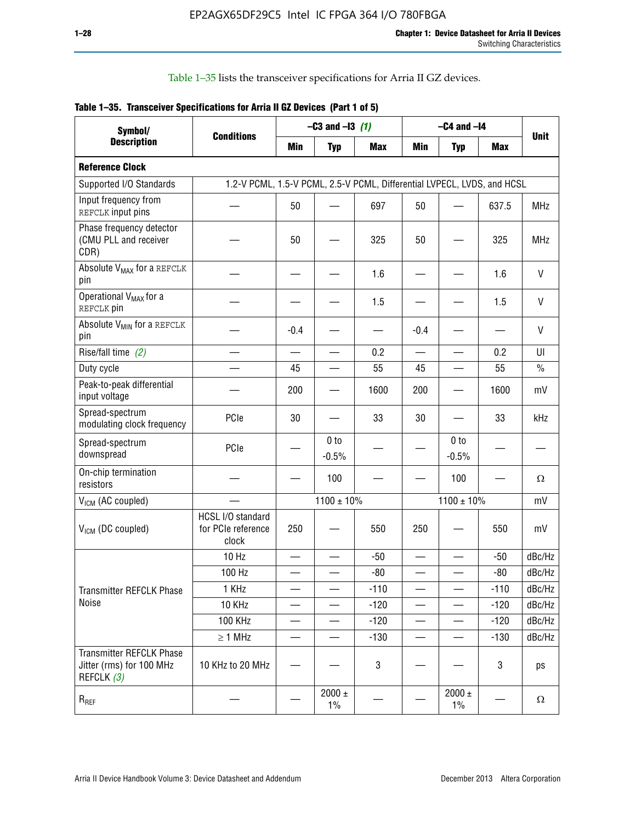Table 1–35 lists the transceiver specifications for Arria II GZ devices.

|  | Table 1-35. Transceiver Specifications for Arria II GZ Devices (Part 1 of 5) |  |
|--|------------------------------------------------------------------------------|--|
|  |                                                                              |  |

| Symbol/                                                                   |                                                                         |                          | $-C3$ and $-13$ (1)      |            |                          | $-C4$ and $-I4$            |            |             |
|---------------------------------------------------------------------------|-------------------------------------------------------------------------|--------------------------|--------------------------|------------|--------------------------|----------------------------|------------|-------------|
| <b>Description</b>                                                        | <b>Conditions</b>                                                       | Min                      | <b>Typ</b>               | <b>Max</b> | <b>Min</b>               | <b>Typ</b>                 | <b>Max</b> | <b>Unit</b> |
| <b>Reference Clock</b>                                                    |                                                                         |                          |                          |            |                          |                            |            |             |
| Supported I/O Standards                                                   | 1.2-V PCML, 1.5-V PCML, 2.5-V PCML, Differential LVPECL, LVDS, and HCSL |                          |                          |            |                          |                            |            |             |
| Input frequency from<br>REFCLK input pins                                 |                                                                         | 50                       |                          | 697        | 50                       |                            | 637.5      | <b>MHz</b>  |
| Phase frequency detector<br>(CMU PLL and receiver<br>CDR)                 |                                                                         | 50                       |                          | 325        | 50                       |                            | 325        | <b>MHz</b>  |
| Absolute V <sub>MAX</sub> for a REFCLK<br>pin                             |                                                                         |                          |                          | 1.6        |                          |                            | 1.6        | V           |
| Operational V <sub>MAX</sub> for a<br>REFCLK pin                          |                                                                         |                          |                          | 1.5        |                          |                            | 1.5        | V           |
| Absolute V <sub>MIN</sub> for a REFCLK<br>pin                             |                                                                         | $-0.4$                   |                          |            | $-0.4$                   |                            |            | V           |
| Rise/fall time (2)                                                        |                                                                         | $\overline{\phantom{0}}$ | $\overline{\phantom{0}}$ | 0.2        | $\overline{\phantom{a}}$ | $\overline{\phantom{0}}$   | 0.2        | UI          |
| Duty cycle                                                                |                                                                         | 45                       |                          | 55         | 45                       |                            | 55         | $\%$        |
| Peak-to-peak differential<br>input voltage                                |                                                                         | 200                      |                          | 1600       | 200                      |                            | 1600       | mV          |
| Spread-spectrum<br>modulating clock frequency                             | PCIe                                                                    | 30                       |                          | 33         | 30                       |                            | 33         | kHz         |
| Spread-spectrum<br>downspread                                             | PCIe                                                                    |                          | 0 to<br>$-0.5%$          |            |                          | 0 <sub>to</sub><br>$-0.5%$ |            |             |
| On-chip termination<br>resistors                                          |                                                                         |                          | 100                      |            |                          | 100                        |            | Ω           |
| $V_{IGM}$ (AC coupled)                                                    |                                                                         |                          | $1100 \pm 10\%$          |            |                          | $1100 \pm 10\%$            |            | mV          |
| $V_{ICM}$ (DC coupled)                                                    | HCSL I/O standard<br>for PCIe reference<br>clock                        | 250                      |                          | 550        | 250                      |                            | 550        | mV          |
|                                                                           | 10 Hz                                                                   |                          |                          | $-50$      | $\overline{\phantom{0}}$ |                            | $-50$      | dBc/Hz      |
|                                                                           | 100 Hz                                                                  |                          |                          | $-80$      |                          |                            | $-80$      | dBc/Hz      |
| Transmitter REFCLK Phase                                                  | 1 KHz                                                                   |                          | $\overline{\phantom{0}}$ | $-110$     |                          | $\equiv$                   | $-110$     | dBc/Hz      |
| Noise                                                                     | 10 KHz                                                                  |                          |                          | $-120$     |                          |                            | $-120$     | dBc/Hz      |
|                                                                           | <b>100 KHz</b>                                                          |                          |                          | $-120$     | —                        |                            | $-120$     | dBc/Hz      |
|                                                                           | $\geq 1$ MHz                                                            |                          |                          | $-130$     |                          |                            | $-130$     | dBc/Hz      |
| <b>Transmitter REFCLK Phase</b><br>Jitter (rms) for 100 MHz<br>REFCLK (3) | 10 KHz to 20 MHz                                                        |                          |                          | 3          |                          |                            | 3          | ps          |
| $R_{REF}$                                                                 |                                                                         |                          | $2000 \pm$<br>$1\%$      |            |                          | 2000 $\pm$<br>$1\%$        |            | $\Omega$    |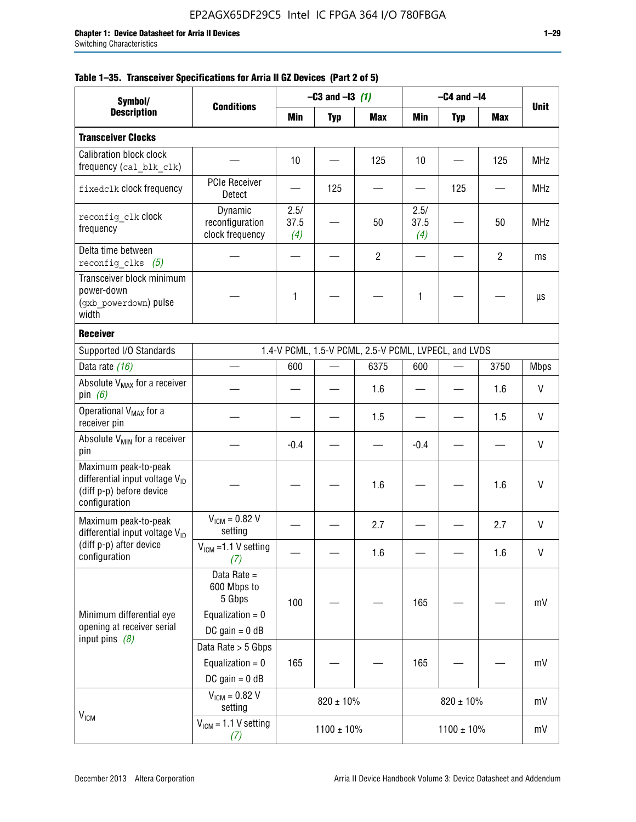|  |  | Table 1–35. Transceiver Specifications for Arria II GZ Devices (Part 2 of 5) |  |  |  |
|--|--|------------------------------------------------------------------------------|--|--|--|
|--|--|------------------------------------------------------------------------------|--|--|--|

| Symbol/                                                                                                         |                                                                                | $-C3$ and $-13$ (1)                                  |                 |                | $-C4$ and $-I4$     |                 |                |              |  |
|-----------------------------------------------------------------------------------------------------------------|--------------------------------------------------------------------------------|------------------------------------------------------|-----------------|----------------|---------------------|-----------------|----------------|--------------|--|
| <b>Description</b>                                                                                              | <b>Conditions</b>                                                              | Min                                                  | <b>Typ</b>      | <b>Max</b>     | Min                 | <b>Typ</b>      | <b>Max</b>     | <b>Unit</b>  |  |
| <b>Transceiver Clocks</b>                                                                                       |                                                                                |                                                      |                 |                |                     |                 |                |              |  |
| Calibration block clock<br>frequency (cal blk clk)                                                              |                                                                                | 10                                                   |                 | 125            | 10                  |                 | 125            | <b>MHz</b>   |  |
| fixedclk clock frequency                                                                                        | <b>PCIe Receiver</b><br>Detect                                                 |                                                      | 125             |                |                     | 125             |                | MHz          |  |
| reconfig clk Clock<br>frequency                                                                                 | Dynamic<br>reconfiguration<br>clock frequency                                  | 2.5/<br>37.5<br>(4)                                  |                 | 50             | 2.5/<br>37.5<br>(4) |                 | 50             | <b>MHz</b>   |  |
| Delta time between<br>reconfig clks $(5)$                                                                       |                                                                                |                                                      |                 | $\overline{2}$ |                     |                 | $\overline{2}$ | ms           |  |
| Transceiver block minimum<br>power-down<br>(gxb_powerdown) pulse<br>width                                       |                                                                                | 1                                                    |                 |                | 1                   |                 |                | μs           |  |
| <b>Receiver</b>                                                                                                 |                                                                                |                                                      |                 |                |                     |                 |                |              |  |
| Supported I/O Standards                                                                                         |                                                                                | 1.4-V PCML, 1.5-V PCML, 2.5-V PCML, LVPECL, and LVDS |                 |                |                     |                 |                |              |  |
| Data rate (16)                                                                                                  |                                                                                | 600                                                  |                 | 6375           | 600                 |                 | 3750           | <b>Mbps</b>  |  |
| Absolute V <sub>MAX</sub> for a receiver<br>pin $(6)$                                                           |                                                                                |                                                      |                 | 1.6            |                     |                 | 1.6            | V            |  |
| Operational V <sub>MAX</sub> for a<br>receiver pin                                                              |                                                                                |                                                      |                 | 1.5            |                     |                 | 1.5            | V            |  |
| Absolute $V_{MIN}$ for a receiver<br>pin                                                                        |                                                                                | $-0.4$                                               |                 |                | $-0.4$              |                 |                | V            |  |
| Maximum peak-to-peak<br>differential input voltage V <sub>ID</sub><br>(diff p-p) before device<br>configuration |                                                                                |                                                      |                 | 1.6            |                     |                 | 1.6            | $\mathsf{V}$ |  |
| Maximum peak-to-peak<br>differential input voltage $V_{ID}$                                                     | $V_{IGM} = 0.82 V$<br>setting                                                  |                                                      |                 | 2.7            |                     |                 | 2.7            | V            |  |
| (diff p-p) after device<br>configuration                                                                        | $V_{IGM}$ =1.1 V setting<br>(7)                                                |                                                      |                 | 1.6            |                     |                 | 1.6            | $\sf V$      |  |
| Minimum differential eye<br>opening at receiver serial<br>input pins $(8)$                                      | Data Rate =<br>600 Mbps to<br>5 Gbps<br>Equalization = $0$<br>DC gain = $0$ dB | 100                                                  |                 |                | 165                 |                 |                | mV           |  |
|                                                                                                                 | Data Rate > 5 Gbps<br>Equalization = $0$<br>$DC$ gain = 0 dB                   | 165                                                  |                 |                | 165                 |                 |                | mV           |  |
| V <sub>ICM</sub>                                                                                                | $V_{ICM} = 0.82 V$<br>setting                                                  |                                                      | $820 \pm 10\%$  |                | $820 \pm 10\%$      |                 |                | mV           |  |
|                                                                                                                 | $VICM = 1.1 V setting$<br>(7)                                                  |                                                      | $1100 \pm 10\%$ |                |                     | $1100 \pm 10\%$ |                | mV           |  |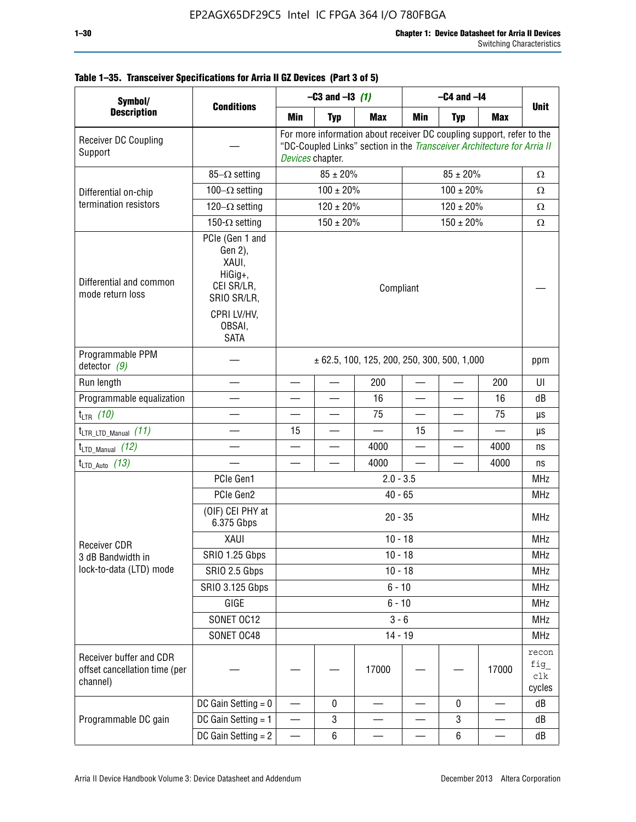| Symbol/                                                              |                                                                                                                     | $-C3$ and $-13$ (1)                             |                                                                                                                                                                      |            | $-C4$ and $-I4$ |                |            |                               |  |
|----------------------------------------------------------------------|---------------------------------------------------------------------------------------------------------------------|-------------------------------------------------|----------------------------------------------------------------------------------------------------------------------------------------------------------------------|------------|-----------------|----------------|------------|-------------------------------|--|
| <b>Description</b>                                                   | <b>Conditions</b>                                                                                                   | Min                                             | <b>Typ</b>                                                                                                                                                           | <b>Max</b> | Min             | <b>Typ</b>     | <b>Max</b> | <b>Unit</b>                   |  |
| Receiver DC Coupling<br>Support                                      |                                                                                                                     |                                                 | For more information about receiver DC coupling support, refer to the<br>"DC-Coupled Links" section in the Transceiver Architecture for Arria II<br>Devices chapter. |            |                 |                |            |                               |  |
|                                                                      | 85- $\Omega$ setting                                                                                                |                                                 | $85 \pm 20\%$                                                                                                                                                        |            |                 | Ω              |            |                               |  |
| Differential on-chip                                                 | $100-\Omega$ setting                                                                                                |                                                 | $100 \pm 20\%$                                                                                                                                                       |            |                 | Ω              |            |                               |  |
| termination resistors                                                | 120 $-\Omega$ setting                                                                                               |                                                 | $120 \pm 20\%$                                                                                                                                                       |            |                 | $\Omega$       |            |                               |  |
|                                                                      | 150- $\Omega$ setting                                                                                               |                                                 | $150 \pm 20\%$                                                                                                                                                       |            |                 | $150 \pm 20\%$ |            | $\Omega$                      |  |
| Differential and common<br>mode return loss                          | PCIe (Gen 1 and<br>Gen 2),<br>XAUI,<br>HiGig+,<br>CEI SR/LR,<br>SRIO SR/LR,<br>CPRI LV/HV.<br>OBSAI,<br><b>SATA</b> | Compliant                                       |                                                                                                                                                                      |            |                 |                |            |                               |  |
| Programmable PPM<br>detector $(9)$                                   |                                                                                                                     | $\pm$ 62.5, 100, 125, 200, 250, 300, 500, 1,000 |                                                                                                                                                                      |            |                 |                |            | ppm                           |  |
| Run length                                                           |                                                                                                                     |                                                 |                                                                                                                                                                      | 200        |                 |                | 200        | UI                            |  |
| Programmable equalization                                            |                                                                                                                     |                                                 |                                                                                                                                                                      | 16         | $\sim$          |                | 16         | dB                            |  |
| $t_{LTR}$ (10)                                                       |                                                                                                                     |                                                 |                                                                                                                                                                      | 75         |                 |                | 75         | μs                            |  |
| $t_{\text{LTR\_LTD\_Manual}}$ (11)                                   |                                                                                                                     | 15                                              |                                                                                                                                                                      |            | 15              |                |            | μs                            |  |
| $t_{LTD\_Manual}$ (12)                                               |                                                                                                                     |                                                 |                                                                                                                                                                      | 4000       |                 |                | 4000       | ns                            |  |
| $t_{LTD\_Auto}$ (13)                                                 |                                                                                                                     |                                                 |                                                                                                                                                                      | 4000       |                 |                | 4000       | ns                            |  |
|                                                                      | PCIe Gen1                                                                                                           | $2.0 - 3.5$                                     |                                                                                                                                                                      |            |                 |                |            |                               |  |
|                                                                      | PCIe Gen2                                                                                                           |                                                 |                                                                                                                                                                      | $40 - 65$  |                 |                |            | <b>MHz</b>                    |  |
|                                                                      | (OIF) CEI PHY at<br>6.375 Gbps                                                                                      | $20 - 35$                                       |                                                                                                                                                                      |            |                 |                |            |                               |  |
| <b>Receiver CDR</b>                                                  | XAUI                                                                                                                | $10 - 18$                                       |                                                                                                                                                                      |            |                 |                |            |                               |  |
| 3 dB Bandwidth in                                                    | SRIO 1.25 Gbps                                                                                                      |                                                 |                                                                                                                                                                      | $10 - 18$  |                 |                |            | MHz                           |  |
| lock-to-data (LTD) mode                                              | SRIO 2.5 Gbps                                                                                                       |                                                 |                                                                                                                                                                      | $10 - 18$  |                 |                |            | <b>MHz</b>                    |  |
|                                                                      | <b>SRIO 3.125 Gbps</b>                                                                                              |                                                 |                                                                                                                                                                      | $6 - 10$   |                 |                |            | <b>MHz</b>                    |  |
|                                                                      | GIGE                                                                                                                |                                                 |                                                                                                                                                                      | $6 - 10$   |                 |                |            | <b>MHz</b>                    |  |
|                                                                      | SONET OC12                                                                                                          |                                                 |                                                                                                                                                                      | $3 - 6$    |                 |                |            | <b>MHz</b>                    |  |
|                                                                      | SONET OC48                                                                                                          |                                                 |                                                                                                                                                                      | $14 - 19$  |                 |                |            | <b>MHz</b>                    |  |
| Receiver buffer and CDR<br>offset cancellation time (per<br>channel) |                                                                                                                     |                                                 |                                                                                                                                                                      | 17000      |                 |                | 17000      | recon<br>fig<br>clk<br>cycles |  |
|                                                                      | DC Gain Setting $= 0$                                                                                               |                                                 | 0                                                                                                                                                                    |            |                 | 0              |            | dB                            |  |
| Programmable DC gain                                                 | DC Gain Setting = 1                                                                                                 | —                                               | 3                                                                                                                                                                    |            |                 | 3              |            | dB                            |  |
|                                                                      | DC Gain Setting = 2                                                                                                 |                                                 | 6                                                                                                                                                                    |            |                 | $\,6\,$        |            | dB                            |  |

# **Table 1–35. Transceiver Specifications for Arria II GZ Devices (Part 3 of 5)**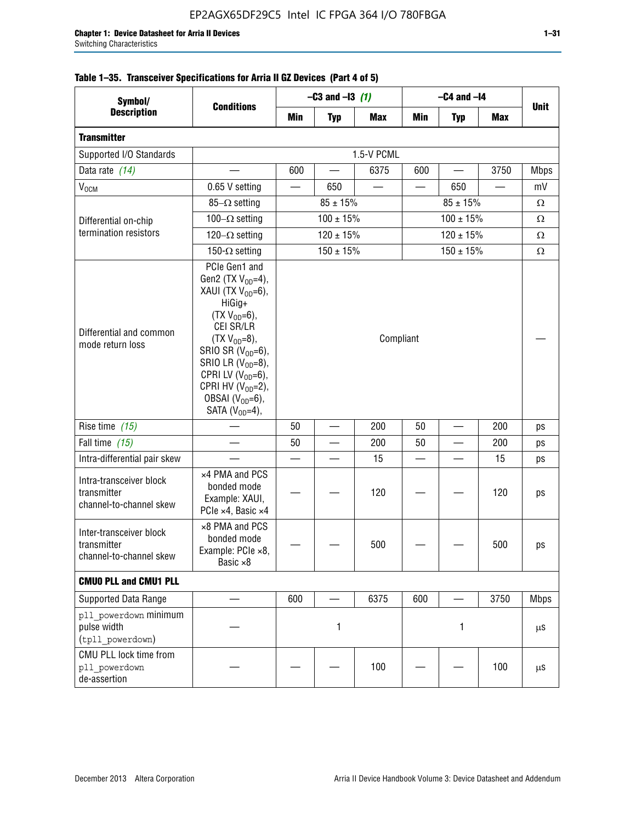| Symbol/                                                           | <b>Conditions</b>                                                                                                                                                                                                                                                                               | $-C3$ and $-13$ (1) |                          |            | $-C4$ and $-I4$ |               |            |             |
|-------------------------------------------------------------------|-------------------------------------------------------------------------------------------------------------------------------------------------------------------------------------------------------------------------------------------------------------------------------------------------|---------------------|--------------------------|------------|-----------------|---------------|------------|-------------|
| <b>Description</b>                                                |                                                                                                                                                                                                                                                                                                 | Min                 | <b>Typ</b>               | <b>Max</b> | Min             | <b>Typ</b>    | <b>Max</b> | <b>Unit</b> |
| <b>Transmitter</b>                                                |                                                                                                                                                                                                                                                                                                 |                     |                          |            |                 |               |            |             |
| Supported I/O Standards                                           |                                                                                                                                                                                                                                                                                                 |                     |                          | 1.5-V PCML |                 |               |            |             |
| Data rate (14)                                                    |                                                                                                                                                                                                                                                                                                 | 600                 |                          | 6375       | 600             |               | 3750       | <b>Mbps</b> |
| $V_{OCM}$                                                         | 0.65 V setting                                                                                                                                                                                                                                                                                  |                     | 650                      |            |                 | 650           |            | mV          |
| Differential on-chip                                              | 85- $\Omega$ setting                                                                                                                                                                                                                                                                            |                     | $85 \pm 15\%$            |            |                 | Ω             |            |             |
|                                                                   | 100 $-\Omega$ setting                                                                                                                                                                                                                                                                           |                     | $100 \pm 15\%$           |            | $100 \pm 15%$   |               |            | $\Omega$    |
| termination resistors                                             | 120 $-\Omega$ setting                                                                                                                                                                                                                                                                           |                     | $120 \pm 15\%$           |            |                 | $120 \pm 15%$ |            | $\Omega$    |
|                                                                   | 150- $\Omega$ setting                                                                                                                                                                                                                                                                           |                     | $150 \pm 15%$            |            |                 | $150 \pm 15%$ |            | Ω           |
| Differential and common<br>mode return loss                       | PCIe Gen1 and<br>Gen2 (TX $V_{OD} = 4$ ),<br>XAUI (TX V <sub>OD</sub> =6),<br>HiGig+<br>$(TX V_{OD} = 6)$ ,<br>CEI SR/LR<br>$(TX V_{OD} = 8),$<br>SRIO SR $(V_{OD}=6)$ ,<br>SRIO LR $(V_{OD}=8)$ ,<br>CPRI LV $(V_{OD}=6)$ ,<br>CPRI HV $(V_{OD}=2)$ ,<br>OBSAI $(VOD=6)$ ,<br>SATA $(VOD=4)$ , |                     |                          |            | Compliant       |               |            |             |
| Rise time (15)                                                    |                                                                                                                                                                                                                                                                                                 | 50                  | $\overline{\phantom{0}}$ | 200        | 50              |               | 200        | ps          |
| Fall time (15)                                                    |                                                                                                                                                                                                                                                                                                 | 50                  |                          | 200        | 50              |               | 200        | ps          |
| Intra-differential pair skew                                      |                                                                                                                                                                                                                                                                                                 |                     |                          | 15         |                 |               | 15         | ps          |
| Intra-transceiver block<br>transmitter<br>channel-to-channel skew | x4 PMA and PCS<br>bonded mode<br>Example: XAUI,<br>PCIe ×4, Basic ×4                                                                                                                                                                                                                            |                     |                          | 120        |                 |               | 120        | ps          |
| Inter-transceiver block<br>transmitter<br>channel-to-channel skew | ×8 PMA and PCS<br>bonded mode<br>Example: PCle ×8,<br>Basic ×8                                                                                                                                                                                                                                  |                     |                          | 500        |                 |               | 500        | ps          |
| <b>CMUO PLL and CMU1 PLL</b>                                      |                                                                                                                                                                                                                                                                                                 |                     |                          |            |                 |               |            |             |
| Supported Data Range                                              |                                                                                                                                                                                                                                                                                                 | 600                 |                          | 6375       | 600             |               | 3750       | <b>Mbps</b> |
| pll powerdown minimum<br>pulse width<br>(tpll powerdown)          |                                                                                                                                                                                                                                                                                                 |                     | 1<br>1                   |            |                 |               | $\mu$ S    |             |
| CMU PLL lock time from<br>pll powerdown<br>de-assertion           |                                                                                                                                                                                                                                                                                                 |                     |                          | 100        |                 |               | 100        | $\mu$ S     |

# **Table 1–35. Transceiver Specifications for Arria II GZ Devices (Part 4 of 5)**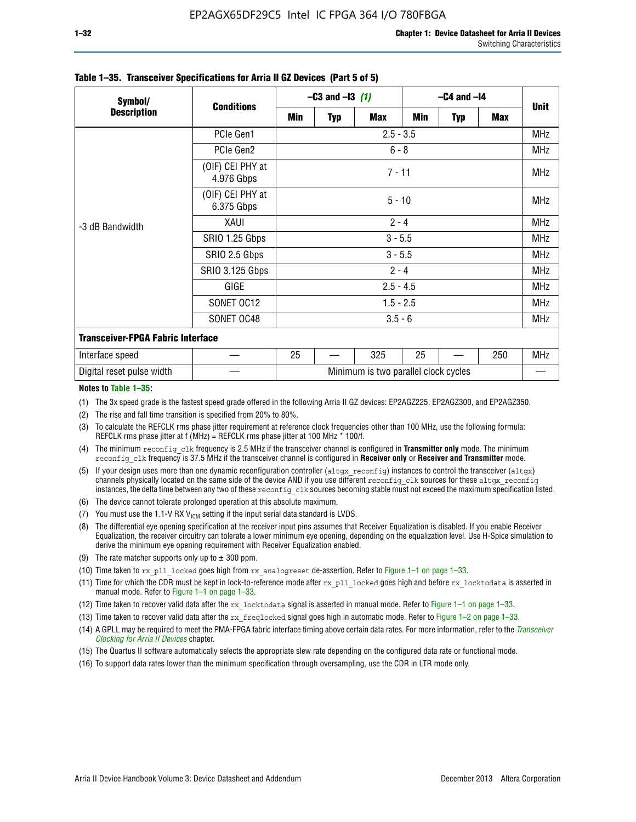| Symbol/                                  | <b>Conditions</b>              | $-C3$ and $-13$ (1) |             |                                      | $-C4$ and $-I4$ |            |            |            |  |
|------------------------------------------|--------------------------------|---------------------|-------------|--------------------------------------|-----------------|------------|------------|------------|--|
| <b>Description</b>                       |                                | Min                 | <b>Typ</b>  | <b>Max</b>                           | <b>Min</b>      | <b>Typ</b> | <b>Max</b> | Unit       |  |
|                                          | PCIe Gen1                      |                     | $2.5 - 3.5$ |                                      |                 |            |            |            |  |
|                                          | PCIe Gen2                      |                     | $6 - 8$     |                                      |                 |            |            |            |  |
| -3 dB Bandwidth                          | (OIF) CEI PHY at<br>4.976 Gbps |                     | $7 - 11$    |                                      |                 |            |            |            |  |
|                                          | (OIF) CEI PHY at<br>6.375 Gbps |                     | $5 - 10$    |                                      |                 |            |            |            |  |
|                                          | XAUI                           | $2 - 4$             |             |                                      |                 |            |            | <b>MHz</b> |  |
|                                          | SRIO 1.25 Gbps                 | $3 - 5.5$           |             |                                      |                 |            |            |            |  |
|                                          | SRIO 2.5 Gbps                  | $3 - 5.5$           |             |                                      |                 |            |            | <b>MHz</b> |  |
|                                          | <b>SRIO 3.125 Gbps</b>         | $2 - 4$             |             |                                      |                 |            |            | <b>MHz</b> |  |
|                                          | GIGE                           | $2.5 - 4.5$         |             |                                      |                 |            |            | <b>MHz</b> |  |
|                                          | SONET OC12                     |                     |             | $1.5 - 2.5$                          |                 |            |            | <b>MHz</b> |  |
|                                          | SONET OC48                     | $3.5 - 6$           |             |                                      |                 |            |            |            |  |
| <b>Transceiver-FPGA Fabric Interface</b> |                                |                     |             |                                      |                 |            |            |            |  |
| Interface speed                          |                                | 25                  |             | 325                                  | 25              |            | 250        | MHz        |  |
| Digital reset pulse width                |                                |                     |             | Minimum is two parallel clock cycles |                 |            |            |            |  |

#### **Table 1–35. Transceiver Specifications for Arria II GZ Devices (Part 5 of 5)**

#### **Notes to Table 1–35:**

(1) The 3x speed grade is the fastest speed grade offered in the following Arria II GZ devices: EP2AGZ225, EP2AGZ300, and EP2AGZ350.

- (2) The rise and fall time transition is specified from 20% to 80%.
- (3) To calculate the REFCLK rms phase jitter requirement at reference clock frequencies other than 100 MHz, use the following formula: REFCLK rms phase jitter at f (MHz) = REFCLK rms phase jitter at 100 MHz  $*$  100/f.
- (4) The minimum reconfig clk frequency is 2.5 MHz if the transceiver channel is configured in **Transmitter only** mode. The minimum reconfig clk frequency is 37.5 MHz if the transceiver channel is configured in **Receiver only** or **Receiver and Transmitter** mode.
- (5) If your design uses more than one dynamic reconfiguration controller (altgx reconfig) instances to control the transceiver (altgx) channels physically located on the same side of the device AND if you use different reconfig clk sources for these altgx reconfig instances, the delta time between any two of these reconfig clk sources becoming stable must not exceed the maximum specification listed.
- (6) The device cannot tolerate prolonged operation at this absolute maximum.
- (7) You must use the 1.1-V RX  $V_{ICM}$  setting if the input serial data standard is LVDS.
- (8) The differential eye opening specification at the receiver input pins assumes that Receiver Equalization is disabled. If you enable Receiver Equalization, the receiver circuitry can tolerate a lower minimum eye opening, depending on the equalization level. Use H-Spice simulation to derive the minimum eye opening requirement with Receiver Equalization enabled.
- (9) The rate matcher supports only up to  $\pm$  300 ppm.
- (10) Time taken to rx\_pll\_locked goes high from rx\_analogreset de-assertion. Refer to Figure 1–1 on page 1–33.
- (11) Time for which the CDR must be kept in lock-to-reference mode after rx pll\_locked goes high and before rx\_locktodata is asserted in manual mode. Refer to Figure 1–1 on page 1–33.
- (12) Time taken to recover valid data after the rx locktodata signal is asserted in manual mode. Refer to Figure 1–1 on page 1–33.
- (13) Time taken to recover valid data after the rx\_freqlocked signal goes high in automatic mode. Refer to Figure 1–2 on page 1–33.
- (14) A GPLL may be required to meet the PMA-FPGA fabric interface timing above certain data rates. For more information, refer to the *[Transceiver](http://www.altera.com/literature/hb/arria-ii-gx/aiigx_52002.pdf)  [Clocking for Arria II Devices](http://www.altera.com/literature/hb/arria-ii-gx/aiigx_52002.pdf)* chapter.
- (15) The Quartus II software automatically selects the appropriate slew rate depending on the configured data rate or functional mode.
- (16) To support data rates lower than the minimum specification through oversampling, use the CDR in LTR mode only.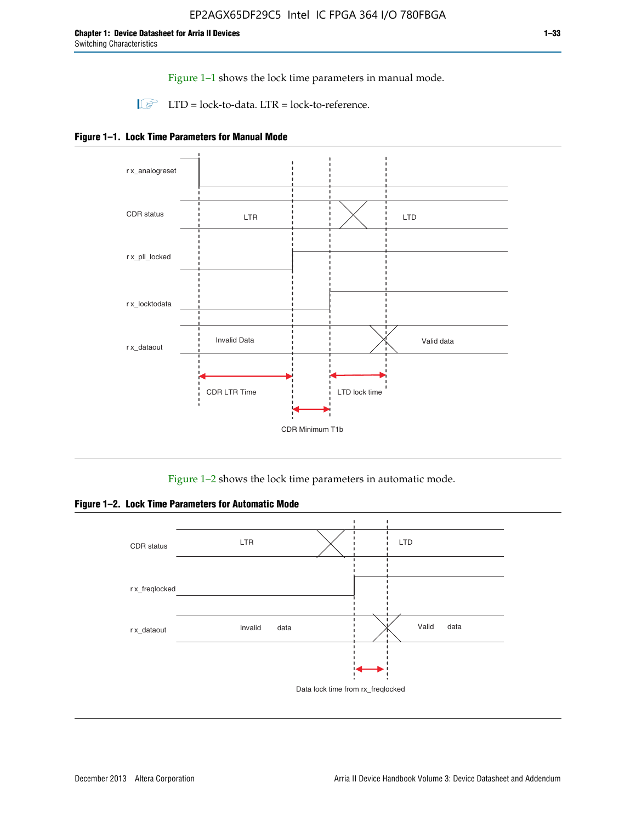Figure 1–1 shows the lock time parameters in manual mode.

 $\Box$  LTD = lock-to-data. LTR = lock-to-reference.





Figure 1–2 shows the lock time parameters in automatic mode.

**Figure 1–2. Lock Time Parameters for Automatic Mode**

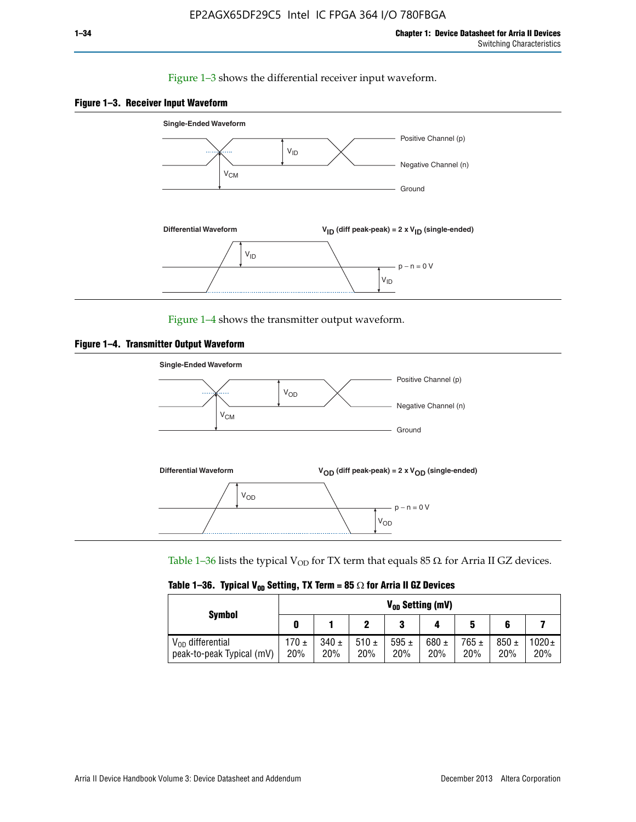### Figure 1–3 shows the differential receiver input waveform.





Figure 1–4 shows the transmitter output waveform.





Table 1–36 lists the typical V<sub>OD</sub> for TX term that equals 85  $\Omega$  for Arria II GZ devices.

|  |  |  | Table 1–36. Typical V <sub>op</sub> Setting, TX Term = 85 $\Omega$ for Arria II GZ Devices |
|--|--|--|--------------------------------------------------------------------------------------------|
|--|--|--|--------------------------------------------------------------------------------------------|

|                                                    | $V_{0D}$ Setting (mV) |                  |             |                  |                  |                  |                  |                   |  |  |
|----------------------------------------------------|-----------------------|------------------|-------------|------------------|------------------|------------------|------------------|-------------------|--|--|
| <b>Symbol</b>                                      |                       |                  |             | 2<br>J           |                  | 5                |                  |                   |  |  |
| $V_{OD}$ differential<br>peak-to-peak Typical (mV) | $170 \pm$<br>20%      | $340 \pm$<br>20% | 510±<br>20% | 595 $\pm$<br>20% | 680 $\pm$<br>20% | $765 \pm$<br>20% | $850 \pm$<br>20% | $1020 \pm$<br>20% |  |  |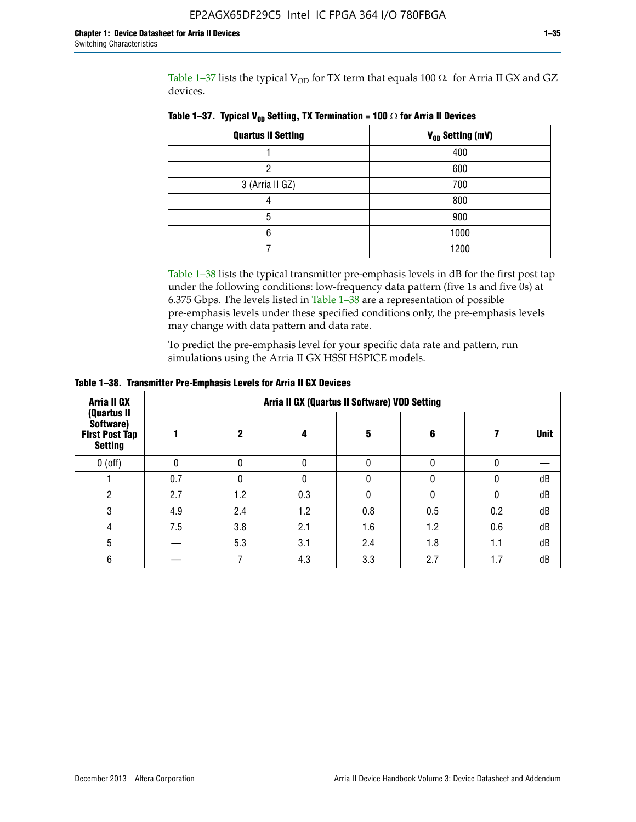Table 1-37 lists the typical  $V_{OD}$  for TX term that equals 100  $\Omega$  for Arria II GX and GZ devices.

| <b>Quartus II Setting</b> | V <sub>OD</sub> Setting (mV) |
|---------------------------|------------------------------|
|                           | 400                          |
| ი                         | 600                          |
| 3 (Arria II GZ)           | 700                          |
|                           | 800                          |
| 5                         | 900                          |
| 6                         | 1000                         |
|                           | 1200                         |

**Table 1–37. Typical V<sub>OD</sub> Setting, TX Termination = 100**  $\Omega$  for Arria II Devices

Table 1–38 lists the typical transmitter pre-emphasis levels in dB for the first post tap under the following conditions: low-frequency data pattern (five 1s and five 0s) at 6.375 Gbps. The levels listed in Table 1–38 are a representation of possible pre-emphasis levels under these specified conditions only, the pre-emphasis levels may change with data pattern and data rate.

To predict the pre-emphasis level for your specific data rate and pattern, run simulations using the Arria II GX HSSI HSPICE models.

| <b>Arria II GX</b>                                                  | Arria II GX (Quartus II Software) VOD Setting |     |     |     |     |     |             |  |  |  |  |
|---------------------------------------------------------------------|-----------------------------------------------|-----|-----|-----|-----|-----|-------------|--|--|--|--|
| (Quartus II<br>Software)<br><b>First Post Tap</b><br><b>Setting</b> |                                               | 2   | 4   | 5   | 6   |     | <b>Unit</b> |  |  |  |  |
| $0$ (off)                                                           | 0                                             |     | U   |     |     |     |             |  |  |  |  |
|                                                                     | 0.7                                           |     | U   |     |     |     | dB          |  |  |  |  |
| ŋ                                                                   | 2.7                                           | 1.2 | 0.3 |     |     |     | dB          |  |  |  |  |
| 3                                                                   | 4.9                                           | 2.4 | 1.2 | 0.8 | 0.5 | 0.2 | dB          |  |  |  |  |
| 4                                                                   | 7.5                                           | 3.8 | 2.1 | 1.6 | 1.2 | 0.6 | dB          |  |  |  |  |
| 5                                                                   |                                               | 5.3 | 3.1 | 2.4 | 1.8 | 1.1 | dB          |  |  |  |  |
| 6                                                                   |                                               |     | 4.3 | 3.3 | 2.7 | 1.7 | dB          |  |  |  |  |

**Table 1–38. Transmitter Pre-Emphasis Levels for Arria II GX Devices**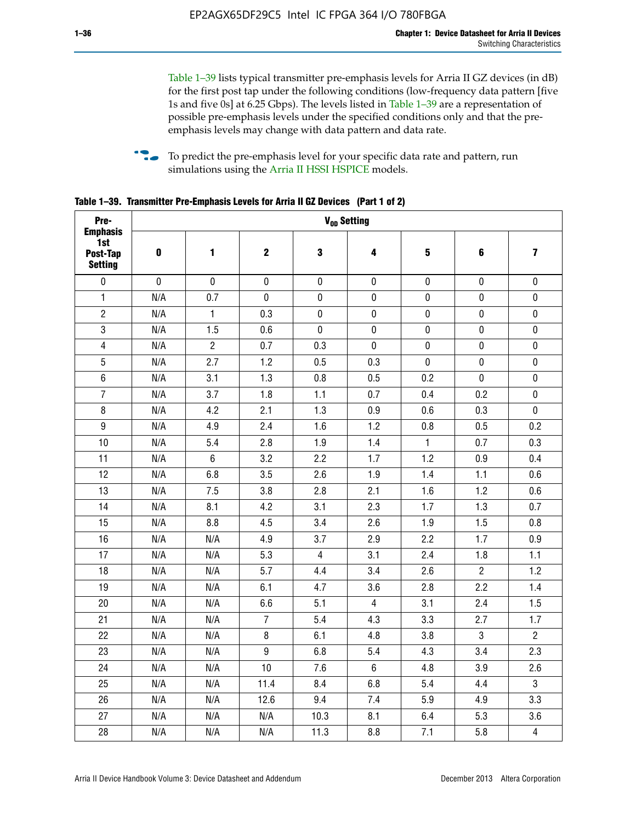Table 1–39 lists typical transmitter pre-emphasis levels for Arria II GZ devices (in dB) for the first post tap under the following conditions (low-frequency data pattern [five 1s and five 0s] at 6.25 Gbps). The levels listed in Table 1–39 are a representation of possible pre-emphasis levels under the specified conditions only and that the preemphasis levels may change with data pattern and data rate.

**follow** To predict the pre-emphasis level for your specific data rate and pattern, run simulations using the [Arria II HSSI HSPICE](http://www.altera.com/support/software/download/hspice/hsp-index.html) models.

| Pre-                                                 |           |                |                  | V <sub>OD</sub> Setting |                |                         |                |                         |
|------------------------------------------------------|-----------|----------------|------------------|-------------------------|----------------|-------------------------|----------------|-------------------------|
| <b>Emphasis</b><br>1st<br>Post-Tap<br><b>Setting</b> | $\pmb{0}$ | 1              | $\mathbf 2$      | $\mathbf 3$             | 4              | $\overline{\mathbf{5}}$ | 6              | $\overline{\mathbf{z}}$ |
| $\pmb{0}$                                            | $\pmb{0}$ | $\pmb{0}$      | $\pmb{0}$        | $\pmb{0}$               | $\pmb{0}$      | $\pmb{0}$               | $\pmb{0}$      | $\pmb{0}$               |
| $\mathbf{1}$                                         | N/A       | 0.7            | $\pmb{0}$        | $\pmb{0}$               | $\pmb{0}$      | $\pmb{0}$               | $\pmb{0}$      | $\pmb{0}$               |
| $\overline{2}$                                       | N/A       | $\mathbf{1}$   | 0.3              | $\pmb{0}$               | $\mathbf 0$    | $\mathbf 0$             | $\mathbf 0$    | $\pmb{0}$               |
| $\mathbf 3$                                          | N/A       | 1.5            | 0.6              | $\mathbf 0$             | $\pmb{0}$      | $\pmb{0}$               | $\pmb{0}$      | $\pmb{0}$               |
| $\overline{\mathbf{4}}$                              | N/A       | $\overline{2}$ | 0.7              | 0.3                     | $\pmb{0}$      | $\pmb{0}$               | $\pmb{0}$      | $\pmb{0}$               |
| $\overline{5}$                                       | N/A       | 2.7            | 1.2              | 0.5                     | 0.3            | $\pmb{0}$               | 0              | $\pmb{0}$               |
| $\,6\,$                                              | N/A       | 3.1            | 1.3              | 0.8                     | 0.5            | 0.2                     | $\mathbf 0$    | $\pmb{0}$               |
| $\overline{7}$                                       | N/A       | 3.7            | 1.8              | 1.1                     | 0.7            | 0.4                     | 0.2            | $\pmb{0}$               |
| $\bf 8$                                              | N/A       | 4.2            | 2.1              | 1.3                     | 0.9            | 0.6                     | 0.3            | $\pmb{0}$               |
| $\boldsymbol{9}$                                     | N/A       | 4.9            | 2.4              | 1.6                     | 1.2            | 0.8                     | 0.5            | 0.2                     |
| 10                                                   | N/A       | 5.4            | 2.8              | 1.9                     | 1.4            | $\mathbf{1}$            | 0.7            | 0.3                     |
| 11                                                   | N/A       | $\,6\,$        | 3.2              | 2.2                     | 1.7            | 1.2                     | 0.9            | 0.4                     |
| 12                                                   | N/A       | 6.8            | 3.5              | 2.6                     | 1.9            | 1.4                     | 1.1            | 0.6                     |
| 13                                                   | N/A       | 7.5            | 3.8              | 2.8                     | 2.1            | 1.6                     | 1.2            | 0.6                     |
| 14                                                   | N/A       | 8.1            | 4.2              | 3.1                     | 2.3            | 1.7                     | 1.3            | 0.7                     |
| 15                                                   | N/A       | 8.8            | 4.5              | 3.4                     | 2.6            | 1.9                     | 1.5            | 0.8                     |
| 16                                                   | N/A       | N/A            | 4.9              | 3.7                     | 2.9            | 2.2                     | 1.7            | 0.9                     |
| 17                                                   | N/A       | N/A            | 5.3              | $\overline{4}$          | 3.1            | 2.4                     | 1.8            | 1.1                     |
| 18                                                   | N/A       | N/A            | 5.7              | 4.4                     | 3.4            | 2.6                     | $\overline{c}$ | 1.2                     |
| 19                                                   | N/A       | N/A            | 6.1              | 4.7                     | 3.6            | 2.8                     | 2.2            | 1.4                     |
| 20                                                   | N/A       | N/A            | 6.6              | 5.1                     | 4              | 3.1                     | 2.4            | 1.5                     |
| 21                                                   | N/A       | N/A            | $\overline{7}$   | 5.4                     | 4.3            | 3.3                     | 2.7            | 1.7                     |
| 22                                                   | N/A       | N/A            | 8                | 6.1                     | 4.8            | 3.8                     | 3              | $\overline{2}$          |
| 23                                                   | N/A       | N/A            | $\boldsymbol{9}$ | 6.8                     | 5.4            | 4.3                     | 3.4            | 2.3                     |
| 24                                                   | N/A       | N/A            | 10               | 7.6                     | $6\phantom{.}$ | 4.8                     | 3.9            | 2.6                     |
| 25                                                   | N/A       | N/A            | 11.4             | 8.4                     | 6.8            | 5.4                     | 4.4            | 3                       |
| 26                                                   | N/A       | N/A            | 12.6             | 9.4                     | 7.4            | 5.9                     | 4.9            | 3.3                     |
| 27                                                   | N/A       | N/A            | N/A              | 10.3                    | 8.1            | 6.4                     | 5.3            | 3.6                     |
| 28                                                   | N/A       | N/A            | N/A              | 11.3                    | 8.8            | 7.1                     | 5.8            | $\overline{4}$          |

**Table 1–39. Transmitter Pre-Emphasis Levels for Arria II GZ Devices (Part 1 of 2)**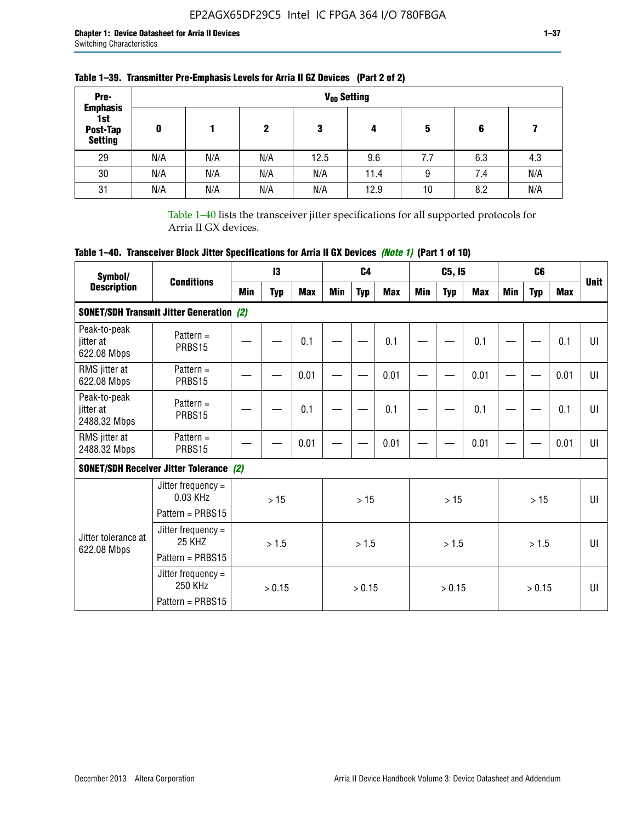| Pre-                                                 |     |     |     |      | V <sub>op</sub> Setting |     |     |     |
|------------------------------------------------------|-----|-----|-----|------|-------------------------|-----|-----|-----|
| <b>Emphasis</b><br>1st<br>Post-Tap<br><b>Setting</b> | 0   |     | 2   | 3    | 4                       | 5   | 6   |     |
| 29                                                   | N/A | N/A | N/A | 12.5 | 9.6                     | 7.7 | 6.3 | 4.3 |
| 30                                                   | N/A | N/A | N/A | N/A  | 11.4                    | 9   | 7.4 | N/A |
| 31                                                   | N/A | N/A | N/A | N/A  | 12.9                    | 10  | 8.2 | N/A |

## **Table 1–39. Transmitter Pre-Emphasis Levels for Arria II GZ Devices (Part 2 of 2)**

Table 1–40 lists the transceiver jitter specifications for all supported protocols for Arria II GX devices.

# **Table 1–40. Transceiver Block Jitter Specifications for Arria II GX Devices** *(Note 1)* **(Part 1 of 10)**

| Symbol/                                   |                                                                |     | 13         |            |     | C <sub>4</sub> |            |     | C5, I5     |            |     | C <sub>6</sub> |            |              |
|-------------------------------------------|----------------------------------------------------------------|-----|------------|------------|-----|----------------|------------|-----|------------|------------|-----|----------------|------------|--------------|
| <b>Description</b>                        | <b>Conditions</b>                                              | Min | <b>Typ</b> | <b>Max</b> | Min | <b>Typ</b>     | <b>Max</b> | Min | <b>Typ</b> | <b>Max</b> | Min | <b>Typ</b>     | <b>Max</b> | <b>Unit</b>  |
|                                           | <b>SONET/SDH Transmit Jitter Generation (2)</b>                |     |            |            |     |                |            |     |            |            |     |                |            |              |
| Peak-to-peak<br>jitter at<br>622.08 Mbps  | Pattern $=$<br>PRBS15                                          |     |            | 0.1        |     |                | 0.1        |     |            | 0.1        |     |                | 0.1        | UI           |
| RMS jitter at<br>622.08 Mbps              | Pattern $=$<br>PRBS15                                          |     |            | 0.01       |     |                | 0.01       |     |            | 0.01       |     |                | 0.01       | UI           |
| Peak-to-peak<br>jitter at<br>2488.32 Mbps | Pattern $=$<br>PRBS15                                          |     |            | 0.1        |     |                | 0.1        |     |            | 0.1        |     |                | 0.1        | UI           |
| RMS jitter at<br>2488.32 Mbps             | Pattern $=$<br>PRBS15                                          |     | 0.01       |            |     |                | 0.01       |     |            | 0.01       |     |                | 0.01       | UI           |
|                                           | <b>SONET/SDH Receiver Jitter Tolerance (2)</b>                 |     |            |            |     |                |            |     |            |            |     |                |            |              |
|                                           | Jitter frequency $=$<br>$0.03$ KHz<br>Pattern = PRBS15         |     | >15        |            |     | >15            |            |     | >15        |            |     | >15            |            | $\mathbf{U}$ |
| Jitter tolerance at<br>622.08 Mbps        | Jitter frequency $=$<br>25 KH <sub>7</sub><br>Pattern = PRBS15 |     | > 1.5      |            |     | > 1.5          |            |     | > 1.5      |            |     | > 1.5          |            | $\mathbf{U}$ |
|                                           | Jitter frequency $=$<br>250 KHz<br>Pattern = PRBS15            |     | > 0.15     |            |     | > 0.15         |            |     | > 0.15     |            |     | > 0.15         |            | $\mathbf{U}$ |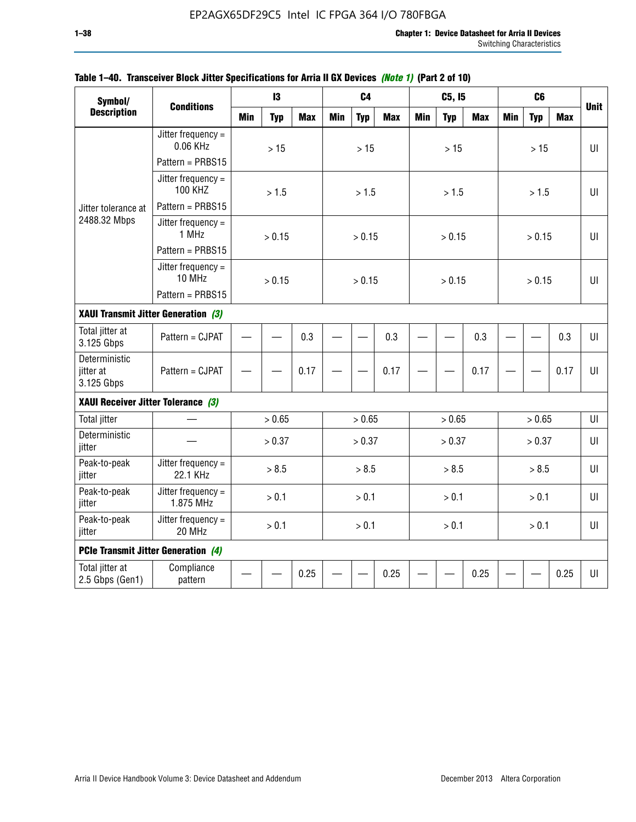| Symbol/<br><b>Description</b>            |                                            |            | $\mathbf{13}$ |            |            | C <sub>4</sub> |            |            | C5, I5     |            |            | C <sub>6</sub> |            |             |
|------------------------------------------|--------------------------------------------|------------|---------------|------------|------------|----------------|------------|------------|------------|------------|------------|----------------|------------|-------------|
|                                          | <b>Conditions</b>                          | <b>Min</b> | <b>Typ</b>    | <b>Max</b> | <b>Min</b> | <b>Typ</b>     | <b>Max</b> | <b>Min</b> | <b>Typ</b> | <b>Max</b> | <b>Min</b> | <b>Typ</b>     | <b>Max</b> | <b>Unit</b> |
|                                          | Jitter frequency $=$<br>0.06 KHz           |            | $>15$         |            |            | $>15$          |            |            | $>15$      |            |            | >15            |            | UI          |
|                                          | Pattern = PRBS15                           |            |               |            |            |                |            |            |            |            |            |                |            |             |
|                                          | Jitter frequency $=$<br><b>100 KHZ</b>     |            | > 1.5         |            |            | > 1.5          |            |            | > 1.5      |            |            | > 1.5          |            | UI          |
| Jitter tolerance at                      | Pattern = PRBS15                           |            |               |            |            |                |            |            |            |            |            |                |            |             |
| 2488.32 Mbps                             | Jitter frequency $=$<br>1 MHz              |            | > 0.15        |            |            | > 0.15         |            |            | > 0.15     |            |            | > 0.15         |            | UI          |
|                                          | Pattern = PRBS15                           |            |               |            |            |                |            |            |            |            |            |                |            |             |
|                                          | Jitter frequency $=$<br>10 MHz             |            | > 0.15        |            |            | > 0.15         |            |            | > 0.15     |            |            | > 0.15         |            | UI          |
|                                          | Pattern = PRBS15                           |            |               |            |            |                |            |            |            |            |            |                |            |             |
| XAUI Transmit Jitter Generation (3)      |                                            |            |               |            |            |                |            |            |            |            |            |                |            |             |
| Total jitter at<br>3.125 Gbps            | Pattern = CJPAT                            | 0.3        |               |            |            |                | 0.3        |            |            | 0.3        |            |                | 0.3        | $U\Gamma$   |
| Deterministic<br>jitter at<br>3.125 Gbps | Pattern = CJPAT                            | 0.17       |               |            |            |                | 0.17       |            |            | 0.17       |            |                | 0.17       | UI          |
| XAUI Receiver Jitter Tolerance (3)       |                                            |            |               |            |            |                |            |            |            |            |            |                |            |             |
| <b>Total jitter</b>                      |                                            |            | > 0.65        |            |            | > 0.65         |            |            | > 0.65     |            |            | > 0.65         |            | UI          |
| Deterministic<br>jitter                  |                                            |            | > 0.37        |            |            | > 0.37         |            |            | > 0.37     |            |            | > 0.37         |            | UI          |
| Peak-to-peak<br>jitter                   | Jitter frequency $=$<br>22.1 KHz           |            | > 8.5         |            |            | > 8.5          |            |            | > 8.5      |            |            | > 8.5          |            | UI          |
| Peak-to-peak<br>jitter                   | Jitter frequency $=$<br>1.875 MHz          |            | > 0.1         |            |            | > 0.1          |            |            | > 0.1      |            |            | > 0.1          |            | UI          |
| Peak-to-peak<br>jitter                   | Jitter frequency $=$<br>20 MHz             |            | > 0.1         |            |            | > 0.1          |            |            | > 0.1      |            |            | > 0.1          |            | $U\Gamma$   |
|                                          | <b>PCIe Transmit Jitter Generation (4)</b> |            |               |            |            |                |            |            |            |            |            |                |            |             |
| Total jitter at<br>2.5 Gbps (Gen1)       | Compliance<br>pattern                      |            |               | 0.25       |            |                | 0.25       |            |            | 0.25       |            |                | 0.25       | $U\Gamma$   |

#### **Table 1–40. Transceiver Block Jitter Specifications for Arria II GX Devices** *(Note 1)* **(Part 2 of 10)**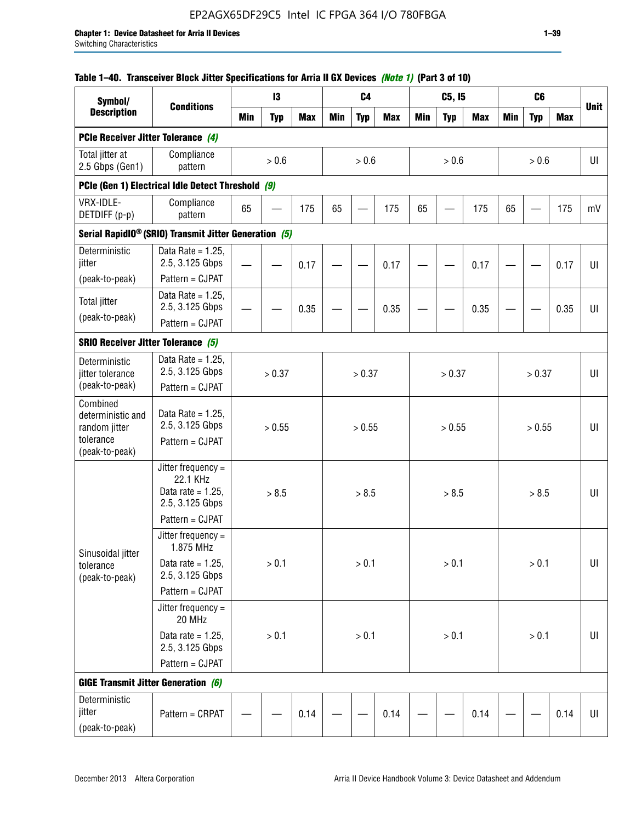#### **Table 1–40. Transceiver Block Jitter Specifications for Arria II GX Devices** *(Note 1)* **(Part 3 of 10)**

| Symbol/                                             |                                                                           |            | 13         |            |            | C <sub>4</sub> |            |            | C5, I5     |            |            | C <sub>6</sub> |            |             |
|-----------------------------------------------------|---------------------------------------------------------------------------|------------|------------|------------|------------|----------------|------------|------------|------------|------------|------------|----------------|------------|-------------|
| <b>Description</b>                                  | <b>Conditions</b>                                                         | <b>Min</b> | <b>Typ</b> | <b>Max</b> | <b>Min</b> | <b>Typ</b>     | <b>Max</b> | <b>Min</b> | <b>Typ</b> | <b>Max</b> | <b>Min</b> | <b>Typ</b>     | <b>Max</b> | <b>Unit</b> |
| PCIe Receiver Jitter Tolerance (4)                  |                                                                           |            |            |            |            |                |            |            |            |            |            |                |            |             |
| Total jitter at<br>2.5 Gbps (Gen1)                  | Compliance<br>pattern                                                     |            | $> 0.6$    |            |            | > 0.6          |            |            | > 0.6      |            |            | > 0.6          |            | UI          |
|                                                     | PCIe (Gen 1) Electrical Idle Detect Threshold (9)                         |            |            |            |            |                |            |            |            |            |            |                |            |             |
| VRX-IDLE-<br>DETDIFF (p-p)                          | Compliance<br>pattern                                                     | 65         |            | 175        | 65         |                | 175        | 65         |            | 175        | 65         |                | 175        | mV          |
|                                                     | Serial RapidIO <sup>®</sup> (SRIO) Transmit Jitter Generation (5)         |            |            |            |            |                |            |            |            |            |            |                |            |             |
| Deterministic<br>jitter                             | Data Rate = $1.25$ ,<br>2.5, 3.125 Gbps<br>Pattern = CJPAT                |            |            | 0.17       |            |                | 0.17       |            |            | 0.17       |            |                | 0.17       | UI          |
| (peak-to-peak)                                      | Data Rate = $1.25$ ,                                                      |            |            |            |            |                |            |            |            |            |            |                |            |             |
| <b>Total jitter</b>                                 | 2.5, 3.125 Gbps                                                           |            |            | 0.35       |            |                | 0.35       |            |            | 0.35       |            |                | 0.35       | UI          |
| (peak-to-peak)                                      | Pattern = CJPAT                                                           |            |            |            |            |                |            |            |            |            |            |                |            |             |
| <b>SRIO Receiver Jitter Tolerance (5)</b>           |                                                                           |            |            |            |            |                |            |            |            |            |            |                |            |             |
| Deterministic<br>jitter tolerance<br>(peak-to-peak) | Data Rate = $1.25$ ,<br>2.5, 3.125 Gbps<br>Pattern = CJPAT                |            | > 0.37     |            |            | > 0.37         |            |            | > 0.37     |            |            | > 0.37         |            | UI          |
| Combined<br>deterministic and<br>random jitter      | Data Rate = $1.25$ ,<br>2.5, 3.125 Gbps                                   |            | > 0.55     |            |            | > 0.55         |            |            | > 0.55     |            |            | > 0.55         |            | U           |
| tolerance<br>(peak-to-peak)                         | Pattern = CJPAT                                                           |            |            |            |            |                |            |            |            |            |            |                |            |             |
|                                                     | Jitter frequency =<br>22.1 KHz<br>Data rate = $1.25$ .<br>2.5, 3.125 Gbps |            | > 8.5      |            |            | > 8.5          |            |            | > 8.5      |            |            | > 8.5          |            | UI          |
|                                                     | Pattern = CJPAT                                                           |            |            |            |            |                |            |            |            |            |            |                |            |             |
| Sinusoidal jitter                                   | Jitter frequency $=$<br>1.875 MHz                                         |            |            |            |            |                |            |            |            |            |            |                |            |             |
| tolerance<br>(peak-to-peak)                         | Data rate = $1.25$ ,<br>2.5, 3.125 Gbps                                   |            | > 0.1      |            |            | > 0.1          |            |            | > 0.1      |            |            | $> 0.1$        |            | UI          |
|                                                     | Pattern = CJPAT                                                           |            |            |            |            |                |            |            |            |            |            |                |            |             |
|                                                     | Jitter frequency =<br>20 MHz                                              |            |            |            |            |                |            |            |            |            |            |                |            |             |
|                                                     | Data rate = $1.25$ ,<br>2.5, 3.125 Gbps                                   |            | $> 0.1$    |            |            | $> 0.1$        |            |            | > 0.1      |            |            | $> 0.1$        |            | UI          |
|                                                     | Pattern = CJPAT                                                           |            |            |            |            |                |            |            |            |            |            |                |            |             |
| <b>GIGE Transmit Jitter Generation (6)</b>          |                                                                           |            |            |            |            |                |            |            |            |            |            |                |            |             |
| Deterministic<br>jitter<br>(peak-to-peak)           | Pattern = CRPAT                                                           |            |            | 0.14       |            |                | 0.14       |            |            | 0.14       |            |                | 0.14       | UI          |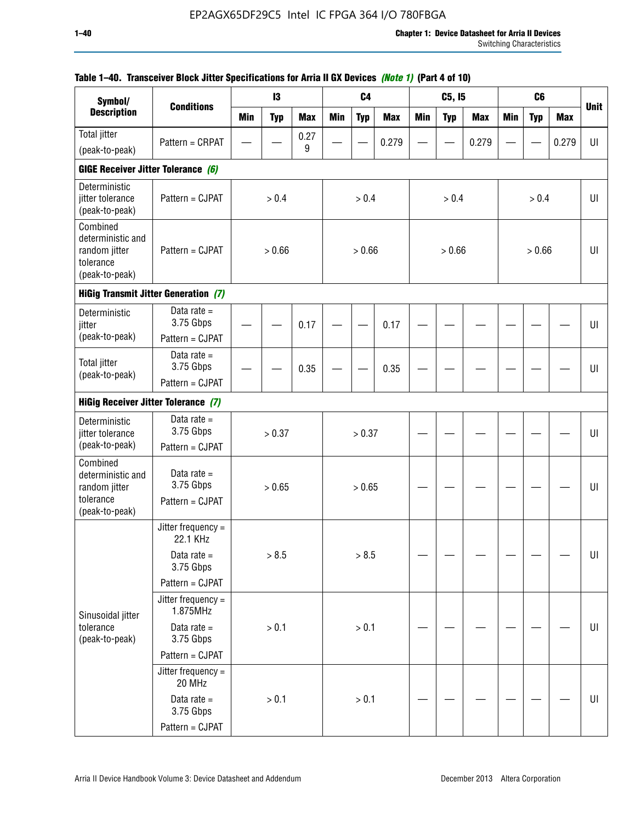| Symbol/                                                                       |                                               |            | 13         |            |            | C <sub>4</sub> |            |            | C5, I5     |            |            | C <sub>6</sub> |            |             |
|-------------------------------------------------------------------------------|-----------------------------------------------|------------|------------|------------|------------|----------------|------------|------------|------------|------------|------------|----------------|------------|-------------|
| <b>Description</b>                                                            | <b>Conditions</b>                             | <b>Min</b> | <b>Typ</b> | <b>Max</b> | <b>Min</b> | <b>Typ</b>     | <b>Max</b> | <b>Min</b> | <b>Typ</b> | <b>Max</b> | <b>Min</b> | <b>Typ</b>     | <b>Max</b> | <b>Unit</b> |
| <b>Total jitter</b>                                                           | Pattern = CRPAT                               |            |            | 0.27       |            |                | 0.279      |            |            | 0.279      |            |                | 0.279      | UI          |
| (peak-to-peak)                                                                |                                               |            |            | 9          |            |                |            |            |            |            |            |                |            |             |
| GIGE Receiver Jitter Tolerance (6)                                            |                                               |            |            |            |            |                |            |            |            |            |            |                |            |             |
| Deterministic<br>jitter tolerance<br>(peak-to-peak)                           | Pattern = CJPAT                               |            | > 0.4      |            |            | > 0.4          |            |            | > 0.4      |            |            | > 0.4          |            | UI          |
| Combined<br>deterministic and<br>random jitter<br>tolerance<br>(peak-to-peak) | Pattern = CJPAT                               |            | > 0.66     |            |            | > 0.66         |            |            | > 0.66     |            |            | > 0.66         |            | UI          |
|                                                                               | <b>HiGig Transmit Jitter Generation (7)</b>   |            |            |            |            |                |            |            |            |            |            |                |            |             |
| Deterministic<br>jitter                                                       | Data rate $=$<br>3.75 Gbps                    |            |            | 0.17       |            |                | 0.17       |            |            |            |            |                |            | UI          |
| (peak-to-peak)                                                                | Pattern = CJPAT                               |            |            |            |            |                |            |            |            |            |            |                |            |             |
| <b>Total jitter</b><br>(peak-to-peak)                                         | Data rate $=$<br>3.75 Gbps                    |            |            | 0.35       |            |                | 0.35       |            |            |            |            |                |            | UI          |
| Pattern = CJPAT<br><b>HiGig Receiver Jitter Tolerance (7)</b>                 |                                               |            |            |            |            |                |            |            |            |            |            |                |            |             |
|                                                                               |                                               |            |            |            |            |                |            |            |            |            |            |                |            |             |
| Deterministic<br>jitter tolerance                                             | Data rate $=$<br>3.75 Gbps                    |            | > 0.37     |            | > 0.37     |                |            |            |            |            |            |                | UI         |             |
| (peak-to-peak)                                                                | Pattern = CJPAT                               |            |            |            |            |                |            |            |            |            |            |                |            |             |
| Combined<br>deterministic and<br>random jitter<br>tolerance<br>(peak-to-peak) | Data rate $=$<br>3.75 Gbps<br>Pattern = CJPAT |            | > 0.65     |            |            | > 0.65         |            |            |            |            |            |                |            | UI          |
|                                                                               | Jitter frequency =<br>22.1 KHz                |            |            |            |            |                |            |            |            |            |            |                |            |             |
|                                                                               | Data rate $=$<br>3.75 Gbps                    |            | > 8.5      |            |            | > 8.5          |            |            |            |            |            |                |            | $U\vert$    |
|                                                                               | Pattern = CJPAT                               |            |            |            |            |                |            |            |            |            |            |                |            |             |
| Sinusoidal jitter                                                             | Jitter frequency $=$<br>1.875MHz              |            |            |            |            |                |            |            |            |            |            |                |            |             |
| tolerance<br>(peak-to-peak)                                                   | Data rate $=$<br>3.75 Gbps                    |            | > 0.1      |            |            | > 0.1          |            |            |            |            |            |                |            | UI          |
|                                                                               | Pattern = CJPAT                               |            |            |            |            |                |            |            |            |            |            |                |            |             |
|                                                                               | Jitter frequency =<br>20 MHz                  |            |            |            |            |                |            |            |            |            |            |                |            |             |
|                                                                               | Data rate $=$<br>3.75 Gbps                    |            | > 0.1      |            |            | > 0.1          |            |            |            |            |            |                |            | UI          |
|                                                                               | Pattern = CJPAT                               |            |            |            |            |                |            |            |            |            |            |                |            |             |

## **Table 1–40. Transceiver Block Jitter Specifications for Arria II GX Devices** *(Note 1)* **(Part 4 of 10)**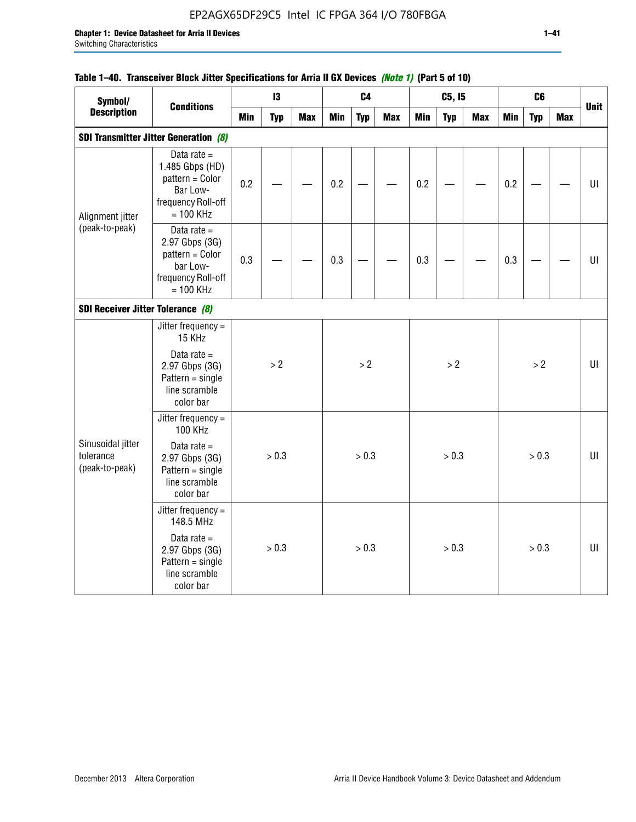## EP2AGX65DF29C5 Intel IC FPGA 364 I/O 780FBGA

## **Table 1–40. Transceiver Block Jitter Specifications for Arria II GX Devices** *(Note 1)* **(Part 5 of 10)**

| Symbol/                                          |                                                                                                      |            | 13         |            |            | C <sub>4</sub> |            |            | C5, I5     |     |            | C6         |     |             |
|--------------------------------------------------|------------------------------------------------------------------------------------------------------|------------|------------|------------|------------|----------------|------------|------------|------------|-----|------------|------------|-----|-------------|
| <b>Description</b>                               | <b>Conditions</b>                                                                                    | <b>Min</b> | <b>Typ</b> | <b>Max</b> | <b>Min</b> | <b>Typ</b>     | <b>Max</b> | <b>Min</b> | <b>Typ</b> | Max | <b>Min</b> | <b>Typ</b> | Max | <b>Unit</b> |
|                                                  | <b>SDI Transmitter Jitter Generation (8)</b>                                                         |            |            |            |            |                |            |            |            |     |            |            |     |             |
| Alignment jitter                                 | Data rate $=$<br>1.485 Gbps (HD)<br>pattern = Color<br>Bar Low-<br>frequency Roll-off<br>$= 100$ KHz | 0.2        |            |            | 0.2        |                |            | 0.2        |            |     | 0.2        |            |     | UI          |
| (peak-to-peak)                                   | Data rate $=$<br>2.97 Gbps (3G)<br>pattern = Color<br>bar Low-<br>frequency Roll-off<br>$= 100$ KHz  | 0.3        |            |            | 0.3        |                |            | 0.3        |            |     | 0.3        |            |     | UI          |
| SDI Receiver Jitter Tolerance (8)                |                                                                                                      |            |            |            |            |                |            |            |            |     |            |            |     |             |
|                                                  | Jitter frequency $=$<br>15 KHz                                                                       |            |            |            |            |                |            |            |            |     |            |            |     |             |
|                                                  | Data rate $=$<br>2.97 Gbps (3G)<br>$Pattern = single$<br>line scramble<br>color bar                  |            | > 2        |            |            | > 2            |            |            | >2         |     |            | >2         |     | UI          |
|                                                  | Jitter frequency =<br><b>100 KHz</b>                                                                 |            |            |            |            |                |            |            |            |     |            |            |     |             |
| Sinusoidal jitter<br>tolerance<br>(peak-to-peak) | Data rate $=$<br>2.97 Gbps (3G)<br>$Pattern = single$<br>line scramble<br>color bar                  |            | > 0.3      |            |            | > 0.3          |            |            | > 0.3      |     |            | > 0.3      |     | UI          |
|                                                  | Jitter frequency $=$<br>148.5 MHz                                                                    |            |            |            |            |                |            |            |            |     |            |            |     |             |
|                                                  | Data rate $=$<br>2.97 Gbps (3G)<br>$Pattern = single$<br>line scramble<br>color bar                  |            | > 0.3      |            |            | > 0.3          |            |            | > 0.3      |     |            | > 0.3      |     | UI          |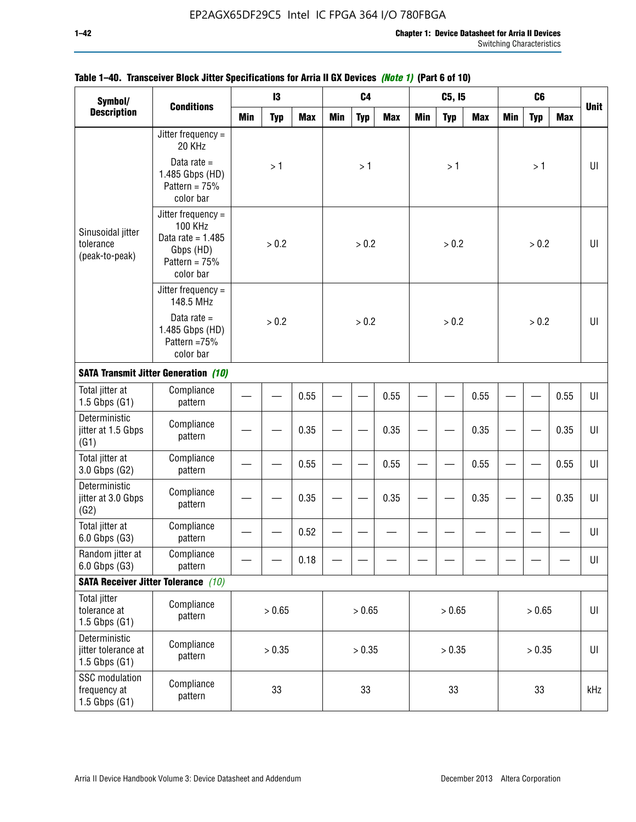| Symbol/<br><b>Conditions</b>                              |                                                                                                            |            | 13         |            |            | C <sub>4</sub> |            |            | C5, I5     |            |            | C <sub>6</sub> |            |             |
|-----------------------------------------------------------|------------------------------------------------------------------------------------------------------------|------------|------------|------------|------------|----------------|------------|------------|------------|------------|------------|----------------|------------|-------------|
| <b>Description</b>                                        |                                                                                                            | <b>Min</b> | <b>Typ</b> | <b>Max</b> | <b>Min</b> | <b>Typ</b>     | <b>Max</b> | <b>Min</b> | <b>Typ</b> | <b>Max</b> | <b>Min</b> | <b>Typ</b>     | <b>Max</b> | <b>Unit</b> |
|                                                           | Jitter frequency =<br>20 KHz                                                                               |            |            |            |            |                |            |            |            |            |            |                |            |             |
|                                                           | Data rate $=$<br>1.485 Gbps (HD)<br>Pattern = $75%$<br>color bar                                           |            | >1         |            |            | >1             |            |            | >1         |            |            | >1             |            | UI          |
| Sinusoidal jitter<br>tolerance<br>(peak-to-peak)          | Jitter frequency $=$<br><b>100 KHz</b><br>Data rate = $1.485$<br>Gbps (HD)<br>Pattern = $75%$<br>color bar |            | > 0.2      |            |            | > 0.2          |            |            | > 0.2      |            |            | > 0.2          |            | UI          |
|                                                           | Jitter frequency $=$<br>148.5 MHz                                                                          |            |            |            |            |                |            |            |            |            |            |                |            |             |
|                                                           | Data rate $=$<br>1.485 Gbps (HD)<br>Pattern =75%<br>color bar                                              |            | > 0.2      |            |            | > 0.2          |            |            | > 0.2      |            |            | > 0.2          |            | U           |
|                                                           | <b>SATA Transmit Jitter Generation (10)</b>                                                                |            |            |            |            |                |            |            |            |            |            |                |            |             |
| Total jitter at<br>$1.5$ Gbps $(G1)$                      | Compliance<br>pattern                                                                                      |            | 0.55       |            |            |                | 0.55       |            |            | 0.55       |            |                | 0.55       | UI          |
| Deterministic<br>jitter at 1.5 Gbps<br>(G1)               | Compliance<br>pattern                                                                                      | 0.35       |            |            |            |                | 0.35       |            |            | 0.35       |            |                | 0.35       | UI          |
| Total jitter at<br>3.0 Gbps (G2)                          | Compliance<br>pattern                                                                                      |            |            | 0.55       |            |                | 0.55       |            |            | 0.55       |            |                | 0.55       | UI          |
| Deterministic<br>jitter at 3.0 Gbps<br>(G2)               | Compliance<br>pattern                                                                                      |            |            | 0.35       |            |                | 0.35       |            |            | 0.35       |            |                | 0.35       | UI          |
| Total jitter at<br>6.0 Gbps (G3)                          | Compliance<br>pattern                                                                                      |            |            | 0.52       |            |                |            |            |            |            |            |                |            | UI          |
| Random jitter at<br>6.0 Gbps (G3)                         | Compliance<br>pattern                                                                                      |            |            | 0.18       |            |                |            |            |            |            |            |                |            | UI          |
|                                                           | <b>SATA Receiver Jitter Tolerance</b> (10)                                                                 |            |            |            |            |                |            |            |            |            |            |                |            |             |
| <b>Total jitter</b><br>tolerance at<br>$1.5$ Gbps $(G1)$  | Compliance<br>pattern                                                                                      |            | > 0.65     |            |            | > 0.65         |            |            | > 0.65     |            |            | > 0.65         |            | $U\vert$    |
| Deterministic<br>jitter tolerance at<br>$1.5$ Gbps $(G1)$ | Compliance<br>pattern                                                                                      | > 0.35     |            |            |            | > 0.35         |            |            | > 0.35     |            |            | > 0.35         |            | UI          |
| SSC modulation<br>frequency at<br>$1.5$ Gbps $(G1)$       | Compliance<br>pattern                                                                                      |            | 33         |            |            | 33             |            |            | 33         |            |            | 33             |            | kHz         |

## **Table 1–40. Transceiver Block Jitter Specifications for Arria II GX Devices** *(Note 1)* **(Part 6 of 10)**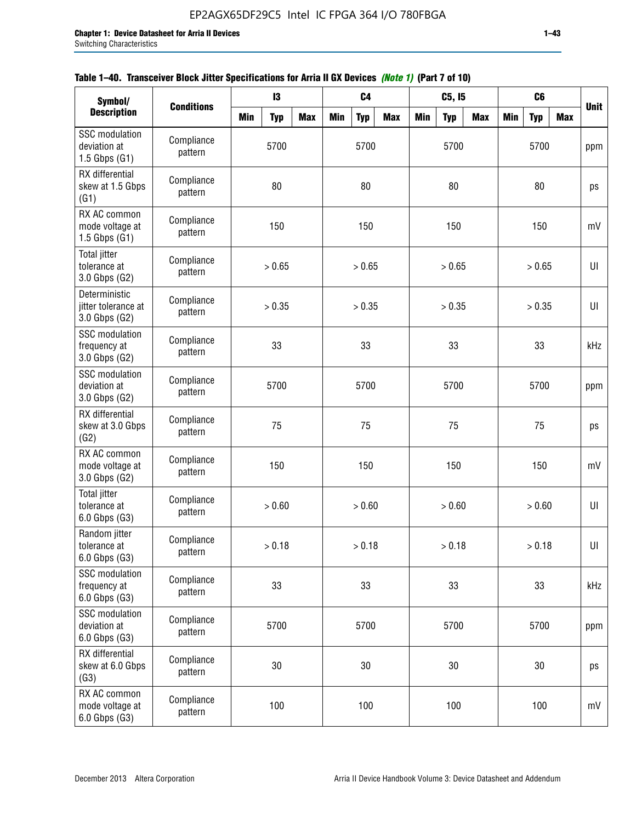| Symbol/                                                    |                       |            | $\mathbf{I}3$ |            |            | C <sub>4</sub> |            |            | C5, I5     |            |            | C <sub>6</sub> |            |             |
|------------------------------------------------------------|-----------------------|------------|---------------|------------|------------|----------------|------------|------------|------------|------------|------------|----------------|------------|-------------|
| <b>Description</b>                                         | <b>Conditions</b>     | <b>Min</b> | <b>Typ</b>    | <b>Max</b> | <b>Min</b> | <b>Typ</b>     | <b>Max</b> | <b>Min</b> | <b>Typ</b> | <b>Max</b> | <b>Min</b> | <b>Typ</b>     | <b>Max</b> | <b>Unit</b> |
| <b>SSC</b> modulation<br>deviation at<br>$1.5$ Gbps $(G1)$ | Compliance<br>pattern |            | 5700          |            |            | 5700           |            |            | 5700       |            |            | 5700           |            | ppm         |
| RX differential<br>skew at 1.5 Gbps<br>(G1)                | Compliance<br>pattern |            | 80            |            |            | 80             |            |            | 80         |            |            | 80             |            | ps          |
| RX AC common<br>mode voltage at<br>$1.5$ Gbps $(G1)$       | Compliance<br>pattern |            | 150           |            |            | 150            |            |            | 150        |            |            | 150            |            | mV          |
| Total jitter<br>tolerance at<br>3.0 Gbps (G2)              | Compliance<br>pattern |            | > 0.65        |            |            | > 0.65         |            |            | > 0.65     |            |            | > 0.65         |            | U           |
| Deterministic<br>jitter tolerance at<br>3.0 Gbps (G2)      | Compliance<br>pattern |            | > 0.35        |            |            | > 0.35         |            |            | > 0.35     |            |            | > 0.35         |            | U           |
| <b>SSC</b> modulation<br>frequency at<br>3.0 Gbps (G2)     | Compliance<br>pattern |            | 33            |            |            | 33             |            |            | 33         |            |            | 33             |            | kHz         |
| <b>SSC</b> modulation<br>deviation at<br>3.0 Gbps (G2)     | Compliance<br>pattern | 5700       |               |            |            | 5700           |            |            | 5700       |            |            | 5700           |            | ppm         |
| RX differential<br>skew at 3.0 Gbps<br>(G2)                | Compliance<br>pattern |            | 75            |            |            | 75             |            |            | 75         |            |            | 75             |            | ps          |
| RX AC common<br>mode voltage at<br>3.0 Gbps (G2)           | Compliance<br>pattern |            | 150           |            |            | 150            |            |            | 150        |            |            | 150            |            | mV          |
| Total jitter<br>tolerance at<br>6.0 Gbps (G3)              | Compliance<br>pattern |            | > 0.60        |            |            | > 0.60         |            |            | > 0.60     |            |            | > 0.60         |            | UI          |
| Random jitter<br>tolerance at<br>6.0 Gbps (G3)             | Compliance<br>pattern |            | > 0.18        |            |            | > 0.18         |            |            | > 0.18     |            |            | > 0.18         |            | UI          |
| <b>SSC</b> modulation<br>frequency at<br>6.0 Gbps (G3)     | Compliance<br>pattern |            | 33            |            |            | 33             |            |            | 33         |            |            | 33             |            | kHz         |
| SSC modulation<br>deviation at<br>6.0 Gbps (G3)            | Compliance<br>pattern | 5700       |               |            |            | 5700           |            |            | 5700       |            |            | 5700           |            | ppm         |
| RX differential<br>skew at 6.0 Gbps<br>(G3)                | Compliance<br>pattern | 30         |               |            |            | 30             |            |            | 30         |            |            | $30\,$         |            | ps          |
| RX AC common<br>mode voltage at<br>6.0 Gbps (G3)           | Compliance<br>pattern |            | 100           |            |            | 100            |            |            | 100        |            |            | 100            |            | mV          |

| Table 1–40. Transceiver Block Jitter Specifications for Arria II GX Devices (Note 1) (Part 7 of 10) |
|-----------------------------------------------------------------------------------------------------|
|-----------------------------------------------------------------------------------------------------|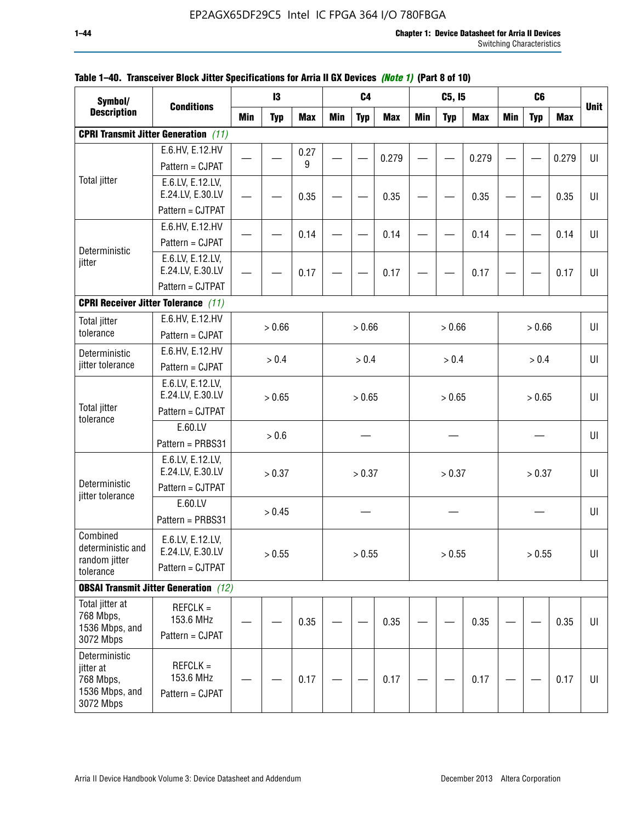| Symbol/                                                                |                                                          |     | 13         |            |     | C4         |            |            | C5, I5     |            |            | C <sub>6</sub> |            |             |
|------------------------------------------------------------------------|----------------------------------------------------------|-----|------------|------------|-----|------------|------------|------------|------------|------------|------------|----------------|------------|-------------|
| <b>Description</b>                                                     | <b>Conditions</b>                                        | Min | <b>Typ</b> | <b>Max</b> | Min | <b>Typ</b> | <b>Max</b> | <b>Min</b> | <b>Typ</b> | <b>Max</b> | <b>Min</b> | <b>Typ</b>     | <b>Max</b> | <b>Unit</b> |
|                                                                        | <b>CPRI Transmit Jitter Generation</b> (11)              |     |            |            |     |            |            |            |            |            |            |                |            |             |
|                                                                        | E.6.HV, E.12.HV                                          |     |            | 0.27       |     |            | 0.279      |            |            | 0.279      |            |                | 0.279      | UI          |
|                                                                        | Pattern = CJPAT                                          |     |            | 9          |     |            |            |            |            |            |            |                |            |             |
| <b>Total jitter</b>                                                    | E.6.LV, E.12.LV,<br>E.24.LV, E.30.LV                     |     |            | 0.35       |     |            | 0.35       |            |            | 0.35       |            |                | 0.35       | UI          |
|                                                                        | Pattern = CJTPAT                                         |     |            |            |     |            |            |            |            |            |            |                |            |             |
| Deterministic                                                          | E.6.HV, E.12.HV<br>Pattern = CJPAT                       |     |            | 0.14       |     |            | 0.14       |            |            | 0.14       |            |                | 0.14       | U           |
| jitter                                                                 | E.6.LV, E.12.LV,<br>E.24.LV, E.30.LV                     |     |            | 0.17       |     |            | 0.17       |            |            | 0.17       |            |                | 0.17       | UI          |
|                                                                        | Pattern = CJTPAT                                         |     |            |            |     |            |            |            |            |            |            |                |            |             |
|                                                                        | <b>CPRI Receiver Jitter Tolerance (11)</b>               |     |            |            |     |            |            |            |            |            |            |                |            |             |
| <b>Total jitter</b><br>tolerance                                       | E.6.HV, E.12.HV<br>Pattern = CJPAT                       |     | > 0.66     |            |     | > 0.66     |            |            | > 0.66     |            |            | > 0.66         |            | UI          |
| Deterministic                                                          | E.6.HV, E.12.HV                                          |     | > 0.4      |            |     | > 0.4      |            |            | > 0.4      |            |            | > 0.4          |            | UI          |
| jitter tolerance                                                       | Pattern = CJPAT                                          |     |            |            |     |            |            |            |            |            |            |                |            |             |
| <b>Total jitter</b>                                                    | E.6.LV, E.12.LV,<br>E.24.LV, E.30.LV                     |     | > 0.65     |            |     | > 0.65     |            |            | > 0.65     |            |            | > 0.65         |            | UI          |
| tolerance                                                              | Pattern = CJTPAT                                         |     |            |            |     |            |            |            |            |            |            |                |            |             |
|                                                                        | E.60.LV<br>Pattern = PRBS31                              |     | > 0.6      |            |     |            |            |            |            |            |            |                |            | UI          |
| Deterministic                                                          | E.6.LV, E.12.LV,<br>E.24.LV, E.30.LV                     |     | > 0.37     |            |     | > 0.37     |            |            | > 0.37     |            |            | > 0.37         |            | UI          |
| jitter tolerance                                                       | Pattern = CJTPAT                                         |     |            |            |     |            |            |            |            |            |            |                |            |             |
|                                                                        | E.60.LV<br>Pattern = PRBS31                              |     | > 0.45     |            |     |            |            |            |            |            |            |                |            | UI          |
| Combined<br>deterministic and<br>random jitter<br>tolerance            | E.6.LV, E.12.LV,<br>E.24.LV, E.30.LV<br>Pattern = CJTPAT |     | > 0.55     |            |     | > 0.55     |            |            | > 0.55     |            |            | > 0.55         |            | UI          |
|                                                                        | <b>OBSAI Transmit Jitter Generation</b> (12)             |     |            |            |     |            |            |            |            |            |            |                |            |             |
| Total jitter at<br>768 Mbps,<br>1536 Mbps, and<br>3072 Mbps            | $REFCLK =$<br>153.6 MHz<br>Pattern = CJPAT               |     |            | 0.35       |     |            | 0.35       |            |            | 0.35       |            |                | 0.35       | UI          |
| Deterministic<br>jitter at<br>768 Mbps,<br>1536 Mbps, and<br>3072 Mbps | $REFCLK =$<br>153.6 MHz<br>Pattern = CJPAT               |     |            | 0.17       |     |            | 0.17       |            |            | 0.17       |            |                | 0.17       | UI          |

## **Table 1–40. Transceiver Block Jitter Specifications for Arria II GX Devices** *(Note 1)* **(Part 8 of 10)**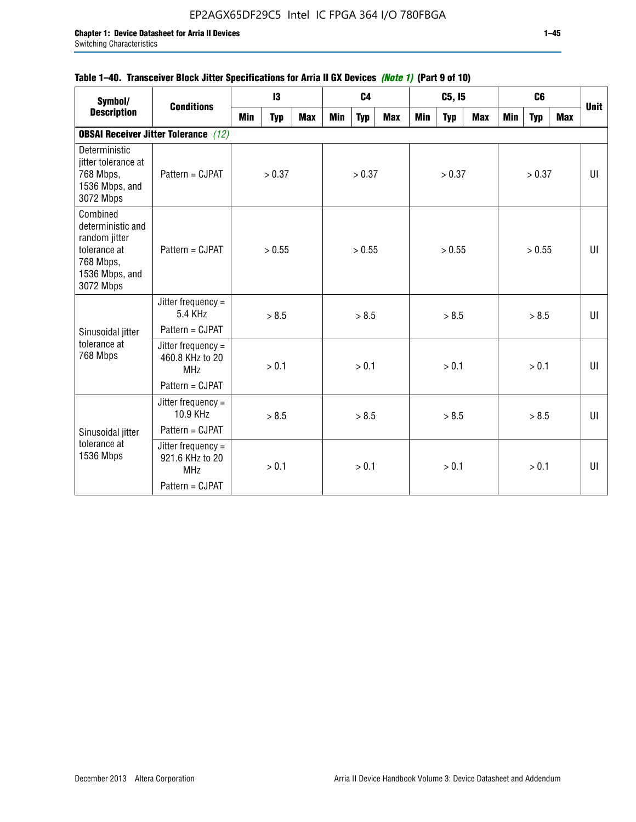## **Table 1–40. Transceiver Block Jitter Specifications for Arria II GX Devices** *(Note 1)* **(Part 9 of 10)**

| Symbol/                                                                                                    | <b>Conditions</b>                                     |            | 13         |            |     | C <sub>4</sub> |            |     | C5, I5     |     |     | C6         |     | <b>Unit</b> |
|------------------------------------------------------------------------------------------------------------|-------------------------------------------------------|------------|------------|------------|-----|----------------|------------|-----|------------|-----|-----|------------|-----|-------------|
| <b>Description</b>                                                                                         |                                                       | <b>Min</b> | <b>Typ</b> | <b>Max</b> | Min | <b>Typ</b>     | <b>Max</b> | Min | <b>Typ</b> | Max | Min | <b>Typ</b> | Max |             |
|                                                                                                            | <b>OBSAI Receiver Jitter Tolerance</b> (12)           |            |            |            |     |                |            |     |            |     |     |            |     |             |
| Deterministic<br>jitter tolerance at<br>768 Mbps,<br>1536 Mbps, and<br>3072 Mbps                           | Pattern = CJPAT                                       |            | > 0.37     |            |     | > 0.37         |            |     | > 0.37     |     |     | > 0.37     |     | U           |
| Combined<br>deterministic and<br>random jitter<br>tolerance at<br>768 Mbps,<br>1536 Mbps, and<br>3072 Mbps | Pattern = CJPAT                                       |            | > 0.55     |            |     | > 0.55         |            |     | > 0.55     |     |     | > 0.55     |     | UI          |
|                                                                                                            | Jitter frequency $=$<br>5.4 KHz                       |            | > 8.5      |            |     | > 8.5          |            |     | > 8.5      |     |     | > 8.5      |     | $U\Gamma$   |
| Sinusoidal jitter                                                                                          | Pattern = CJPAT                                       |            |            |            |     |                |            |     |            |     |     |            |     |             |
| tolerance at<br>768 Mbps                                                                                   | Jitter frequency $=$<br>460.8 KHz to 20<br><b>MHz</b> |            | > 0.1      |            |     | > 0.1          |            |     | > 0.1      |     |     | > 0.1      |     | UI          |
|                                                                                                            | Pattern = CJPAT                                       |            |            |            |     |                |            |     |            |     |     |            |     |             |
|                                                                                                            | Jitter frequency $=$<br>10.9 KHz                      |            | > 8.5      |            |     | > 8.5          |            |     | > 8.5      |     |     | > 8.5      |     | U           |
| Sinusoidal jitter                                                                                          | Pattern = CJPAT                                       |            |            |            |     |                |            |     |            |     |     |            |     |             |
| tolerance at<br>1536 Mbps                                                                                  | Jitter frequency $=$<br>921.6 KHz to 20<br><b>MHz</b> |            | > 0.1      |            |     | > 0.1          |            |     | > 0.1      |     |     | > 0.1      |     | U           |
|                                                                                                            | Pattern = CJPAT                                       |            |            |            |     |                |            |     |            |     |     |            |     |             |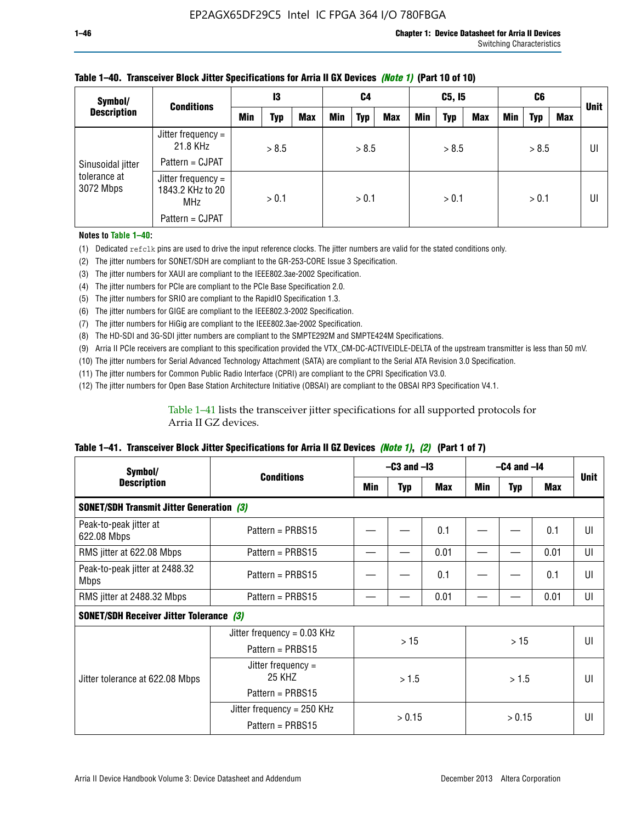| Symbol/                                        | <b>Conditions</b>                             | 13  |       | C4         |            | C5, I5     |            |     | C6         |            |            | <b>Unit</b> |     |    |
|------------------------------------------------|-----------------------------------------------|-----|-------|------------|------------|------------|------------|-----|------------|------------|------------|-------------|-----|----|
| <b>Description</b>                             |                                               | Min | Typ   | <b>Max</b> | <b>Min</b> | <b>Typ</b> | <b>Max</b> | Min | <b>Typ</b> | <b>Max</b> | <b>Min</b> | <b>Typ</b>  | Max |    |
| Sinusoidal jitter<br>tolerance at<br>3072 Mbps | Jitter frequency $=$<br>21.8 KHz              |     | > 8.5 |            |            | > 8.5      |            |     | > 8.5      |            |            | > 8.5       |     | UI |
|                                                | Pattern = CJPAT                               |     |       |            |            |            |            |     |            |            |            |             |     |    |
|                                                | Jitter frequency =<br>1843.2 KHz to 20<br>MHz |     | > 0.1 |            |            | > 0.1      |            |     | > 0.1      |            |            | > 0.1       |     | UI |
|                                                | Pattern = CJPAT                               |     |       |            |            |            |            |     |            |            |            |             |     |    |

### **Table 1–40. Transceiver Block Jitter Specifications for Arria II GX Devices** *(Note 1)* **(Part 10 of 10)**

**Notes to Table 1–40:**

(1) Dedicated refclk pins are used to drive the input reference clocks. The jitter numbers are valid for the stated conditions only.

(2) The jitter numbers for SONET/SDH are compliant to the GR-253-CORE Issue 3 Specification.

(3) The jitter numbers for XAUI are compliant to the IEEE802.3ae-2002 Specification.

(4) The jitter numbers for PCIe are compliant to the PCIe Base Specification 2.0.

(5) The jitter numbers for SRIO are compliant to the RapidIO Specification 1.3.

(6) The jitter numbers for GIGE are compliant to the IEEE802.3-2002 Specification.

(7) The jitter numbers for HiGig are compliant to the IEEE802.3ae-2002 Specification.

(8) The HD-SDI and 3G-SDI jitter numbers are compliant to the SMPTE292M and SMPTE424M Specifications.

(9) Arria II PCIe receivers are compliant to this specification provided the VTX\_CM-DC-ACTIVEIDLE-DELTA of the upstream transmitter is less than 50 mV.

(10) The jitter numbers for Serial Advanced Technology Attachment (SATA) are compliant to the Serial ATA Revision 3.0 Specification.

(11) The jitter numbers for Common Public Radio Interface (CPRI) are compliant to the CPRI Specification V3.0.

(12) The jitter numbers for Open Base Station Architecture Initiative (OBSAI) are compliant to the OBSAI RP3 Specification V4.1.

Table 1–41 lists the transceiver jitter specifications for all supported protocols for Arria II GZ devices.

#### **Table 1–41. Transceiver Block Jitter Specifications for Arria II GZ Devices** *(Note 1)***,** *(2)* **(Part 1 of 7)**

| Symbol/                                         | <b>Conditions</b>             | $-C3$ and $-I3$ |            |      | $-C4$ and $-I4$ | <b>Unit</b> |            |    |
|-------------------------------------------------|-------------------------------|-----------------|------------|------|-----------------|-------------|------------|----|
| <b>Description</b>                              |                               | Min             | <b>Typ</b> | Max  | Min             | <b>Typ</b>  | <b>Max</b> |    |
| <b>SONET/SDH Transmit Jitter Generation (3)</b> |                               |                 |            |      |                 |             |            |    |
| Peak-to-peak jitter at<br>622.08 Mbps           | Pattern = $PRBS15$            |                 |            | 0.1  |                 |             | 0.1        | UI |
| RMS jitter at 622.08 Mbps                       | Pattern = $PRBS15$            |                 |            | 0.01 |                 |             | 0.01       | UI |
| Peak-to-peak jitter at 2488.32<br><b>Mbps</b>   | Pattern = $PRBS15$            |                 |            | 0.1  |                 |             | 0.1        | UI |
| RMS jitter at 2488.32 Mbps                      | Pattern = $PRBS15$            |                 |            | 0.01 |                 |             | 0.01       | UI |
| <b>SONET/SDH Receiver Jitter Tolerance (3)</b>  |                               |                 |            |      |                 |             |            |    |
|                                                 | Jitter frequency = $0.03$ KHz |                 | >15        |      |                 | $>15$       |            | UI |
|                                                 | Pattern = $PRBS15$            |                 |            |      |                 |             |            |    |
| Jitter tolerance at 622.08 Mbps                 | Jitter frequency =<br>25 KHZ  |                 | > 1.5      |      | > 1.5           |             |            | UI |
|                                                 | Pattern = $PRBS15$            |                 |            |      |                 |             |            |    |
|                                                 | Jitter frequency = $250$ KHz  |                 | > 0.15     |      |                 |             |            | UI |
|                                                 | Pattern = $PRBS15$            |                 |            |      |                 | > 0.15      |            |    |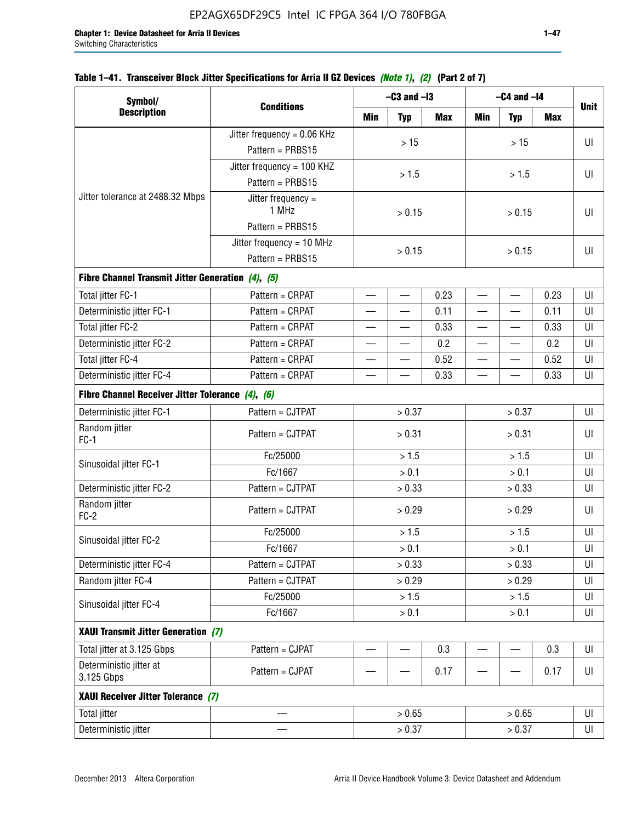| Symbol/                                           |                               |       | $-C3$ and $-I3$ |      |                          | $-C4$ and $-I4$          |      |             |
|---------------------------------------------------|-------------------------------|-------|-----------------|------|--------------------------|--------------------------|------|-------------|
| <b>Description</b>                                | <b>Conditions</b>             | Min   | <b>Typ</b>      | Max  | <b>Min</b>               | <b>Typ</b>               | Max  | <b>Unit</b> |
|                                                   | Jitter frequency = $0.06$ KHz |       |                 |      |                          |                          |      |             |
|                                                   | Pattern = PRBS15              |       | $>15$           |      |                          | >15                      |      | UI          |
|                                                   | Jitter frequency = 100 KHZ    |       |                 |      |                          |                          |      |             |
|                                                   | Pattern = PRBS15              |       | > 1.5           |      |                          | > 1.5                    |      | UI          |
| Jitter tolerance at 2488.32 Mbps                  | Jitter frequency $=$<br>1 MHz |       | > 0.15          |      |                          | > 0.15                   |      | U           |
|                                                   | Pattern = PRBS15              |       |                 |      |                          |                          |      |             |
|                                                   | Jitter frequency = 10 MHz     |       | > 0.15          |      |                          | > 0.15                   |      | U           |
|                                                   | Pattern = PRBS15              |       |                 |      |                          |                          |      |             |
| Fibre Channel Transmit Jitter Generation (4), (5) |                               |       |                 |      |                          |                          |      |             |
| Total jitter FC-1                                 | Pattern = CRPAT               |       |                 | 0.23 |                          | $\overline{\phantom{0}}$ | 0.23 | U           |
| Deterministic jitter FC-1                         | Pattern = CRPAT               |       |                 | 0.11 | $\overline{\phantom{0}}$ |                          | 0.11 | UI          |
| Total jitter FC-2                                 | Pattern = CRPAT               |       |                 | 0.33 |                          |                          | 0.33 | UI          |
| Deterministic jitter FC-2                         | Pattern = CRPAT               |       |                 | 0.2  |                          |                          | 0.2  | UI          |
| Total jitter FC-4                                 | Pattern = CRPAT               |       |                 | 0.52 |                          |                          | 0.52 | U           |
| Deterministic jitter FC-4                         | Pattern = CRPAT               |       |                 | 0.33 |                          |                          | 0.33 | UI          |
| Fibre Channel Receiver Jitter Tolerance (4), (6)  |                               |       |                 |      |                          |                          |      |             |
| Deterministic jitter FC-1                         | Pattern = CJTPAT              |       | > 0.37          |      | > 0.37                   |                          |      | UI          |
| Random jitter<br>$FC-1$                           | Pattern = CJTPAT              |       | > 0.31          |      | > 0.31                   |                          |      | U           |
| Sinusoidal jitter FC-1                            | Fc/25000                      | > 1.5 |                 |      |                          | > 1.5                    |      | U           |
|                                                   | Fc/1667                       |       | > 0.1           |      |                          | > 0.1                    |      | UI          |
| Deterministic jitter FC-2                         | Pattern = CJTPAT              |       | > 0.33          |      |                          | > 0.33                   |      | U           |
| Random jitter<br>$FC-2$                           | Pattern = CJTPAT              |       | > 0.29          |      |                          | > 0.29                   |      | UI          |
| Sinusoidal jitter FC-2                            | Fc/25000                      |       | > 1.5           |      |                          | > 1.5                    |      | UI          |
|                                                   | Fc/1667                       |       | $> 0.1$         |      |                          | $> 0.1$                  |      | $\sf{UI}$   |
| Deterministic jitter FC-4                         | Pattern = CJTPAT              |       | > 0.33          |      |                          | > 0.33                   |      | UI          |
| Random jitter FC-4                                | Pattern = CJTPAT              |       | > 0.29          |      |                          | > 0.29                   |      | UI          |
| Sinusoidal jitter FC-4                            | Fc/25000                      |       | > 1.5           |      |                          | > 1.5                    |      | U           |
|                                                   | Fc/1667                       |       | > 0.1           |      |                          | $> 0.1$                  |      | UI          |
| XAUI Transmit Jitter Generation (7)               |                               |       |                 |      |                          |                          |      |             |
| Total jitter at 3.125 Gbps                        | Pattern = CJPAT               |       |                 | 0.3  |                          |                          | 0.3  | UI          |
| Deterministic jitter at<br>3.125 Gbps             | Pattern = CJPAT               |       |                 | 0.17 |                          |                          | 0.17 | UI          |
| XAUI Receiver Jitter Tolerance (7)                |                               |       |                 |      |                          |                          |      |             |
| Total jitter                                      |                               |       | > 0.65          |      |                          | > 0.65                   |      | UI          |
| Deterministic jitter                              |                               |       | > 0.37          |      |                          | UI                       |      |             |

## **Table 1–41. Transceiver Block Jitter Specifications for Arria II GZ Devices** *(Note 1)***,** *(2)* **(Part 2 of 7)**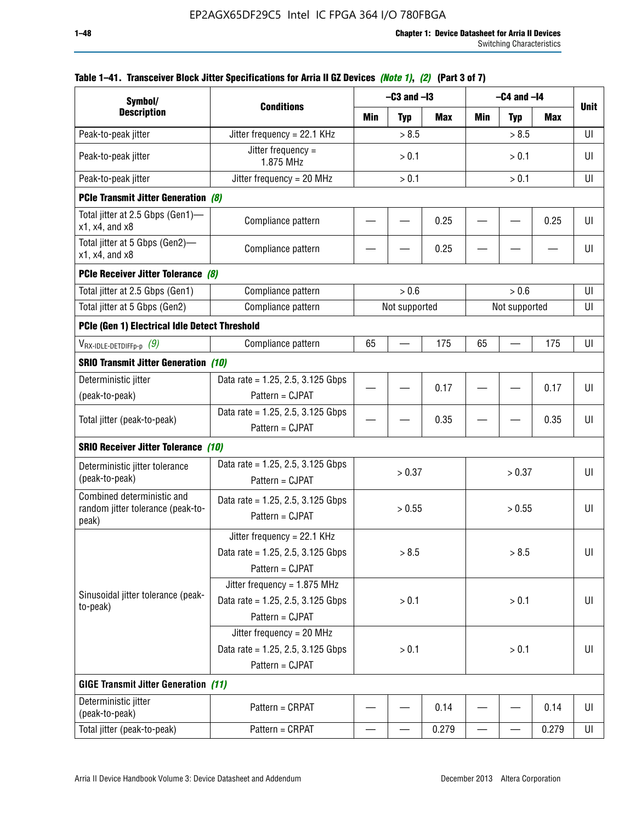| Symbol/                                                                  |                                                                                        |       | $-C3$ and $-I3$ |            | $-C4$ and $-I4$ |               |            |             |
|--------------------------------------------------------------------------|----------------------------------------------------------------------------------------|-------|-----------------|------------|-----------------|---------------|------------|-------------|
| <b>Description</b>                                                       | <b>Conditions</b>                                                                      | Min   | <b>Typ</b>      | <b>Max</b> | Min             | <b>Typ</b>    | <b>Max</b> | <b>Unit</b> |
| Peak-to-peak jitter                                                      | Jitter frequency = 22.1 KHz                                                            |       | > 8.5           |            |                 | > 8.5         |            | UI          |
| Peak-to-peak jitter                                                      | Jitter frequency =<br>1.875 MHz                                                        |       | > 0.1           |            |                 | > 0.1         |            | UI          |
| Peak-to-peak jitter                                                      | Jitter frequency = $20$ MHz                                                            |       | > 0.1           |            |                 | > 0.1         |            | UI          |
| <b>PCIe Transmit Jitter Generation (8)</b>                               |                                                                                        |       |                 |            |                 |               |            |             |
| Total jitter at 2.5 Gbps (Gen1)-<br>x1, x4, and x8                       | Compliance pattern                                                                     |       |                 | 0.25       |                 |               | 0.25       | UI          |
| Total jitter at 5 Gbps (Gen2)-<br>x1, x4, and x8                         | Compliance pattern                                                                     |       |                 | 0.25       |                 |               |            | UI          |
| PCIe Receiver Jitter Tolerance (8)                                       |                                                                                        |       |                 |            |                 |               |            |             |
| Total jitter at 2.5 Gbps (Gen1)                                          | Compliance pattern                                                                     |       | > 0.6           |            |                 | > 0.6         |            | UI          |
| Total jitter at 5 Gbps (Gen2)                                            | Compliance pattern                                                                     |       | Not supported   |            |                 | Not supported |            | UI          |
| PCIe (Gen 1) Electrical Idle Detect Threshold                            |                                                                                        |       |                 |            |                 |               |            |             |
| $V_{\text{RX-IDLE-DEFp-p}}(9)$                                           | Compliance pattern                                                                     | 65    |                 | 175        | 65              |               | 175        | UI          |
| <b>SRIO Transmit Jitter Generation (10)</b>                              |                                                                                        |       |                 |            |                 |               |            |             |
| Deterministic jitter                                                     | Data rate = 1.25, 2.5, 3.125 Gbps                                                      |       |                 |            |                 |               |            |             |
| (peak-to-peak)                                                           | Pattern = CJPAT                                                                        |       |                 | 0.17       |                 |               | 0.17       | UI          |
| Total jitter (peak-to-peak)                                              | Data rate = $1.25$ , 2.5, 3.125 Gbps<br>Pattern = CJPAT                                |       |                 | 0.35       |                 |               | 0.35       | UI          |
| <b>SRIO Receiver Jitter Tolerance (10)</b>                               |                                                                                        |       |                 |            |                 |               |            |             |
| Deterministic jitter tolerance<br>(peak-to-peak)                         | Data rate = $1.25$ , 2.5, 3.125 Gbps<br>Pattern = CJPAT                                |       | > 0.37          |            |                 | > 0.37        |            | UI          |
| Combined deterministic and<br>random jitter tolerance (peak-to-<br>peak) | Data rate = $1.25$ , 2.5, 3.125 Gbps<br>Pattern = CJPAT                                |       | > 0.55          |            |                 | > 0.55        |            | UI          |
|                                                                          | Jitter frequency = 22.1 KHz<br>Data rate = 1.25, 2.5, 3.125 Gbps<br>Pattern = CJPAT    |       | > 8.5           |            |                 | > 8.5         |            | UI          |
| Sinusoidal jitter tolerance (peak-<br>to-peak)                           | Jitter frequency = $1.875$ MHz<br>Data rate = 1.25, 2.5, 3.125 Gbps<br>Pattern = CJPAT |       | > 0.1           |            |                 | > 0.1         |            | UI          |
|                                                                          | Jitter frequency = $20$ MHz<br>Data rate = 1.25, 2.5, 3.125 Gbps<br>Pattern = CJPAT    | > 0.1 |                 |            | > 0.1           |               | UI         |             |
| <b>GIGE Transmit Jitter Generation (11)</b>                              |                                                                                        |       |                 |            |                 |               |            |             |
| Deterministic jitter<br>(peak-to-peak)                                   | Pattern = CRPAT                                                                        |       |                 | 0.14       |                 |               | 0.14       | UI          |
| Total jitter (peak-to-peak)                                              | Pattern = CRPAT                                                                        |       |                 | 0.279      |                 |               | 0.279      | UI          |

### **Table 1–41. Transceiver Block Jitter Specifications for Arria II GZ Devices** *(Note 1)***,** *(2)* **(Part 3 of 7)**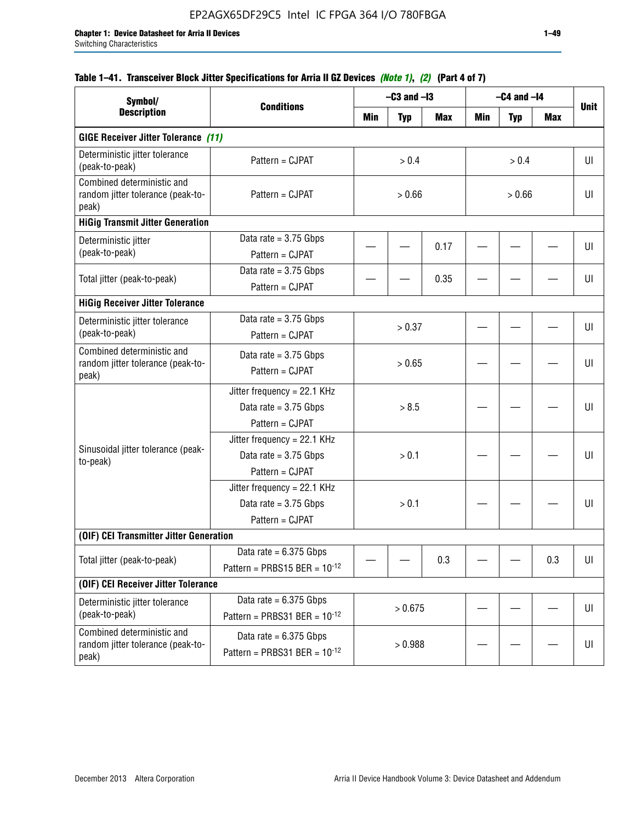## **Table 1–41. Transceiver Block Jitter Specifications for Arria II GZ Devices** *(Note 1)***,** *(2)* **(Part 4 of 7)**

| Symbol/                                                                  |                                                                             |        | $-C3$ and $-I3$ |            |        | $-C4$ and $-I4$ |     |             |
|--------------------------------------------------------------------------|-----------------------------------------------------------------------------|--------|-----------------|------------|--------|-----------------|-----|-------------|
| <b>Description</b>                                                       | <b>Conditions</b>                                                           | Min    | <b>Typ</b>      | <b>Max</b> | Min    | <b>Typ</b>      | Max | <b>Unit</b> |
| <b>GIGE Receiver Jitter Tolerance (11)</b>                               |                                                                             |        |                 |            |        |                 |     |             |
| Deterministic jitter tolerance<br>(peak-to-peak)                         | Pattern = CJPAT                                                             |        | > 0.4           |            |        | > 0.4           |     | UI          |
| Combined deterministic and<br>random jitter tolerance (peak-to-<br>peak) | Pattern = CJPAT                                                             |        | > 0.66          |            | > 0.66 |                 |     | UI          |
| <b>HiGig Transmit Jitter Generation</b>                                  |                                                                             |        |                 |            |        |                 |     |             |
| Deterministic jitter<br>(peak-to-peak)                                   | Data rate = $3.75$ Gbps<br>Pattern = CJPAT                                  |        |                 | 0.17       |        |                 |     | UI          |
| Total jitter (peak-to-peak)                                              | Data rate = $3.75$ Gbps<br>Pattern = CJPAT                                  |        |                 | 0.35       |        |                 |     | UI          |
| <b>HiGig Receiver Jitter Tolerance</b>                                   |                                                                             |        |                 |            |        |                 |     |             |
| Deterministic jitter tolerance<br>(peak-to-peak)                         | Data rate = $3.75$ Gbps<br>Pattern = CJPAT                                  |        | > 0.37          |            |        |                 |     | UI          |
| Combined deterministic and<br>random jitter tolerance (peak-to-<br>peak) | Data rate = $3.75$ Gbps<br>Pattern = CJPAT                                  | > 0.65 |                 |            |        |                 |     | UI          |
|                                                                          | Jitter frequency = 22.1 KHz<br>Data rate = $3.75$ Gbps<br>Pattern = CJPAT   | > 8.5  |                 |            |        |                 |     | UI          |
| Sinusoidal jitter tolerance (peak-<br>to-peak)                           | Jitter frequency = $22.1$ KHz<br>Data rate = $3.75$ Gbps<br>Pattern = CJPAT |        | > 0.1           |            |        |                 |     | UI          |
|                                                                          | Jitter frequency = $22.1$ KHz<br>Data rate = $3.75$ Gbps<br>Pattern = CJPAT |        | > 0.1           |            |        |                 |     | UI          |
| (OIF) CEI Transmitter Jitter Generation                                  |                                                                             |        |                 |            |        |                 |     |             |
| Total jitter (peak-to-peak)                                              | Data rate = $6.375$ Gbps<br>Pattern = PRBS15 BER = $10^{-12}$               |        |                 | 0.3        |        |                 | 0.3 | UI          |
| (OIF) CEI Receiver Jitter Tolerance                                      |                                                                             |        |                 |            |        |                 |     |             |
| Deterministic jitter tolerance<br>(peak-to-peak)                         | Data rate = $6.375$ Gbps<br>Pattern = PRBS31 BER = $10^{-12}$               |        | > 0.675         |            |        |                 |     | UI          |
| Combined deterministic and<br>random jitter tolerance (peak-to-<br>peak) | Data rate = $6.375$ Gbps<br>Pattern = PRBS31 BER = $10^{-12}$               |        | > 0.988         |            |        |                 |     | U           |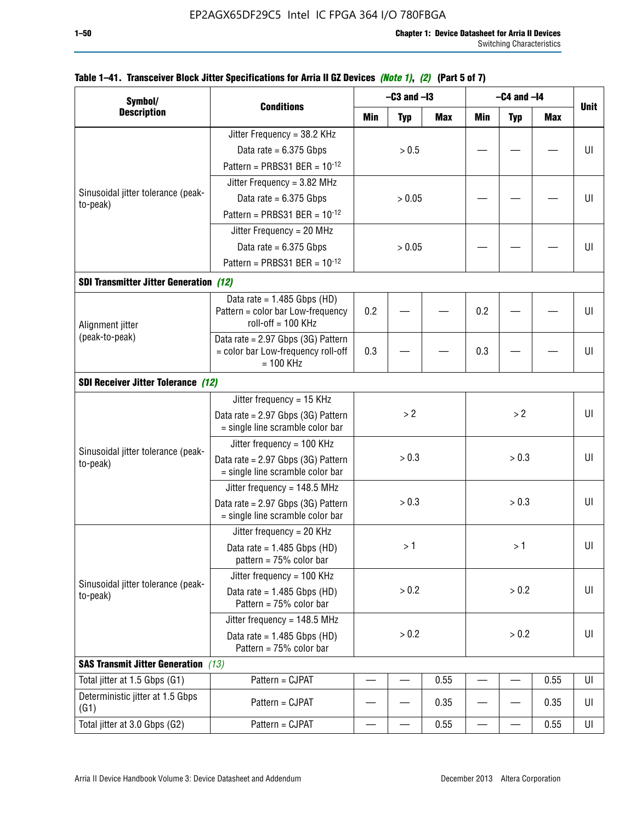|                                                |                                                                                            |         | $-C3$ and $-I3$ |            | $-C4$ and $-I4$                        |       |      |             |
|------------------------------------------------|--------------------------------------------------------------------------------------------|---------|-----------------|------------|----------------------------------------|-------|------|-------------|
| Symbol/<br><b>Description</b>                  | <b>Conditions</b>                                                                          | Min     | <b>Typ</b>      | <b>Max</b> | <b>Min</b><br><b>Typ</b><br><b>Max</b> |       |      | <b>Unit</b> |
|                                                | Jitter Frequency = 38.2 KHz                                                                |         |                 |            |                                        |       |      |             |
|                                                | Data rate = $6.375$ Gbps                                                                   |         | > 0.5           |            |                                        |       |      | UI          |
|                                                | Pattern = PRBS31 BER = $10^{-12}$                                                          |         |                 |            |                                        |       |      |             |
|                                                | Jitter Frequency = $3.82$ MHz                                                              |         |                 |            |                                        |       |      |             |
| Sinusoidal jitter tolerance (peak-             | Data rate = $6.375$ Gbps                                                                   |         | > 0.05          |            |                                        |       |      | UI          |
| to-peak)                                       | Pattern = PRBS31 BER = $10^{-12}$                                                          |         |                 |            |                                        |       |      |             |
|                                                |                                                                                            |         |                 |            |                                        |       |      |             |
|                                                | Jitter Frequency = 20 MHz                                                                  |         |                 |            |                                        |       |      |             |
|                                                | Data rate = $6.375$ Gbps                                                                   |         | > 0.05          |            |                                        |       |      | UI          |
|                                                | Pattern = PRBS31 BER = $10^{-12}$                                                          |         |                 |            |                                        |       |      |             |
| <b>SDI Transmitter Jitter Generation (12)</b>  |                                                                                            |         |                 |            |                                        |       |      |             |
| Alignment jitter                               | Data rate = $1.485$ Gbps (HD)<br>Pattern = color bar Low-frequency<br>$roll-off = 100 KHz$ | 0.2     |                 |            | 0.2                                    |       |      | UI          |
| (peak-to-peak)                                 | Data rate = 2.97 Gbps (3G) Pattern<br>= color bar Low-frequency roll-off<br>$= 100$ KHz    | 0.3     |                 | 0.3        |                                        |       | UI   |             |
| <b>SDI Receiver Jitter Tolerance (12)</b>      |                                                                                            |         |                 |            |                                        |       |      |             |
|                                                | Jitter frequency = 15 KHz                                                                  |         |                 |            |                                        |       |      |             |
|                                                | Data rate = 2.97 Gbps (3G) Pattern<br>= single line scramble color bar                     | >2      |                 |            | >2                                     |       | UI   |             |
|                                                | Jitter frequency = $100$ KHz                                                               |         |                 |            |                                        |       |      |             |
| Sinusoidal jitter tolerance (peak-<br>to-peak) | Data rate = $2.97$ Gbps (3G) Pattern<br>= single line scramble color bar                   |         | > 0.3           |            | > 0.3                                  |       |      | UI          |
|                                                | Jitter frequency = $148.5$ MHz                                                             |         |                 |            |                                        |       |      |             |
|                                                | Data rate = 2.97 Gbps (3G) Pattern<br>= single line scramble color bar                     |         | > 0.3           |            |                                        | > 0.3 |      | UI          |
|                                                | Jitter frequency = $20$ KHz                                                                |         |                 |            |                                        |       |      |             |
|                                                | Data rate = $1.485$ Gbps (HD)<br>pattern = $75%$ color bar                                 |         | >1              |            |                                        | > 1⊣  |      | UI          |
|                                                | Jitter frequency = 100 KHz                                                                 |         |                 |            |                                        |       |      |             |
| Sinusoidal jitter tolerance (peak-<br>to-peak) | Data rate = $1.485$ Gbps (HD)<br>Pattern = 75% color bar                                   |         | > 0.2           |            |                                        | > 0.2 |      | UI          |
|                                                | Jitter frequency = $148.5$ MHz                                                             |         |                 |            |                                        |       |      |             |
|                                                | Data rate = $1.485$ Gbps (HD)<br>Pattern = 75% color bar                                   | $> 0.2$ |                 | > 0.2      |                                        |       | UI   |             |
| <b>SAS Transmit Jitter Generation</b> (13)     |                                                                                            |         |                 |            |                                        |       |      |             |
| Total jitter at 1.5 Gbps (G1)                  | Pattern = CJPAT                                                                            |         |                 | 0.55       |                                        |       | 0.55 | UI          |
| Deterministic jitter at 1.5 Gbps<br>(G1)       | Pattern = CJPAT                                                                            |         |                 | 0.35       |                                        |       | 0.35 | UI          |
| Total jitter at 3.0 Gbps (G2)                  | Pattern = CJPAT                                                                            |         |                 | 0.55       |                                        |       | 0.55 | UI          |

## **Table 1–41. Transceiver Block Jitter Specifications for Arria II GZ Devices** *(Note 1)***,** *(2)* **(Part 5 of 7)**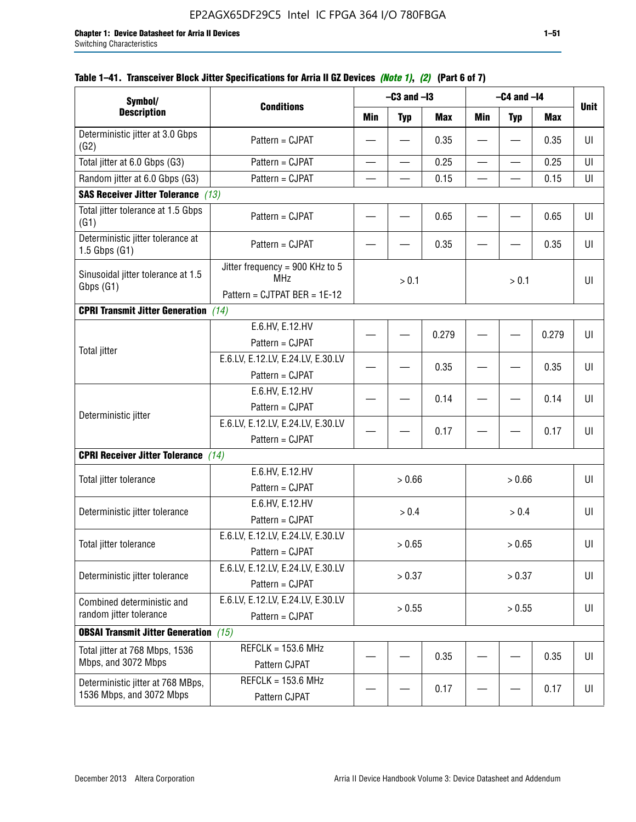| Symbol/                                                       |                                                                               |                          | $-C3$ and $-I3$          |            | $-C4$ and $-I4$          |                          |       |             |
|---------------------------------------------------------------|-------------------------------------------------------------------------------|--------------------------|--------------------------|------------|--------------------------|--------------------------|-------|-------------|
| <b>Description</b>                                            | <b>Conditions</b>                                                             | <b>Min</b>               | <b>Typ</b>               | <b>Max</b> | Min                      | <b>Typ</b>               | Max   | <b>Unit</b> |
| Deterministic jitter at 3.0 Gbps<br>(G2)                      | Pattern = CJPAT                                                               |                          |                          | 0.35       |                          |                          | 0.35  | UI          |
| Total jitter at 6.0 Gbps (G3)                                 | Pattern = CJPAT                                                               | $\overline{\phantom{0}}$ | $\overline{\phantom{0}}$ | 0.25       | $\overline{\phantom{0}}$ | $\overline{\phantom{0}}$ | 0.25  | UI          |
| Random jitter at 6.0 Gbps (G3)                                | Pattern = CJPAT                                                               |                          |                          | 0.15       |                          |                          | 0.15  | UI          |
| <b>SAS Receiver Jitter Tolerance (13)</b>                     |                                                                               |                          |                          |            |                          |                          |       |             |
| Total jitter tolerance at 1.5 Gbps<br>(G1)                    | Pattern = CJPAT                                                               |                          |                          | 0.65       |                          |                          | 0.65  | UI          |
| Deterministic jitter tolerance at<br>$1.5$ Gbps $(G1)$        | Pattern = CJPAT                                                               |                          |                          | 0.35       |                          |                          | 0.35  | UI          |
| Sinusoidal jitter tolerance at 1.5<br>Gbps (G1)               | Jitter frequency = 900 KHz to 5<br><b>MHz</b><br>Pattern = CJTPAT BER = 1E-12 |                          | > 0.1                    |            |                          | > 0.1                    |       | UI          |
| <b>CPRI Transmit Jitter Generation</b> (14)                   |                                                                               |                          |                          |            |                          |                          |       |             |
|                                                               | E.6.HV, E.12.HV<br>Pattern = CJPAT                                            |                          |                          | 0.279      |                          |                          | 0.279 | UI          |
| <b>Total jitter</b>                                           | E.6.LV, E.12.LV, E.24.LV, E.30.LV<br>Pattern = CJPAT                          |                          |                          | 0.35       |                          |                          | 0.35  | UI          |
|                                                               | E.6.HV, E.12.HV<br>Pattern = CJPAT                                            |                          |                          | 0.14       |                          |                          | 0.14  | UI          |
| Deterministic jitter                                          | E.6.LV, E.12.LV, E.24.LV, E.30.LV<br>Pattern = CJPAT                          |                          |                          | 0.17       |                          |                          | 0.17  | UI          |
| <b>CPRI Receiver Jitter Tolerance</b> (14)                    |                                                                               |                          |                          |            |                          |                          |       |             |
| Total jitter tolerance                                        | E.6.HV, E.12.HV<br>Pattern = CJPAT                                            |                          | > 0.66                   |            |                          | > 0.66                   |       | UI          |
| Deterministic jitter tolerance                                | E.6.HV, E.12.HV<br>Pattern = CJPAT                                            |                          | > 0.4                    |            |                          | > 0.4                    |       | UI          |
| Total jitter tolerance                                        | E.6.LV, E.12.LV, E.24.LV, E.30.LV<br>Pattern = CJPAT                          |                          | > 0.65                   |            |                          | > 0.65                   |       | UI          |
| Deterministic jitter tolerance                                | E.6.LV, E.12.LV, E.24.LV, E.30.LV<br>Pattern = CJPAT                          |                          | > 0.37                   |            |                          | > 0.37                   |       | UI          |
| Combined deterministic and<br>random jitter tolerance         | E.6.LV, E.12.LV, E.24.LV, E.30.LV<br>Pattern = CJPAT                          | > 0.55<br>> 0.55         |                          |            | U                        |                          |       |             |
| <b>OBSAI Transmit Jitter Generation</b> (15)                  |                                                                               |                          |                          |            |                          |                          |       |             |
| Total jitter at 768 Mbps, 1536<br>Mbps, and 3072 Mbps         | $REFCLK = 153.6 MHz$<br>Pattern CJPAT                                         |                          |                          | 0.35       |                          |                          | 0.35  | UI          |
| Deterministic jitter at 768 MBps,<br>1536 Mbps, and 3072 Mbps | $REFCLK = 153.6 MHz$<br>Pattern CJPAT                                         |                          |                          | 0.17       |                          |                          | 0.17  | UI          |

## **Table 1–41. Transceiver Block Jitter Specifications for Arria II GZ Devices** *(Note 1)***,** *(2)* **(Part 6 of 7)**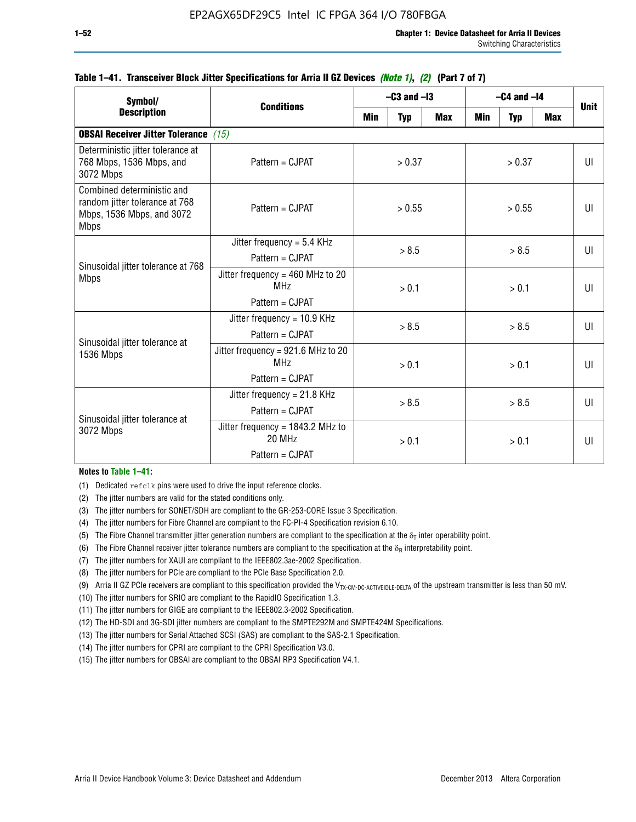| Symbol/                                                                                                  |                                                                          | $-C3$ and $-I3$ |                |            | $-C4$ and $-I4$ | <b>Unit</b>  |            |              |
|----------------------------------------------------------------------------------------------------------|--------------------------------------------------------------------------|-----------------|----------------|------------|-----------------|--------------|------------|--------------|
| <b>Description</b>                                                                                       | <b>Conditions</b>                                                        | Min             | <b>Typ</b>     | <b>Max</b> | <b>Min</b>      | <b>Typ</b>   | <b>Max</b> |              |
| <b>OBSAI Receiver Jitter Tolerance</b> (15)                                                              |                                                                          |                 |                |            |                 |              |            |              |
| Deterministic jitter tolerance at<br>768 Mbps, 1536 Mbps, and<br>3072 Mbps                               | Pattern = CJPAT                                                          | > 0.37          |                | > 0.37     |                 |              | UI         |              |
| Combined deterministic and<br>random jitter tolerance at 768<br>Mbps, 1536 Mbps, and 3072<br><b>Mbps</b> | $Pattern = CJPATH$                                                       | > 0.55          |                | > 0.55     |                 |              | UI         |              |
| Sinusoidal jitter tolerance at 768<br><b>Mbps</b>                                                        | Jitter frequency = $5.4$ KHz<br>Pattern = CJPAT                          | > 8.5           |                | > 8.5      |                 |              | UI         |              |
|                                                                                                          | Jitter frequency = $460$ MHz to 20<br>MH <sub>7</sub><br>Pattern = CJPAT |                 | > 0.1          |            | > 0.1           |              |            | UI           |
| Sinusoidal jitter tolerance at                                                                           | Jitter frequency = $10.9$ KHz<br>Pattern = CJPAT                         | > 8.5           |                |            | > 8.5           |              |            | UI           |
| 1536 Mbps                                                                                                | Jitter frequency = 921.6 MHz to 20<br>MH <sub>7</sub><br>Pattern = CJPAT |                 | > 0.1          |            | > 0.1           |              |            | $\mathbf{U}$ |
| Sinusoidal jitter tolerance at                                                                           | Jitter frequency = $21.8$ KHz<br>$Pattern = C.IPATH$                     |                 | > 8.5<br>> 8.5 |            |                 | $\mathbf{U}$ |            |              |
| 3072 Mbps                                                                                                | Jitter frequency = $1843.2$ MHz to<br>20 MHz<br>Pattern = CJPAT          |                 | > 0.1          |            | > 0.1           |              |            | UI           |

#### **Table 1–41. Transceiver Block Jitter Specifications for Arria II GZ Devices** *(Note 1)***,** *(2)* **(Part 7 of 7)**

#### **Notes to Table 1–41:**

(1) Dedicated refclk pins were used to drive the input reference clocks.

- (2) The jitter numbers are valid for the stated conditions only.
- (3) The jitter numbers for SONET/SDH are compliant to the GR-253-CORE Issue 3 Specification.
- (4) The jitter numbers for Fibre Channel are compliant to the FC-PI-4 Specification revision 6.10.
- (5) The Fibre Channel transmitter jitter generation numbers are compliant to the specification at the  $\delta_T$  inter operability point.
- (6) The Fibre Channel receiver jitter tolerance numbers are compliant to the specification at the  $\delta_R$  interpretability point.
- (7) The jitter numbers for XAUI are compliant to the IEEE802.3ae-2002 Specification.
- (8) The jitter numbers for PCIe are compliant to the PCIe Base Specification 2.0.
- (9) Arria II GZ PCIe receivers are compliant to this specification provided the V<sub>TX-CM-DC-ACTIVEIDLE-DELTA</sub> of the upstream transmitter is less than 50 mV.
- (10) The jitter numbers for SRIO are compliant to the RapidIO Specification 1.3.
- (11) The jitter numbers for GIGE are compliant to the IEEE802.3-2002 Specification.
- (12) The HD-SDI and 3G-SDI jitter numbers are compliant to the SMPTE292M and SMPTE424M Specifications.
- (13) The jitter numbers for Serial Attached SCSI (SAS) are compliant to the SAS-2.1 Specification.
- (14) The jitter numbers for CPRI are compliant to the CPRI Specification V3.0.
- (15) The jitter numbers for OBSAI are compliant to the OBSAI RP3 Specification V4.1.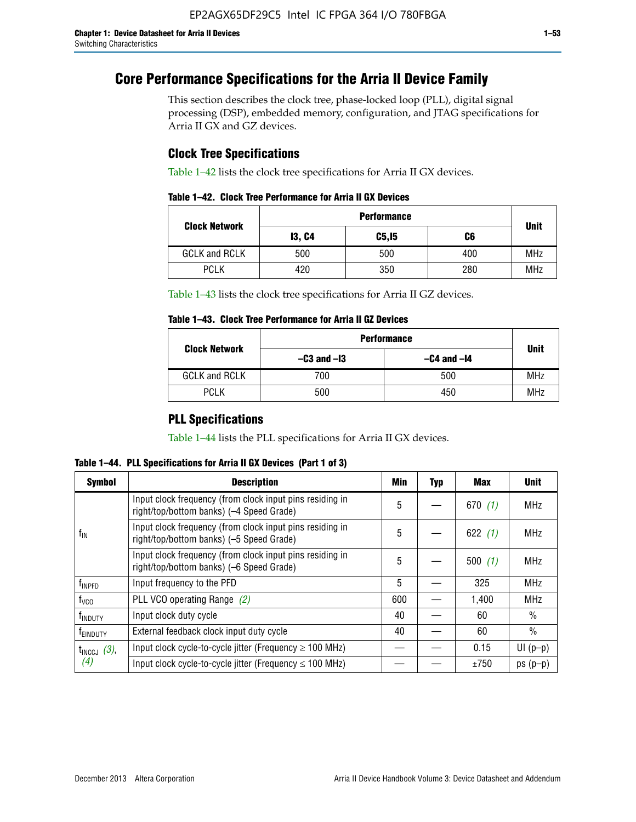# **Core Performance Specifications for the Arria II Device Family**

This section describes the clock tree, phase-locked loop (PLL), digital signal processing (DSP), embedded memory, configuration, and JTAG specifications for Arria II GX and GZ devices.

## **Clock Tree Specifications**

Table 1–42 lists the clock tree specifications for Arria II GX devices.

|                      | <b>Performance</b> |        |     |             |  |  |  |
|----------------------|--------------------|--------|-----|-------------|--|--|--|
| <b>Clock Network</b> | <b>13, C4</b>      | C5, I5 | C6  | <b>Unit</b> |  |  |  |
| <b>GCLK and RCLK</b> | 500                | 500    | 400 | <b>MHz</b>  |  |  |  |
| <b>PCLK</b>          | 420                | 350    | 280 | <b>MHz</b>  |  |  |  |

Table 1–43 lists the clock tree specifications for Arria II GZ devices.

### **Table 1–43. Clock Tree Performance for Arria II GZ Devices**

| <b>Clock Network</b> | <b>Performance</b> |                 |             |  |  |  |  |
|----------------------|--------------------|-----------------|-------------|--|--|--|--|
|                      | $-C3$ and $-I3$    | $-C4$ and $-I4$ | <b>Unit</b> |  |  |  |  |
| <b>GCLK and RCLK</b> | 700                | 500             | <b>MHz</b>  |  |  |  |  |
| <b>PCLK</b>          | 500                | 450             | <b>MHz</b>  |  |  |  |  |

## **PLL Specifications**

Table 1–44 lists the PLL specifications for Arria II GX devices.

**Table 1–44. PLL Specifications for Arria II GX Devices (Part 1 of 3)**

| <b>Symbol</b>      | <b>Description</b>                                                                                   | Min | <b>Typ</b> | Max       | <b>Unit</b>   |
|--------------------|------------------------------------------------------------------------------------------------------|-----|------------|-----------|---------------|
|                    | Input clock frequency (from clock input pins residing in<br>right/top/bottom banks) (-4 Speed Grade) | 5   |            | 670 $(1)$ | <b>MHz</b>    |
| $f_{\text{IN}}$    | Input clock frequency (from clock input pins residing in<br>right/top/bottom banks) (-5 Speed Grade) | 5   |            | 622 $(1)$ | <b>MHz</b>    |
|                    | Input clock frequency (from clock input pins residing in<br>right/top/bottom banks) (-6 Speed Grade) | 5   |            | 500(1)    | <b>MHz</b>    |
| f <sub>INPFD</sub> | Input frequency to the PFD                                                                           | 5   |            | 325       | <b>MHz</b>    |
| $f_{\rm VCO}$      | PLL VCO operating Range (2)                                                                          | 600 |            | 1.400     | <b>MHz</b>    |
| <b>TINDUTY</b>     | Input clock duty cycle                                                                               | 40  |            | 60        | $\frac{0}{0}$ |
| <b>TEINDUTY</b>    | External feedback clock input duty cycle                                                             | 40  |            | 60        | $\frac{0}{0}$ |
| $t_{INCCJ}$ (3),   | Input clock cycle-to-cycle jitter (Frequency $\geq 100$ MHz)                                         |     |            | 0.15      | $UI(p-p)$     |
| (4)                | Input clock cycle-to-cycle jitter (Frequency $\leq 100$ MHz)                                         |     |            | ±750      | $ps(p-p)$     |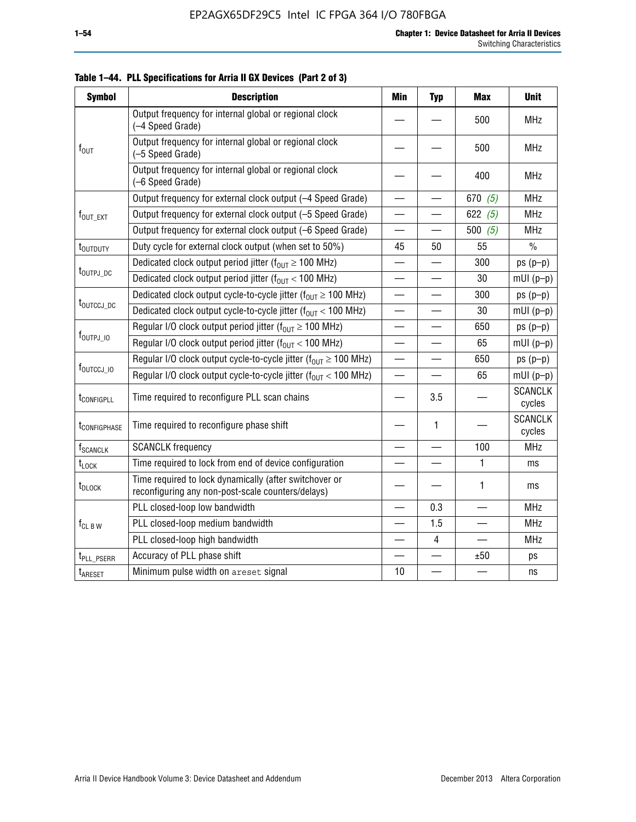| <b>Symbol</b>            | <b>Description</b>                                                                                          | Min                      | <b>Typ</b> | <b>Max</b> | <b>Unit</b>              |
|--------------------------|-------------------------------------------------------------------------------------------------------------|--------------------------|------------|------------|--------------------------|
|                          | Output frequency for internal global or regional clock<br>(-4 Speed Grade)                                  |                          |            | 500        | <b>MHz</b>               |
| $f_{\text{OUT}}$         | Output frequency for internal global or regional clock<br>(-5 Speed Grade)                                  |                          |            | 500        | <b>MHz</b>               |
|                          | Output frequency for internal global or regional clock<br>(-6 Speed Grade)                                  |                          |            | 400        | <b>MHz</b>               |
|                          | Output frequency for external clock output (-4 Speed Grade)                                                 |                          |            | 670 $(5)$  | <b>MHz</b>               |
| f <sub>out_ext</sub>     | Output frequency for external clock output (-5 Speed Grade)                                                 |                          |            | 622 $(5)$  | <b>MHz</b>               |
|                          | Output frequency for external clock output (-6 Speed Grade)                                                 | $\overline{\phantom{0}}$ | —          | 500 $(5)$  | <b>MHz</b>               |
| t <sub>outduty</sub>     | Duty cycle for external clock output (when set to 50%)                                                      | 45                       | 50         | 55         | $\frac{0}{0}$            |
|                          | Dedicated clock output period jitter ( $f_{OUT} \ge 100$ MHz)                                               |                          |            | 300        | $ps(p-p)$                |
| t <sub>outpj_dc</sub>    | Dedicated clock output period jitter ( $f_{OUT}$ < 100 MHz)                                                 | $\overline{\phantom{0}}$ |            | 30         | $mUI(p-p)$               |
|                          | Dedicated clock output cycle-to-cycle jitter ( $f_{OIII} \ge 100$ MHz)                                      |                          |            | 300        | $ps(p-p)$                |
| t <sub>outccj_dc</sub>   | Dedicated clock output cycle-to-cycle jitter ( $f_{OUT}$ < 100 MHz)                                         | $\overline{\phantom{0}}$ |            | 30         | $mUI(p-p)$               |
|                          | Regular I/O clock output period jitter ( $f_{OUT} \ge 100$ MHz)                                             |                          |            | 650        | $ps(p-p)$                |
| $f_{\text{OUTPJ\_10}}$   | Regular I/O clock output period jitter ( $f_{OUT}$ < 100 MHz)                                               | $\overline{\phantom{0}}$ |            | 65         | $mUI(p-p)$               |
|                          | Regular I/O clock output cycle-to-cycle jitter ( $f_{OUT} \ge 100$ MHz)                                     |                          |            | 650        | $ps(p-p)$                |
| f <sub>outccj_io</sub>   | Regular I/O clock output cycle-to-cycle jitter ( $f_{OUT}$ < 100 MHz)                                       |                          |            | 65         | $mUI(p-p)$               |
| t <sub>configpll</sub>   | Time required to reconfigure PLL scan chains                                                                |                          | 3.5        |            | <b>SCANCLK</b><br>cycles |
| t <sub>configphase</sub> | Time required to reconfigure phase shift                                                                    |                          | 1          |            | <b>SCANCLK</b><br>cycles |
| f <sub>SCANCLK</sub>     | <b>SCANCLK</b> frequency                                                                                    |                          |            | 100        | <b>MHz</b>               |
| t <sub>LOCK</sub>        | Time required to lock from end of device configuration                                                      |                          |            | 1          | ms                       |
| t <sub>DLOCK</sub>       | Time required to lock dynamically (after switchover or<br>reconfiguring any non-post-scale counters/delays) |                          |            | 1          | ms                       |
|                          | PLL closed-loop low bandwidth                                                                               |                          | 0.3        |            | <b>MHz</b>               |
| $f_{CL\,B\,W}$           | PLL closed-loop medium bandwidth                                                                            |                          | 1.5        |            | <b>MHz</b>               |
|                          | PLL closed-loop high bandwidth                                                                              |                          | 4          |            | <b>MHz</b>               |
| t <sub>PLL_PSERR</sub>   | Accuracy of PLL phase shift                                                                                 |                          |            | ±50        | ps                       |
| t <sub>ARESET</sub>      | Minimum pulse width on areset signal                                                                        | 10                       |            |            | ns                       |

**Table 1–44. PLL Specifications for Arria II GX Devices (Part 2 of 3)**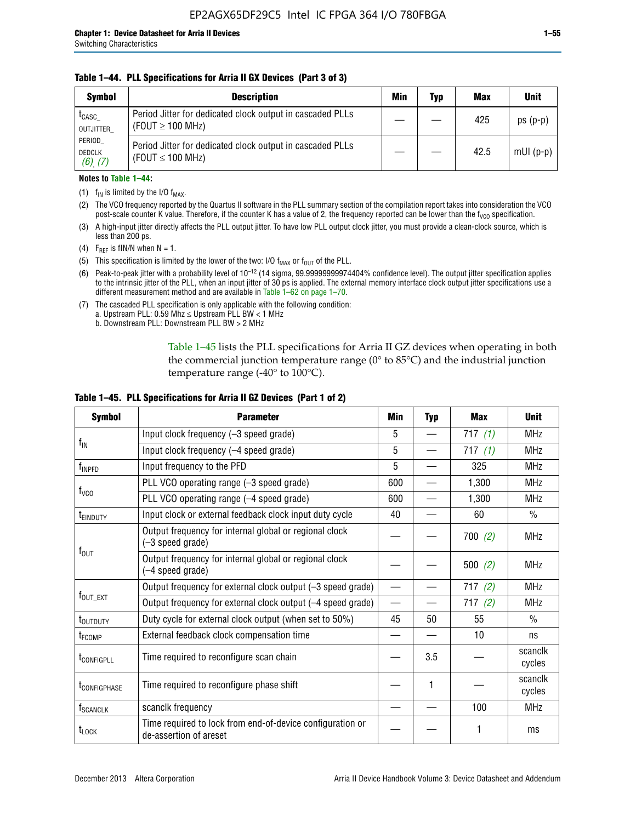#### **Table 1–44. PLL Specifications for Arria II GX Devices (Part 3 of 3)**

| <b>Symbol</b>                            | <b>Description</b>                                                                 | Min | Typ | <b>Max</b> | <b>Unit</b> |
|------------------------------------------|------------------------------------------------------------------------------------|-----|-----|------------|-------------|
| t <sub>CASC</sub><br>OUTJITTER           | Period Jitter for dedicated clock output in cascaded PLLs<br>(FOUT $\geq$ 100 MHz) |     |     | 425        | $ps(p-p)$   |
| PERIOD<br><b>DEDCLK</b><br>$(6)$ , $(7)$ | Period Jitter for dedicated clock output in cascaded PLLs<br>(FOUT $\leq$ 100 MHz) |     |     | 42.5       | $mUI(p-p)$  |

#### **Notes to Table 1–44:**

- (1)  $f_{IN}$  is limited by the I/O  $f_{MAX}$ .
- (2) The VCO frequency reported by the Quartus II software in the PLL summary section of the compilation report takes into consideration the VCO post-scale counter K value. Therefore, if the counter K has a value of 2, the frequency reported can be lower than the f<sub>VCO</sub> specification.
- (3) A high-input jitter directly affects the PLL output jitter. To have low PLL output clock jitter, you must provide a clean-clock source, which is less than 200 ps.
- (4) F<sub>REF</sub> is fIN/N when N = 1.
- (5) This specification is limited by the lower of the two: I/O  $f_{MAX}$  or  $f_{OUT}$  of the PLL.
- (6) Peak-to-peak jitter with a probability level of 10–12 (14 sigma, 99.99999999974404% confidence level). The output jitter specification applies to the intrinsic jitter of the PLL, when an input jitter of 30 ps is applied. The external memory interface clock output jitter specifications use a different measurement method and are available in Table 1–62 on page 1–70.
- (7) The cascaded PLL specification is only applicable with the following condition: a. Upstream PLL:  $0.59$  Mhz  $\leq$  Upstream PLL BW  $<$  1 MHz
	- b. Downstream PLL: Downstream PLL BW > 2 MHz

Table 1–45 lists the PLL specifications for Arria II GZ devices when operating in both the commercial junction temperature range (0° to 85°C) and the industrial junction temperature range (-40 $\degree$  to 100 $\degree$ C).

| <b>Symbol</b>              | <b>Parameter</b>                                                                    |                          | <b>Typ</b> | <b>Max</b> | <b>Unit</b>       |
|----------------------------|-------------------------------------------------------------------------------------|--------------------------|------------|------------|-------------------|
|                            | Input clock frequency (-3 speed grade)                                              | 5                        |            | 717 $(1)$  | <b>MHz</b>        |
| $f_{IN}$                   | Input clock frequency (-4 speed grade)                                              | 5                        |            | 717 $(1)$  | <b>MHz</b>        |
| f <sub>INPFD</sub>         | Input frequency to the PFD                                                          | 5                        |            | 325        | <b>MHz</b>        |
|                            | PLL VCO operating range (-3 speed grade)                                            | 600                      |            | 1,300      | MHz               |
| $f_{\rm VCO}$              | PLL VCO operating range (-4 speed grade)                                            | 600                      |            | 1,300      | <b>MHz</b>        |
| <b>TEINDUTY</b>            | Input clock or external feedback clock input duty cycle                             | 40                       |            | 60         | $\frac{0}{0}$     |
|                            | Output frequency for internal global or regional clock<br>(-3 speed grade)          |                          |            | 700(2)     | <b>MHz</b>        |
| $f_{\text{OUT}}$           | Output frequency for internal global or regional clock<br>(-4 speed grade)          |                          |            | 500 $(2)$  | <b>MHz</b>        |
|                            | Output frequency for external clock output (-3 speed grade)                         | $\overline{\phantom{0}}$ |            | 717(2)     | <b>MHz</b>        |
| $f_{\text{OUT\_EXT}}$      | Output frequency for external clock output (-4 speed grade)                         |                          |            | 717(2)     | <b>MHz</b>        |
| t <sub>outduty</sub>       | Duty cycle for external clock output (when set to 50%)                              | 45                       | 50         | 55         | $\frac{0}{0}$     |
| t <sub>FCOMP</sub>         | External feedback clock compensation time                                           |                          |            | 10         | ns                |
| t <sub>configpll</sub>     | Time required to reconfigure scan chain                                             |                          | 3.5        |            | scanclk<br>cycles |
| <b><i>LCONFIGPHASE</i></b> | Time required to reconfigure phase shift                                            |                          | 1          |            | scanclk<br>cycles |
| f <sub>SCANCLK</sub>       | scanclk frequency                                                                   |                          |            | 100        | <b>MHz</b>        |
| t <sub>LOCK</sub>          | Time required to lock from end-of-device configuration or<br>de-assertion of areset |                          |            |            | ms                |

#### **Table 1–45. PLL Specifications for Arria II GZ Devices (Part 1 of 2)**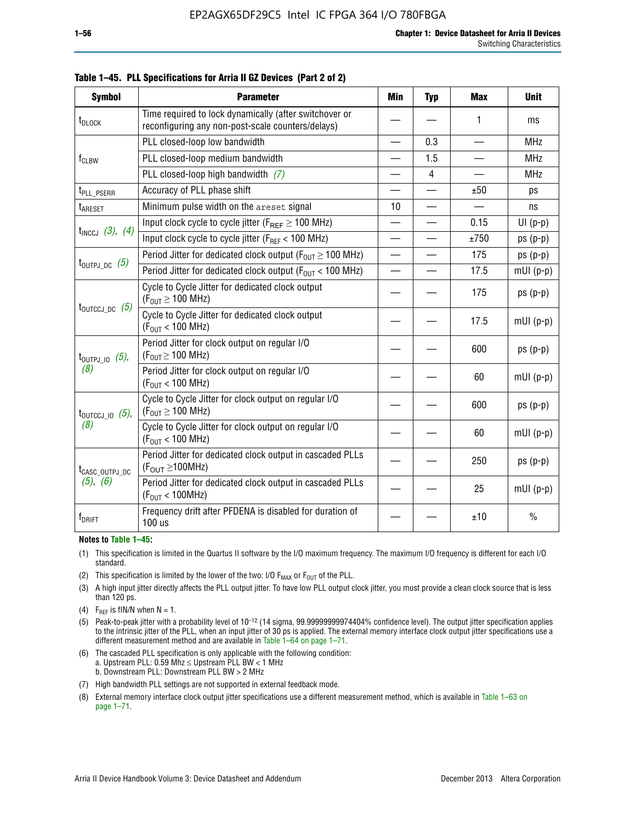| <b>Symbol</b>                  | <b>Parameter</b>                                                                                            | Min                      | <b>Typ</b>     | <b>Max</b>               | <b>Unit</b>   |
|--------------------------------|-------------------------------------------------------------------------------------------------------------|--------------------------|----------------|--------------------------|---------------|
| t <sub>DLOCK</sub>             | Time required to lock dynamically (after switchover or<br>reconfiguring any non-post-scale counters/delays) |                          |                | 1                        | ms            |
|                                | PLL closed-loop low bandwidth                                                                               | $\overline{\phantom{0}}$ | 0.3            | $\overline{\phantom{0}}$ | <b>MHz</b>    |
| $f_{CLBW}$                     | PLL closed-loop medium bandwidth                                                                            | —                        | 1.5            |                          | <b>MHz</b>    |
|                                | PLL closed-loop high bandwidth (7)                                                                          |                          | $\overline{4}$ |                          | <b>MHz</b>    |
| t <sub>PLL_PSERR</sub>         | Accuracy of PLL phase shift                                                                                 | $\overline{\phantom{0}}$ |                | ±50                      | ps            |
| t <sub>ARESET</sub>            | Minimum pulse width on the areset signal                                                                    | 10                       |                |                          | ns            |
|                                | Input clock cycle to cycle jitter ( $F_{REF} \ge 100$ MHz)                                                  |                          |                | 0.15                     | $UI(p-p)$     |
| $t_{INCCJ}$ (3), (4)           | Input clock cycle to cycle jitter (F <sub>RFF</sub> < 100 MHz)                                              | $\equiv$                 |                | ±750                     | $ps(p-p)$     |
|                                | Period Jitter for dedicated clock output ( $F_{OUT} \ge 100$ MHz)                                           | $\overline{\phantom{0}}$ |                | 175                      | $ps(p-p)$     |
| $t_{\text{OUTPJ\_DC}}$ (5)     | Period Jitter for dedicated clock output ( $F_{OIII}$ < 100 MHz)                                            |                          |                | 17.5                     | $mUI(p-p)$    |
|                                | Cycle to Cycle Jitter for dedicated clock output<br>$(F_{OUT} \ge 100$ MHz)                                 |                          |                | 175                      | $ps(p-p)$     |
| $t_{\text{OUTCCJ\_DC}}$ (5)    | Cycle to Cycle Jitter for dedicated clock output<br>$(F_{OUT}$ < 100 MHz)                                   |                          |                | 17.5                     | $mUI(p-p)$    |
| $t_{\text{OUTPJ\_IO}}$ (5),    | Period Jitter for clock output on regular I/O<br>$(F_{OUT} \ge 100$ MHz)                                    |                          |                | 600                      | $ps(p-p)$     |
| (8)                            | Period Jitter for clock output on regular I/O<br>$(F_{OUT}$ < 100 MHz)                                      |                          |                | 60                       | $mUI(p-p)$    |
| $t_{\text{OUTCCJ 10}}$ $(5)$ , | Cycle to Cycle Jitter for clock output on regular I/O<br>$(F_{OUT} \ge 100$ MHz)                            |                          |                | 600                      | $ps(p-p)$     |
| (8)                            | Cycle to Cycle Jitter for clock output on regular I/O<br>$(F_{OUT} < 100$ MHz)                              |                          |                | 60                       | $mUI(p-p)$    |
| t <sub>CASC_OUTPJ_DC</sub>     | Period Jitter for dedicated clock output in cascaded PLLs<br>$(F_{\text{OUT}} \ge 100 \text{MHz})$          |                          |                | 250                      | $ps(p-p)$     |
| (5), (6)                       | Period Jitter for dedicated clock output in cascaded PLLs<br>(F <sub>OUT</sub> < 100MHz)                    |                          |                | 25                       | $mUI(p-p)$    |
| f <sub>DRIFT</sub>             | Frequency drift after PFDENA is disabled for duration of<br>$100$ us                                        |                          |                | ±10                      | $\frac{0}{0}$ |

**Table 1–45. PLL Specifications for Arria II GZ Devices (Part 2 of 2)**

#### **Notes to Table 1–45:**

- (1) This specification is limited in the Quartus II software by the I/O maximum frequency. The maximum I/O frequency is different for each I/O standard.
- (2) This specification is limited by the lower of the two: I/O  $F_{MAX}$  or  $F_{OUT}$  of the PLL.
- (3) A high input jitter directly affects the PLL output jitter. To have low PLL output clock jitter, you must provide a clean clock source that is less than 120 ps.
- (4) F<sub>REF</sub> is fIN/N when  $N = 1$ .
- (5) Peak-to-peak jitter with a probability level of 10–12 (14 sigma, 99.99999999974404% confidence level). The output jitter specification applies to the intrinsic jitter of the PLL, when an input jitter of 30 ps is applied. The external memory interface clock output jitter specifications use a different measurement method and are available in Table 1–64 on page 1–71.
- (6) The cascaded PLL specification is only applicable with the following condition: a. Upstream PLL: 0.59 Mhz  $\leq$  Upstream PLL BW  $<$  1 MHz b. Downstream PLL: Downstream PLL BW > 2 MHz
- (7) High bandwidth PLL settings are not supported in external feedback mode.
- (8) External memory interface clock output jitter specifications use a different measurement method, which is available in Table 1–63 on page 1–71.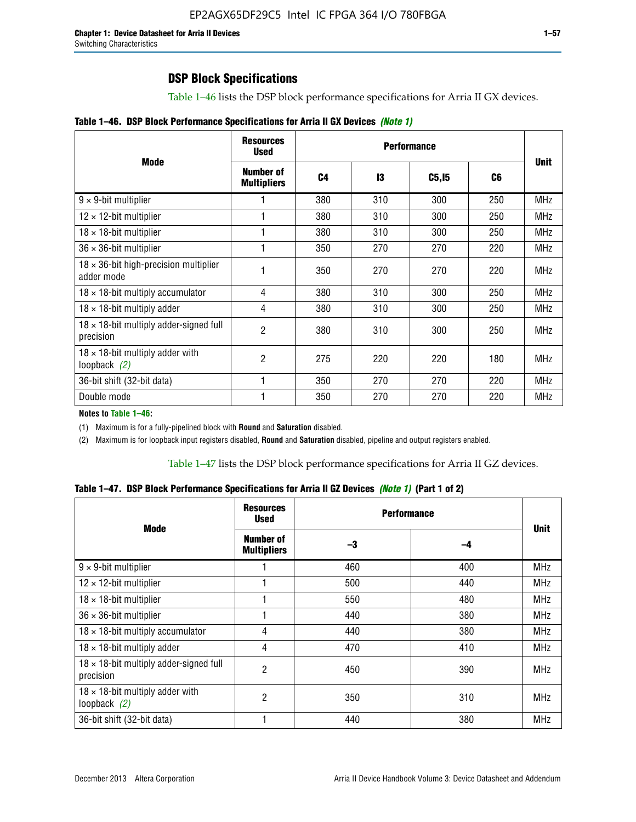Table 1–46 lists the DSP block performance specifications for Arria II GX devices.

| Table 1-46. DSP Block Performance Specifications for Arria II GX Devices (Note 1) |  |  |  |
|-----------------------------------------------------------------------------------|--|--|--|
|-----------------------------------------------------------------------------------|--|--|--|

|                                                             | <b>Resources</b><br><b>Used</b>        |     |     |              |     |             |
|-------------------------------------------------------------|----------------------------------------|-----|-----|--------------|-----|-------------|
| <b>Mode</b>                                                 | <b>Number of</b><br><b>Multipliers</b> | C4  | 13  | <b>C5,15</b> | C6  | <b>Unit</b> |
| $9 \times 9$ -bit multiplier                                |                                        | 380 | 310 | 300          | 250 | <b>MHz</b>  |
| $12 \times 12$ -bit multiplier                              |                                        | 380 | 310 | 300          | 250 | <b>MHz</b>  |
| $18 \times 18$ -bit multiplier                              |                                        | 380 | 310 | 300          | 250 | MHz         |
| $36 \times 36$ -bit multiplier                              |                                        | 350 | 270 | 270          | 220 | <b>MHz</b>  |
| $18 \times 36$ -bit high-precision multiplier<br>adder mode |                                        | 350 | 270 | 270          | 220 | <b>MHz</b>  |
| $18 \times 18$ -bit multiply accumulator                    | 4                                      | 380 | 310 | 300          | 250 | <b>MHz</b>  |
| $18 \times 18$ -bit multiply adder                          | 4                                      | 380 | 310 | 300          | 250 | <b>MHz</b>  |
| $18 \times 18$ -bit multiply adder-signed full<br>precision | $\overline{2}$                         | 380 | 310 | 300          | 250 | <b>MHz</b>  |
| $18 \times 18$ -bit multiply adder with<br>loopback $(2)$   | $\mathfrak{p}$                         | 275 | 220 | 220          | 180 | <b>MHz</b>  |
| 36-bit shift (32-bit data)                                  |                                        | 350 | 270 | 270          | 220 | <b>MHz</b>  |
| Double mode                                                 |                                        | 350 | 270 | 270          | 220 | <b>MHz</b>  |

**Notes to Table 1–46:**

(1) Maximum is for a fully-pipelined block with **Round** and **Saturation** disabled.

(2) Maximum is for loopback input registers disabled, **Round** and **Saturation** disabled, pipeline and output registers enabled.

Table 1–47 lists the DSP block performance specifications for Arria II GZ devices.

**Table 1–47. DSP Block Performance Specifications for Arria II GZ Devices** *(Note 1)* **(Part 1 of 2)**

| <b>Mode</b>                                                 | <b>Resources</b><br><b>Used</b>        | <b>Performance</b> |     |             |  |
|-------------------------------------------------------------|----------------------------------------|--------------------|-----|-------------|--|
|                                                             | <b>Number of</b><br><b>Multipliers</b> | -3                 | -4  | <b>Unit</b> |  |
| $9 \times 9$ -bit multiplier                                |                                        | 460                | 400 | <b>MHz</b>  |  |
| $12 \times 12$ -bit multiplier                              |                                        | 500                | 440 | <b>MHz</b>  |  |
| $18 \times 18$ -bit multiplier                              |                                        | 550                | 480 | <b>MHz</b>  |  |
| $36 \times 36$ -bit multiplier                              |                                        | 440                | 380 | <b>MHz</b>  |  |
| $18 \times 18$ -bit multiply accumulator                    | 4                                      | 440                | 380 | <b>MHz</b>  |  |
| $18 \times 18$ -bit multiply adder                          | 4                                      | 470                | 410 | <b>MHz</b>  |  |
| $18 \times 18$ -bit multiply adder-signed full<br>precision | $\overline{2}$                         | 450                | 390 | <b>MHz</b>  |  |
| $18 \times 18$ -bit multiply adder with<br>loopback $(2)$   | $\overline{2}$                         | 350                | 310 | <b>MHz</b>  |  |
| 36-bit shift (32-bit data)                                  |                                        | 440                | 380 | <b>MHz</b>  |  |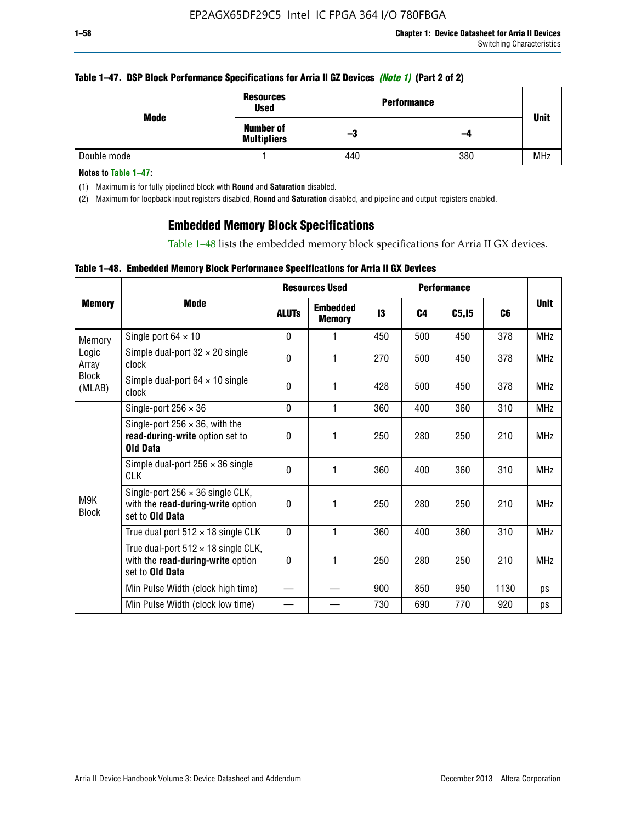#### **Table 1–47. DSP Block Performance Specifications for Arria II GZ Devices** *(Note 1)* **(Part 2 of 2)**

|             | <b>Resources</b><br><b>Used</b>        | <b>Performance</b> |     | <b>Unit</b> |
|-------------|----------------------------------------|--------------------|-----|-------------|
| Mode        | <b>Number of</b><br><b>Multipliers</b> | -3                 | -4  |             |
| Double mode |                                        | 440                | 380 | <b>MHz</b>  |

**Notes to Table 1–47:**

(1) Maximum is for fully pipelined block with **Round** and **Saturation** disabled.

(2) Maximum for loopback input registers disabled, **Round** and **Saturation** disabled, and pipeline and output registers enabled.

## **Embedded Memory Block Specifications**

Table 1–48 lists the embedded memory block specifications for Arria II GX devices.

#### **Table 1–48. Embedded Memory Block Performance Specifications for Arria II GX Devices**

|                        |                                                                                                           |              | <b>Resources Used</b><br><b>Performance</b> |     |                |        |      |             |
|------------------------|-----------------------------------------------------------------------------------------------------------|--------------|---------------------------------------------|-----|----------------|--------|------|-------------|
| <b>Memory</b>          | Mode                                                                                                      | <b>ALUTs</b> | <b>Embedded</b><br><b>Memory</b>            | 13  | C <sub>4</sub> | C5, I5 | C6   | <b>Unit</b> |
| Memory                 | Single port $64 \times 10$                                                                                | $\Omega$     | 1                                           | 450 | 500            | 450    | 378  | <b>MHz</b>  |
| Logic<br>Array         | Simple dual-port $32 \times 20$ single<br>clock                                                           | 0            | 1                                           | 270 | 500            | 450    | 378  | <b>MHz</b>  |
| <b>Block</b><br>(MLAB) | Simple dual-port $64 \times 10$ single<br>clock                                                           | $\Omega$     | 1                                           | 428 | 500            | 450    | 378  | <b>MHz</b>  |
|                        | Single-port $256 \times 36$                                                                               | $\Omega$     | 1                                           | 360 | 400            | 360    | 310  | <b>MHz</b>  |
|                        | Single-port $256 \times 36$ , with the<br>read-during-write option set to<br><b>Old Data</b>              | $\theta$     | 1                                           | 250 | 280            | 250    | 210  | <b>MHz</b>  |
|                        | Simple dual-port $256 \times 36$ single<br><b>CLK</b>                                                     | 0            | 1                                           | 360 | 400            | 360    | 310  | <b>MHz</b>  |
| M9K<br><b>Block</b>    | Single-port $256 \times 36$ single CLK,<br>with the read-during-write option<br>set to <b>Old Data</b>    | $\Omega$     | 1                                           | 250 | 280            | 250    | 210  | <b>MHz</b>  |
|                        | True dual port $512 \times 18$ single CLK                                                                 | $\Omega$     | 1                                           | 360 | 400            | 360    | 310  | <b>MHz</b>  |
|                        | True dual-port $512 \times 18$ single CLK,<br>with the read-during-write option<br>set to <b>Old Data</b> | 0            | 1                                           | 250 | 280            | 250    | 210  | <b>MHz</b>  |
|                        | Min Pulse Width (clock high time)                                                                         |              |                                             | 900 | 850            | 950    | 1130 | ps          |
|                        | Min Pulse Width (clock low time)                                                                          |              |                                             | 730 | 690            | 770    | 920  | ps          |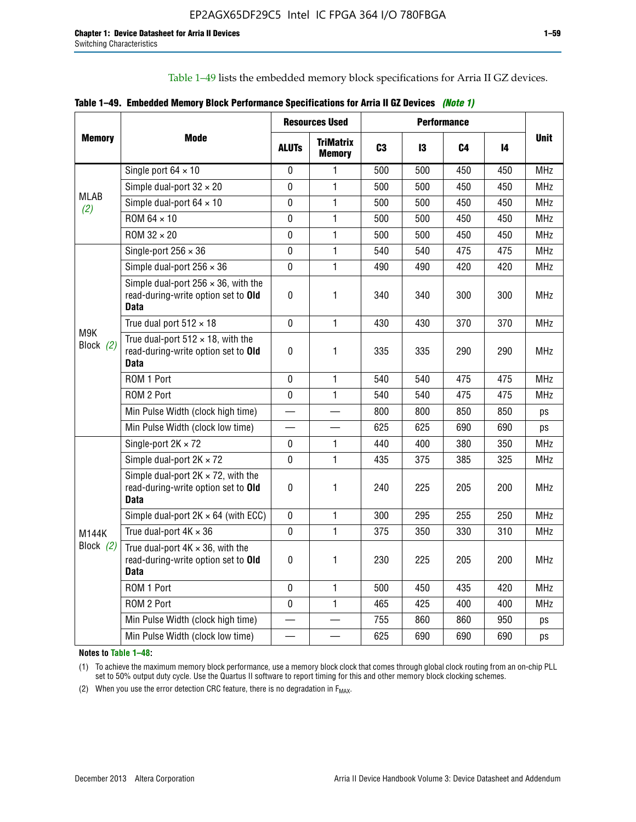Table 1–49 lists the embedded memory block specifications for Arria II GZ devices.

|  | Table 1–49. Embedded Memory Block Performance Specifications for Arria II GZ Devices (Note 1) |  |  |  |  |
|--|-----------------------------------------------------------------------------------------------|--|--|--|--|
|--|-----------------------------------------------------------------------------------------------|--|--|--|--|

|                    |                                                                                                   |              | <b>Resources Used</b>             |                | <b>Performance</b> |     |     |             |
|--------------------|---------------------------------------------------------------------------------------------------|--------------|-----------------------------------|----------------|--------------------|-----|-----|-------------|
| <b>Memory</b>      | Mode                                                                                              | <b>ALUTS</b> | <b>TriMatrix</b><br><b>Memory</b> | C <sub>3</sub> | 13                 | C4  | 14  | <b>Unit</b> |
|                    | Single port $64 \times 10$                                                                        | $\mathbf 0$  | 1                                 | 500            | 500                | 450 | 450 | <b>MHz</b>  |
|                    | Simple dual-port $32 \times 20$                                                                   | $\mathbf 0$  | $\mathbf{1}$                      | 500            | 500                | 450 | 450 | <b>MHz</b>  |
| <b>MLAB</b><br>(2) | Simple dual-port $64 \times 10$                                                                   | 0            | 1                                 | 500            | 500                | 450 | 450 | <b>MHz</b>  |
|                    | ROM 64 × 10                                                                                       | 0            | 1                                 | 500            | 500                | 450 | 450 | <b>MHz</b>  |
|                    | ROM $32 \times 20$                                                                                | 0            | $\mathbf{1}$                      | 500            | 500                | 450 | 450 | <b>MHz</b>  |
|                    | Single-port $256 \times 36$                                                                       | $\mathbf 0$  | $\mathbf{1}$                      | 540            | 540                | 475 | 475 | <b>MHz</b>  |
|                    | Simple dual-port $256 \times 36$                                                                  | $\mathbf 0$  | $\mathbf{1}$                      | 490            | 490                | 420 | 420 | <b>MHz</b>  |
|                    | Simple dual-port $256 \times 36$ , with the<br>read-during-write option set to Old<br><b>Data</b> | $\pmb{0}$    | 1                                 | 340            | 340                | 300 | 300 | <b>MHz</b>  |
|                    | True dual port $512 \times 18$                                                                    | $\mathbf 0$  | 1                                 | 430            | 430                | 370 | 370 | <b>MHz</b>  |
| M9K<br>Block $(2)$ | True dual-port $512 \times 18$ , with the<br>read-during-write option set to Old<br>Data          | $\mathbf 0$  | 1                                 | 335            | 335                | 290 | 290 | <b>MHz</b>  |
|                    | ROM 1 Port                                                                                        | $\mathbf 0$  | 1                                 | 540            | 540                | 475 | 475 | <b>MHz</b>  |
|                    | ROM 2 Port                                                                                        | $\mathbf 0$  | 1                                 | 540            | 540                | 475 | 475 | <b>MHz</b>  |
|                    | Min Pulse Width (clock high time)                                                                 |              |                                   | 800            | 800                | 850 | 850 | ps          |
|                    | Min Pulse Width (clock low time)                                                                  |              |                                   | 625            | 625                | 690 | 690 | ps          |
|                    | Single-port $2K \times 72$                                                                        | 0            | 1                                 | 440            | 400                | 380 | 350 | <b>MHz</b>  |
|                    | Simple dual-port $2K \times 72$                                                                   | 0            | $\mathbf{1}$                      | 435            | 375                | 385 | 325 | <b>MHz</b>  |
|                    | Simple dual-port $2K \times 72$ , with the<br>read-during-write option set to Old<br><b>Data</b>  | 0            | 1.                                | 240            | 225                | 205 | 200 | <b>MHz</b>  |
|                    | Simple dual-port $2K \times 64$ (with ECC)                                                        | $\mathbf 0$  | 1                                 | 300            | 295                | 255 | 250 | <b>MHz</b>  |
| <b>M144K</b>       | True dual-port $4K \times 36$                                                                     | $\mathbf{0}$ | 1                                 | 375            | 350                | 330 | 310 | <b>MHz</b>  |
| Block $(2)$        | True dual-port $4K \times 36$ , with the<br>read-during-write option set to Old<br><b>Data</b>    | 0            | 1.                                | 230            | 225                | 205 | 200 | <b>MHz</b>  |
|                    | ROM 1 Port                                                                                        | $\mathbf 0$  | 1                                 | 500            | 450                | 435 | 420 | <b>MHz</b>  |
|                    | ROM 2 Port                                                                                        | 0            | $\mathbf{1}$                      | 465            | 425                | 400 | 400 | <b>MHz</b>  |
|                    | Min Pulse Width (clock high time)                                                                 |              |                                   | 755            | 860                | 860 | 950 | ps          |
|                    | Min Pulse Width (clock low time)                                                                  |              |                                   | 625            | 690                | 690 | 690 | ps          |

**Notes to Table 1–48:**

(1) To achieve the maximum memory block performance, use a memory block clock that comes through global clock routing from an on-chip PLL set to 50% output duty cycle. Use the Quartus II software to report timing for this and other memory block clocking schemes.

(2) When you use the error detection CRC feature, there is no degradation in  $F_{MAX}$ .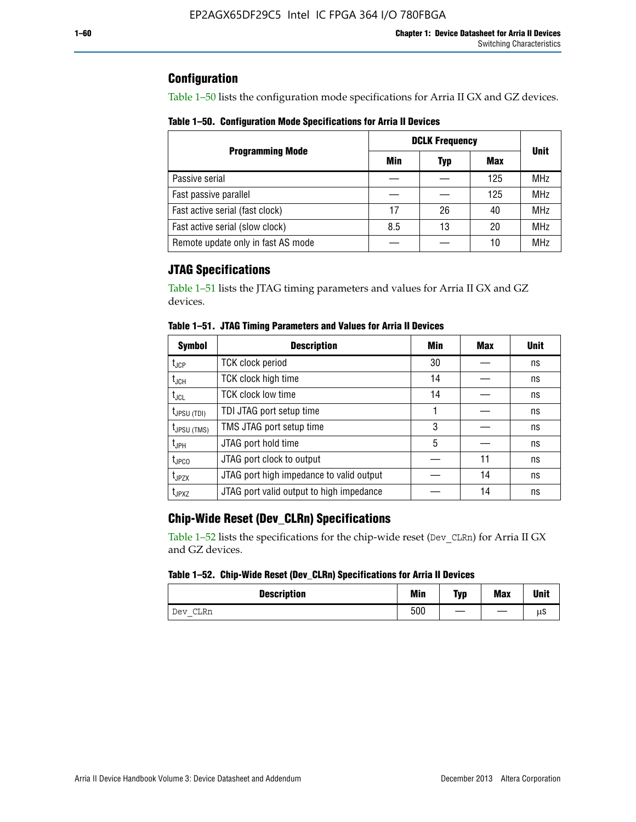## **Configuration**

Table 1–50 lists the configuration mode specifications for Arria II GX and GZ devices.

**Table 1–50. Configuration Mode Specifications for Arria II Devices**

|                                    | <b>DCLK Frequency</b> | <b>Unit</b> |     |            |
|------------------------------------|-----------------------|-------------|-----|------------|
| <b>Programming Mode</b>            | Min                   | Typ         | Max |            |
| Passive serial                     |                       |             | 125 | <b>MHz</b> |
| Fast passive parallel              |                       |             | 125 | <b>MHz</b> |
| Fast active serial (fast clock)    | 17                    | 26          | 40  | <b>MHz</b> |
| Fast active serial (slow clock)    | 8.5                   | 13          | 20  | <b>MHz</b> |
| Remote update only in fast AS mode |                       |             | 10  | <b>MHz</b> |

## **JTAG Specifications**

Table 1–51 lists the JTAG timing parameters and values for Arria II GX and GZ devices.

| <b>Symbol</b>     | <b>Description</b>                       | Min | Max | <b>Unit</b> |
|-------------------|------------------------------------------|-----|-----|-------------|
| $t_{\rm JCP}$     | <b>TCK clock period</b>                  | 30  |     | ns          |
| t <sub>JCH</sub>  | TCK clock high time                      | 14  |     | ns          |
| $t_{\sf JCL}$     | <b>TCK clock low time</b>                | 14  |     | ns          |
| $t_{JPSU(TDI)}$   | TDI JTAG port setup time                 |     |     | ns          |
| $t_{JPSU\,(TMS)}$ | TMS JTAG port setup time                 | 3   |     | ns          |
| $t_{JPH}$         | JTAG port hold time                      | 5   |     | ns          |
| t <sub>JPCO</sub> | JTAG port clock to output                |     | 11  | ns          |
| $t_{JPZX}$        | JTAG port high impedance to valid output |     | 14  | ns          |
| t <sub>JPXZ</sub> | JTAG port valid output to high impedance |     | 14  | ns          |

**Table 1–51. JTAG Timing Parameters and Values for Arria II Devices**

## **Chip-Wide Reset (Dev\_CLRn) Specifications**

Table 1–52 lists the specifications for the chip-wide reset (Dev\_CLRn) for Arria II GX and GZ devices.

#### **Table 1–52. Chip-Wide Reset (Dev\_CLRn) Specifications for Arria II Devices**

| <b>Description</b> | <b>Min</b> | Typ | <b>Max</b> | <b>Unit</b> |
|--------------------|------------|-----|------------|-------------|
| CLRn<br>Dev<br>$-$ | 500        |     |            | μS          |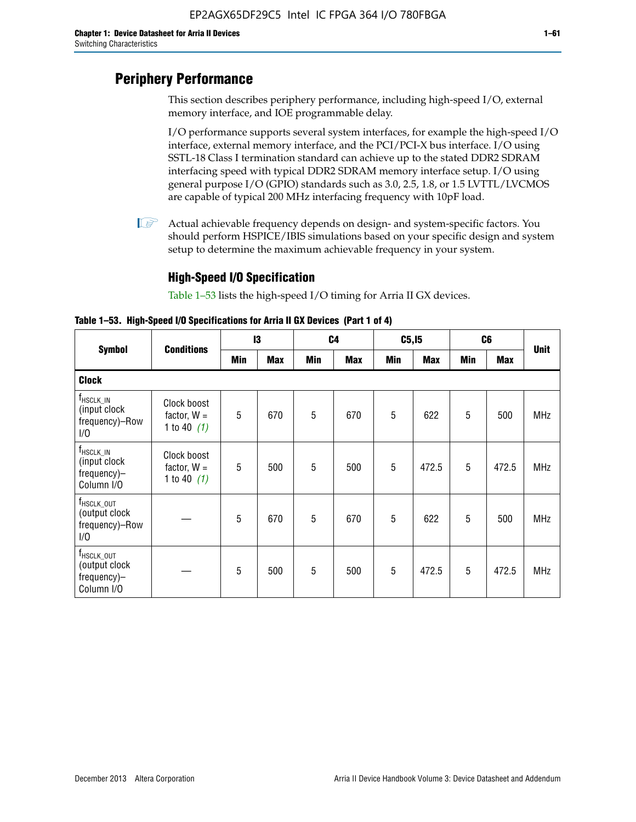# **Periphery Performance**

This section describes periphery performance, including high-speed I/O, external memory interface, and IOE programmable delay.

I/O performance supports several system interfaces, for example the high-speed I/O interface, external memory interface, and the PCI/PCI-X bus interface. I/O using SSTL-18 Class I termination standard can achieve up to the stated DDR2 SDRAM interfacing speed with typical DDR2 SDRAM memory interface setup. I/O using general purpose I/O (GPIO) standards such as 3.0, 2.5, 1.8, or 1.5 LVTTL/LVCMOS are capable of typical 200 MHz interfacing frequency with 10pF load.

 $\mathbb{I}$  Actual achievable frequency depends on design- and system-specific factors. You should perform HSPICE/IBIS simulations based on your specific design and system setup to determine the maximum achievable frequency in your system.

## **High-Speed I/O Specification**

Table 1–53 lists the high-speed I/O timing for Arria II GX devices.

**Table 1–53. High-Speed I/O Specifications for Arria II GX Devices (Part 1 of 4)**

| <b>Symbol</b>                                                        |                                               | 13  |            | C <sub>4</sub> |            | C5, I5 |            | C <sub>6</sub> |            |             |  |
|----------------------------------------------------------------------|-----------------------------------------------|-----|------------|----------------|------------|--------|------------|----------------|------------|-------------|--|
|                                                                      | <b>Conditions</b>                             | Min | <b>Max</b> | Min            | <b>Max</b> | Min    | <b>Max</b> | Min            | <b>Max</b> | <b>Unit</b> |  |
| <b>Clock</b>                                                         |                                               |     |            |                |            |        |            |                |            |             |  |
| $f_{HSCLK\_IN}$<br>(input clock<br>frequency)-Row<br>1/0             | Clock boost<br>factor, $W =$<br>1 to 40 $(1)$ | 5   | 670        | 5              | 670        | 5      | 622        | 5              | 500        | <b>MHz</b>  |  |
| $f_{\sf HSCLK\_IN}$<br>(input clock<br>frequency)-<br>Column I/O     | Clock boost<br>factor, $W =$<br>1 to 40 $(1)$ | 5   | 500        | 5              | 500        | 5      | 472.5      | 5              | 472.5      | <b>MHz</b>  |  |
| T <sub>HSCLK_OUT</sub><br>(output clock<br>frequency)-Row<br>1/0     |                                               | 5   | 670        | 5              | 670        | 5      | 622        | 5              | 500        | <b>MHz</b>  |  |
| f <sub>HSCLK_OUT</sub><br>(output clock<br>frequency)-<br>Column I/O |                                               | 5   | 500        | 5              | 500        | 5      | 472.5      | 5              | 472.5      | <b>MHz</b>  |  |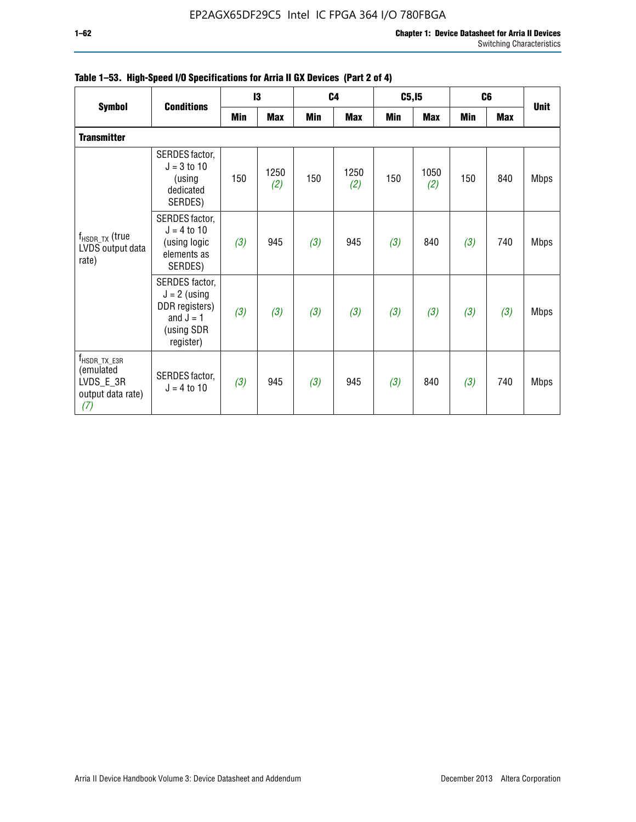|                                                                               |                                                                                              |     | 13          |     | C <sub>4</sub> | C5, I5 |             | C <sub>6</sub> |            | <b>Unit</b> |
|-------------------------------------------------------------------------------|----------------------------------------------------------------------------------------------|-----|-------------|-----|----------------|--------|-------------|----------------|------------|-------------|
| <b>Symbol</b>                                                                 | <b>Conditions</b>                                                                            | Min | <b>Max</b>  | Min | <b>Max</b>     | Min    | <b>Max</b>  | Min            | <b>Max</b> |             |
| <b>Transmitter</b>                                                            |                                                                                              |     |             |     |                |        |             |                |            |             |
| $f_{HSDR_TX}$ (true<br>LVDS output data<br>rate)                              | SERDES factor,<br>$J = 3$ to 10<br>(using<br>dedicated<br>SERDES)                            | 150 | 1250<br>(2) | 150 | 1250<br>(2)    | 150    | 1050<br>(2) | 150            | 840        | <b>Mbps</b> |
|                                                                               | SERDES factor,<br>$J = 4$ to 10<br>(using logic<br>elements as<br>SERDES)                    | (3) | 945         | (3) | 945            | (3)    | 840         | (3)            | 740        | <b>Mbps</b> |
|                                                                               | SERDES factor,<br>$J = 2$ (using<br>DDR registers)<br>and $J = 1$<br>(using SDR<br>register) | (3) | (3)         | (3) | (3)            | (3)    | (3)         | (3)            | (3)        | <b>Mbps</b> |
| $f_{\sf HSDR\_TX\_E3R}$<br>(emulated<br>LVDS_E_3R<br>output data rate)<br>(7) | SERDES factor,<br>$J = 4$ to 10                                                              | (3) | 945         | (3) | 945            | (3)    | 840         | (3)            | 740        | <b>Mbps</b> |

## **Table 1–53. High-Speed I/O Specifications for Arria II GX Devices (Part 2 of 4)**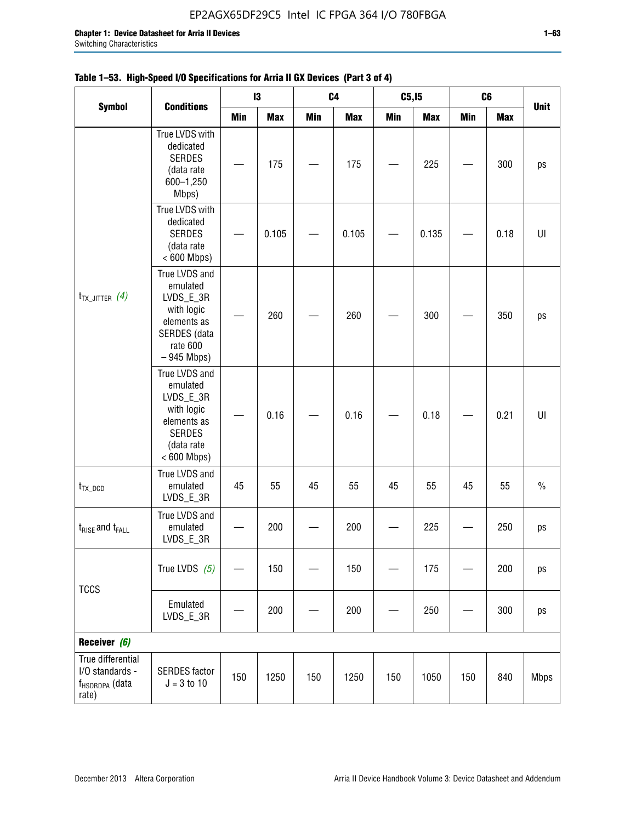|                                                                             |                                                                                                                     |     | 13         |     | C <sub>4</sub> | C5, I5     |            | C <sub>6</sub> |            | <b>Unit</b> |
|-----------------------------------------------------------------------------|---------------------------------------------------------------------------------------------------------------------|-----|------------|-----|----------------|------------|------------|----------------|------------|-------------|
| <b>Symbol</b>                                                               | <b>Conditions</b>                                                                                                   | Min | <b>Max</b> | Min | <b>Max</b>     | <b>Min</b> | <b>Max</b> | <b>Min</b>     | <b>Max</b> |             |
| $t_{TX\_JITTER}$ (4)                                                        | True LVDS with<br>dedicated<br><b>SERDES</b><br>(data rate<br>600-1,250<br>Mbps)                                    |     | 175        |     | 175            |            | 225        |                | 300        | ps          |
|                                                                             | True LVDS with<br>dedicated<br><b>SERDES</b><br>(data rate<br>$< 600$ Mbps)                                         |     | 0.105      |     | 0.105          |            | 0.135      |                | 0.18       | UI          |
|                                                                             | True LVDS and<br>emulated<br>LVDS_E_3R<br>with logic<br>elements as<br>SERDES (data<br>rate 600<br>$-945$ Mbps)     |     | 260        |     | 260            |            | 300        |                | 350        | ps          |
|                                                                             | True LVDS and<br>emulated<br>LVDS_E_3R<br>with logic<br>elements as<br><b>SERDES</b><br>(data rate<br>$< 600$ Mbps) |     | 0.16       |     | 0.16           |            | 0.18       |                | 0.21       | U           |
| $t_{TX\_DCD}$                                                               | True LVDS and<br>emulated<br>LVDS_E_3R                                                                              | 45  | 55         | 45  | 55             | 45         | 55         | 45             | 55         | $\%$        |
| $t_{\text{RISE}}$ and $t_{\text{FALL}}$                                     | True LVDS and<br>emulated<br>LVDS_E_3R                                                                              |     | 200        |     | 200            |            | 225        |                | 250        | ps          |
|                                                                             | True LVDS $(5)$                                                                                                     |     | 150        |     | 150            |            | 175        |                | 200        | ps          |
| <b>TCCS</b>                                                                 | Emulated<br>LVDS_E_3R                                                                                               |     | 200        |     | 200            |            | 250        |                | 300        | ps          |
| Receiver (6)                                                                |                                                                                                                     |     |            |     |                |            |            |                |            |             |
| True differential<br>I/O standards -<br>f <sub>HSDRDPA</sub> (data<br>rate) | <b>SERDES</b> factor<br>$J = 3 to 10$                                                                               | 150 | 1250       | 150 | 1250           | 150        | 1050       | 150            | 840        | <b>Mbps</b> |

## **Table 1–53. High-Speed I/O Specifications for Arria II GX Devices (Part 3 of 4)**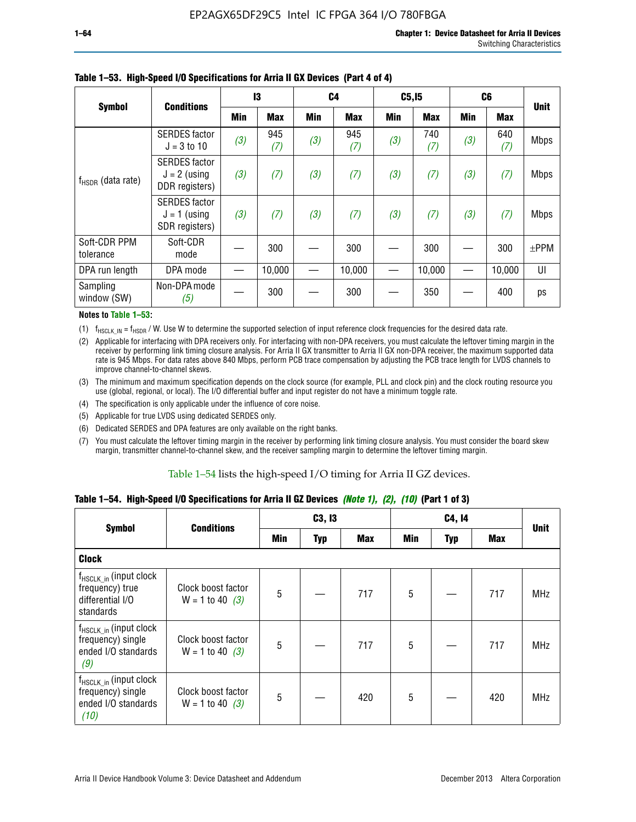|                           |                                                          |     | 13         |     | C <sub>4</sub> | C5, I5 |            | C <sub>6</sub> |            | <b>Unit</b> |
|---------------------------|----------------------------------------------------------|-----|------------|-----|----------------|--------|------------|----------------|------------|-------------|
| <b>Symbol</b>             | <b>Conditions</b>                                        | Min | <b>Max</b> | Min | Max            | Min    | <b>Max</b> | Min            | <b>Max</b> |             |
|                           | <b>SERDES</b> factor<br>$J = 3 to 10$                    | (3) | 945<br>(7) | (3) | 945<br>(7)     | (3)    | 740<br>(7) | (3)            | 640<br>(7) | <b>Mbps</b> |
| $f_{HSDR}$ (data rate)    | <b>SERDES</b> factor<br>$J = 2$ (using<br>DDR registers) | (3) | (7)        | (3) | (7)            | (3)    | (7)        | (3)            | (7)        | <b>Mbps</b> |
|                           | <b>SERDES</b> factor<br>$J = 1$ (using<br>SDR registers) | (3) | (7)        | (3) | (7)            | (3)    | (7)        | (3)            | (7)        | <b>Mbps</b> |
| Soft-CDR PPM<br>tolerance | Soft-CDR<br>mode                                         |     | 300        |     | 300            |        | 300        |                | 300        | $±$ PPM     |
| DPA run length            | DPA mode                                                 |     | 10,000     |     | 10,000         |        | 10,000     |                | 10,000     | UI          |
| Sampling<br>window (SW)   | Non-DPA mode<br>(5)                                      |     | 300        |     | 300            |        | 350        |                | 400        | ps          |

#### **Table 1–53. High-Speed I/O Specifications for Arria II GX Devices (Part 4 of 4)**

#### **Notes to Table 1–53:**

(1)  $f_{HSCLK\_IN} = f_{HSDR}$  / W. Use W to determine the supported selection of input reference clock frequencies for the desired data rate.

(2) Applicable for interfacing with DPA receivers only. For interfacing with non-DPA receivers, you must calculate the leftover timing margin in the receiver by performing link timing closure analysis. For Arria II GX transmitter to Arria II GX non-DPA receiver, the maximum supported data rate is 945 Mbps. For data rates above 840 Mbps, perform PCB trace compensation by adjusting the PCB trace length for LVDS channels to improve channel-to-channel skews.

- (3) The minimum and maximum specification depends on the clock source (for example, PLL and clock pin) and the clock routing resource you use (global, regional, or local). The I/O differential buffer and input register do not have a minimum toggle rate.
- (4) The specification is only applicable under the influence of core noise.
- (5) Applicable for true LVDS using dedicated SERDES only.
- (6) Dedicated SERDES and DPA features are only available on the right banks.
- (7) You must calculate the leftover timing margin in the receiver by performing link timing closure analysis. You must consider the board skew margin, transmitter channel-to-channel skew, and the receiver sampling margin to determine the leftover timing margin.

#### Table 1–54 lists the high-speed I/O timing for Arria II GZ devices.

#### **Table 1–54. High-Speed I/O Specifications for Arria II GZ Devices** *(Note 1), (2), (10)* **(Part 1 of 3)**

| <b>Symbol</b>                                                                   | <b>Conditions</b>                       |     | C3, I3     |            |                 |     |     |             |
|---------------------------------------------------------------------------------|-----------------------------------------|-----|------------|------------|-----------------|-----|-----|-------------|
|                                                                                 |                                         | Min | <b>Typ</b> | <b>Max</b> | Min             | Typ | Max | <b>Unit</b> |
| <b>Clock</b>                                                                    |                                         |     |            |            |                 |     |     |             |
| $f_{HSCLK_in}$ (input clock<br>frequency) true<br>differential I/O<br>standards | Clock boost factor<br>$W = 1$ to 40 (3) | 5   |            | 717        | $5\phantom{.0}$ |     | 717 | <b>MHz</b>  |
| $f_{HSCLK_in}$ (input clock<br>frequency) single<br>ended I/O standards<br>(9)  | Clock boost factor<br>$W = 1$ to 40 (3) | 5   |            | 717        | $5\phantom{.0}$ |     | 717 | <b>MHz</b>  |
| $f_{HSCLK_in}$ (input clock<br>frequency) single<br>ended I/O standards<br>(10) | Clock boost factor<br>$W = 1$ to 40 (3) | 5   |            | 420        | $5\phantom{.0}$ |     | 420 | <b>MHz</b>  |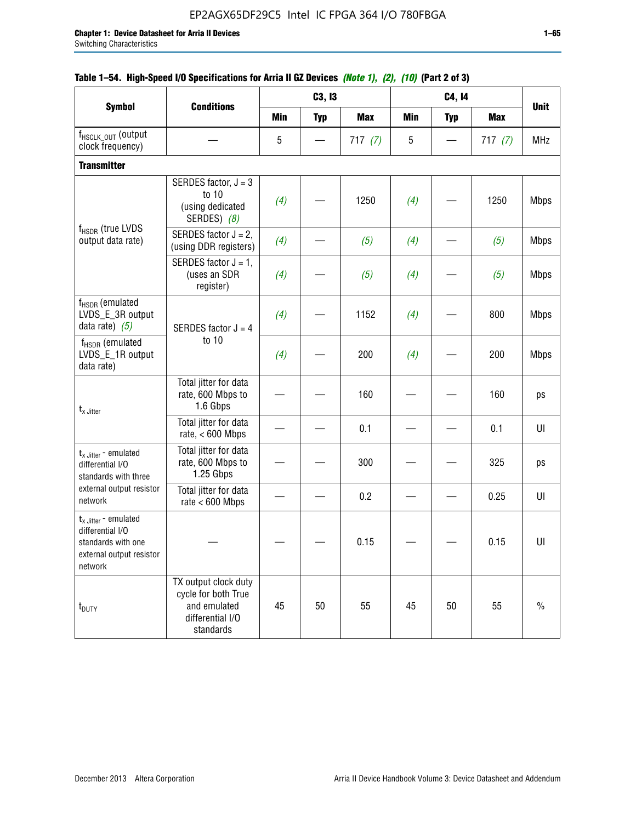|                                                                                                          |                                                                                              |            | C3, I3                        |            |     | C4, 14     |            |             |
|----------------------------------------------------------------------------------------------------------|----------------------------------------------------------------------------------------------|------------|-------------------------------|------------|-----|------------|------------|-------------|
| <b>Symbol</b>                                                                                            | <b>Conditions</b>                                                                            | <b>Min</b> | <b>Typ</b>                    | <b>Max</b> | Min | <b>Typ</b> | <b>Max</b> | <b>Unit</b> |
| f <sub>HSCLK_OUT</sub> (output<br>clock frequency)                                                       |                                                                                              | 5          | $\overbrace{\phantom{13333}}$ | 717(7)     | 5   |            | 717(7)     | <b>MHz</b>  |
| <b>Transmitter</b>                                                                                       |                                                                                              |            |                               |            |     |            |            |             |
|                                                                                                          | SERDES factor, $J = 3$<br>to 10<br>(using dedicated<br>SERDES) (8)                           | (4)        |                               | 1250       | (4) |            | 1250       | <b>Mbps</b> |
| f <sub>HSDR</sub> (true LVDS<br>output data rate)                                                        | SERDES factor $J = 2$ ,<br>(using DDR registers)                                             | (4)        |                               | (5)        | (4) |            | (5)        | <b>Mbps</b> |
|                                                                                                          | SERDES factor $J = 1$ ,<br>(uses an SDR<br>register)                                         | (4)        |                               | (5)        | (4) |            | (5)        | <b>Mbps</b> |
| f <sub>HSDR</sub> (emulated<br>LVDS_E_3R output<br>data rate) $(5)$                                      | SERDES factor $J = 4$                                                                        | (4)        |                               | 1152       | (4) |            | 800        | <b>Mbps</b> |
| $f_{\rm HSDR}$ (emulated<br>LVDS_E_1R output<br>data rate)                                               | to 10                                                                                        | (4)        |                               | 200        | (4) |            | 200        | <b>Mbps</b> |
| $t_{x}$ Jitter                                                                                           | Total jitter for data<br>rate, 600 Mbps to<br>1.6 Gbps                                       |            |                               | 160        |     |            | 160        | ps          |
|                                                                                                          | Total jitter for data<br>rate, $< 600$ Mbps                                                  |            |                               | 0.1        |     |            | 0.1        | U           |
| $t_{x \text{ Jitter}}$ - emulated<br>differential I/O<br>standards with three                            | Total jitter for data<br>rate, 600 Mbps to<br>1.25 Gbps                                      |            |                               | 300        |     |            | 325        | ps          |
| external output resistor<br>network                                                                      | Total jitter for data<br>rate $< 600$ Mbps                                                   |            |                               | 0.2        |     |            | 0.25       | UI          |
| $t_x$ Jitter - emulated<br>differential I/O<br>standards with one<br>external output resistor<br>network |                                                                                              |            |                               | 0.15       |     |            | 0.15       | U           |
| t <sub>DUTY</sub>                                                                                        | TX output clock duty<br>cycle for both True<br>and emulated<br>differential I/O<br>standards | 45         | 50                            | 55         | 45  | 50         | 55         | $\%$        |

## **Table 1–54. High-Speed I/O Specifications for Arria II GZ Devices** *(Note 1), (2), (10)* **(Part 2 of 3)**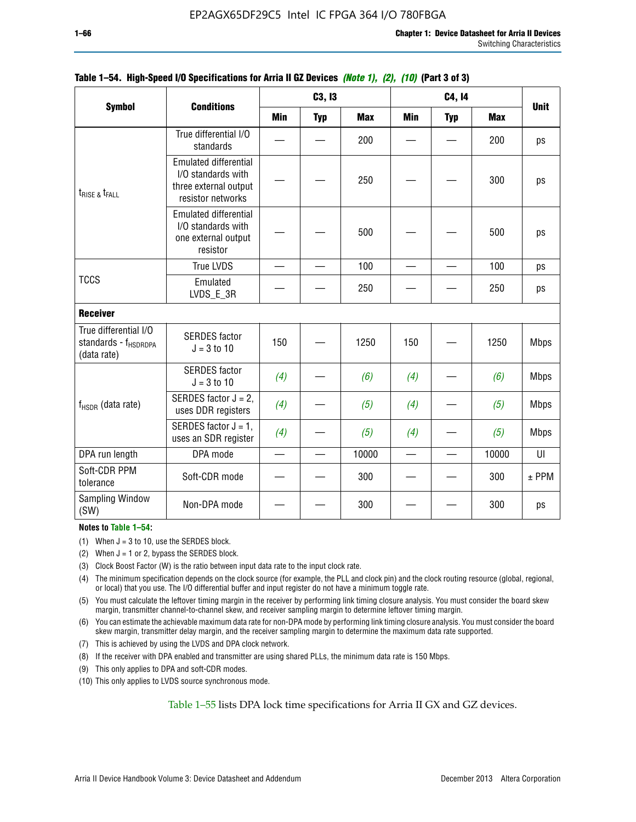|                                                                          |                                                                                                  |     | C3, I3     |            |     | <b>Unit</b> |            |             |
|--------------------------------------------------------------------------|--------------------------------------------------------------------------------------------------|-----|------------|------------|-----|-------------|------------|-------------|
| <b>Symbol</b>                                                            | <b>Conditions</b>                                                                                | Min | <b>Typ</b> | <b>Max</b> | Min | <b>Typ</b>  | <b>Max</b> |             |
|                                                                          | True differential I/O<br>standards                                                               |     |            | 200        |     |             | 200        | ps          |
| $t_{\text{RISE 8}}t_{\text{FALL}}$                                       | <b>Emulated differential</b><br>I/O standards with<br>three external output<br>resistor networks |     |            | 250        |     |             | 300        | ps          |
|                                                                          | <b>Emulated differential</b><br>I/O standards with<br>one external output<br>resistor            |     |            | 500        |     |             | 500        | ps          |
|                                                                          | <b>True LVDS</b>                                                                                 |     |            | 100        |     |             | 100        | ps          |
| <b>TCCS</b>                                                              | Emulated<br>LVDS_E_3R                                                                            |     |            | 250        |     |             | 250        | ps          |
| <b>Receiver</b>                                                          |                                                                                                  |     |            |            |     |             |            |             |
| True differential I/O<br>standards - f <sub>HSDRDPA</sub><br>(data rate) | <b>SERDES</b> factor<br>$J = 3$ to 10                                                            | 150 |            | 1250       | 150 |             | 1250       | <b>Mbps</b> |
|                                                                          | <b>SERDES</b> factor<br>$J = 3$ to 10                                                            | (4) |            | (6)        | (4) |             | (6)        | <b>Mbps</b> |
| f <sub>HSDR</sub> (data rate)                                            | SERDES factor $J = 2$ ,<br>uses DDR registers                                                    | (4) |            | (5)        | (4) |             | (5)        | <b>Mbps</b> |
|                                                                          | SERDES factor $J = 1$ ,<br>uses an SDR register                                                  | (4) |            | (5)        | (4) |             | (5)        | <b>Mbps</b> |
| DPA run length                                                           | DPA mode                                                                                         |     |            | 10000      |     |             | 10000      | UI          |
| Soft-CDR PPM<br>tolerance                                                | Soft-CDR mode                                                                                    |     |            | 300        |     |             | 300        | $±$ PPM     |
| <b>Sampling Window</b><br>(SW)                                           | Non-DPA mode                                                                                     |     |            | 300        |     |             | 300        | ps          |

### **Table 1–54. High-Speed I/O Specifications for Arria II GZ Devices** *(Note 1), (2), (10)* **(Part 3 of 3)**

#### **Notes to Table 1–54:**

(1) When  $J = 3$  to 10, use the SERDES block.

- (2) When  $J = 1$  or 2, bypass the SERDES block.
- (3) Clock Boost Factor (W) is the ratio between input data rate to the input clock rate.
- (4) The minimum specification depends on the clock source (for example, the PLL and clock pin) and the clock routing resource (global, regional, or local) that you use. The I/O differential buffer and input register do not have a minimum toggle rate.
- (5) You must calculate the leftover timing margin in the receiver by performing link timing closure analysis. You must consider the board skew margin, transmitter channel-to-channel skew, and receiver sampling margin to determine leftover timing margin.
- (6) You can estimate the achievable maximum data rate for non-DPA mode by performing link timing closure analysis. You must consider the board skew margin, transmitter delay margin, and the receiver sampling margin to determine the maximum data rate supported.
- (7) This is achieved by using the LVDS and DPA clock network.
- (8) If the receiver with DPA enabled and transmitter are using shared PLLs, the minimum data rate is 150 Mbps.
- (9) This only applies to DPA and soft-CDR modes.
- (10) This only applies to LVDS source synchronous mode.

Table 1–55 lists DPA lock time specifications for Arria II GX and GZ devices.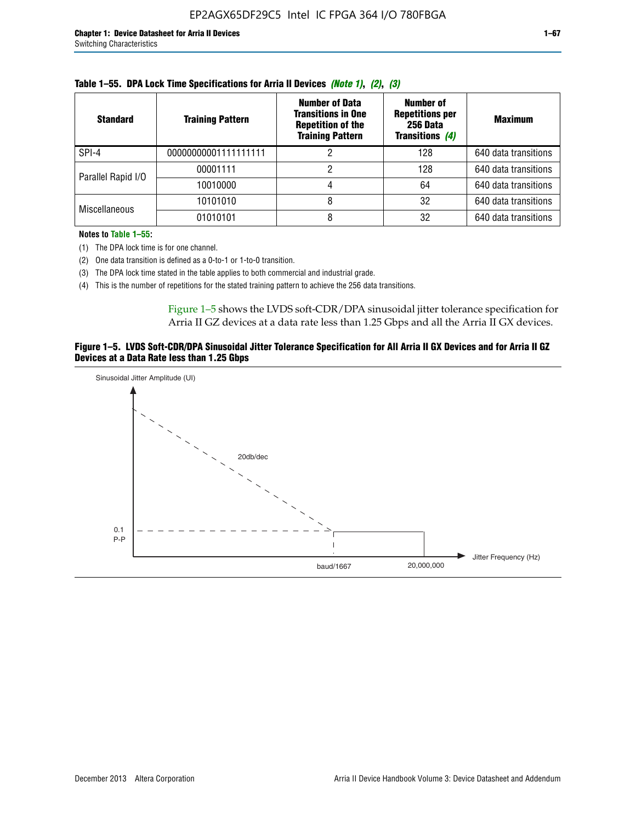| <b>Standard</b>      | <b>Training Pattern</b> | <b>Number of Data</b><br><b>Transitions in One</b><br><b>Repetition of the</b><br><b>Training Pattern</b> | Number of<br><b>Repetitions per</b><br>256 Data<br><b>Transitions (4)</b> | <b>Maximum</b>       |
|----------------------|-------------------------|-----------------------------------------------------------------------------------------------------------|---------------------------------------------------------------------------|----------------------|
| SPI-4                | 00000000001111111111    |                                                                                                           | 128                                                                       | 640 data transitions |
| Parallel Rapid I/O   | 00001111                |                                                                                                           | 128                                                                       | 640 data transitions |
|                      | 10010000                |                                                                                                           | 64                                                                        | 640 data transitions |
| <b>Miscellaneous</b> | 10101010                | 8                                                                                                         | 32                                                                        | 640 data transitions |
|                      | 01010101                |                                                                                                           | 32                                                                        | 640 data transitions |

|  |  | Table 1–55. DPA Lock Time Specifications for Arria II Devices (Note 1), (2), (3) |  |  |  |
|--|--|----------------------------------------------------------------------------------|--|--|--|
|--|--|----------------------------------------------------------------------------------|--|--|--|

**Notes to Table 1–55:**

(1) The DPA lock time is for one channel.

(2) One data transition is defined as a 0-to-1 or 1-to-0 transition.

(3) The DPA lock time stated in the table applies to both commercial and industrial grade.

(4) This is the number of repetitions for the stated training pattern to achieve the 256 data transitions.

Figure 1–5 shows the LVDS soft-CDR/DPA sinusoidal jitter tolerance specification for Arria II GZ devices at a data rate less than 1.25 Gbps and all the Arria II GX devices.

#### **Figure 1–5. LVDS Soft-CDR/DPA Sinusoidal Jitter Tolerance Specification for All Arria II GX Devices and for Arria II GZ Devices at a Data Rate less than 1.25 Gbps**

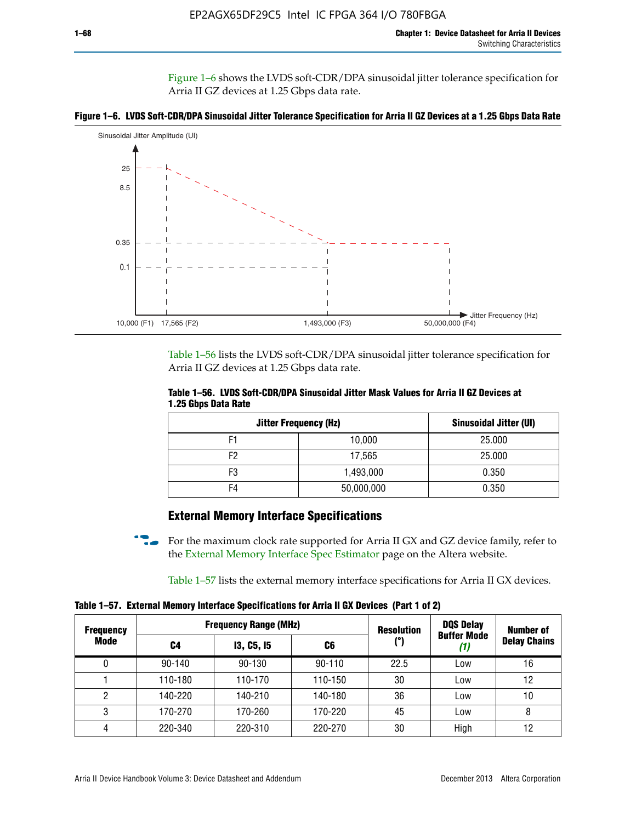Figure 1–6 shows the LVDS soft-CDR/DPA sinusoidal jitter tolerance specification for Arria II GZ devices at 1.25 Gbps data rate.





Table 1–56 lists the LVDS soft-CDR/DPA sinusoidal jitter tolerance specification for Arria II GZ devices at 1.25 Gbps data rate.

|                     | Table 1–56. LVDS Soft-CDR/DPA Sinusoidal Jitter Mask Values for Arria II GZ Devices at |  |  |
|---------------------|----------------------------------------------------------------------------------------|--|--|
| 1.25 Gbps Data Rate |                                                                                        |  |  |

| <b>Jitter Frequency (Hz)</b> | Sinusoidal Jitter (UI) |        |
|------------------------------|------------------------|--------|
| F1                           | 10,000                 | 25.000 |
| F2                           | 17,565                 | 25.000 |
| F3                           | 1,493,000              | 0.350  |
| F4                           | 50,000,000             | 0.350  |

## **External Memory Interface Specifications**

For the maximum clock rate supported for Arria II GX and GZ device family, refer to the [External Memory Interface Spec Estimator](http://www.altera.com/technology/memory/estimator/mem-emif-index.html) page on the Altera website.

Table 1–57 lists the external memory interface specifications for Arria II GX devices.

**Table 1–57. External Memory Interface Specifications for Arria II GX Devices (Part 1 of 2)**

| <b>Frequency</b><br>Mode |            | <b>Frequency Range (MHz)</b> | <b>Resolution</b> | <b>DQS Delay</b> | <b>Number of</b>   |                     |
|--------------------------|------------|------------------------------|-------------------|------------------|--------------------|---------------------|
|                          | C4         | <b>13, C5, 15</b>            | C6                | (°)              | <b>Buffer Mode</b> | <b>Delay Chains</b> |
| 0                        | $90 - 140$ | 90-130                       | $90 - 110$        | 22.5             | Low                | 16                  |
|                          | 110-180    | 110-170                      | 110-150           | 30               | Low                | 12                  |
| 2                        | 140-220    | 140-210                      | 140-180           | 36               | Low                | 10                  |
| 3                        | 170-270    | 170-260                      | 170-220           | 45               | Low                | 8                   |
| 4                        | 220-340    | 220-310                      | 220-270           | 30               | High               | 12                  |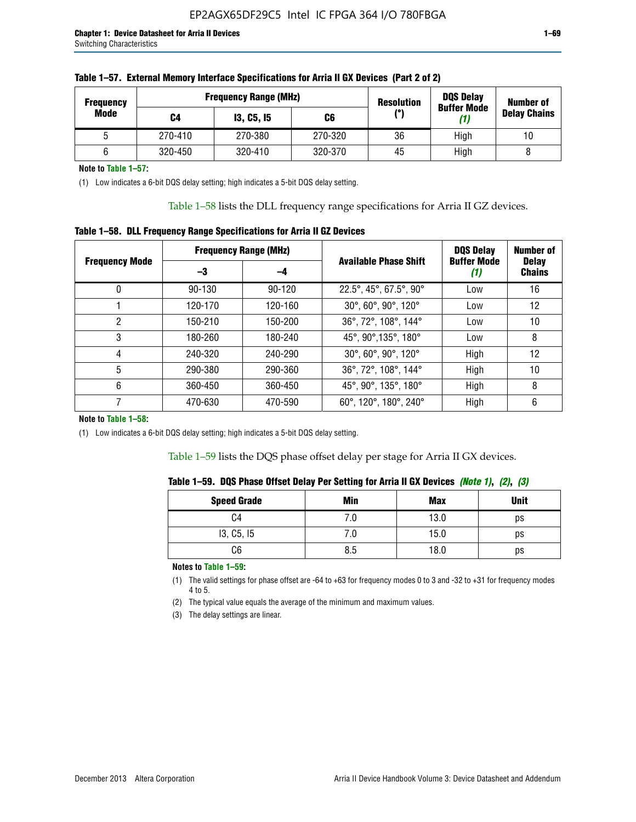| <b>Frequency</b> |         | <b>Frequency Range (MHz)</b> | <b>Resolution</b> | <b>DQS Delay</b><br><b>Buffer Mode</b> | <b>Number of</b> |                     |  |
|------------------|---------|------------------------------|-------------------|----------------------------------------|------------------|---------------------|--|
| Mode             | C4      | <b>13, C5, 15</b>            | C6                | /°ا                                    | (1)              | <b>Delay Chains</b> |  |
|                  | 270-410 | 270-380                      | 270-320           | 36                                     | High             | 10                  |  |
|                  | 320-450 | 320-410                      | 320-370           | 45                                     | High             |                     |  |

**Note to Table 1–57:**

(1) Low indicates a 6-bit DQS delay setting; high indicates a 5-bit DQS delay setting.

Table 1–58 lists the DLL frequency range specifications for Arria II GZ devices.

### **Table 1–58. DLL Frequency Range Specifications for Arria II GZ Devices**

|                       |            | <b>Frequency Range (MHz)</b> |                              | <b>DOS Delay</b>          | <b>Number of</b>              |  |
|-----------------------|------------|------------------------------|------------------------------|---------------------------|-------------------------------|--|
| <b>Frequency Mode</b> | -3<br>-4   |                              | <b>Available Phase Shift</b> | <b>Buffer Mode</b><br>(1) | <b>Delay</b><br><b>Chains</b> |  |
| 0                     | $90 - 130$ | $90 - 120$                   | 22.5°, 45°, 67.5°, 90°       | Low                       | 16                            |  |
|                       | 120-170    | 120-160                      | 30°, 60°, 90°, 120°          | Low                       | 12                            |  |
| 2                     | 150-210    | 150-200                      | 36°, 72°, 108°, 144°         | Low                       | 10                            |  |
| 3                     | 180-260    | 180-240                      | 45°, 90°, 135°, 180°         | Low                       | 8                             |  |
| 4                     | 240-320    | 240-290                      | 30°, 60°, 90°, 120°          | High                      | 12                            |  |
| 5                     | 290-380    | 290-360                      | 36°, 72°, 108°, 144°         | High                      | 10                            |  |
| 6                     | 360-450    | 360-450                      | 45°, 90°, 135°, 180°         | High                      | 8                             |  |
|                       | 470-630    | 470-590                      | 60°, 120°, 180°, 240°        | High                      | 6                             |  |

#### **Note to Table 1–58:**

(1) Low indicates a 6-bit DQS delay setting; high indicates a 5-bit DQS delay setting.

Table 1–59 lists the DQS phase offset delay per stage for Arria II GX devices.

|  | Table 1–59.  DQS Phase Offset Delay Per Setting for Arria II GX Devices <i>(Note 1), (2), (3)</i> |  |  |
|--|---------------------------------------------------------------------------------------------------|--|--|
|  |                                                                                                   |  |  |

| <b>Speed Grade</b> | Min  | <b>Max</b> | <b>Unit</b> |
|--------------------|------|------------|-------------|
| C4                 | ن. ا | 13.0       | ps          |
| 13, C5, I5         | 7.U  | 15.0       | ps          |
| C6                 | 8.5  | 18.0       | ps          |

**Notes to Table 1–59:**

(1) The valid settings for phase offset are -64 to +63 for frequency modes 0 to 3 and -32 to +31 for frequency modes 4 to 5.

(2) The typical value equals the average of the minimum and maximum values.

(3) The delay settings are linear.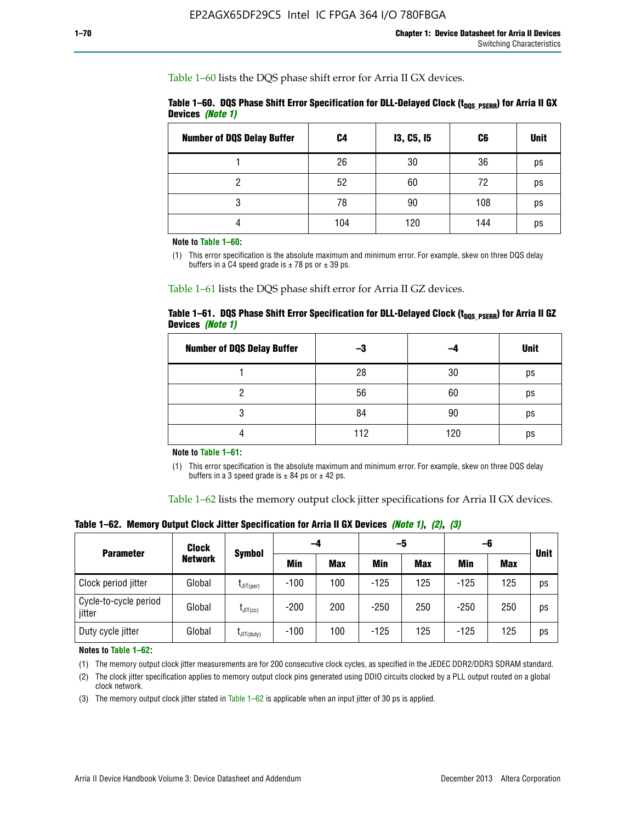Table 1–60 lists the DQS phase shift error for Arria II GX devices.

|                  |  |  | Table 1–60. DQS Phase Shift Error Specification for DLL-Delayed Clock ( $t_{\text{DOS PSERR}}$ ) for Arria II GX |
|------------------|--|--|------------------------------------------------------------------------------------------------------------------|
| Devices (Note 1) |  |  |                                                                                                                  |

| <b>Number of DQS Delay Buffer</b> | C <sub>4</sub> | I3, C5, I5 | C6  | <b>Unit</b> |
|-----------------------------------|----------------|------------|-----|-------------|
|                                   | 26             | 30         | 36  | ps          |
| റ                                 | 52             | 60         | 72  | ps          |
| 3                                 | 78             | 90         | 108 | ps          |
|                                   | 104            | 120        | 144 | ps          |

**Note to Table 1–60:**

(1) This error specification is the absolute maximum and minimum error. For example, skew on three DQS delay buffers in a C4 speed grade is  $\pm$  78 ps or  $\pm$  39 ps.

Table 1–61 lists the DQS phase shift error for Arria II GZ devices.

|                         |  | Table 1–61.DQS Phase Shift Error Specification for DLL-Delayed Clock (t <sub>DOS PSERR</sub> ) for Arria II GZ |  |  |
|-------------------------|--|----------------------------------------------------------------------------------------------------------------|--|--|
| Devices <i>(Note 1)</i> |  |                                                                                                                |  |  |

| <b>Number of DQS Delay Buffer</b> | -3  |     | <b>Unit</b> |
|-----------------------------------|-----|-----|-------------|
|                                   | 28  | 30  | ps          |
|                                   | 56  | 60  | ps          |
| O                                 | 84  | 90  | ps          |
|                                   | 112 | 120 | ps          |

**Note to Table 1–61:**

(1) This error specification is the absolute maximum and minimum error. For example, skew on three DQS delay buffers in a 3 speed grade is  $\pm$  84 ps or  $\pm$  42 ps.

Table 1–62 lists the memory output clock jitter specifications for Arria II GX devices.

**Table 1–62. Memory Output Clock Jitter Specification for Arria II GX Devices** *(Note 1)***,** *(2)***,** *(3)*

| <b>Parameter</b>                | <b>Clock</b>   |                      | -4         |            | -5         |            | -6         |            | <b>Unit</b> |  |
|---------------------------------|----------------|----------------------|------------|------------|------------|------------|------------|------------|-------------|--|
|                                 | <b>Network</b> | Symbol               | <b>Min</b> | <b>Max</b> | <b>Min</b> | <b>Max</b> | <b>Min</b> | <b>Max</b> |             |  |
| Clock period jitter             | Global         | $L$ JIT(per)         | $-100$     | 100        | $-125$     | 125        | $-125$     | 125        | ps          |  |
| Cycle-to-cycle period<br>jitter | Global         | $L_{\text{JIT(CC)}}$ | $-200$     | 200        | $-250$     | 250        | $-250$     | 250        | ps          |  |
| Duty cycle jitter               | Global         | $L$ JIT $(du$ ty $)$ | $-100$     | 100        | $-125$     | 125        | $-125$     | 125        | ps          |  |

**Notes to Table 1–62:**

(1) The memory output clock jitter measurements are for 200 consecutive clock cycles, as specified in the JEDEC DDR2/DDR3 SDRAM standard.

(2) The clock jitter specification applies to memory output clock pins generated using DDIO circuits clocked by a PLL output routed on a global clock network.

(3) The memory output clock jitter stated in Table  $1-62$  is applicable when an input jitter of 30 ps is applied.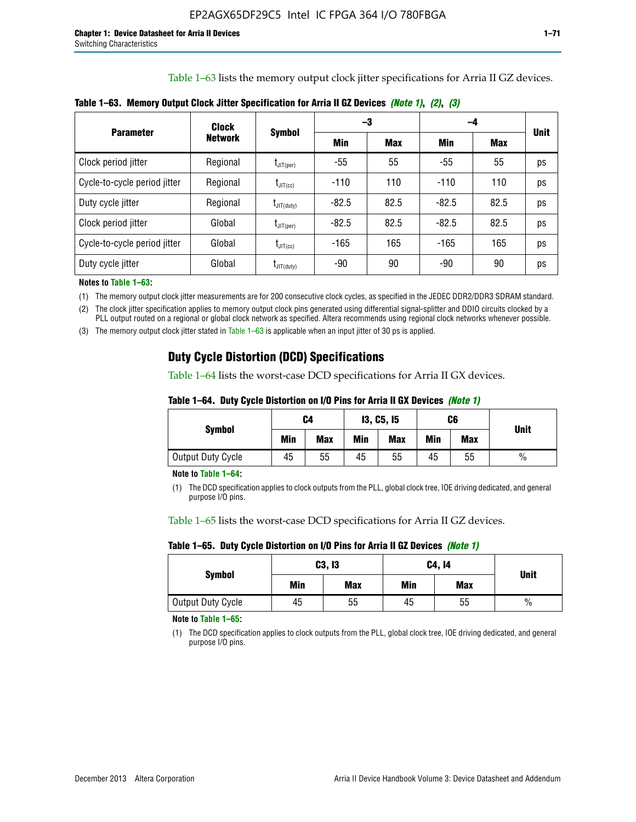Table 1–63 lists the memory output clock jitter specifications for Arria II GZ devices.

| <b>Parameter</b>             | <b>Clock</b><br><b>Network</b> | <b>Symbol</b>                      | -3      |            | -4      |      |             |
|------------------------------|--------------------------------|------------------------------------|---------|------------|---------|------|-------------|
|                              |                                |                                    | Min     | <b>Max</b> | Min     | Max  | <b>Unit</b> |
| Clock period jitter          | Regional                       | $t_{\text{JIT(per)}}$              | -55     | 55         | $-55$   | 55   | ps          |
| Cycle-to-cycle period jitter | Regional                       | $t_{\text{JIT(cc)}}$               | $-110$  | 110        | $-110$  | 110  | ps          |
| Duty cycle jitter            | Regional                       | $t_{\text{JIT(duty)}}$             | $-82.5$ | 82.5       | $-82.5$ | 82.5 | ps          |
| Clock period jitter          | Global                         | $\mathfrak{t}_{\mathsf{JIT}(per)}$ | $-82.5$ | 82.5       | $-82.5$ | 82.5 | ps          |
| Cycle-to-cycle period jitter | Global                         | $t_{\text{JIT(cc)}}$               | $-165$  | 165        | $-165$  | 165  | ps          |
| Duty cycle jitter            | Global                         | $t_{\text{JIT(duty)}}$             | -90     | 90         | -90     | 90   | ps          |

**Table 1–63. Memory Output Clock Jitter Specification for Arria II GZ Devices** *(Note 1)***,** *(2)***,** *(3)*

**Notes to Table 1–63:**

(1) The memory output clock jitter measurements are for 200 consecutive clock cycles, as specified in the JEDEC DDR2/DDR3 SDRAM standard.

(2) The clock jitter specification applies to memory output clock pins generated using differential signal-splitter and DDIO circuits clocked by a PLL output routed on a regional or global clock network as specified. Altera recommends using regional clock networks whenever possible.

(3) The memory output clock jitter stated in Table 1–63 is applicable when an input jitter of 30 ps is applied.

## **Duty Cycle Distortion (DCD) Specifications**

Table 1–64 lists the worst-case DCD specifications for Arria II GX devices.

| Table 1–64.  Duty Cycle Distortion on I/O Pins for Arria II GX Devices <i>(Note 1)</i> |  |  |  |  |  |
|----------------------------------------------------------------------------------------|--|--|--|--|--|
|----------------------------------------------------------------------------------------|--|--|--|--|--|

| <b>Symbol</b>     | C4  |            | <b>13, C5, 15</b> |     | C6  |            | <b>Unit</b>   |  |
|-------------------|-----|------------|-------------------|-----|-----|------------|---------------|--|
|                   | Min | <b>Max</b> | Min               | Max | Min | <b>Max</b> |               |  |
| Output Duty Cycle | 45  | 55         | 45                | 55  | 45  | 55         | $\frac{0}{0}$ |  |

**Note to Table 1–64:**

(1) The DCD specification applies to clock outputs from the PLL, global clock tree, IOE driving dedicated, and general purpose I/O pins.

Table 1–65 lists the worst-case DCD specifications for Arria II GZ devices.

**Table 1–65. Duty Cycle Distortion on I/O Pins for Arria II GZ Devices** *(Note 1)*

| <b>Symbol</b>     | C3, I3 |            | C4, 14 | <b>Unit</b> |      |  |
|-------------------|--------|------------|--------|-------------|------|--|
|                   | Min    | <b>Max</b> | Min    | <b>Max</b>  |      |  |
| Output Duty Cycle | 45     | 55         | 45     | 55          | $\%$ |  |

**Note to Table 1–65:**

(1) The DCD specification applies to clock outputs from the PLL, global clock tree, IOE driving dedicated, and general purpose I/O pins.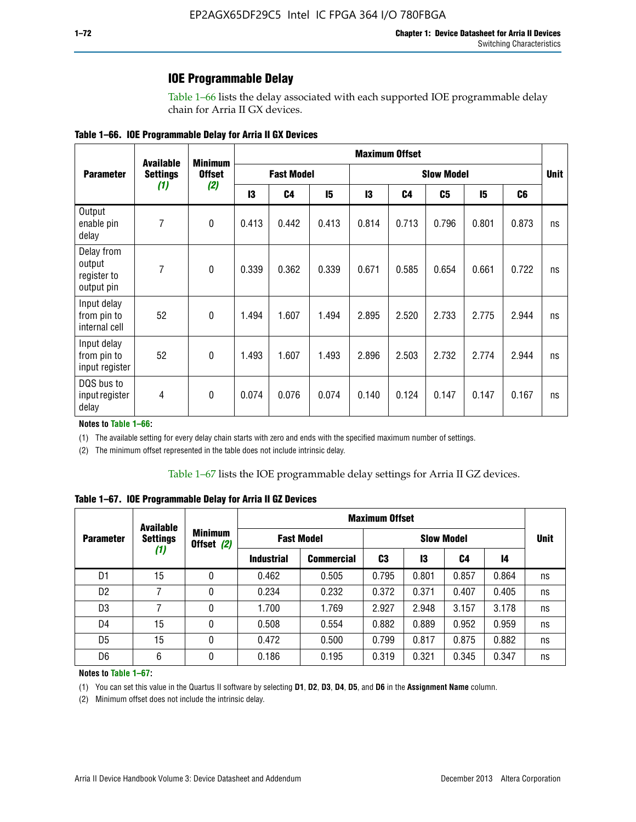### **IOE Programmable Delay**

Table 1–66 lists the delay associated with each supported IOE programmable delay chain for Arria II GX devices.

|  |  |  | Table 1–66. IOE Programmable Delay for Arria II GX Devices |
|--|--|--|------------------------------------------------------------|
|--|--|--|------------------------------------------------------------|

|                                                   | <b>Available</b> | <b>Minimum</b> |                   |                |                   |       | <b>Maximum Offset</b> |       |             |                |    |
|---------------------------------------------------|------------------|----------------|-------------------|----------------|-------------------|-------|-----------------------|-------|-------------|----------------|----|
| <b>Parameter</b>                                  | <b>Settings</b>  | <b>Offset</b>  | <b>Fast Model</b> |                | <b>Slow Model</b> |       |                       |       | <b>Unit</b> |                |    |
|                                                   | (1)              | (2)            | 13                | C <sub>4</sub> | 15                | 13    | C <sub>4</sub>        | C5    | 15          | C <sub>6</sub> |    |
| Output<br>enable pin<br>delay                     | 7                | $\mathbf 0$    | 0.413             | 0.442          | 0.413             | 0.814 | 0.713                 | 0.796 | 0.801       | 0.873          | ns |
| Delay from<br>output<br>register to<br>output pin | 7                | $\mathbf 0$    | 0.339             | 0.362          | 0.339             | 0.671 | 0.585                 | 0.654 | 0.661       | 0.722          | ns |
| Input delay<br>from pin to<br>internal cell       | 52               | $\mathbf{0}$   | 1.494             | 1.607          | 1.494             | 2.895 | 2.520                 | 2.733 | 2.775       | 2.944          | ns |
| Input delay<br>from pin to<br>input register      | 52               | $\mathbf{0}$   | 1.493             | 1.607          | 1.493             | 2.896 | 2.503                 | 2.732 | 2.774       | 2.944          | ns |
| DQS bus to<br>input register<br>delay             | 4                | $\mathbf 0$    | 0.074             | 0.076          | 0.074             | 0.140 | 0.124                 | 0.147 | 0.147       | 0.167          | ns |

**Notes to Table 1–66:**

(1) The available setting for every delay chain starts with zero and ends with the specified maximum number of settings.

(2) The minimum offset represented in the table does not include intrinsic delay.

**Table 1–67. IOE Programmable Delay for Arria II GZ Devices**

|                  | <b>Available</b>       |   |                              |                   | <b>Maximum Offset</b> |                   |       |       |    |             |
|------------------|------------------------|---|------------------------------|-------------------|-----------------------|-------------------|-------|-------|----|-------------|
| <b>Parameter</b> | <b>Settings</b><br>(1) |   | <b>Minimum</b><br>Offset (2) | <b>Fast Model</b> |                       | <b>Slow Model</b> |       |       |    | <b>Unit</b> |
|                  |                        |   | <b>Industrial</b>            | <b>Commercial</b> | C3                    | 13                | C4    | 14    |    |             |
| D1               | 15                     | 0 | 0.462                        | 0.505             | 0.795                 | 0.801             | 0.857 | 0.864 | ns |             |
| D <sub>2</sub>   | 7                      | 0 | 0.234                        | 0.232             | 0.372                 | 0.371             | 0.407 | 0.405 | ns |             |
| D <sub>3</sub>   | 7                      | 0 | 1.700                        | 1.769             | 2.927                 | 2.948             | 3.157 | 3.178 | ns |             |
| D4               | 15                     | 0 | 0.508                        | 0.554             | 0.882                 | 0.889             | 0.952 | 0.959 | ns |             |
| D <sub>5</sub>   | 15                     | 0 | 0.472                        | 0.500             | 0.799                 | 0.817             | 0.875 | 0.882 | ns |             |
| D <sub>6</sub>   | 6                      | 0 | 0.186                        | 0.195             | 0.319                 | 0.321             | 0.345 | 0.347 | ns |             |

#### **Notes to Table 1–67:**

(1) You can set this value in the Quartus II software by selecting **D1**, **D2**, **D3**, **D4**, **D5**, and **D6** in the **Assignment Name** column.

(2) Minimum offset does not include the intrinsic delay.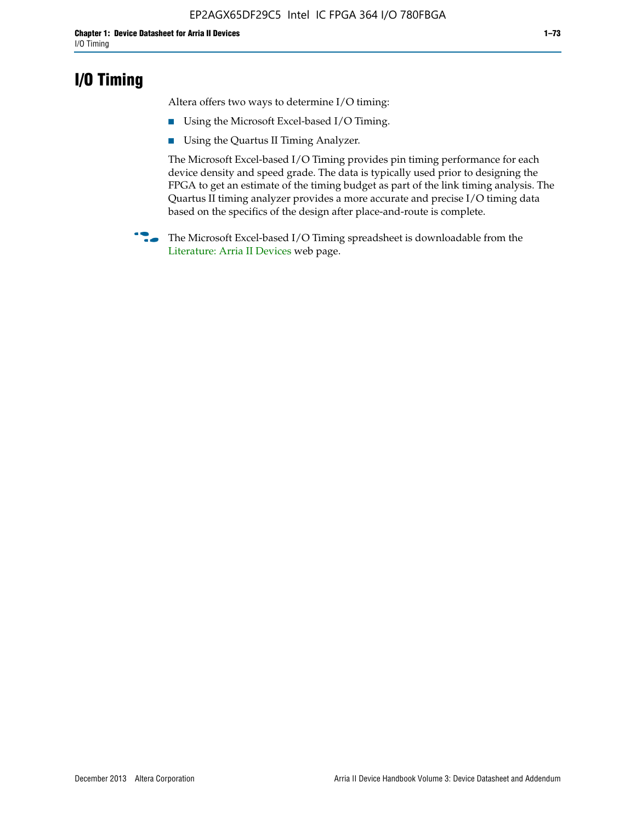## **I/O Timing**

Altera offers two ways to determine I/O timing:

- Using the Microsoft Excel-based I/O Timing.
- Using the Quartus II Timing Analyzer.

The Microsoft Excel-based I/O Timing provides pin timing performance for each device density and speed grade. The data is typically used prior to designing the FPGA to get an estimate of the timing budget as part of the link timing analysis. The Quartus II timing analyzer provides a more accurate and precise I/O timing data based on the specifics of the design after place-and-route is complete.

**f The Microsoft Excel-based I/O Timing spreadsheet is downloadable from the** [Literature: Arria II Devices](http://www.altera.com/literature/lit-arria-ii-gx.jsp) web page.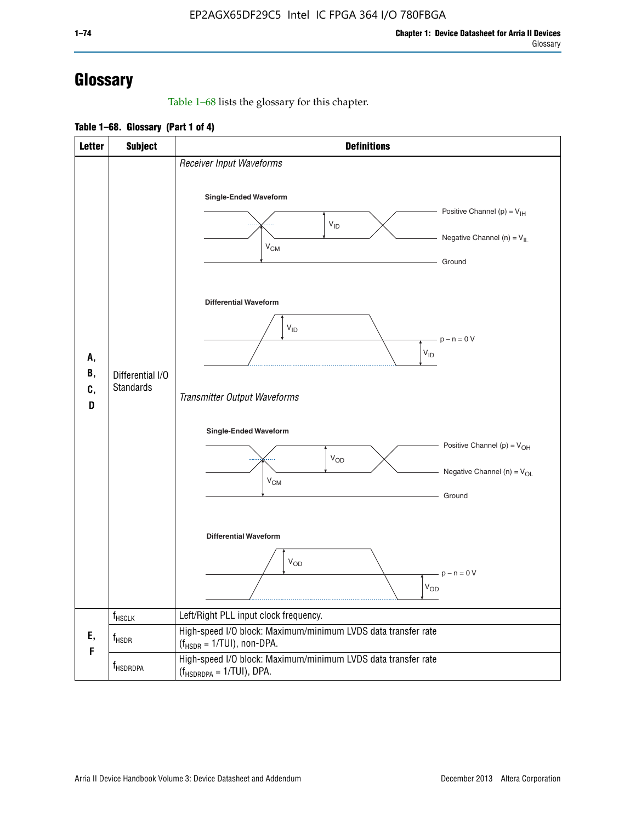# **Glossary**

Table 1–68 lists the glossary for this chapter.

**Table 1–68. Glossary (Part 1 of 4)**

| <b>Letter</b>       | <b>Subject</b>                       | <b>Definitions</b>                                                                                                                         |
|---------------------|--------------------------------------|--------------------------------------------------------------------------------------------------------------------------------------------|
| А,<br>В,<br>C,<br>D |                                      | Receiver Input Waveforms<br>Single-Ended Waveform<br>Positive Channel (p) = $V_{\text{IH}}$<br>$V_{ID}$<br>Negative Channel (n) = $V_{IL}$ |
|                     |                                      | $V_{CM}$<br>Ground<br><b>Differential Waveform</b><br>$V_{ID}$<br>$-p - n = 0 V$                                                           |
|                     | Differential I/O<br><b>Standards</b> | $\rm V_{ID}$<br>Transmitter Output Waveforms                                                                                               |
|                     |                                      | Single-Ended Waveform<br>Positive Channel (p) = $V_{OH}$<br>$V_{OD}$<br>Negative Channel (n) = $V_{OL}$<br>$V_{CM}$<br>Ground              |
|                     |                                      | <b>Differential Waveform</b><br><b>V<sub>OD</sub></b><br>$p - n = 0 V$<br>$\rm V_{OD}$                                                     |
|                     | f <sub>HSCLK</sub>                   | Left/Right PLL input clock frequency.                                                                                                      |
| Ε,<br>F             | $f_{HSDR}$                           | High-speed I/O block: Maximum/minimum LVDS data transfer rate<br>$(f_{\text{HSDR}} = 1/\text{TUI})$ , non-DPA.                             |
|                     | f <sub>HSDRDPA</sub>                 | High-speed I/O block: Maximum/minimum LVDS data transfer rate<br>$(f_{HSDRDPA} = 1/TUI)$ , DPA.                                            |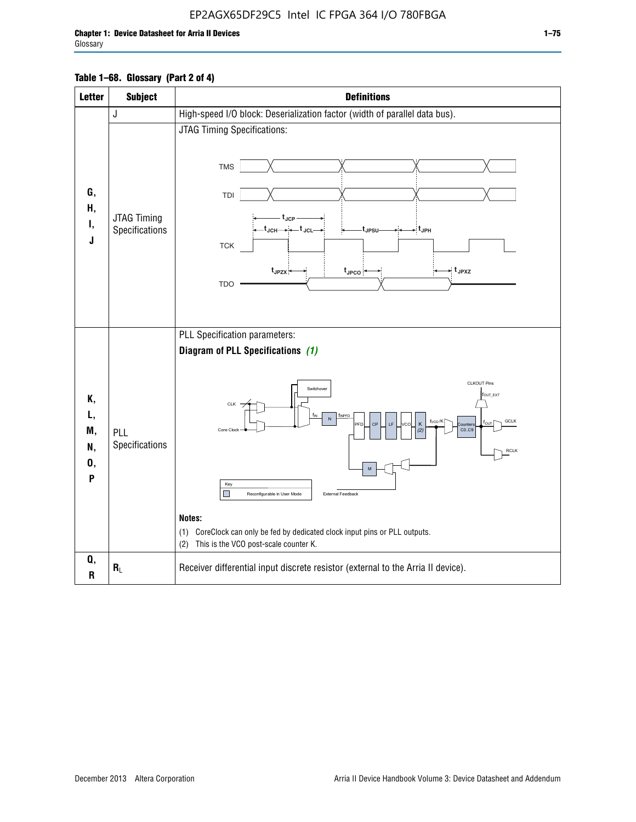| <b>Letter</b>                   | <b>Subject</b>                       | <b>Definitions</b>                                                                                                                                                                                                                                                                                                                                                                                                                                                                      |
|---------------------------------|--------------------------------------|-----------------------------------------------------------------------------------------------------------------------------------------------------------------------------------------------------------------------------------------------------------------------------------------------------------------------------------------------------------------------------------------------------------------------------------------------------------------------------------------|
|                                 | J                                    | High-speed I/O block: Deserialization factor (width of parallel data bus).                                                                                                                                                                                                                                                                                                                                                                                                              |
| G,<br>Н,<br>Ι,<br>J             | <b>JTAG Timing</b><br>Specifications | JTAG Timing Specifications:<br><b>TMS</b><br>TDI<br>t <sub>JCP</sub><br>$t_{\text{JCH}\rightarrow\leftarrow}t_{\text{JCL}}$<br>⇒:t <sub>JPH</sub><br>t <sub>JPSU</sub> .<br><b>TCK</b><br>$t_{JPZX}$<br>$\star$ t <sub>JPXZ</sub><br>$t_{\text{JPCO}}$<br><b>TDO</b>                                                                                                                                                                                                                    |
| Κ,<br>L,<br>M,<br>N,<br>0,<br>P | PLL<br>Specifications                | PLL Specification parameters:<br>Diagram of PLL Specifications (1)<br>CLKOUT Pins<br>Switchover<br>fout_ext<br>CLK<br>TINPED<br>N<br>f <sub>vco</sub> /K<br>GCLK<br>PFD<br>CP<br>LF<br><b>VCO</b><br>K<br>ľои<br><b>Qunter</b><br>CO.C9<br>Core Clock<br>(2)<br><b>RCLK</b><br>Key<br>ш<br>External Feedback<br>Reconfigurable in User Mode<br>Notes:<br>CoreClock can only be fed by dedicated clock input pins or PLL outputs.<br>(1)<br>This is the VCO post-scale counter K.<br>(2) |
| Q,<br>R                         | $R_L$                                | Receiver differential input discrete resistor (external to the Arria II device).                                                                                                                                                                                                                                                                                                                                                                                                        |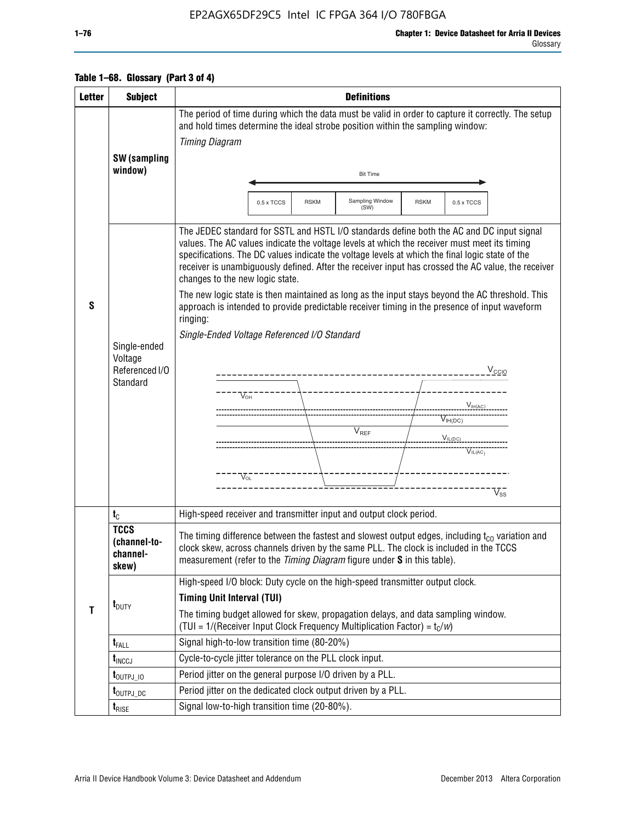### EP2AGX65DF29C5 Intel IC FPGA 364 I/O 780FBGA

### **Table 1–68. Glossary (Part 3 of 4)**

| <b>Letter</b> | <b>Subject</b>                                        | <b>Definitions</b>                                                                                                                                                                                                                                                                                                                                                                                                                                                                                                                                                                                                                                                                                                                                                                                                                                                                               |  |  |  |  |  |
|---------------|-------------------------------------------------------|--------------------------------------------------------------------------------------------------------------------------------------------------------------------------------------------------------------------------------------------------------------------------------------------------------------------------------------------------------------------------------------------------------------------------------------------------------------------------------------------------------------------------------------------------------------------------------------------------------------------------------------------------------------------------------------------------------------------------------------------------------------------------------------------------------------------------------------------------------------------------------------------------|--|--|--|--|--|
|               |                                                       | The period of time during which the data must be valid in order to capture it correctly. The setup<br>and hold times determine the ideal strobe position within the sampling window:<br><b>Timing Diagram</b>                                                                                                                                                                                                                                                                                                                                                                                                                                                                                                                                                                                                                                                                                    |  |  |  |  |  |
|               | SW (sampling                                          |                                                                                                                                                                                                                                                                                                                                                                                                                                                                                                                                                                                                                                                                                                                                                                                                                                                                                                  |  |  |  |  |  |
|               | window)                                               | <b>Bit Time</b>                                                                                                                                                                                                                                                                                                                                                                                                                                                                                                                                                                                                                                                                                                                                                                                                                                                                                  |  |  |  |  |  |
|               |                                                       | Sampling Window<br><b>RSKM</b><br><b>RSKM</b><br>0.5 x TCCS                                                                                                                                                                                                                                                                                                                                                                                                                                                                                                                                                                                                                                                                                                                                                                                                                                      |  |  |  |  |  |
|               |                                                       | 0.5 x TCCS<br>(SW)                                                                                                                                                                                                                                                                                                                                                                                                                                                                                                                                                                                                                                                                                                                                                                                                                                                                               |  |  |  |  |  |
| S             | Single-ended<br>Voltage<br>Referenced I/O<br>Standard | The JEDEC standard for SSTL and HSTL I/O standards define both the AC and DC input signal<br>values. The AC values indicate the voltage levels at which the receiver must meet its timing<br>specifications. The DC values indicate the voltage levels at which the final logic state of the<br>receiver is unambiguously defined. After the receiver input has crossed the AC value, the receiver<br>changes to the new logic state.<br>The new logic state is then maintained as long as the input stays beyond the AC threshold. This<br>approach is intended to provide predictable receiver timing in the presence of input waveform<br>ringing:<br>Single-Ended Voltage Referenced I/O Standard<br>$V_{\text{CCIO}}$<br>______________<br>$V_{OH}$<br>$V_{H(AC)}$<br>$V_{IH(DC)}$<br>V <sub>REF</sub><br>$V_{IL(DC)}$<br>$V_{IL(AC)}$<br>$V_{OI}$<br>$\overline{\mathsf{V}}_\mathsf{SS}^-$ |  |  |  |  |  |
|               | $t_{\rm C}$                                           | High-speed receiver and transmitter input and output clock period.                                                                                                                                                                                                                                                                                                                                                                                                                                                                                                                                                                                                                                                                                                                                                                                                                               |  |  |  |  |  |
|               | <b>TCCS</b><br>(channel-to-<br>channel-<br>skew)      | The timing difference between the fastest and slowest output edges, including $t_{c0}$ variation and<br>clock skew, across channels driven by the same PLL. The clock is included in the TCCS<br>measurement (refer to the Timing Diagram figure under S in this table).                                                                                                                                                                                                                                                                                                                                                                                                                                                                                                                                                                                                                         |  |  |  |  |  |
|               |                                                       | High-speed I/O block: Duty cycle on the high-speed transmitter output clock.                                                                                                                                                                                                                                                                                                                                                                                                                                                                                                                                                                                                                                                                                                                                                                                                                     |  |  |  |  |  |
|               | $t_{\text{DUTY}}$                                     | <b>Timing Unit Interval (TUI)</b>                                                                                                                                                                                                                                                                                                                                                                                                                                                                                                                                                                                                                                                                                                                                                                                                                                                                |  |  |  |  |  |
| $\mathbf{T}$  |                                                       | The timing budget allowed for skew, propagation delays, and data sampling window.<br>(TUI = $1/($ Receiver Input Clock Frequency Multiplication Factor) = $t_c/w$ )                                                                                                                                                                                                                                                                                                                                                                                                                                                                                                                                                                                                                                                                                                                              |  |  |  |  |  |
|               | $t_{\text{FALL}}$                                     | Signal high-to-low transition time (80-20%)                                                                                                                                                                                                                                                                                                                                                                                                                                                                                                                                                                                                                                                                                                                                                                                                                                                      |  |  |  |  |  |
|               | $t_{\text{INCCJ}}$                                    | Cycle-to-cycle jitter tolerance on the PLL clock input.                                                                                                                                                                                                                                                                                                                                                                                                                                                                                                                                                                                                                                                                                                                                                                                                                                          |  |  |  |  |  |
|               | $t_{\text{OUTPJ\_10}}$                                | Period jitter on the general purpose I/O driven by a PLL.                                                                                                                                                                                                                                                                                                                                                                                                                                                                                                                                                                                                                                                                                                                                                                                                                                        |  |  |  |  |  |
|               | t <sub>outpj_dc</sub>                                 | Period jitter on the dedicated clock output driven by a PLL.                                                                                                                                                                                                                                                                                                                                                                                                                                                                                                                                                                                                                                                                                                                                                                                                                                     |  |  |  |  |  |
|               | $t_{\text{RISE}}$                                     | Signal low-to-high transition time (20-80%).                                                                                                                                                                                                                                                                                                                                                                                                                                                                                                                                                                                                                                                                                                                                                                                                                                                     |  |  |  |  |  |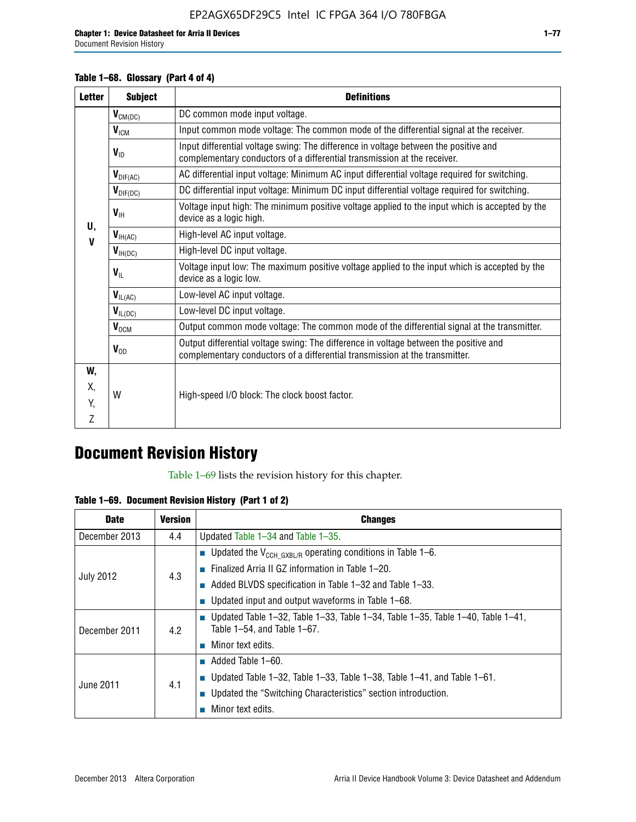### **Table 1–68. Glossary (Part 4 of 4)**

| <b>Letter</b> | <b>Subject</b>       | <b>Definitions</b>                                                                                                                                                   |
|---------------|----------------------|----------------------------------------------------------------------------------------------------------------------------------------------------------------------|
|               | $V_{CM(DC)}$         | DC common mode input voltage.                                                                                                                                        |
|               | $V_{ICM}$            | Input common mode voltage: The common mode of the differential signal at the receiver.                                                                               |
|               | $V_{ID}$             | Input differential voltage swing: The difference in voltage between the positive and<br>complementary conductors of a differential transmission at the receiver.     |
|               | $V_{\text{DIF(AC)}}$ | AC differential input voltage: Minimum AC input differential voltage required for switching.                                                                         |
|               | $V_{\text{DIF(DC)}}$ | DC differential input voltage: Minimum DC input differential voltage required for switching.                                                                         |
| U,            | $V_{\text{IH}}$      | Voltage input high: The minimum positive voltage applied to the input which is accepted by the<br>device as a logic high.                                            |
| V             | $V_{H(AC)}$          | High-level AC input voltage.                                                                                                                                         |
|               | $V_{H(DC)}$          | High-level DC input voltage.                                                                                                                                         |
|               | $V_{\text{IL}}$      | Voltage input low: The maximum positive voltage applied to the input which is accepted by the<br>device as a logic low.                                              |
|               | $V_{IL(AC)}$         | Low-level AC input voltage.                                                                                                                                          |
|               | $V_{IL(DC)}$         | Low-level DC input voltage.                                                                                                                                          |
|               | $V_{\text{OCM}}$     | Output common mode voltage: The common mode of the differential signal at the transmitter.                                                                           |
|               | $V_{OD}$             | Output differential voltage swing: The difference in voltage between the positive and<br>complementary conductors of a differential transmission at the transmitter. |
| W,            |                      |                                                                                                                                                                      |
| Х,            | W                    | High-speed I/O block: The clock boost factor.                                                                                                                        |
| Y.            |                      |                                                                                                                                                                      |
| Z             |                      |                                                                                                                                                                      |

## **Document Revision History**

Table 1–69 lists the revision history for this chapter.

**Table 1–69. Document Revision History (Part 1 of 2)**

| <b>Date</b>      | <b>Version</b> | <b>Changes</b>                                                                                                                |
|------------------|----------------|-------------------------------------------------------------------------------------------------------------------------------|
| December 2013    | 4.4            | Updated Table $1-34$ and Table $1-35$ .                                                                                       |
|                  |                | ■ Updated the $V_{CCH GXBL/R}$ operating conditions in Table 1–6.                                                             |
| <b>July 2012</b> | 4.3            | ■ Finalized Arria II GZ information in Table $1-20$ .                                                                         |
|                  |                | $\blacksquare$ Added BLVDS specification in Table 1-32 and Table 1-33.                                                        |
|                  |                | <b>Updated input and output waveforms in Table 1–68.</b>                                                                      |
| December 2011    | 4.2            | $\blacksquare$ Updated Table 1-32, Table 1-33, Table 1-34, Table 1-35, Table 1-40, Table 1-41,<br>Table 1-54, and Table 1-67. |
|                  |                | $\blacksquare$ Minor text edits.                                                                                              |
|                  | 4.1            | $\blacksquare$ Added Table 1–60.                                                                                              |
|                  |                | Updated Table 1-32, Table 1-33, Table 1-38, Table 1-41, and Table 1-61.                                                       |
| June 2011        |                | ■ Updated the "Switching Characteristics" section introduction.                                                               |
|                  |                | Minor text edits.                                                                                                             |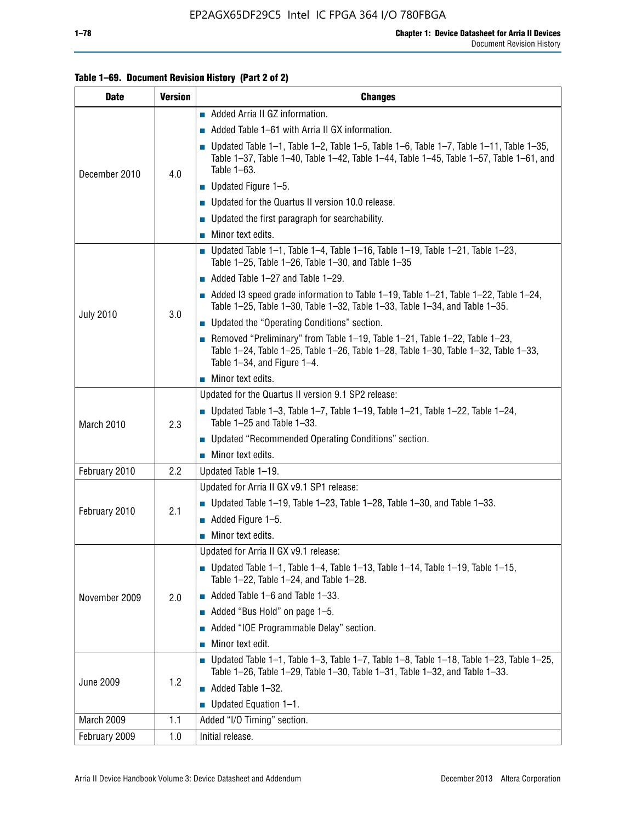| <b>Date</b>      | <b>Version</b> | <b>Changes</b>                                                                                                                                                                                               |
|------------------|----------------|--------------------------------------------------------------------------------------------------------------------------------------------------------------------------------------------------------------|
|                  |                | Added Arria II GZ information.                                                                                                                                                                               |
| December 2010    |                | Added Table 1–61 with Arria II GX information.                                                                                                                                                               |
|                  | 4.0            | <b>Updated Table 1–1, Table 1–2, Table 1–5, Table 1–6, Table 1–7, Table 1–11, Table 1–35,</b><br>Table 1-37, Table 1-40, Table 1-42, Table 1-44, Table 1-45, Table 1-57, Table 1-61, and<br>Table 1-63.      |
|                  |                | $\blacksquare$ Updated Figure 1-5.                                                                                                                                                                           |
|                  |                | Updated for the Quartus II version 10.0 release.                                                                                                                                                             |
|                  |                | $\blacksquare$ Updated the first paragraph for searchability.                                                                                                                                                |
|                  |                | $\blacksquare$ Minor text edits.                                                                                                                                                                             |
|                  |                | Updated Table 1-1, Table 1-4, Table 1-16, Table 1-19, Table 1-21, Table 1-23,<br>Table $1-25$ , Table $1-26$ , Table $1-30$ , and Table $1-35$                                                               |
|                  |                | Added Table 1-27 and Table 1-29.                                                                                                                                                                             |
|                  |                | Added I3 speed grade information to Table $1-19$ , Table $1-21$ , Table $1-22$ , Table $1-24$ ,<br>Table 1-25, Table 1-30, Table 1-32, Table 1-33, Table 1-34, and Table 1-35.                               |
| <b>July 2010</b> | 3.0            | • Updated the "Operating Conditions" section.                                                                                                                                                                |
|                  |                | Removed "Preliminary" from Table $1-19$ , Table $1-21$ , Table $1-22$ , Table $1-23$ ,<br>Table 1-24, Table 1-25, Table 1-26, Table 1-28, Table 1-30, Table 1-32, Table 1-33,<br>Table 1-34, and Figure 1-4. |
|                  |                | $\blacksquare$ Minor text edits.                                                                                                                                                                             |
|                  | 2.3            | Updated for the Quartus II version 9.1 SP2 release:                                                                                                                                                          |
| March 2010       |                | $\blacksquare$ Updated Table 1-3, Table 1-7, Table 1-19, Table 1-21, Table 1-22, Table 1-24,<br>Table 1-25 and Table 1-33.                                                                                   |
|                  |                | • Updated "Recommended Operating Conditions" section.                                                                                                                                                        |
|                  |                | $\blacksquare$ Minor text edits.                                                                                                                                                                             |
| February 2010    | $2.2\,$        | Updated Table 1-19.                                                                                                                                                                                          |
|                  |                | Updated for Arria II GX v9.1 SP1 release:                                                                                                                                                                    |
| February 2010    | 2.1            | Updated Table 1–19, Table 1–23, Table 1–28, Table 1–30, and Table 1–33.                                                                                                                                      |
|                  |                | $\blacksquare$ Added Figure 1-5.                                                                                                                                                                             |
|                  |                | $\blacksquare$ Minor text edits.                                                                                                                                                                             |
|                  |                | Updated for Arria II GX v9.1 release:                                                                                                                                                                        |
|                  |                | Updated Table 1-1, Table 1-4, Table 1-13, Table 1-14, Table 1-19, Table 1-15,<br>Table 1-22, Table 1-24, and Table 1-28.                                                                                     |
| November 2009    | 2.0            | $\blacksquare$ Added Table 1-6 and Table 1-33.                                                                                                                                                               |
|                  |                | Added "Bus Hold" on page 1-5.                                                                                                                                                                                |
|                  |                | Added "IOE Programmable Delay" section.                                                                                                                                                                      |
|                  |                | Minor text edit.                                                                                                                                                                                             |
|                  |                | $\blacksquare$ Updated Table 1-1, Table 1-3, Table 1-7, Table 1-8, Table 1-18, Table 1-23, Table 1-25,<br>Table 1-26, Table 1-29, Table 1-30, Table 1-31, Table 1-32, and Table 1-33.                        |
| <b>June 2009</b> | 1.2            | $\blacksquare$ Added Table 1-32.                                                                                                                                                                             |
|                  |                | $\blacksquare$ Updated Equation 1-1.                                                                                                                                                                         |
| March 2009       | 1.1            | Added "I/O Timing" section.                                                                                                                                                                                  |
| February 2009    | 1.0            | Initial release.                                                                                                                                                                                             |